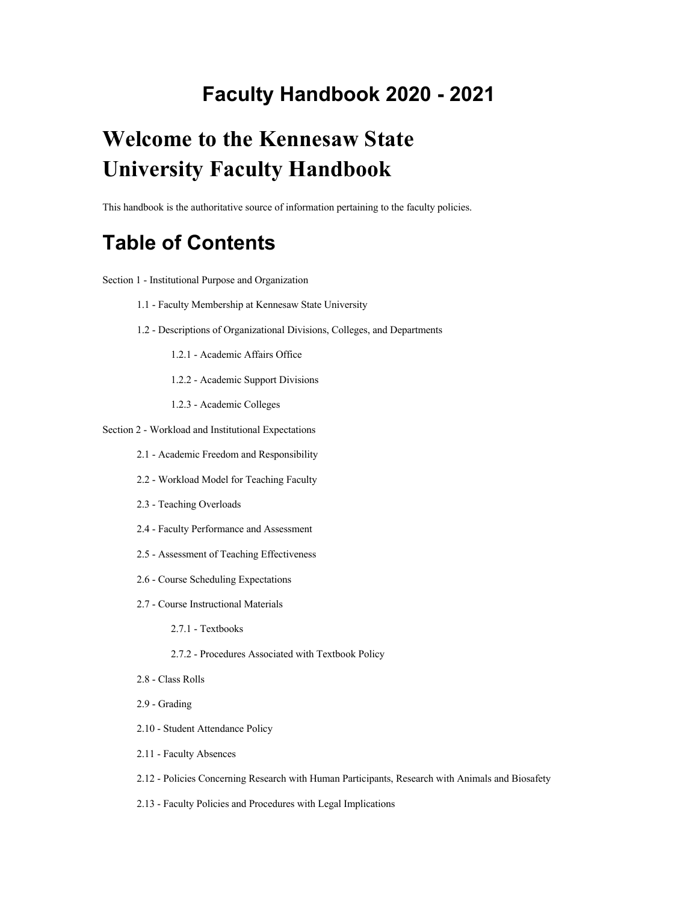# **Faculty Handbook 2020 - 2021**

# **Welcome to the Kennesaw State University Faculty Handbook**

This handbook is the authoritative source of information pertaining to the faculty policies.

## **Table of Contents**

Section 1 - Institutional Purpose and Organization

- 1.1 Faculty Membership at Kennesaw State University
- 1.2 Descriptions of Organizational Divisions, Colleges, and Departments
	- 1.2.1 Academic Affairs Office
	- 1.2.2 Academic Support Divisions
	- 1.2.3 Academic Colleges
- Section 2 Workload and Institutional Expectations
	- 2.1 Academic Freedom and Responsibility
	- 2.2 Workload Model for Teaching Faculty
	- 2.3 Teaching Overloads
	- 2.4 Faculty Performance and Assessment
	- 2.5 Assessment of Teaching Effectiveness
	- 2.6 Course Scheduling Expectations
	- 2.7 Course Instructional Materials

2.7.1 - Textbooks

2.7.2 - Procedures Associated with Textbook Policy

- 2.8 Class Rolls
- 2.9 Grading
- 2.10 Student Attendance Policy
- 2.11 Faculty Absences
- 2.12 Policies Concerning Research with Human Participants, Research with Animals and Biosafety
- 2.13 Faculty Policies and Procedures with Legal Implications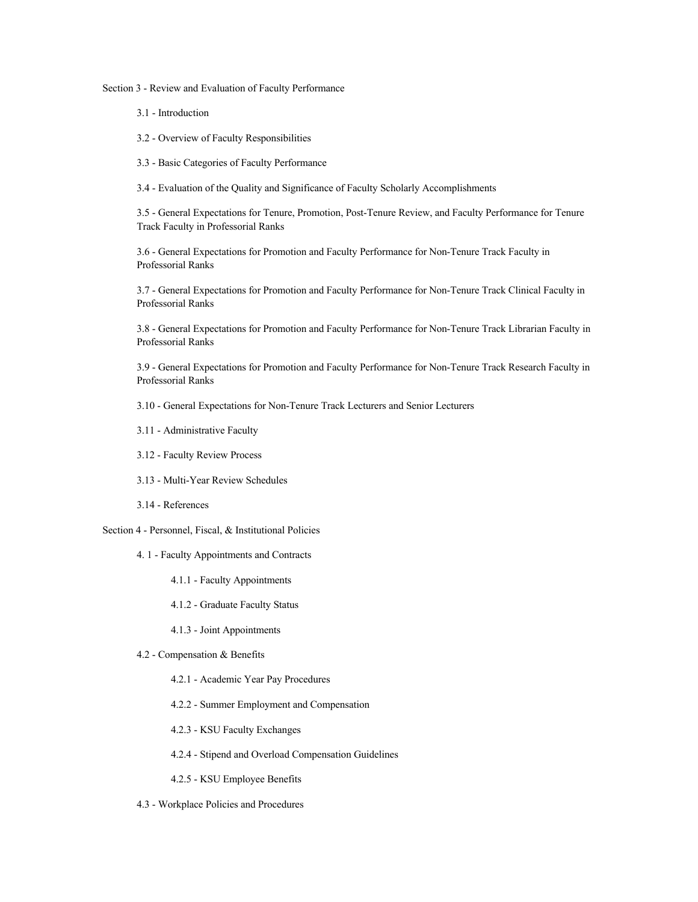Section 3 - Review and Evaluation of Faculty Performance

3.1 - Introduction

3.2 - Overview of Faculty Responsibilities

3.3 - Basic Categories of Faculty Performance

3.4 - Evaluation of the Quality and Significance of Faculty Scholarly Accomplishments

3.5 - General Expectations for Tenure, Promotion, Post-Tenure Review, and Faculty Performance for Tenure Track Faculty in Professorial Ranks

3.6 - General Expectations for Promotion and Faculty Performance for Non-Tenure Track Faculty in Professorial Ranks

3.7 - General Expectations for Promotion and Faculty Performance for Non-Tenure Track Clinical Faculty in Professorial Ranks

3.8 - General Expectations for Promotion and Faculty Performance for Non-Tenure Track Librarian Faculty in Professorial Ranks

3.9 - General Expectations for Promotion and Faculty Performance for Non-Tenure Track Research Faculty in Professorial Ranks

3.10 - General Expectations for Non-Tenure Track Lecturers and Senior Lecturers

3.11 - Administrative Faculty

- 3.12 Faculty Review Process
- 3.13 Multi-Year Review Schedules
- 3.14 References

Section 4 - Personnel, Fiscal, & Institutional Policies

4. 1 - Faculty Appointments and Contracts

4.1.1 - Faculty Appointments

4.1.2 - Graduate Faculty Status

4.1.3 - Joint Appointments

- 4.2 Compensation & Benefits
	- 4.2.1 Academic Year Pay Procedures
	- 4.2.2 Summer Employment and Compensation
	- 4.2.3 KSU Faculty Exchanges

4.2.4 - Stipend and Overload Compensation Guidelines

4.2.5 - KSU Employee Benefits

4.3 - Workplace Policies and Procedures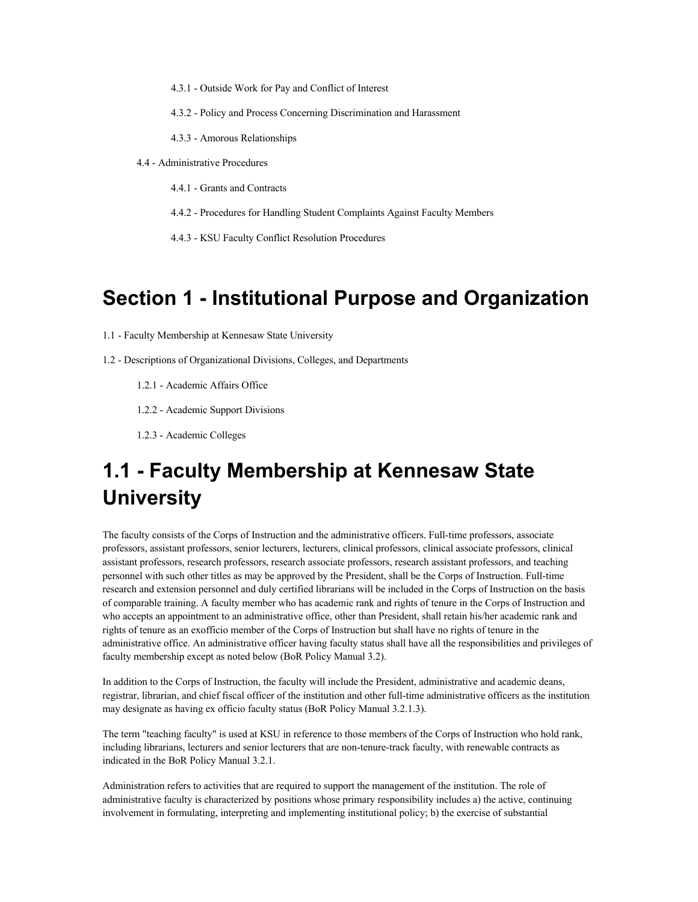- 4.3.1 Outside Work for Pay and Conflict of Interest
- 4.3.2 Policy and Process Concerning Discrimination and Harassment
- 4.3.3 Amorous Relationships
- 4.4 Administrative Procedures
	- 4.4.1 Grants and Contracts
	- 4.4.2 Procedures for Handling Student Complaints Against Faculty Members
	- 4.4.3 KSU Faculty Conflict Resolution Procedures

## **Section 1 - Institutional Purpose and Organization**

- 1.1 Faculty Membership at Kennesaw State University
- 1.2 Descriptions of Organizational Divisions, Colleges, and Departments
	- 1.2.1 Academic Affairs Office
	- 1.2.2 Academic Support Divisions
	- 1.2.3 Academic Colleges

# **1.1 - Faculty Membership at Kennesaw State University**

The faculty consists of the Corps of Instruction and the administrative officers. Full-time professors, associate professors, assistant professors, senior lecturers, lecturers, clinical professors, clinical associate professors, clinical assistant professors, research professors, research associate professors, research assistant professors, and teaching personnel with such other titles as may be approved by the President, shall be the Corps of Instruction. Full-time research and extension personnel and duly certified librarians will be included in the Corps of Instruction on the basis of comparable training. A faculty member who has academic rank and rights of tenure in the Corps of Instruction and who accepts an appointment to an administrative office, other than President, shall retain his/her academic rank and rights of tenure as an exofficio member of the Corps of Instruction but shall have no rights of tenure in the administrative office. An administrative officer having faculty status shall have all the responsibilities and privileges of faculty membership except as noted below (BoR Policy Manual 3.2).

In addition to the Corps of Instruction, the faculty will include the President, administrative and academic deans, registrar, librarian, and chief fiscal officer of the institution and other full-time administrative officers as the institution may designate as having ex officio faculty status (BoR Policy Manual 3.2.1.3).

The term "teaching faculty" is used at KSU in reference to those members of the Corps of Instruction who hold rank, including librarians, lecturers and senior lecturers that are non-tenure-track faculty, with renewable contracts as indicated in the BoR Policy Manual 3.2.1.

Administration refers to activities that are required to support the management of the institution. The role of administrative faculty is characterized by positions whose primary responsibility includes a) the active, continuing involvement in formulating, interpreting and implementing institutional policy; b) the exercise of substantial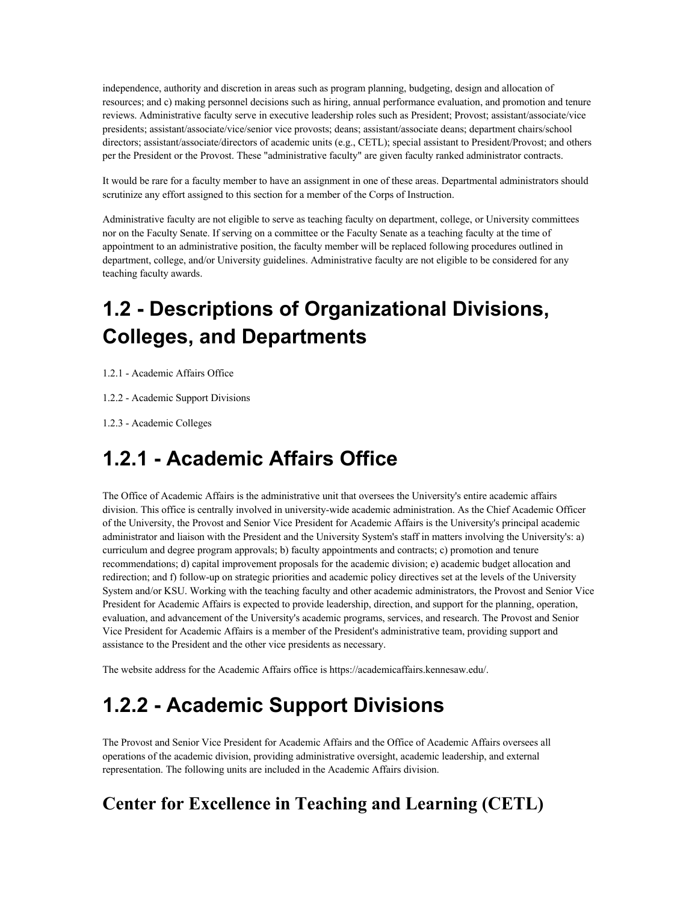independence, authority and discretion in areas such as program planning, budgeting, design and allocation of resources; and c) making personnel decisions such as hiring, annual performance evaluation, and promotion and tenure reviews. Administrative faculty serve in executive leadership roles such as President; Provost; assistant/associate/vice presidents; assistant/associate/vice/senior vice provosts; deans; assistant/associate deans; department chairs/school directors; assistant/associate/directors of academic units (e.g., CETL); special assistant to President/Provost; and others per the President or the Provost. These "administrative faculty" are given faculty ranked administrator contracts.

It would be rare for a faculty member to have an assignment in one of these areas. Departmental administrators should scrutinize any effort assigned to this section for a member of the Corps of Instruction.

Administrative faculty are not eligible to serve as teaching faculty on department, college, or University committees nor on the Faculty Senate. If serving on a committee or the Faculty Senate as a teaching faculty at the time of appointment to an administrative position, the faculty member will be replaced following procedures outlined in department, college, and/or University guidelines. Administrative faculty are not eligible to be considered for any teaching faculty awards.

# **1.2 - Descriptions of Organizational Divisions, Colleges, and Departments**

1.2.1 - Academic Affairs Office

1.2.2 - Academic Support Divisions

1.2.3 - Academic Colleges

# **1.2.1 - Academic Affairs Office**

The Office of Academic Affairs is the administrative unit that oversees the University's entire academic affairs division. This office is centrally involved in university-wide academic administration. As the Chief Academic Officer of the University, the Provost and Senior Vice President for Academic Affairs is the University's principal academic administrator and liaison with the President and the University System's staff in matters involving the University's: a) curriculum and degree program approvals; b) faculty appointments and contracts; c) promotion and tenure recommendations; d) capital improvement proposals for the academic division; e) academic budget allocation and redirection; and f) follow-up on strategic priorities and academic policy directives set at the levels of the University System and/or KSU. Working with the teaching faculty and other academic administrators, the Provost and Senior Vice President for Academic Affairs is expected to provide leadership, direction, and support for the planning, operation, evaluation, and advancement of the University's academic programs, services, and research. The Provost and Senior Vice President for Academic Affairs is a member of the President's administrative team, providing support and assistance to the President and the other vice presidents as necessary.

The website address for the Academic Affairs office is https://academicaffairs.kennesaw.edu/.

# **1.2.2 - Academic Support Divisions**

The Provost and Senior Vice President for Academic Affairs and the Office of Academic Affairs oversees all operations of the academic division, providing administrative oversight, academic leadership, and external representation. The following units are included in the Academic Affairs division.

## **Center for Excellence in Teaching and Learning (CETL)**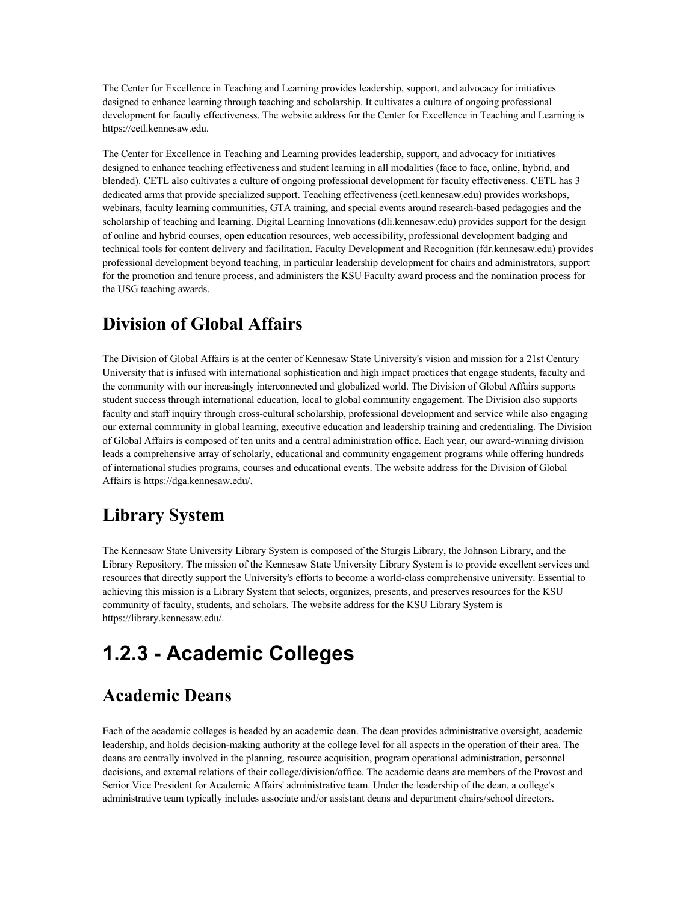The Center for Excellence in Teaching and Learning provides leadership, support, and advocacy for initiatives designed to enhance learning through teaching and scholarship. It cultivates a culture of ongoing professional development for faculty effectiveness. The website address for the Center for Excellence in Teaching and Learning is https://cetl.kennesaw.edu.

The Center for Excellence in Teaching and Learning provides leadership, support, and advocacy for initiatives designed to enhance teaching effectiveness and student learning in all modalities (face to face, online, hybrid, and blended). CETL also cultivates a culture of ongoing professional development for faculty effectiveness. CETL has 3 dedicated arms that provide specialized support. Teaching effectiveness (cetl.kennesaw.edu) provides workshops, webinars, faculty learning communities, GTA training, and special events around research-based pedagogies and the scholarship of teaching and learning. Digital Learning Innovations (dli.kennesaw.edu) provides support for the design of online and hybrid courses, open education resources, web accessibility, professional development badging and technical tools for content delivery and facilitation. Faculty Development and Recognition (fdr.kennesaw.edu) provides professional development beyond teaching, in particular leadership development for chairs and administrators, support for the promotion and tenure process, and administers the KSU Faculty award process and the nomination process for the USG teaching awards.

### **Division of Global Affairs**

The Division of Global Affairs is at the center of Kennesaw State University's vision and mission for a 21st Century University that is infused with international sophistication and high impact practices that engage students, faculty and the community with our increasingly interconnected and globalized world. The Division of Global Affairs supports student success through international education, local to global community engagement. The Division also supports faculty and staff inquiry through cross-cultural scholarship, professional development and service while also engaging our external community in global learning, executive education and leadership training and credentialing. The Division of Global Affairs is composed of ten units and a central administration office. Each year, our award-winning division leads a comprehensive array of scholarly, educational and community engagement programs while offering hundreds of international studies programs, courses and educational events. The website address for the Division of Global Affairs is https://dga.kennesaw.edu/.

## **Library System**

The Kennesaw State University Library System is composed of the Sturgis Library, the Johnson Library, and the Library Repository. The mission of the Kennesaw State University Library System is to provide excellent services and resources that directly support the University's efforts to become a world-class comprehensive university. Essential to achieving this mission is a Library System that selects, organizes, presents, and preserves resources for the KSU community of faculty, students, and scholars. The website address for the KSU Library System is https://library.kennesaw.edu/.

# **1.2.3 - Academic Colleges**

## **Academic Deans**

Each of the academic colleges is headed by an academic dean. The dean provides administrative oversight, academic leadership, and holds decision-making authority at the college level for all aspects in the operation of their area. The deans are centrally involved in the planning, resource acquisition, program operational administration, personnel decisions, and external relations of their college/division/office. The academic deans are members of the Provost and Senior Vice President for Academic Affairs' administrative team. Under the leadership of the dean, a college's administrative team typically includes associate and/or assistant deans and department chairs/school directors.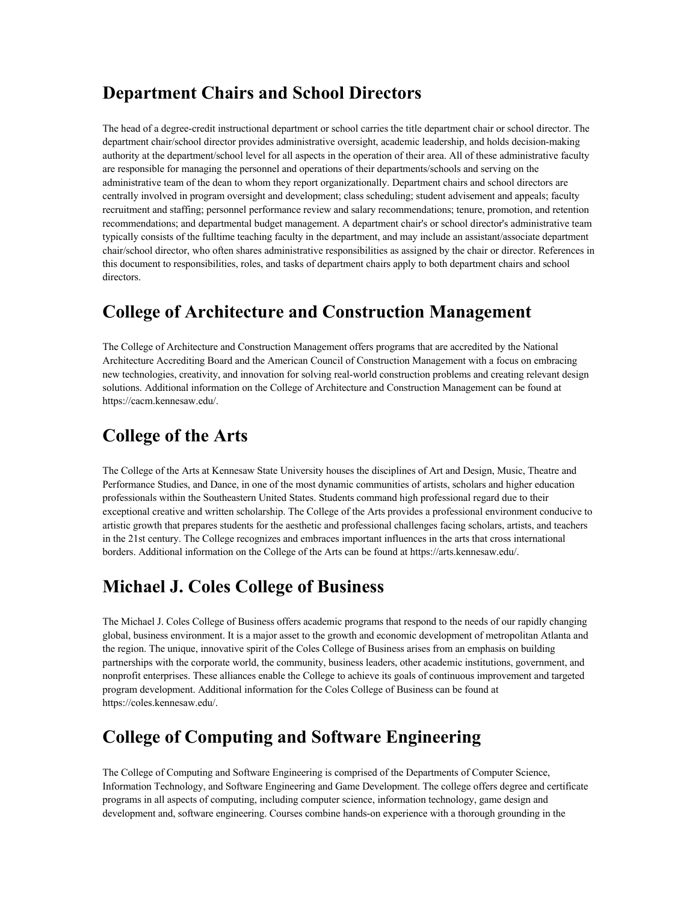## **Department Chairs and School Directors**

The head of a degree-credit instructional department or school carries the title department chair or school director. The department chair/school director provides administrative oversight, academic leadership, and holds decision-making authority at the department/school level for all aspects in the operation of their area. All of these administrative faculty are responsible for managing the personnel and operations of their departments/schools and serving on the administrative team of the dean to whom they report organizationally. Department chairs and school directors are centrally involved in program oversight and development; class scheduling; student advisement and appeals; faculty recruitment and staffing; personnel performance review and salary recommendations; tenure, promotion, and retention recommendations; and departmental budget management. A department chair's or school director's administrative team typically consists of the fulltime teaching faculty in the department, and may include an assistant/associate department chair/school director, who often shares administrative responsibilities as assigned by the chair or director. References in this document to responsibilities, roles, and tasks of department chairs apply to both department chairs and school directors.

## **College of Architecture and Construction Management**

The College of Architecture and Construction Management offers programs that are accredited by the National Architecture Accrediting Board and the American Council of Construction Management with a focus on embracing new technologies, creativity, and innovation for solving real-world construction problems and creating relevant design solutions. Additional information on the College of Architecture and Construction Management can be found at https://cacm.kennesaw.edu/.

### **College of the Arts**

The College of the Arts at Kennesaw State University houses the disciplines of Art and Design, Music, Theatre and Performance Studies, and Dance, in one of the most dynamic communities of artists, scholars and higher education professionals within the Southeastern United States. Students command high professional regard due to their exceptional creative and written scholarship. The College of the Arts provides a professional environment conducive to artistic growth that prepares students for the aesthetic and professional challenges facing scholars, artists, and teachers in the 21st century. The College recognizes and embraces important influences in the arts that cross international borders. Additional information on the College of the Arts can be found at https://arts.kennesaw.edu/.

## **Michael J. Coles College of Business**

The Michael J. Coles College of Business offers academic programs that respond to the needs of our rapidly changing global, business environment. It is a major asset to the growth and economic development of metropolitan Atlanta and the region. The unique, innovative spirit of the Coles College of Business arises from an emphasis on building partnerships with the corporate world, the community, business leaders, other academic institutions, government, and nonprofit enterprises. These alliances enable the College to achieve its goals of continuous improvement and targeted program development. Additional information for the Coles College of Business can be found at https://coles.kennesaw.edu/.

## **College of Computing and Software Engineering**

The College of Computing and Software Engineering is comprised of the Departments of Computer Science, Information Technology, and Software Engineering and Game Development. The college offers degree and certificate programs in all aspects of computing, including computer science, information technology, game design and development and, software engineering. Courses combine hands-on experience with a thorough grounding in the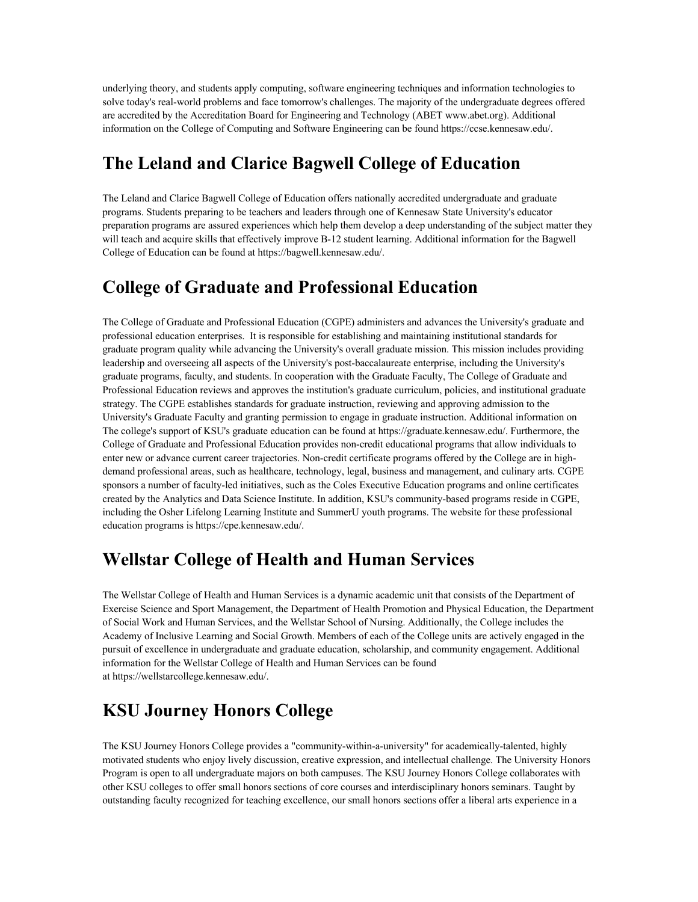underlying theory, and students apply computing, software engineering techniques and information technologies to solve today's real-world problems and face tomorrow's challenges. The majority of the undergraduate degrees offered are accredited by the Accreditation Board for Engineering and Technology (ABET www.abet.org). Additional information on the College of Computing and Software Engineering can be found https://ccse.kennesaw.edu/.

## **The Leland and Clarice Bagwell College of Education**

The Leland and Clarice Bagwell College of Education offers nationally accredited undergraduate and graduate programs. Students preparing to be teachers and leaders through one of Kennesaw State University's educator preparation programs are assured experiences which help them develop a deep understanding of the subject matter they will teach and acquire skills that effectively improve B-12 student learning. Additional information for the Bagwell College of Education can be found at https://bagwell.kennesaw.edu/.

## **College of Graduate and Professional Education**

The College of Graduate and Professional Education (CGPE) administers and advances the University's graduate and professional education enterprises. It is responsible for establishing and maintaining institutional standards for graduate program quality while advancing the University's overall graduate mission. This mission includes providing leadership and overseeing all aspects of the University's post-baccalaureate enterprise, including the University's graduate programs, faculty, and students. In cooperation with the Graduate Faculty, The College of Graduate and Professional Education reviews and approves the institution's graduate curriculum, policies, and institutional graduate strategy. The CGPE establishes standards for graduate instruction, reviewing and approving admission to the University's Graduate Faculty and granting permission to engage in graduate instruction. Additional information on The college's support of KSU's graduate education can be found at https://graduate.kennesaw.edu/. Furthermore, the College of Graduate and Professional Education provides non-credit educational programs that allow individuals to enter new or advance current career trajectories. Non-credit certificate programs offered by the College are in highdemand professional areas, such as healthcare, technology, legal, business and management, and culinary arts. CGPE sponsors a number of faculty-led initiatives, such as the Coles Executive Education programs and online certificates created by the Analytics and Data Science Institute. In addition, KSU's community-based programs reside in CGPE, including the Osher Lifelong Learning Institute and SummerU youth programs. The website for these professional education programs is https://cpe.kennesaw.edu/.

## **Wellstar College of Health and Human Services**

The Wellstar College of Health and Human Services is a dynamic academic unit that consists of the Department of Exercise Science and Sport Management, the Department of Health Promotion and Physical Education, the Department of Social Work and Human Services, and the Wellstar School of Nursing. Additionally, the College includes the Academy of Inclusive Learning and Social Growth. Members of each of the College units are actively engaged in the pursuit of excellence in undergraduate and graduate education, scholarship, and community engagement. Additional information for the Wellstar College of Health and Human Services can be found at https://wellstarcollege.kennesaw.edu/.

# **KSU Journey Honors College**

The KSU Journey Honors College provides a "community-within-a-university" for academically-talented, highly motivated students who enjoy lively discussion, creative expression, and intellectual challenge. The University Honors Program is open to all undergraduate majors on both campuses. The KSU Journey Honors College collaborates with other KSU colleges to offer small honors sections of core courses and interdisciplinary honors seminars. Taught by outstanding faculty recognized for teaching excellence, our small honors sections offer a liberal arts experience in a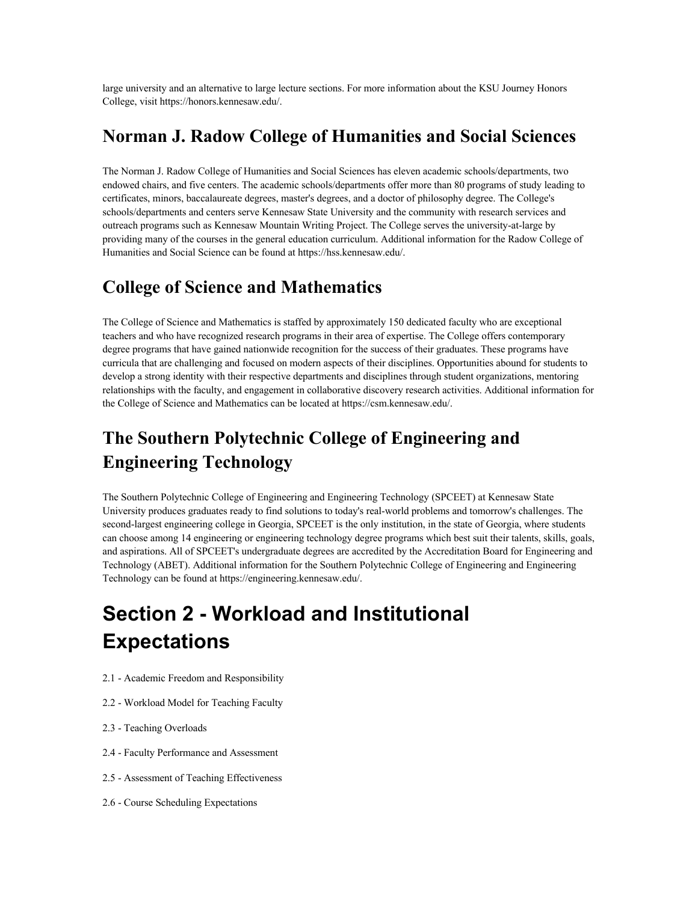large university and an alternative to large lecture sections. For more information about the KSU Journey Honors College, visit https://honors.kennesaw.edu/.

### **Norman J. Radow College of Humanities and Social Sciences**

The Norman J. Radow College of Humanities and Social Sciences has eleven academic schools/departments, two endowed chairs, and five centers. The academic schools/departments offer more than 80 programs of study leading to certificates, minors, baccalaureate degrees, master's degrees, and a doctor of philosophy degree. The College's schools/departments and centers serve Kennesaw State University and the community with research services and outreach programs such as Kennesaw Mountain Writing Project. The College serves the university-at-large by providing many of the courses in the general education curriculum. Additional information for the Radow College of Humanities and Social Science can be found at https://hss.kennesaw.edu/.

### **College of Science and Mathematics**

The College of Science and Mathematics is staffed by approximately 150 dedicated faculty who are exceptional teachers and who have recognized research programs in their area of expertise. The College offers contemporary degree programs that have gained nationwide recognition for the success of their graduates. These programs have curricula that are challenging and focused on modern aspects of their disciplines. Opportunities abound for students to develop a strong identity with their respective departments and disciplines through student organizations, mentoring relationships with the faculty, and engagement in collaborative discovery research activities. Additional information for the College of Science and Mathematics can be located at https://csm.kennesaw.edu/.

## **The Southern Polytechnic College of Engineering and Engineering Technology**

The Southern Polytechnic College of Engineering and Engineering Technology (SPCEET) at Kennesaw State University produces graduates ready to find solutions to today's real-world problems and tomorrow's challenges. The second-largest engineering college in Georgia, SPCEET is the only institution, in the state of Georgia, where students can choose among 14 engineering or engineering technology degree programs which best suit their talents, skills, goals, and aspirations. All of SPCEET's undergraduate degrees are accredited by the Accreditation Board for Engineering and Technology (ABET). Additional information for the Southern Polytechnic College of Engineering and Engineering Technology can be found at https://engineering.kennesaw.edu/.

# **Section 2 - Workload and Institutional Expectations**

- 2.1 Academic Freedom and Responsibility
- 2.2 Workload Model for Teaching Faculty
- 2.3 Teaching Overloads
- 2.4 Faculty Performance and Assessment
- 2.5 Assessment of Teaching Effectiveness
- 2.6 Course Scheduling Expectations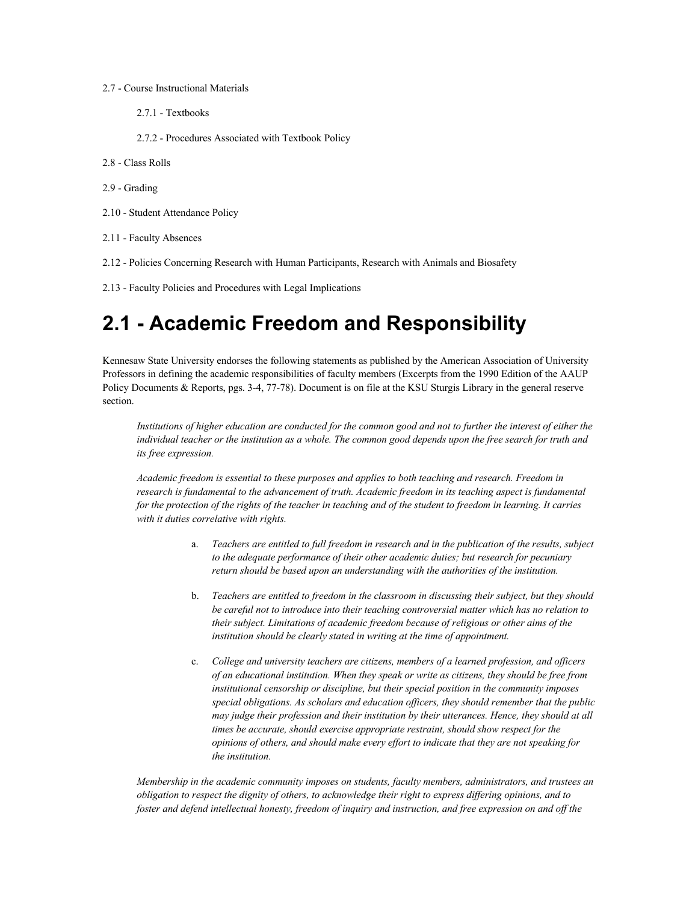2.7 - Course Instructional Materials

2.7.1 - Textbooks

2.7.2 - Procedures Associated with Textbook Policy

2.8 - Class Rolls

2.9 - Grading

2.10 - Student Attendance Policy

2.11 - Faculty Absences

2.12 - Policies Concerning Research with Human Participants, Research with Animals and Biosafety

2.13 - Faculty Policies and Procedures with Legal Implications

## **2.1 - Academic Freedom and Responsibility**

Kennesaw State University endorses the following statements as published by the American Association of University Professors in defining the academic responsibilities of faculty members (Excerpts from the 1990 Edition of the AAUP Policy Documents & Reports, pgs. 3-4, 77-78). Document is on file at the KSU Sturgis Library in the general reserve section.

*Institutions of higher education are conducted for the common good and not to further the interest of either the individual teacher or the institution as a whole. The common good depends upon the free search for truth and its free expression.*

*Academic freedom is essential to these purposes and applies to both teaching and research. Freedom in research is fundamental to the advancement of truth. Academic freedom in its teaching aspect is fundamental for the protection of the rights of the teacher in teaching and of the student to freedom in learning. It carries with it duties correlative with rights.*

- a. *Teachers are entitled to full freedom in research and in the publication of the results, subject to the adequate performance of their other academic duties; but research for pecuniary return should be based upon an understanding with the authorities of the institution.*
- b. *Teachers are entitled to freedom in the classroom in discussing their subject, but they should be careful not to introduce into their teaching controversial matter which has no relation to their subject. Limitations of academic freedom because of religious or other aims of the institution should be clearly stated in writing at the time of appointment.*
- c. *College and university teachers are citizens, members of a learned profession, and officers of an educational institution. When they speak or write as citizens, they should be free from institutional censorship or discipline, but their special position in the community imposes special obligations. As scholars and education officers, they should remember that the public may judge their profession and their institution by their utterances. Hence, they should at all times be accurate, should exercise appropriate restraint, should show respect for the opinions of others, and should make every effort to indicate that they are not speaking for the institution.*

*Membership in the academic community imposes on students, faculty members, administrators, and trustees an obligation to respect the dignity of others, to acknowledge their right to express differing opinions, and to foster and defend intellectual honesty, freedom of inquiry and instruction, and free expression on and off the*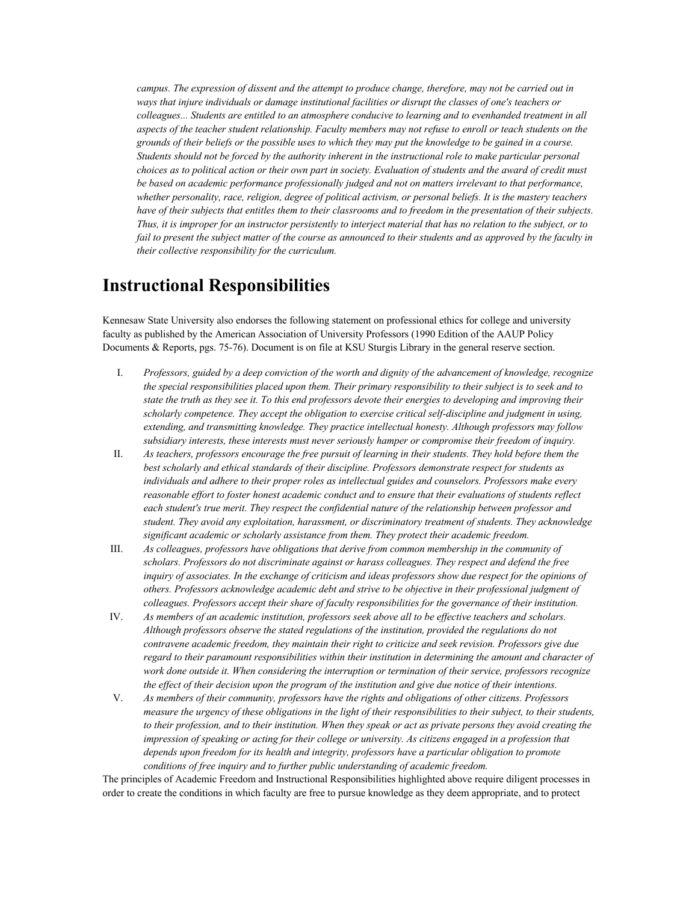*campus. The expression of dissent and the attempt to produce change, therefore, may not be carried out in ways that injure individuals or damage institutional facilities or disrupt the classes of one's teachers or colleagues... Students are entitled to an atmosphere conducive to learning and to evenhanded treatment in all aspects of the teacher student relationship. Faculty members may not refuse to enroll or teach students on the grounds of their beliefs or the possible uses to which they may put the knowledge to be gained in a course. Students should not be forced by the authority inherent in the instructional role to make particular personal choices as to political action or their own part in society. Evaluation of students and the award of credit must be based on academic performance professionally judged and not on matters irrelevant to that performance, whether personality, race, religion, degree of political activism, or personal beliefs. It is the mastery teachers have of their subjects that entitles them to their classrooms and to freedom in the presentation of their subjects. Thus, it is improper for an instructor persistently to interject material that has no relation to the subject, or to fail to present the subject matter of the course as announced to their students and as approved by the faculty in their collective responsibility for the curriculum.*

### **Instructional Responsibilities**

Kennesaw State University also endorses the following statement on professional ethics for college and university faculty as published by the American Association of University Professors (1990 Edition of the AAUP Policy Documents & Reports, pgs. 75-76). Document is on file at KSU Sturgis Library in the general reserve section.

- I. *Professors, guided by a deep conviction of the worth and dignity of the advancement of knowledge, recognize the special responsibilities placed upon them. Their primary responsibility to their subject is to seek and to state the truth as they see it. To this end professors devote their energies to developing and improving their scholarly competence. They accept the obligation to exercise critical self-discipline and judgment in using, extending, and transmitting knowledge. They practice intellectual honesty. Although professors may follow subsidiary interests, these interests must never seriously hamper or compromise their freedom of inquiry.*
- II. *As teachers, professors encourage the free pursuit of learning in their students. They hold before them the best scholarly and ethical standards of their discipline. Professors demonstrate respect for students as individuals and adhere to their proper roles as intellectual guides and counselors. Professors make every reasonable effort to foster honest academic conduct and to ensure that their evaluations of students reflect each student's true merit. They respect the confidential nature of the relationship between professor and student. They avoid any exploitation, harassment, or discriminatory treatment of students. They acknowledge significant academic or scholarly assistance from them. They protect their academic freedom.*
- III. *As colleagues, professors have obligations that derive from common membership in the community of scholars. Professors do not discriminate against or harass colleagues. They respect and defend the free inquiry of associates. In the exchange of criticism and ideas professors show due respect for the opinions of others. Professors acknowledge academic debt and strive to be objective in their professional judgment of colleagues. Professors accept their share of faculty responsibilities for the governance of their institution.*
- IV. *As members of an academic institution, professors seek above all to be effective teachers and scholars. Although professors observe the stated regulations of the institution, provided the regulations do not contravene academic freedom, they maintain their right to criticize and seek revision. Professors give due regard to their paramount responsibilities within their institution in determining the amount and character of work done outside it. When considering the interruption or termination of their service, professors recognize the effect of their decision upon the program of the institution and give due notice of their intentions.*
- V. *As members of their community, professors have the rights and obligations of other citizens. Professors measure the urgency of these obligations in the light of their responsibilities to their subject, to their students,*  to their profession, and to their institution. When they speak or act as private persons they avoid creating the *impression of speaking or acting for their college or university. As citizens engaged in a profession that depends upon freedom for its health and integrity, professors have a particular obligation to promote conditions of free inquiry and to further public understanding of academic freedom.*

The principles of Academic Freedom and Instructional Responsibilities highlighted above require diligent processes in order to create the conditions in which faculty are free to pursue knowledge as they deem appropriate, and to protect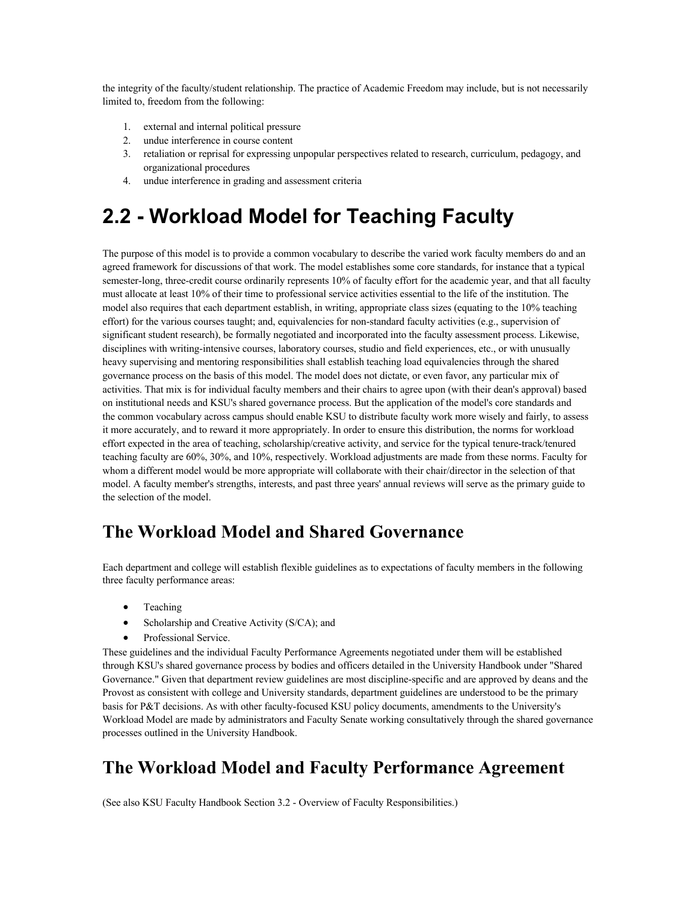the integrity of the faculty/student relationship. The practice of Academic Freedom may include, but is not necessarily limited to, freedom from the following:

- 1. external and internal political pressure
- 2. undue interference in course content
- 3. retaliation or reprisal for expressing unpopular perspectives related to research, curriculum, pedagogy, and organizational procedures
- 4. undue interference in grading and assessment criteria

# **2.2 - Workload Model for Teaching Faculty**

The purpose of this model is to provide a common vocabulary to describe the varied work faculty members do and an agreed framework for discussions of that work. The model establishes some core standards, for instance that a typical semester-long, three-credit course ordinarily represents 10% of faculty effort for the academic year, and that all faculty must allocate at least 10% of their time to professional service activities essential to the life of the institution. The model also requires that each department establish, in writing, appropriate class sizes (equating to the 10% teaching effort) for the various courses taught; and, equivalencies for non-standard faculty activities (e.g., supervision of significant student research), be formally negotiated and incorporated into the faculty assessment process. Likewise, disciplines with writing-intensive courses, laboratory courses, studio and field experiences, etc., or with unusually heavy supervising and mentoring responsibilities shall establish teaching load equivalencies through the shared governance process on the basis of this model. The model does not dictate, or even favor, any particular mix of activities. That mix is for individual faculty members and their chairs to agree upon (with their dean's approval) based on institutional needs and KSU's shared governance process. But the application of the model's core standards and the common vocabulary across campus should enable KSU to distribute faculty work more wisely and fairly, to assess it more accurately, and to reward it more appropriately. In order to ensure this distribution, the norms for workload effort expected in the area of teaching, scholarship/creative activity, and service for the typical tenure-track/tenured teaching faculty are 60%, 30%, and 10%, respectively. Workload adjustments are made from these norms. Faculty for whom a different model would be more appropriate will collaborate with their chair/director in the selection of that model. A faculty member's strengths, interests, and past three years' annual reviews will serve as the primary guide to the selection of the model.

### **The Workload Model and Shared Governance**

Each department and college will establish flexible guidelines as to expectations of faculty members in the following three faculty performance areas:

- **Teaching**
- Scholarship and Creative Activity (S/CA); and
- Professional Service.

These guidelines and the individual Faculty Performance Agreements negotiated under them will be established through KSU's shared governance process by bodies and officers detailed in the University Handbook under "Shared Governance." Given that department review guidelines are most discipline-specific and are approved by deans and the Provost as consistent with college and University standards, department guidelines are understood to be the primary basis for P&T decisions. As with other faculty-focused KSU policy documents, amendments to the University's Workload Model are made by administrators and Faculty Senate working consultatively through the shared governance processes outlined in the University Handbook.

### **The Workload Model and Faculty Performance Agreement**

(See also KSU Faculty Handbook Section 3.2 - Overview of Faculty Responsibilities.)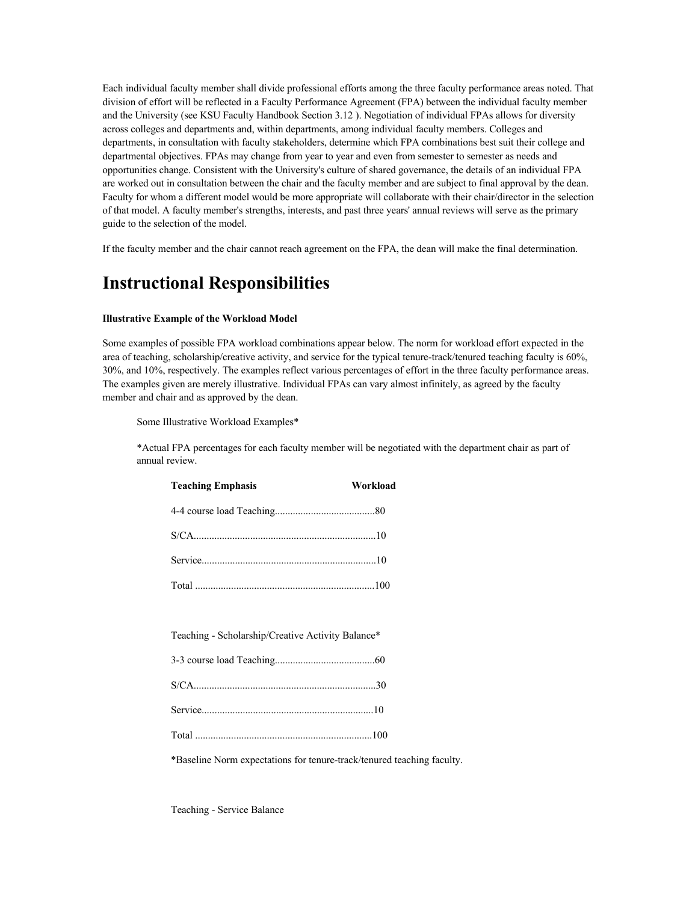Each individual faculty member shall divide professional efforts among the three faculty performance areas noted. That division of effort will be reflected in a Faculty Performance Agreement (FPA) between the individual faculty member and the University (see KSU Faculty Handbook Section 3.12 ). Negotiation of individual FPAs allows for diversity across colleges and departments and, within departments, among individual faculty members. Colleges and departments, in consultation with faculty stakeholders, determine which FPA combinations best suit their college and departmental objectives. FPAs may change from year to year and even from semester to semester as needs and opportunities change. Consistent with the University's culture of shared governance, the details of an individual FPA are worked out in consultation between the chair and the faculty member and are subject to final approval by the dean. Faculty for whom a different model would be more appropriate will collaborate with their chair/director in the selection of that model. A faculty member's strengths, interests, and past three years' annual reviews will serve as the primary guide to the selection of the model.

If the faculty member and the chair cannot reach agreement on the FPA, the dean will make the final determination.

### **Instructional Responsibilities**

#### **Illustrative Example of the Workload Model**

Some examples of possible FPA workload combinations appear below. The norm for workload effort expected in the area of teaching, scholarship/creative activity, and service for the typical tenure-track/tenured teaching faculty is 60%, 30%, and 10%, respectively. The examples reflect various percentages of effort in the three faculty performance areas. The examples given are merely illustrative. Individual FPAs can vary almost infinitely, as agreed by the faculty member and chair and as approved by the dean.

Some Illustrative Workload Examples\*

\*Actual FPA percentages for each faculty member will be negotiated with the department chair as part of annual review.

| <b>Teaching Emphasis</b> | Workload |  |
|--------------------------|----------|--|
|                          |          |  |
|                          |          |  |
|                          |          |  |

Teaching - Scholarship/Creative Activity Balance\*

|--|--|--|--|--|

Total .....................................................................100

\*Baseline Norm expectations for tenure-track/tenured teaching faculty.

Teaching - Service Balance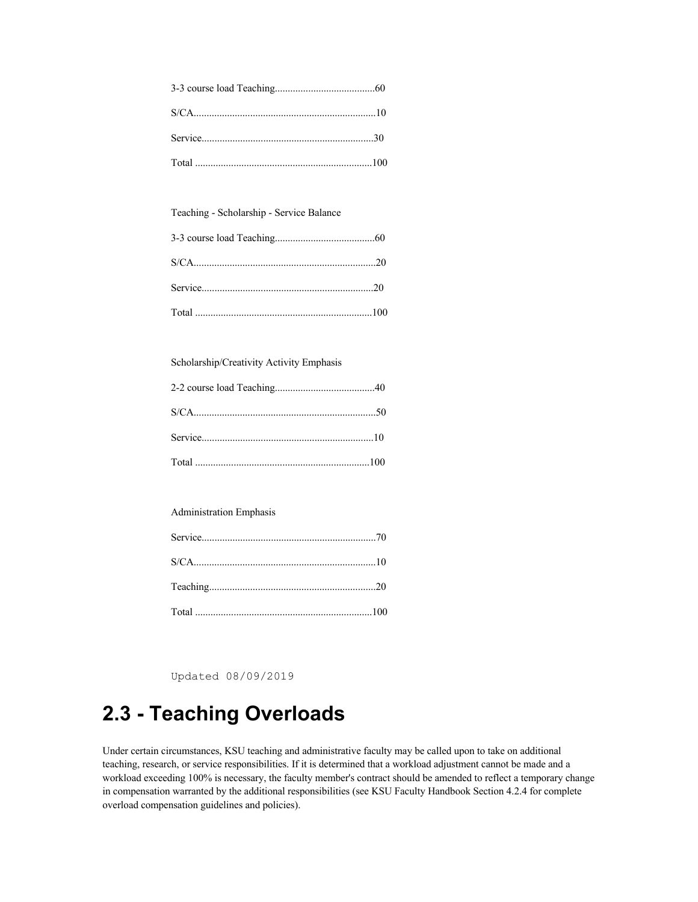#### Teaching - Scholarship - Service Balance

#### Scholarship/Creativity Activity Emphasis

#### Administration Emphasis

Updated 08/09/2019

# **2.3 - Teaching Overloads**

Under certain circumstances, KSU teaching and administrative faculty may be called upon to take on additional teaching, research, or service responsibilities. If it is determined that a workload adjustment cannot be made and a workload exceeding 100% is necessary, the faculty member's contract should be amended to reflect a temporary change in compensation warranted by the additional responsibilities (see KSU Faculty Handbook Section 4.2.4 for complete overload compensation guidelines and policies).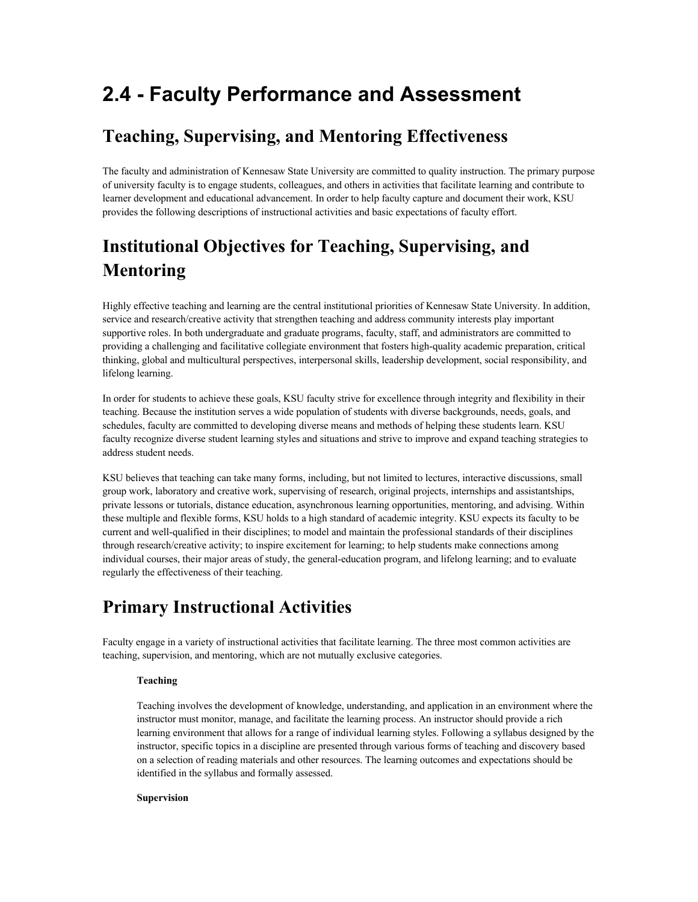# **2.4 - Faculty Performance and Assessment**

### **Teaching, Supervising, and Mentoring Effectiveness**

The faculty and administration of Kennesaw State University are committed to quality instruction. The primary purpose of university faculty is to engage students, colleagues, and others in activities that facilitate learning and contribute to learner development and educational advancement. In order to help faculty capture and document their work, KSU provides the following descriptions of instructional activities and basic expectations of faculty effort.

# **Institutional Objectives for Teaching, Supervising, and Mentoring**

Highly effective teaching and learning are the central institutional priorities of Kennesaw State University. In addition, service and research/creative activity that strengthen teaching and address community interests play important supportive roles. In both undergraduate and graduate programs, faculty, staff, and administrators are committed to providing a challenging and facilitative collegiate environment that fosters high-quality academic preparation, critical thinking, global and multicultural perspectives, interpersonal skills, leadership development, social responsibility, and lifelong learning.

In order for students to achieve these goals, KSU faculty strive for excellence through integrity and flexibility in their teaching. Because the institution serves a wide population of students with diverse backgrounds, needs, goals, and schedules, faculty are committed to developing diverse means and methods of helping these students learn. KSU faculty recognize diverse student learning styles and situations and strive to improve and expand teaching strategies to address student needs.

KSU believes that teaching can take many forms, including, but not limited to lectures, interactive discussions, small group work, laboratory and creative work, supervising of research, original projects, internships and assistantships, private lessons or tutorials, distance education, asynchronous learning opportunities, mentoring, and advising. Within these multiple and flexible forms, KSU holds to a high standard of academic integrity. KSU expects its faculty to be current and well-qualified in their disciplines; to model and maintain the professional standards of their disciplines through research/creative activity; to inspire excitement for learning; to help students make connections among individual courses, their major areas of study, the general-education program, and lifelong learning; and to evaluate regularly the effectiveness of their teaching.

## **Primary Instructional Activities**

Faculty engage in a variety of instructional activities that facilitate learning. The three most common activities are teaching, supervision, and mentoring, which are not mutually exclusive categories.

### **Teaching**

Teaching involves the development of knowledge, understanding, and application in an environment where the instructor must monitor, manage, and facilitate the learning process. An instructor should provide a rich learning environment that allows for a range of individual learning styles. Following a syllabus designed by the instructor, specific topics in a discipline are presented through various forms of teaching and discovery based on a selection of reading materials and other resources. The learning outcomes and expectations should be identified in the syllabus and formally assessed.

### **Supervision**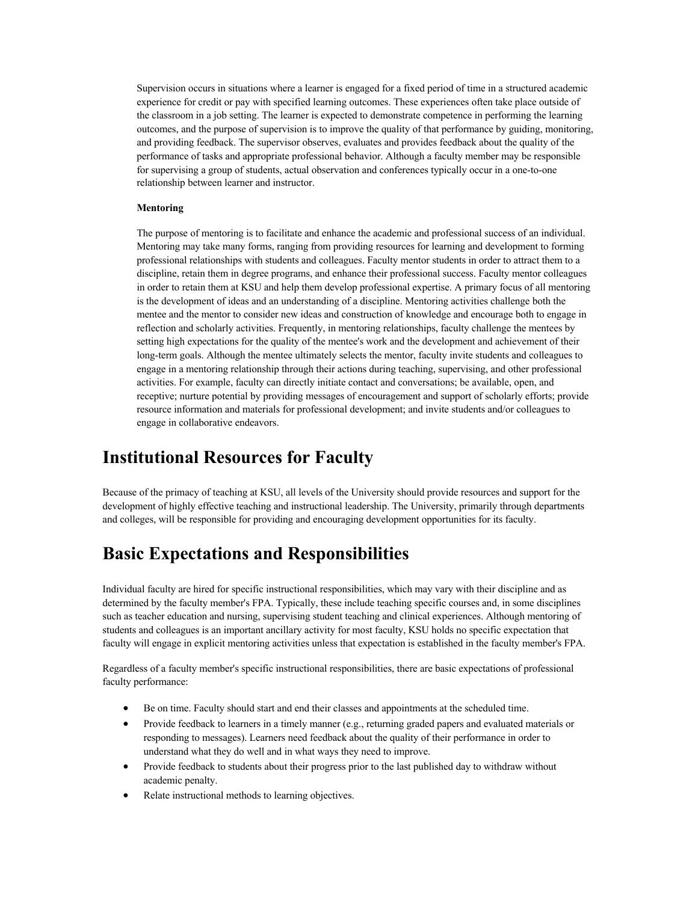Supervision occurs in situations where a learner is engaged for a fixed period of time in a structured academic experience for credit or pay with specified learning outcomes. These experiences often take place outside of the classroom in a job setting. The learner is expected to demonstrate competence in performing the learning outcomes, and the purpose of supervision is to improve the quality of that performance by guiding, monitoring, and providing feedback. The supervisor observes, evaluates and provides feedback about the quality of the performance of tasks and appropriate professional behavior. Although a faculty member may be responsible for supervising a group of students, actual observation and conferences typically occur in a one-to-one relationship between learner and instructor.

#### **Mentoring**

The purpose of mentoring is to facilitate and enhance the academic and professional success of an individual. Mentoring may take many forms, ranging from providing resources for learning and development to forming professional relationships with students and colleagues. Faculty mentor students in order to attract them to a discipline, retain them in degree programs, and enhance their professional success. Faculty mentor colleagues in order to retain them at KSU and help them develop professional expertise. A primary focus of all mentoring is the development of ideas and an understanding of a discipline. Mentoring activities challenge both the mentee and the mentor to consider new ideas and construction of knowledge and encourage both to engage in reflection and scholarly activities. Frequently, in mentoring relationships, faculty challenge the mentees by setting high expectations for the quality of the mentee's work and the development and achievement of their long-term goals. Although the mentee ultimately selects the mentor, faculty invite students and colleagues to engage in a mentoring relationship through their actions during teaching, supervising, and other professional activities. For example, faculty can directly initiate contact and conversations; be available, open, and receptive; nurture potential by providing messages of encouragement and support of scholarly efforts; provide resource information and materials for professional development; and invite students and/or colleagues to engage in collaborative endeavors.

### **Institutional Resources for Faculty**

Because of the primacy of teaching at KSU, all levels of the University should provide resources and support for the development of highly effective teaching and instructional leadership. The University, primarily through departments and colleges, will be responsible for providing and encouraging development opportunities for its faculty.

### **Basic Expectations and Responsibilities**

Individual faculty are hired for specific instructional responsibilities, which may vary with their discipline and as determined by the faculty member's FPA. Typically, these include teaching specific courses and, in some disciplines such as teacher education and nursing, supervising student teaching and clinical experiences. Although mentoring of students and colleagues is an important ancillary activity for most faculty, KSU holds no specific expectation that faculty will engage in explicit mentoring activities unless that expectation is established in the faculty member's FPA.

Regardless of a faculty member's specific instructional responsibilities, there are basic expectations of professional faculty performance:

- Be on time. Faculty should start and end their classes and appointments at the scheduled time.
- Provide feedback to learners in a timely manner (e.g., returning graded papers and evaluated materials or responding to messages). Learners need feedback about the quality of their performance in order to understand what they do well and in what ways they need to improve.
- Provide feedback to students about their progress prior to the last published day to withdraw without academic penalty.
- Relate instructional methods to learning objectives.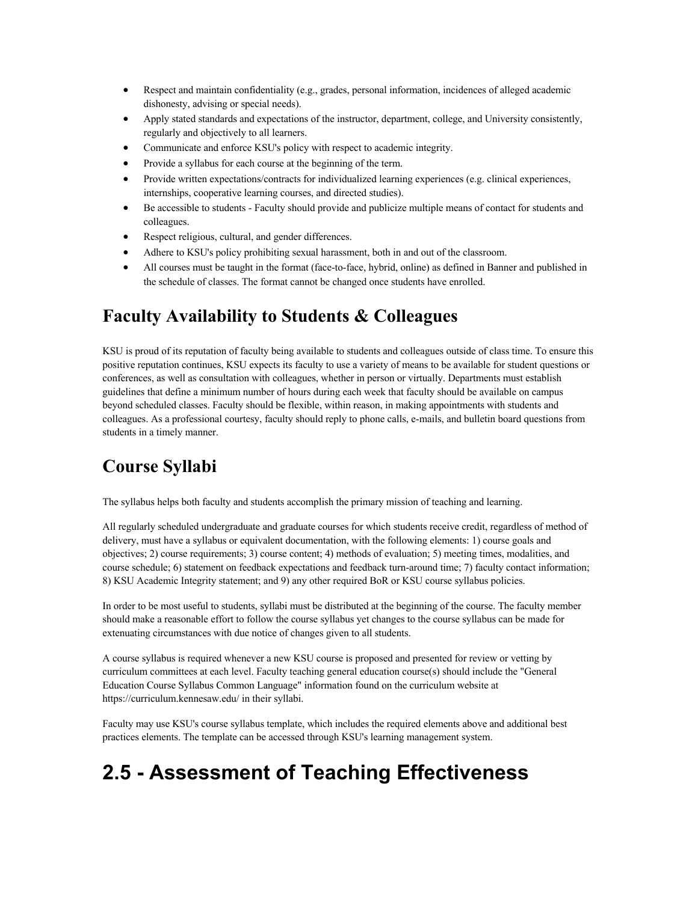- Respect and maintain confidentiality (e.g., grades, personal information, incidences of alleged academic dishonesty, advising or special needs).
- Apply stated standards and expectations of the instructor, department, college, and University consistently, regularly and objectively to all learners.
- Communicate and enforce KSU's policy with respect to academic integrity.
- Provide a syllabus for each course at the beginning of the term.
- Provide written expectations/contracts for individualized learning experiences (e.g. clinical experiences, internships, cooperative learning courses, and directed studies).
- Be accessible to students Faculty should provide and publicize multiple means of contact for students and colleagues.
- Respect religious, cultural, and gender differences.
- Adhere to KSU's policy prohibiting sexual harassment, both in and out of the classroom.
- All courses must be taught in the format (face-to-face, hybrid, online) as defined in Banner and published in the schedule of classes. The format cannot be changed once students have enrolled.

## **Faculty Availability to Students & Colleagues**

KSU is proud of its reputation of faculty being available to students and colleagues outside of class time. To ensure this positive reputation continues, KSU expects its faculty to use a variety of means to be available for student questions or conferences, as well as consultation with colleagues, whether in person or virtually. Departments must establish guidelines that define a minimum number of hours during each week that faculty should be available on campus beyond scheduled classes. Faculty should be flexible, within reason, in making appointments with students and colleagues. As a professional courtesy, faculty should reply to phone calls, e-mails, and bulletin board questions from students in a timely manner.

# **Course Syllabi**

The syllabus helps both faculty and students accomplish the primary mission of teaching and learning.

All regularly scheduled undergraduate and graduate courses for which students receive credit, regardless of method of delivery, must have a syllabus or equivalent documentation, with the following elements: 1) course goals and objectives; 2) course requirements; 3) course content; 4) methods of evaluation; 5) meeting times, modalities, and course schedule; 6) statement on feedback expectations and feedback turn-around time; 7) faculty contact information; 8) KSU Academic Integrity statement; and 9) any other required BoR or KSU course syllabus policies.

In order to be most useful to students, syllabi must be distributed at the beginning of the course. The faculty member should make a reasonable effort to follow the course syllabus yet changes to the course syllabus can be made for extenuating circumstances with due notice of changes given to all students.

A course syllabus is required whenever a new KSU course is proposed and presented for review or vetting by curriculum committees at each level. Faculty teaching general education course(s) should include the "General Education Course Syllabus Common Language" information found on the curriculum website at https://curriculum.kennesaw.edu/ in their syllabi.

Faculty may use KSU's course syllabus template, which includes the required elements above and additional best practices elements. The template can be accessed through KSU's learning management system.

# **2.5 - Assessment of Teaching Effectiveness**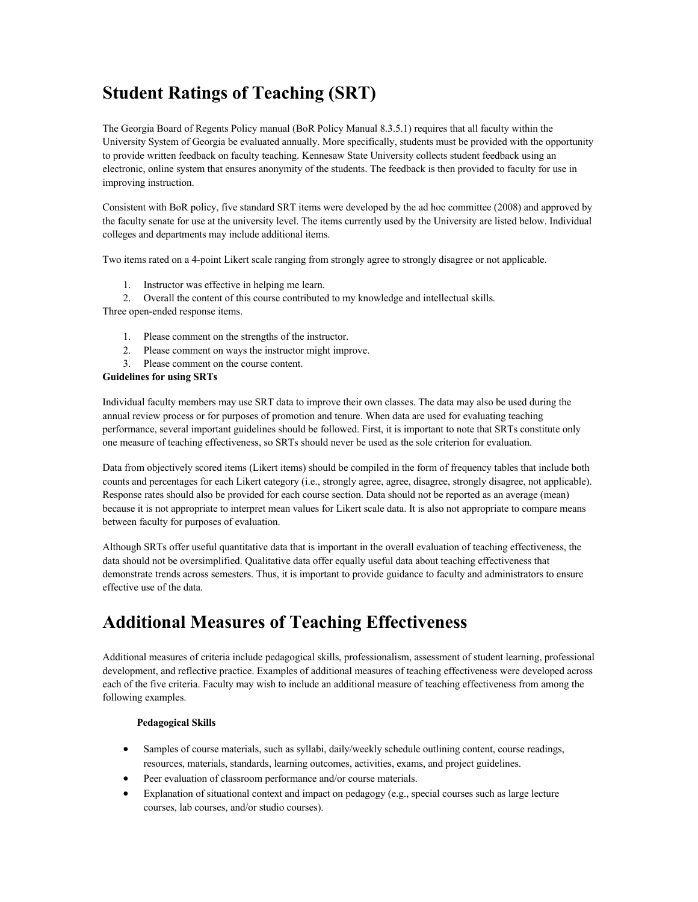## **Student Ratings of Teaching (SRT)**

The Georgia Board of Regents Policy manual (BoR Policy Manual 8.3.5.1) requires that all faculty within the University System of Georgia be evaluated annually. More specifically, students must be provided with the opportunity to provide written feedback on faculty teaching. Kennesaw State University collects student feedback using an electronic, online system that ensures anonymity of the students. The feedback is then provided to faculty for use in improving instruction.

Consistent with BoR policy, five standard SRT items were developed by the ad hoc committee (2008) and approved by the faculty senate for use at the university level. The items currently used by the University are listed below. Individual colleges and departments may include additional items.

Two items rated on a 4-point Likert scale ranging from strongly agree to strongly disagree or not applicable.

- 1. Instructor was effective in helping me learn.
- 2. Overall the content of this course contributed to my knowledge and intellectual skills.

Three open-ended response items.

- 1. Please comment on the strengths of the instructor.
- 2. Please comment on ways the instructor might improve.
- 3. Please comment on the course content.

### **Guidelines for using SRTs**

Individual faculty members may use SRT data to improve their own classes. The data may also be used during the annual review process or for purposes of promotion and tenure. When data are used for evaluating teaching performance, several important guidelines should be followed. First, it is important to note that SRTs constitute only one measure of teaching effectiveness, so SRTs should never be used as the sole criterion for evaluation.

Data from objectively scored items (Likert items) should be compiled in the form of frequency tables that include both counts and percentages for each Likert category (i.e., strongly agree, agree, disagree, strongly disagree, not applicable). Response rates should also be provided for each course section. Data should not be reported as an average (mean) because it is not appropriate to interpret mean values for Likert scale data. It is also not appropriate to compare means between faculty for purposes of evaluation.

Although SRTs offer useful quantitative data that is important in the overall evaluation of teaching effectiveness, the data should not be oversimplified. Qualitative data offer equally useful data about teaching effectiveness that demonstrate trends across semesters. Thus, it is important to provide guidance to faculty and administrators to ensure effective use of the data.

## **Additional Measures of Teaching Effectiveness**

Additional measures of criteria include pedagogical skills, professionalism, assessment of student learning, professional development, and reflective practice. Examples of additional measures of teaching effectiveness were developed across each of the five criteria. Faculty may wish to include an additional measure of teaching effectiveness from among the following examples.

### **Pedagogical Skills**

- Samples of course materials, such as syllabi, daily/weekly schedule outlining content, course readings, resources, materials, standards, learning outcomes, activities, exams, and project guidelines.
- Peer evaluation of classroom performance and/or course materials.
- Explanation of situational context and impact on pedagogy (e.g., special courses such as large lecture courses, lab courses, and/or studio courses).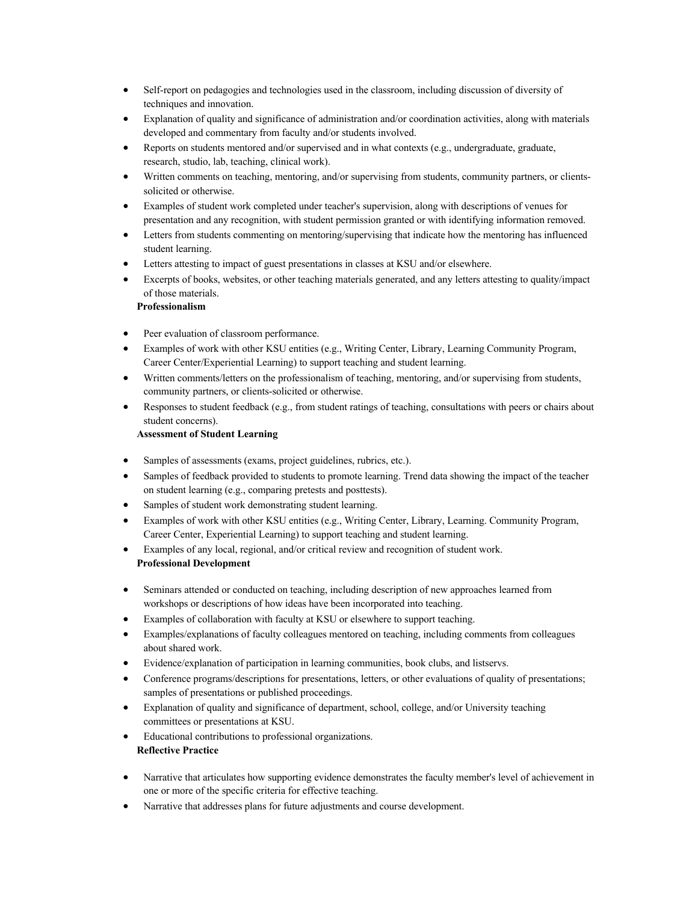- Self-report on pedagogies and technologies used in the classroom, including discussion of diversity of techniques and innovation.
- Explanation of quality and significance of administration and/or coordination activities, along with materials developed and commentary from faculty and/or students involved.
- Reports on students mentored and/or supervised and in what contexts (e.g., undergraduate, graduate, research, studio, lab, teaching, clinical work).
- Written comments on teaching, mentoring, and/or supervising from students, community partners, or clientssolicited or otherwise.
- Examples of student work completed under teacher's supervision, along with descriptions of venues for presentation and any recognition, with student permission granted or with identifying information removed.
- Letters from students commenting on mentoring/supervising that indicate how the mentoring has influenced student learning.
- Letters attesting to impact of guest presentations in classes at KSU and/or elsewhere.
- Excerpts of books, websites, or other teaching materials generated, and any letters attesting to quality/impact of those materials.

### **Professionalism**

- Peer evaluation of classroom performance.
- Examples of work with other KSU entities (e.g., Writing Center, Library, Learning Community Program, Career Center/Experiential Learning) to support teaching and student learning.
- Written comments/letters on the professionalism of teaching, mentoring, and/or supervising from students, community partners, or clients-solicited or otherwise.
- Responses to student feedback (e.g., from student ratings of teaching, consultations with peers or chairs about student concerns).

### **Assessment of Student Learning**

- Samples of assessments (exams, project guidelines, rubrics, etc.).
- Samples of feedback provided to students to promote learning. Trend data showing the impact of the teacher on student learning (e.g., comparing pretests and posttests).
- Samples of student work demonstrating student learning.
- Examples of work with other KSU entities (e.g., Writing Center, Library, Learning. Community Program, Career Center, Experiential Learning) to support teaching and student learning.
- Examples of any local, regional, and/or critical review and recognition of student work. **Professional Development**
- Seminars attended or conducted on teaching, including description of new approaches learned from workshops or descriptions of how ideas have been incorporated into teaching.
- Examples of collaboration with faculty at KSU or elsewhere to support teaching.
- Examples/explanations of faculty colleagues mentored on teaching, including comments from colleagues about shared work.
- Evidence/explanation of participation in learning communities, book clubs, and listservs.
- Conference programs/descriptions for presentations, letters, or other evaluations of quality of presentations; samples of presentations or published proceedings.
- Explanation of quality and significance of department, school, college, and/or University teaching committees or presentations at KSU.
- Educational contributions to professional organizations. **Reflective Practice**
- Narrative that articulates how supporting evidence demonstrates the faculty member's level of achievement in one or more of the specific criteria for effective teaching.
- Narrative that addresses plans for future adjustments and course development.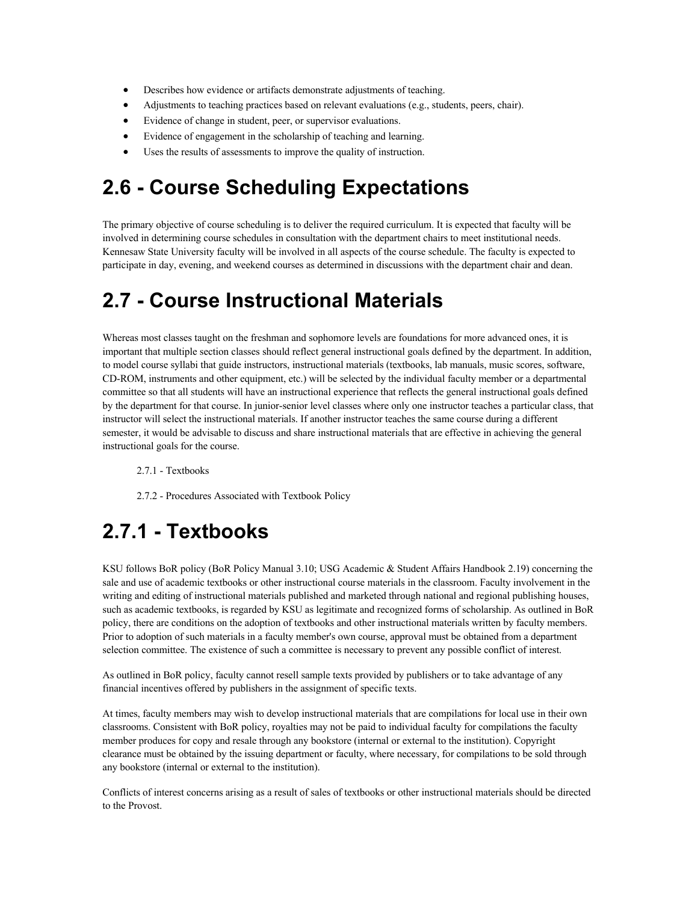- Describes how evidence or artifacts demonstrate adjustments of teaching.
- Adjustments to teaching practices based on relevant evaluations (e.g., students, peers, chair).
- Evidence of change in student, peer, or supervisor evaluations.
- Evidence of engagement in the scholarship of teaching and learning.
- Uses the results of assessments to improve the quality of instruction.

# **2.6 - Course Scheduling Expectations**

The primary objective of course scheduling is to deliver the required curriculum. It is expected that faculty will be involved in determining course schedules in consultation with the department chairs to meet institutional needs. Kennesaw State University faculty will be involved in all aspects of the course schedule. The faculty is expected to participate in day, evening, and weekend courses as determined in discussions with the department chair and dean.

# **2.7 - Course Instructional Materials**

Whereas most classes taught on the freshman and sophomore levels are foundations for more advanced ones, it is important that multiple section classes should reflect general instructional goals defined by the department. In addition, to model course syllabi that guide instructors, instructional materials (textbooks, lab manuals, music scores, software, CD-ROM, instruments and other equipment, etc.) will be selected by the individual faculty member or a departmental committee so that all students will have an instructional experience that reflects the general instructional goals defined by the department for that course. In junior-senior level classes where only one instructor teaches a particular class, that instructor will select the instructional materials. If another instructor teaches the same course during a different semester, it would be advisable to discuss and share instructional materials that are effective in achieving the general instructional goals for the course.

2.7.1 - Textbooks

2.7.2 - Procedures Associated with Textbook Policy

# **2.7.1 - Textbooks**

KSU follows BoR policy (BoR Policy Manual 3.10; USG Academic & Student Affairs Handbook 2.19) concerning the sale and use of academic textbooks or other instructional course materials in the classroom. Faculty involvement in the writing and editing of instructional materials published and marketed through national and regional publishing houses, such as academic textbooks, is regarded by KSU as legitimate and recognized forms of scholarship. As outlined in BoR policy, there are conditions on the adoption of textbooks and other instructional materials written by faculty members. Prior to adoption of such materials in a faculty member's own course, approval must be obtained from a department selection committee. The existence of such a committee is necessary to prevent any possible conflict of interest.

As outlined in BoR policy, faculty cannot resell sample texts provided by publishers or to take advantage of any financial incentives offered by publishers in the assignment of specific texts.

At times, faculty members may wish to develop instructional materials that are compilations for local use in their own classrooms. Consistent with BoR policy, royalties may not be paid to individual faculty for compilations the faculty member produces for copy and resale through any bookstore (internal or external to the institution). Copyright clearance must be obtained by the issuing department or faculty, where necessary, for compilations to be sold through any bookstore (internal or external to the institution).

Conflicts of interest concerns arising as a result of sales of textbooks or other instructional materials should be directed to the Provost.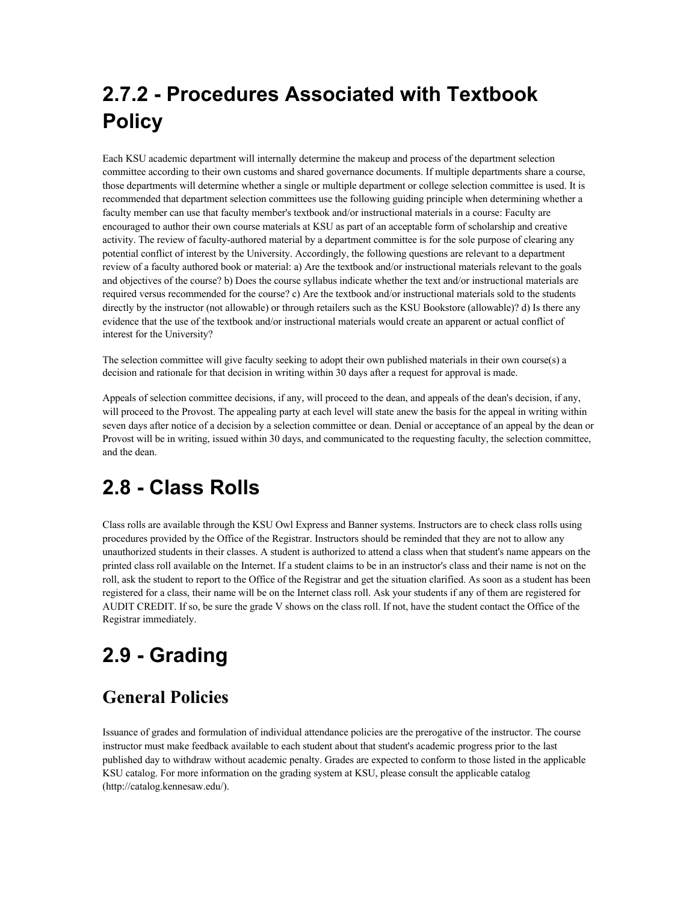# **2.7.2 - Procedures Associated with Textbook Policy**

Each KSU academic department will internally determine the makeup and process of the department selection committee according to their own customs and shared governance documents. If multiple departments share a course, those departments will determine whether a single or multiple department or college selection committee is used. It is recommended that department selection committees use the following guiding principle when determining whether a faculty member can use that faculty member's textbook and/or instructional materials in a course: Faculty are encouraged to author their own course materials at KSU as part of an acceptable form of scholarship and creative activity. The review of faculty-authored material by a department committee is for the sole purpose of clearing any potential conflict of interest by the University. Accordingly, the following questions are relevant to a department review of a faculty authored book or material: a) Are the textbook and/or instructional materials relevant to the goals and objectives of the course? b) Does the course syllabus indicate whether the text and/or instructional materials are required versus recommended for the course? c) Are the textbook and/or instructional materials sold to the students directly by the instructor (not allowable) or through retailers such as the KSU Bookstore (allowable)? d) Is there any evidence that the use of the textbook and/or instructional materials would create an apparent or actual conflict of interest for the University?

The selection committee will give faculty seeking to adopt their own published materials in their own course(s) a decision and rationale for that decision in writing within 30 days after a request for approval is made.

Appeals of selection committee decisions, if any, will proceed to the dean, and appeals of the dean's decision, if any, will proceed to the Provost. The appealing party at each level will state anew the basis for the appeal in writing within seven days after notice of a decision by a selection committee or dean. Denial or acceptance of an appeal by the dean or Provost will be in writing, issued within 30 days, and communicated to the requesting faculty, the selection committee, and the dean.

# **2.8 - Class Rolls**

Class rolls are available through the KSU Owl Express and Banner systems. Instructors are to check class rolls using procedures provided by the Office of the Registrar. Instructors should be reminded that they are not to allow any unauthorized students in their classes. A student is authorized to attend a class when that student's name appears on the printed class roll available on the Internet. If a student claims to be in an instructor's class and their name is not on the roll, ask the student to report to the Office of the Registrar and get the situation clarified. As soon as a student has been registered for a class, their name will be on the Internet class roll. Ask your students if any of them are registered for AUDIT CREDIT. If so, be sure the grade V shows on the class roll. If not, have the student contact the Office of the Registrar immediately.

# **2.9 - Grading**

## **General Policies**

Issuance of grades and formulation of individual attendance policies are the prerogative of the instructor. The course instructor must make feedback available to each student about that student's academic progress prior to the last published day to withdraw without academic penalty. Grades are expected to conform to those listed in the applicable KSU catalog. For more information on the grading system at KSU, please consult the applicable catalog (http://catalog.kennesaw.edu/).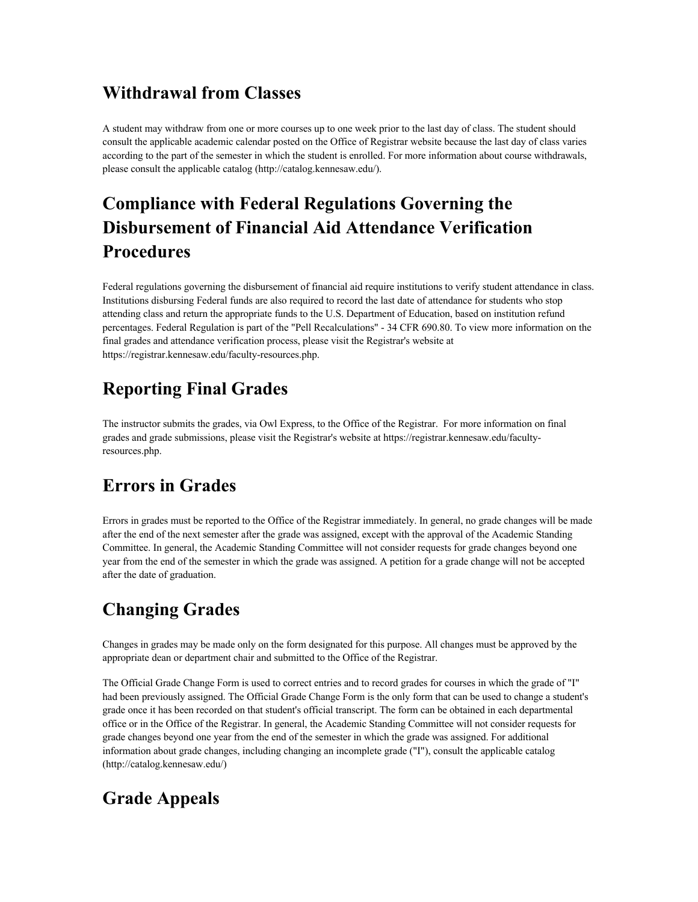## **Withdrawal from Classes**

A student may withdraw from one or more courses up to one week prior to the last day of class. The student should consult the applicable academic calendar posted on the Office of Registrar website because the last day of class varies according to the part of the semester in which the student is enrolled. For more information about course withdrawals, please consult the applicable catalog (http://catalog.kennesaw.edu/).

# **Compliance with Federal Regulations Governing the Disbursement of Financial Aid Attendance Verification Procedures**

Federal regulations governing the disbursement of financial aid require institutions to verify student attendance in class. Institutions disbursing Federal funds are also required to record the last date of attendance for students who stop attending class and return the appropriate funds to the U.S. Department of Education, based on institution refund percentages. Federal Regulation is part of the "Pell Recalculations" - 34 CFR 690.80. To view more information on the final grades and attendance verification process, please visit the Registrar's website at https://registrar.kennesaw.edu/faculty-resources.php.

# **Reporting Final Grades**

The instructor submits the grades, via Owl Express, to the Office of the Registrar. For more information on final grades and grade submissions, please visit the Registrar's website at https://registrar.kennesaw.edu/facultyresources.php.

# **Errors in Grades**

Errors in grades must be reported to the Office of the Registrar immediately. In general, no grade changes will be made after the end of the next semester after the grade was assigned, except with the approval of the Academic Standing Committee. In general, the Academic Standing Committee will not consider requests for grade changes beyond one year from the end of the semester in which the grade was assigned. A petition for a grade change will not be accepted after the date of graduation.

# **Changing Grades**

Changes in grades may be made only on the form designated for this purpose. All changes must be approved by the appropriate dean or department chair and submitted to the Office of the Registrar.

The Official Grade Change Form is used to correct entries and to record grades for courses in which the grade of "I" had been previously assigned. The Official Grade Change Form is the only form that can be used to change a student's grade once it has been recorded on that student's official transcript. The form can be obtained in each departmental office or in the Office of the Registrar. In general, the Academic Standing Committee will not consider requests for grade changes beyond one year from the end of the semester in which the grade was assigned. For additional information about grade changes, including changing an incomplete grade ("I"), consult the applicable catalog (http://catalog.kennesaw.edu/)

## **Grade Appeals**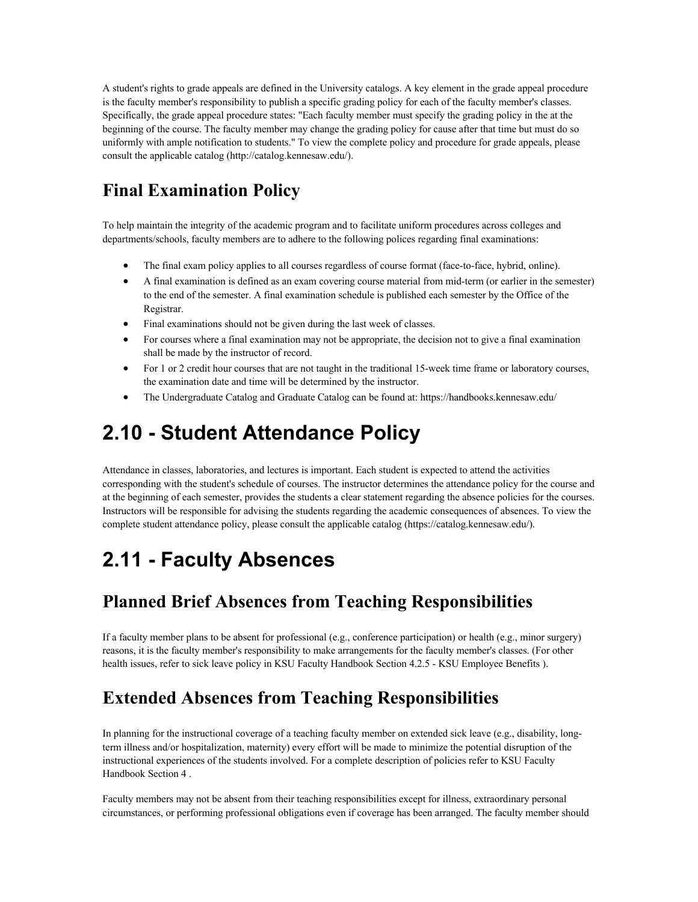A student's rights to grade appeals are defined in the University catalogs. A key element in the grade appeal procedure is the faculty member's responsibility to publish a specific grading policy for each of the faculty member's classes. Specifically, the grade appeal procedure states: "Each faculty member must specify the grading policy in the at the beginning of the course. The faculty member may change the grading policy for cause after that time but must do so uniformly with ample notification to students." To view the complete policy and procedure for grade appeals, please consult the applicable catalog (http://catalog.kennesaw.edu/).

## **Final Examination Policy**

To help maintain the integrity of the academic program and to facilitate uniform procedures across colleges and departments/schools, faculty members are to adhere to the following polices regarding final examinations:

- The final exam policy applies to all courses regardless of course format (face-to-face, hybrid, online).
- A final examination is defined as an exam covering course material from mid-term (or earlier in the semester) to the end of the semester. A final examination schedule is published each semester by the Office of the Registrar.
- Final examinations should not be given during the last week of classes.
- For courses where a final examination may not be appropriate, the decision not to give a final examination shall be made by the instructor of record.
- For 1 or 2 credit hour courses that are not taught in the traditional 15-week time frame or laboratory courses, the examination date and time will be determined by the instructor.
- The Undergraduate Catalog and Graduate Catalog can be found at: https://handbooks.kennesaw.edu/

# **2.10 - Student Attendance Policy**

Attendance in classes, laboratories, and lectures is important. Each student is expected to attend the activities corresponding with the student's schedule of courses. The instructor determines the attendance policy for the course and at the beginning of each semester, provides the students a clear statement regarding the absence policies for the courses. Instructors will be responsible for advising the students regarding the academic consequences of absences. To view the complete student attendance policy, please consult the applicable catalog (https://catalog.kennesaw.edu/).

# **2.11 - Faculty Absences**

## **Planned Brief Absences from Teaching Responsibilities**

If a faculty member plans to be absent for professional (e.g., conference participation) or health (e.g., minor surgery) reasons, it is the faculty member's responsibility to make arrangements for the faculty member's classes. (For other health issues, refer to sick leave policy in KSU Faculty Handbook Section 4.2.5 - KSU Employee Benefits ).

## **Extended Absences from Teaching Responsibilities**

In planning for the instructional coverage of a teaching faculty member on extended sick leave (e.g., disability, longterm illness and/or hospitalization, maternity) every effort will be made to minimize the potential disruption of the instructional experiences of the students involved. For a complete description of policies refer to KSU Faculty Handbook Section 4 .

Faculty members may not be absent from their teaching responsibilities except for illness, extraordinary personal circumstances, or performing professional obligations even if coverage has been arranged. The faculty member should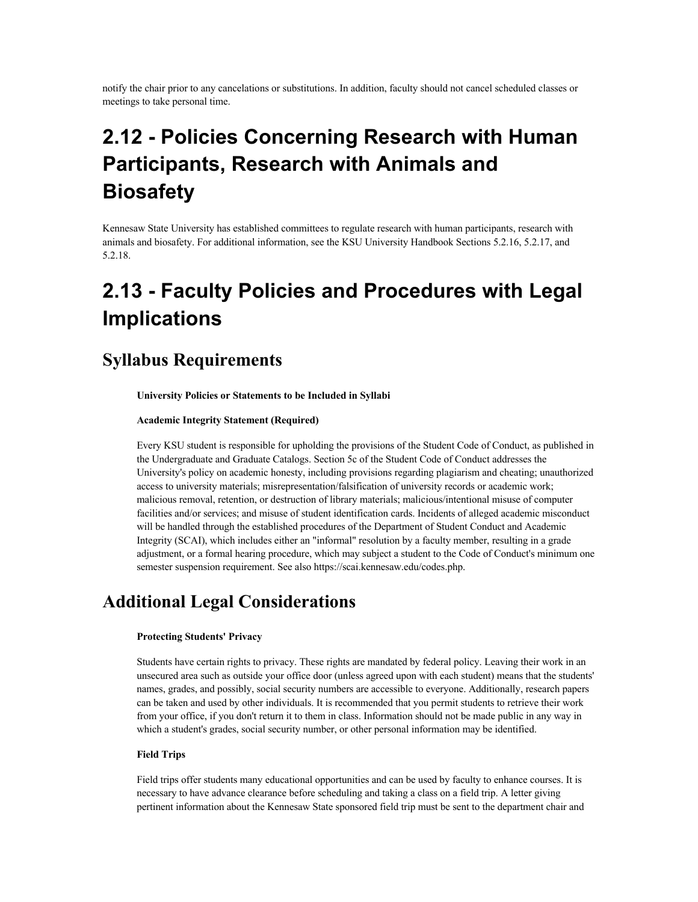notify the chair prior to any cancelations or substitutions. In addition, faculty should not cancel scheduled classes or meetings to take personal time.

# **2.12 - Policies Concerning Research with Human Participants, Research with Animals and Biosafety**

Kennesaw State University has established committees to regulate research with human participants, research with animals and biosafety. For additional information, see the KSU University Handbook Sections 5.2.16, 5.2.17, and 5.2.18.

# **2.13 - Faculty Policies and Procedures with Legal Implications**

## **Syllabus Requirements**

**University Policies or Statements to be Included in Syllabi**

### **Academic Integrity Statement (Required)**

Every KSU student is responsible for upholding the provisions of the Student Code of Conduct, as published in the Undergraduate and Graduate Catalogs. Section 5c of the Student Code of Conduct addresses the University's policy on academic honesty, including provisions regarding plagiarism and cheating; unauthorized access to university materials; misrepresentation/falsification of university records or academic work; malicious removal, retention, or destruction of library materials; malicious/intentional misuse of computer facilities and/or services; and misuse of student identification cards. Incidents of alleged academic misconduct will be handled through the established procedures of the Department of Student Conduct and Academic Integrity (SCAI), which includes either an "informal" resolution by a faculty member, resulting in a grade adjustment, or a formal hearing procedure, which may subject a student to the Code of Conduct's minimum one semester suspension requirement. See also https://scai.kennesaw.edu/codes.php.

### **Additional Legal Considerations**

#### **Protecting Students' Privacy**

Students have certain rights to privacy. These rights are mandated by federal policy. Leaving their work in an unsecured area such as outside your office door (unless agreed upon with each student) means that the students' names, grades, and possibly, social security numbers are accessible to everyone. Additionally, research papers can be taken and used by other individuals. It is recommended that you permit students to retrieve their work from your office, if you don't return it to them in class. Information should not be made public in any way in which a student's grades, social security number, or other personal information may be identified.

#### **Field Trips**

Field trips offer students many educational opportunities and can be used by faculty to enhance courses. It is necessary to have advance clearance before scheduling and taking a class on a field trip. A letter giving pertinent information about the Kennesaw State sponsored field trip must be sent to the department chair and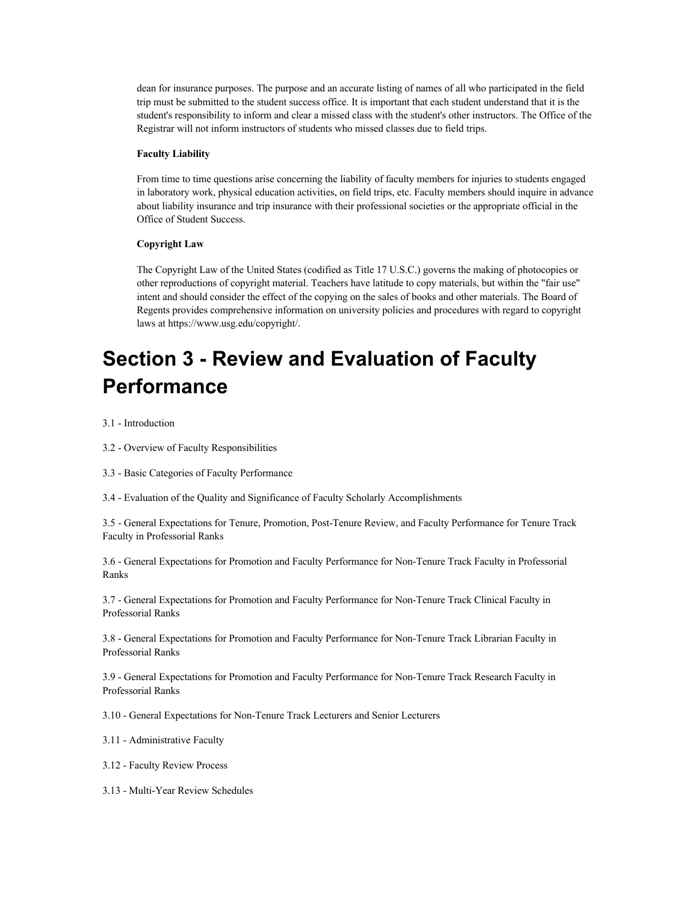dean for insurance purposes. The purpose and an accurate listing of names of all who participated in the field trip must be submitted to the student success office. It is important that each student understand that it is the student's responsibility to inform and clear a missed class with the student's other instructors. The Office of the Registrar will not inform instructors of students who missed classes due to field trips.

#### **Faculty Liability**

From time to time questions arise concerning the liability of faculty members for injuries to students engaged in laboratory work, physical education activities, on field trips, etc. Faculty members should inquire in advance about liability insurance and trip insurance with their professional societies or the appropriate official in the Office of Student Success.

#### **Copyright Law**

The Copyright Law of the United States (codified as Title 17 U.S.C.) governs the making of photocopies or other reproductions of copyright material. Teachers have latitude to copy materials, but within the "fair use" intent and should consider the effect of the copying on the sales of books and other materials. The Board of Regents provides comprehensive information on university policies and procedures with regard to copyright laws at https://www.usg.edu/copyright/.

# **Section 3 - Review and Evaluation of Faculty Performance**

- 3.1 Introduction
- 3.2 Overview of Faculty Responsibilities
- 3.3 Basic Categories of Faculty Performance
- 3.4 Evaluation of the Quality and Significance of Faculty Scholarly Accomplishments

3.5 - General Expectations for Tenure, Promotion, Post-Tenure Review, and Faculty Performance for Tenure Track Faculty in Professorial Ranks

3.6 - General Expectations for Promotion and Faculty Performance for Non-Tenure Track Faculty in Professorial Ranks

3.7 - General Expectations for Promotion and Faculty Performance for Non-Tenure Track Clinical Faculty in Professorial Ranks

3.8 - General Expectations for Promotion and Faculty Performance for Non-Tenure Track Librarian Faculty in Professorial Ranks

3.9 - General Expectations for Promotion and Faculty Performance for Non-Tenure Track Research Faculty in Professorial Ranks

3.10 - General Expectations for Non-Tenure Track Lecturers and Senior Lecturers

3.11 - Administrative Faculty

3.12 - Faculty Review Process

3.13 - Multi-Year Review Schedules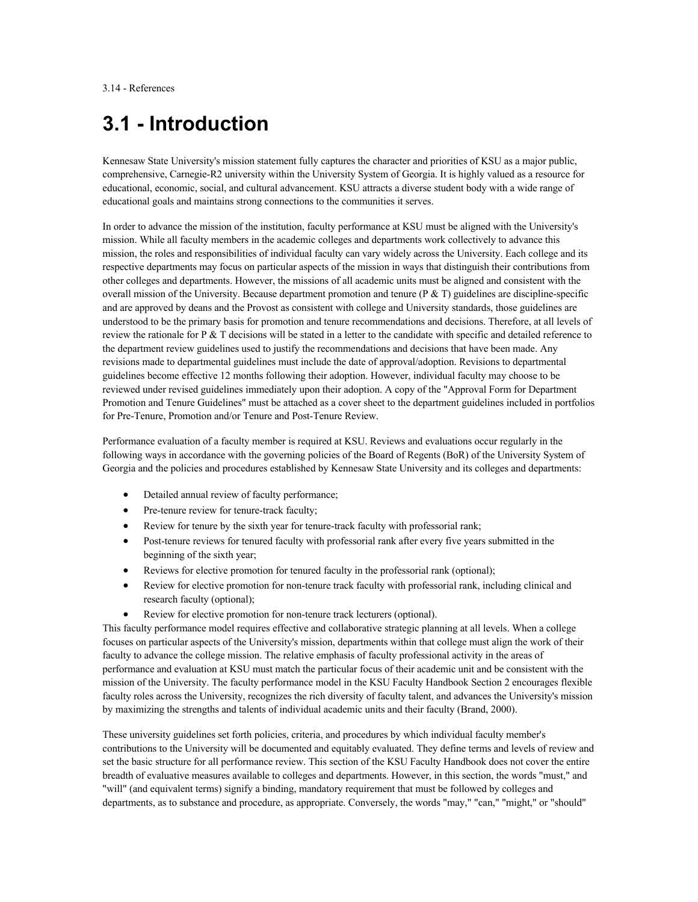# **3.1 - Introduction**

Kennesaw State University's mission statement fully captures the character and priorities of KSU as a major public, comprehensive, Carnegie-R2 university within the University System of Georgia. It is highly valued as a resource for educational, economic, social, and cultural advancement. KSU attracts a diverse student body with a wide range of educational goals and maintains strong connections to the communities it serves.

In order to advance the mission of the institution, faculty performance at KSU must be aligned with the University's mission. While all faculty members in the academic colleges and departments work collectively to advance this mission, the roles and responsibilities of individual faculty can vary widely across the University. Each college and its respective departments may focus on particular aspects of the mission in ways that distinguish their contributions from other colleges and departments. However, the missions of all academic units must be aligned and consistent with the overall mission of the University. Because department promotion and tenure ( $P < T$ ) guidelines are discipline-specific and are approved by deans and the Provost as consistent with college and University standards, those guidelines are understood to be the primary basis for promotion and tenure recommendations and decisions. Therefore, at all levels of review the rationale for P & T decisions will be stated in a letter to the candidate with specific and detailed reference to the department review guidelines used to justify the recommendations and decisions that have been made. Any revisions made to departmental guidelines must include the date of approval/adoption. Revisions to departmental guidelines become effective 12 months following their adoption. However, individual faculty may choose to be reviewed under revised guidelines immediately upon their adoption. A copy of the "Approval Form for Department Promotion and Tenure Guidelines" must be attached as a cover sheet to the department guidelines included in portfolios for Pre-Tenure, Promotion and/or Tenure and Post-Tenure Review.

Performance evaluation of a faculty member is required at KSU. Reviews and evaluations occur regularly in the following ways in accordance with the governing policies of the Board of Regents (BoR) of the University System of Georgia and the policies and procedures established by Kennesaw State University and its colleges and departments:

- Detailed annual review of faculty performance;
- Pre-tenure review for tenure-track faculty;
- Review for tenure by the sixth year for tenure-track faculty with professorial rank;
- Post-tenure reviews for tenured faculty with professorial rank after every five years submitted in the beginning of the sixth year;
- Reviews for elective promotion for tenured faculty in the professorial rank (optional);
- Review for elective promotion for non-tenure track faculty with professorial rank, including clinical and research faculty (optional);
- Review for elective promotion for non-tenure track lecturers (optional).

This faculty performance model requires effective and collaborative strategic planning at all levels. When a college focuses on particular aspects of the University's mission, departments within that college must align the work of their faculty to advance the college mission. The relative emphasis of faculty professional activity in the areas of performance and evaluation at KSU must match the particular focus of their academic unit and be consistent with the mission of the University. The faculty performance model in the KSU Faculty Handbook Section 2 encourages flexible faculty roles across the University, recognizes the rich diversity of faculty talent, and advances the University's mission by maximizing the strengths and talents of individual academic units and their faculty (Brand, 2000).

These university guidelines set forth policies, criteria, and procedures by which individual faculty member's contributions to the University will be documented and equitably evaluated. They define terms and levels of review and set the basic structure for all performance review. This section of the KSU Faculty Handbook does not cover the entire breadth of evaluative measures available to colleges and departments. However, in this section, the words "must," and "will" (and equivalent terms) signify a binding, mandatory requirement that must be followed by colleges and departments, as to substance and procedure, as appropriate. Conversely, the words "may," "can," "might," or "should"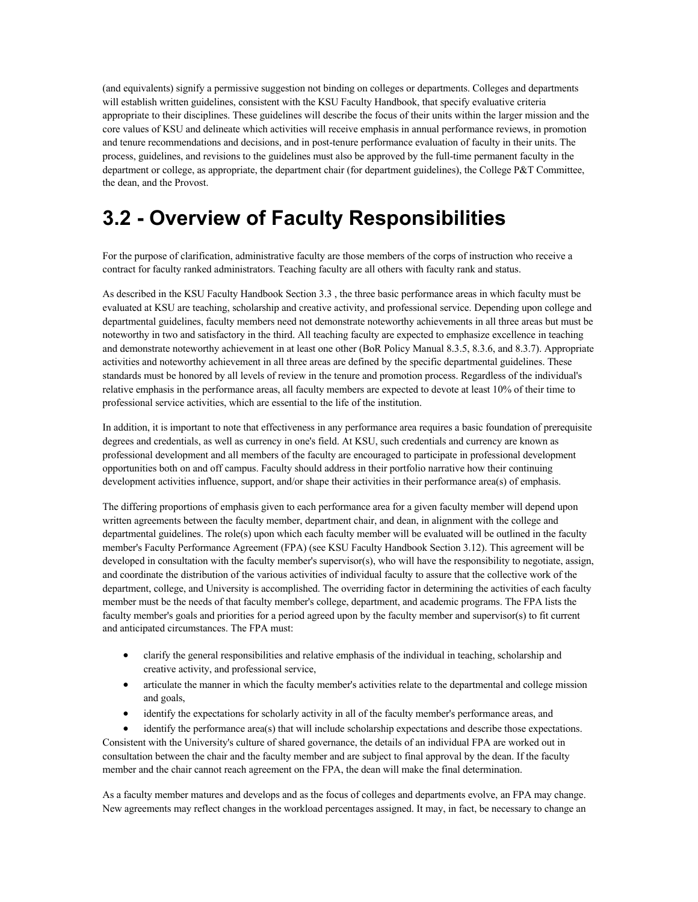(and equivalents) signify a permissive suggestion not binding on colleges or departments. Colleges and departments will establish written guidelines, consistent with the KSU Faculty Handbook, that specify evaluative criteria appropriate to their disciplines. These guidelines will describe the focus of their units within the larger mission and the core values of KSU and delineate which activities will receive emphasis in annual performance reviews, in promotion and tenure recommendations and decisions, and in post-tenure performance evaluation of faculty in their units. The process, guidelines, and revisions to the guidelines must also be approved by the full-time permanent faculty in the department or college, as appropriate, the department chair (for department guidelines), the College P&T Committee, the dean, and the Provost.

# **3.2 - Overview of Faculty Responsibilities**

For the purpose of clarification, administrative faculty are those members of the corps of instruction who receive a contract for faculty ranked administrators. Teaching faculty are all others with faculty rank and status.

As described in the KSU Faculty Handbook Section 3.3 , the three basic performance areas in which faculty must be evaluated at KSU are teaching, scholarship and creative activity, and professional service. Depending upon college and departmental guidelines, faculty members need not demonstrate noteworthy achievements in all three areas but must be noteworthy in two and satisfactory in the third. All teaching faculty are expected to emphasize excellence in teaching and demonstrate noteworthy achievement in at least one other (BoR Policy Manual 8.3.5, 8.3.6, and 8.3.7). Appropriate activities and noteworthy achievement in all three areas are defined by the specific departmental guidelines. These standards must be honored by all levels of review in the tenure and promotion process. Regardless of the individual's relative emphasis in the performance areas, all faculty members are expected to devote at least 10% of their time to professional service activities, which are essential to the life of the institution.

In addition, it is important to note that effectiveness in any performance area requires a basic foundation of prerequisite degrees and credentials, as well as currency in one's field. At KSU, such credentials and currency are known as professional development and all members of the faculty are encouraged to participate in professional development opportunities both on and off campus. Faculty should address in their portfolio narrative how their continuing development activities influence, support, and/or shape their activities in their performance area(s) of emphasis.

The differing proportions of emphasis given to each performance area for a given faculty member will depend upon written agreements between the faculty member, department chair, and dean, in alignment with the college and departmental guidelines. The role(s) upon which each faculty member will be evaluated will be outlined in the faculty member's Faculty Performance Agreement (FPA) (see KSU Faculty Handbook Section 3.12). This agreement will be developed in consultation with the faculty member's supervisor(s), who will have the responsibility to negotiate, assign, and coordinate the distribution of the various activities of individual faculty to assure that the collective work of the department, college, and University is accomplished. The overriding factor in determining the activities of each faculty member must be the needs of that faculty member's college, department, and academic programs. The FPA lists the faculty member's goals and priorities for a period agreed upon by the faculty member and supervisor(s) to fit current and anticipated circumstances. The FPA must:

- clarify the general responsibilities and relative emphasis of the individual in teaching, scholarship and creative activity, and professional service,
- articulate the manner in which the faculty member's activities relate to the departmental and college mission and goals,
- identify the expectations for scholarly activity in all of the faculty member's performance areas, and

• identify the performance area(s) that will include scholarship expectations and describe those expectations. Consistent with the University's culture of shared governance, the details of an individual FPA are worked out in consultation between the chair and the faculty member and are subject to final approval by the dean. If the faculty member and the chair cannot reach agreement on the FPA, the dean will make the final determination.

As a faculty member matures and develops and as the focus of colleges and departments evolve, an FPA may change. New agreements may reflect changes in the workload percentages assigned. It may, in fact, be necessary to change an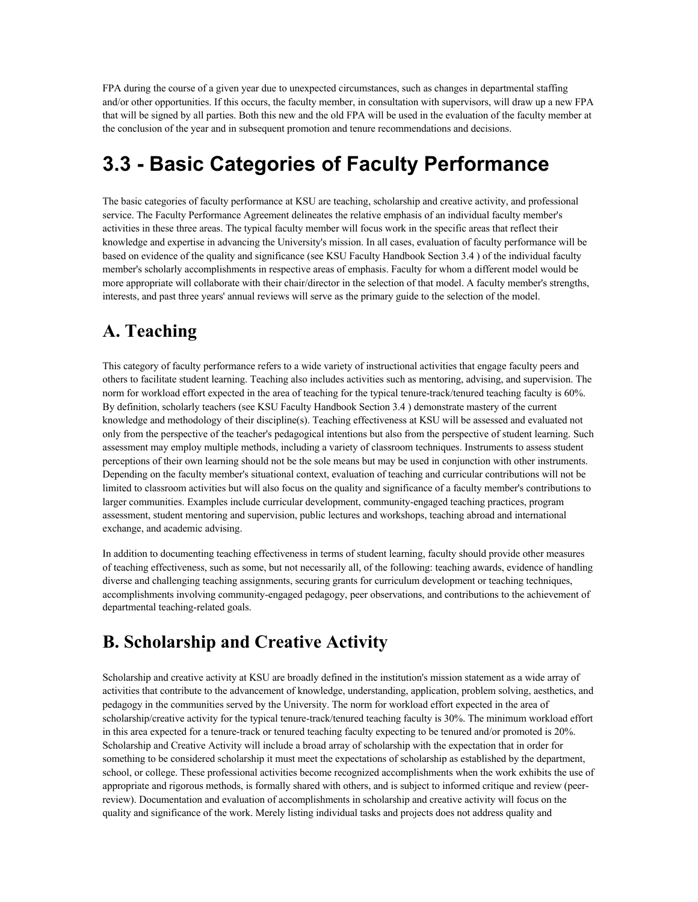FPA during the course of a given year due to unexpected circumstances, such as changes in departmental staffing and/or other opportunities. If this occurs, the faculty member, in consultation with supervisors, will draw up a new FPA that will be signed by all parties. Both this new and the old FPA will be used in the evaluation of the faculty member at the conclusion of the year and in subsequent promotion and tenure recommendations and decisions.

# **3.3 - Basic Categories of Faculty Performance**

The basic categories of faculty performance at KSU are teaching, scholarship and creative activity, and professional service. The Faculty Performance Agreement delineates the relative emphasis of an individual faculty member's activities in these three areas. The typical faculty member will focus work in the specific areas that reflect their knowledge and expertise in advancing the University's mission. In all cases, evaluation of faculty performance will be based on evidence of the quality and significance (see KSU Faculty Handbook Section 3.4 ) of the individual faculty member's scholarly accomplishments in respective areas of emphasis. Faculty for whom a different model would be more appropriate will collaborate with their chair/director in the selection of that model. A faculty member's strengths, interests, and past three years' annual reviews will serve as the primary guide to the selection of the model.

## **A. Teaching**

This category of faculty performance refers to a wide variety of instructional activities that engage faculty peers and others to facilitate student learning. Teaching also includes activities such as mentoring, advising, and supervision. The norm for workload effort expected in the area of teaching for the typical tenure-track/tenured teaching faculty is 60%. By definition, scholarly teachers (see KSU Faculty Handbook Section 3.4 ) demonstrate mastery of the current knowledge and methodology of their discipline(s). Teaching effectiveness at KSU will be assessed and evaluated not only from the perspective of the teacher's pedagogical intentions but also from the perspective of student learning. Such assessment may employ multiple methods, including a variety of classroom techniques. Instruments to assess student perceptions of their own learning should not be the sole means but may be used in conjunction with other instruments. Depending on the faculty member's situational context, evaluation of teaching and curricular contributions will not be limited to classroom activities but will also focus on the quality and significance of a faculty member's contributions to larger communities. Examples include curricular development, community-engaged teaching practices, program assessment, student mentoring and supervision, public lectures and workshops, teaching abroad and international exchange, and academic advising.

In addition to documenting teaching effectiveness in terms of student learning, faculty should provide other measures of teaching effectiveness, such as some, but not necessarily all, of the following: teaching awards, evidence of handling diverse and challenging teaching assignments, securing grants for curriculum development or teaching techniques, accomplishments involving community-engaged pedagogy, peer observations, and contributions to the achievement of departmental teaching-related goals.

## **B. Scholarship and Creative Activity**

Scholarship and creative activity at KSU are broadly defined in the institution's mission statement as a wide array of activities that contribute to the advancement of knowledge, understanding, application, problem solving, aesthetics, and pedagogy in the communities served by the University. The norm for workload effort expected in the area of scholarship/creative activity for the typical tenure-track/tenured teaching faculty is 30%. The minimum workload effort in this area expected for a tenure-track or tenured teaching faculty expecting to be tenured and/or promoted is 20%. Scholarship and Creative Activity will include a broad array of scholarship with the expectation that in order for something to be considered scholarship it must meet the expectations of scholarship as established by the department, school, or college. These professional activities become recognized accomplishments when the work exhibits the use of appropriate and rigorous methods, is formally shared with others, and is subject to informed critique and review (peerreview). Documentation and evaluation of accomplishments in scholarship and creative activity will focus on the quality and significance of the work. Merely listing individual tasks and projects does not address quality and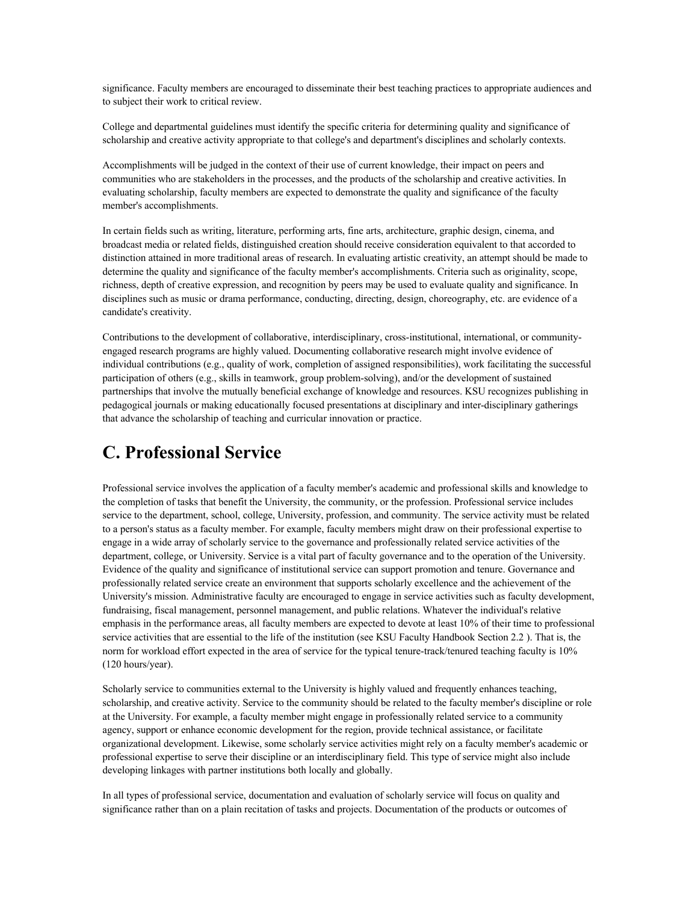significance. Faculty members are encouraged to disseminate their best teaching practices to appropriate audiences and to subject their work to critical review.

College and departmental guidelines must identify the specific criteria for determining quality and significance of scholarship and creative activity appropriate to that college's and department's disciplines and scholarly contexts.

Accomplishments will be judged in the context of their use of current knowledge, their impact on peers and communities who are stakeholders in the processes, and the products of the scholarship and creative activities. In evaluating scholarship, faculty members are expected to demonstrate the quality and significance of the faculty member's accomplishments.

In certain fields such as writing, literature, performing arts, fine arts, architecture, graphic design, cinema, and broadcast media or related fields, distinguished creation should receive consideration equivalent to that accorded to distinction attained in more traditional areas of research. In evaluating artistic creativity, an attempt should be made to determine the quality and significance of the faculty member's accomplishments. Criteria such as originality, scope, richness, depth of creative expression, and recognition by peers may be used to evaluate quality and significance. In disciplines such as music or drama performance, conducting, directing, design, choreography, etc. are evidence of a candidate's creativity.

Contributions to the development of collaborative, interdisciplinary, cross-institutional, international, or communityengaged research programs are highly valued. Documenting collaborative research might involve evidence of individual contributions (e.g., quality of work, completion of assigned responsibilities), work facilitating the successful participation of others (e.g., skills in teamwork, group problem-solving), and/or the development of sustained partnerships that involve the mutually beneficial exchange of knowledge and resources. KSU recognizes publishing in pedagogical journals or making educationally focused presentations at disciplinary and inter-disciplinary gatherings that advance the scholarship of teaching and curricular innovation or practice.

### **C. Professional Service**

Professional service involves the application of a faculty member's academic and professional skills and knowledge to the completion of tasks that benefit the University, the community, or the profession. Professional service includes service to the department, school, college, University, profession, and community. The service activity must be related to a person's status as a faculty member. For example, faculty members might draw on their professional expertise to engage in a wide array of scholarly service to the governance and professionally related service activities of the department, college, or University. Service is a vital part of faculty governance and to the operation of the University. Evidence of the quality and significance of institutional service can support promotion and tenure. Governance and professionally related service create an environment that supports scholarly excellence and the achievement of the University's mission. Administrative faculty are encouraged to engage in service activities such as faculty development, fundraising, fiscal management, personnel management, and public relations. Whatever the individual's relative emphasis in the performance areas, all faculty members are expected to devote at least 10% of their time to professional service activities that are essential to the life of the institution (see KSU Faculty Handbook Section 2.2 ). That is, the norm for workload effort expected in the area of service for the typical tenure-track/tenured teaching faculty is 10% (120 hours/year).

Scholarly service to communities external to the University is highly valued and frequently enhances teaching, scholarship, and creative activity. Service to the community should be related to the faculty member's discipline or role at the University. For example, a faculty member might engage in professionally related service to a community agency, support or enhance economic development for the region, provide technical assistance, or facilitate organizational development. Likewise, some scholarly service activities might rely on a faculty member's academic or professional expertise to serve their discipline or an interdisciplinary field. This type of service might also include developing linkages with partner institutions both locally and globally.

In all types of professional service, documentation and evaluation of scholarly service will focus on quality and significance rather than on a plain recitation of tasks and projects. Documentation of the products or outcomes of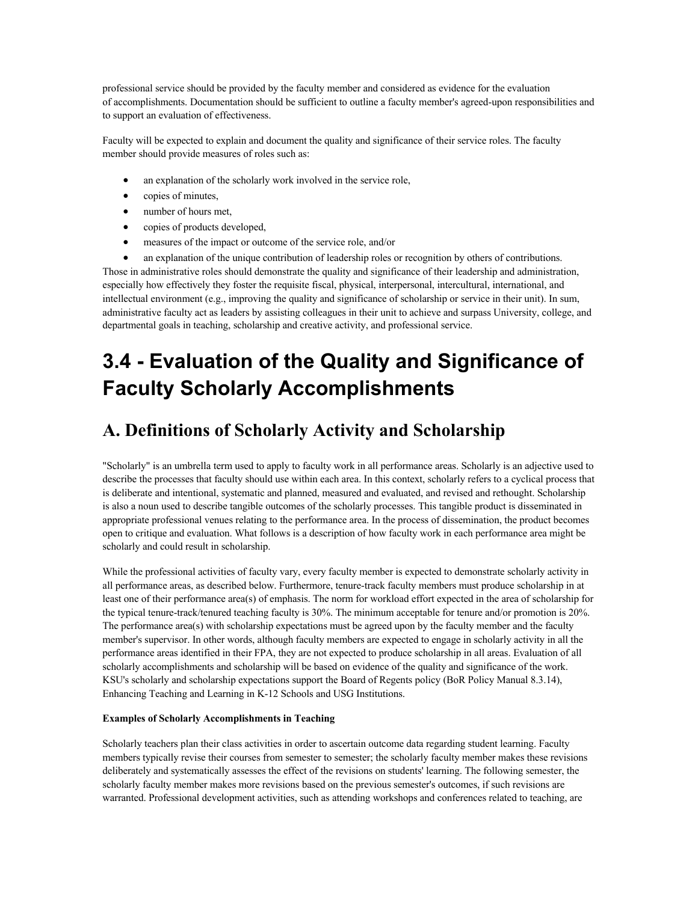professional service should be provided by the faculty member and considered as evidence for the evaluation of accomplishments. Documentation should be sufficient to outline a faculty member's agreed-upon responsibilities and to support an evaluation of effectiveness.

Faculty will be expected to explain and document the quality and significance of their service roles. The faculty member should provide measures of roles such as:

- an explanation of the scholarly work involved in the service role,
- copies of minutes,
- number of hours met,
- copies of products developed,
- measures of the impact or outcome of the service role, and/or

an explanation of the unique contribution of leadership roles or recognition by others of contributions. Those in administrative roles should demonstrate the quality and significance of their leadership and administration, especially how effectively they foster the requisite fiscal, physical, interpersonal, intercultural, international, and intellectual environment (e.g., improving the quality and significance of scholarship or service in their unit). In sum, administrative faculty act as leaders by assisting colleagues in their unit to achieve and surpass University, college, and departmental goals in teaching, scholarship and creative activity, and professional service.

# **3.4 - Evaluation of the Quality and Significance of Faculty Scholarly Accomplishments**

### **A. Definitions of Scholarly Activity and Scholarship**

"Scholarly" is an umbrella term used to apply to faculty work in all performance areas. Scholarly is an adjective used to describe the processes that faculty should use within each area. In this context, scholarly refers to a cyclical process that is deliberate and intentional, systematic and planned, measured and evaluated, and revised and rethought. Scholarship is also a noun used to describe tangible outcomes of the scholarly processes. This tangible product is disseminated in appropriate professional venues relating to the performance area. In the process of dissemination, the product becomes open to critique and evaluation. What follows is a description of how faculty work in each performance area might be scholarly and could result in scholarship.

While the professional activities of faculty vary, every faculty member is expected to demonstrate scholarly activity in all performance areas, as described below. Furthermore, tenure-track faculty members must produce scholarship in at least one of their performance area(s) of emphasis. The norm for workload effort expected in the area of scholarship for the typical tenure-track/tenured teaching faculty is 30%. The minimum acceptable for tenure and/or promotion is 20%. The performance area(s) with scholarship expectations must be agreed upon by the faculty member and the faculty member's supervisor. In other words, although faculty members are expected to engage in scholarly activity in all the performance areas identified in their FPA, they are not expected to produce scholarship in all areas. Evaluation of all scholarly accomplishments and scholarship will be based on evidence of the quality and significance of the work. KSU's scholarly and scholarship expectations support the Board of Regents policy (BoR Policy Manual 8.3.14), Enhancing Teaching and Learning in K-12 Schools and USG Institutions.

#### **Examples of Scholarly Accomplishments in Teaching**

Scholarly teachers plan their class activities in order to ascertain outcome data regarding student learning. Faculty members typically revise their courses from semester to semester; the scholarly faculty member makes these revisions deliberately and systematically assesses the effect of the revisions on students' learning. The following semester, the scholarly faculty member makes more revisions based on the previous semester's outcomes, if such revisions are warranted. Professional development activities, such as attending workshops and conferences related to teaching, are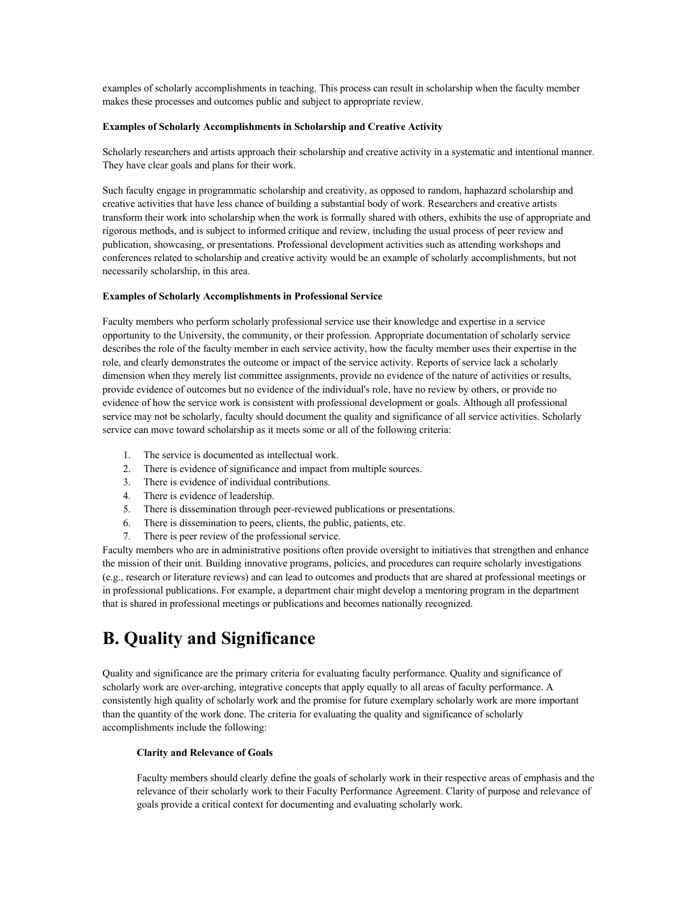examples of scholarly accomplishments in teaching. This process can result in scholarship when the faculty member makes these processes and outcomes public and subject to appropriate review.

#### **Examples of Scholarly Accomplishments in Scholarship and Creative Activity**

Scholarly researchers and artists approach their scholarship and creative activity in a systematic and intentional manner. They have clear goals and plans for their work.

Such faculty engage in programmatic scholarship and creativity, as opposed to random, haphazard scholarship and creative activities that have less chance of building a substantial body of work. Researchers and creative artists transform their work into scholarship when the work is formally shared with others, exhibits the use of appropriate and rigorous methods, and is subject to informed critique and review, including the usual process of peer review and publication, showcasing, or presentations. Professional development activities such as attending workshops and conferences related to scholarship and creative activity would be an example of scholarly accomplishments, but not necessarily scholarship, in this area.

#### **Examples of Scholarly Accomplishments in Professional Service**

Faculty members who perform scholarly professional service use their knowledge and expertise in a service opportunity to the University, the community, or their profession. Appropriate documentation of scholarly service describes the role of the faculty member in each service activity, how the faculty member uses their expertise in the role, and clearly demonstrates the outcome or impact of the service activity. Reports of service lack a scholarly dimension when they merely list committee assignments, provide no evidence of the nature of activities or results, provide evidence of outcomes but no evidence of the individual's role, have no review by others, or provide no evidence of how the service work is consistent with professional development or goals. Although all professional service may not be scholarly, faculty should document the quality and significance of all service activities. Scholarly service can move toward scholarship as it meets some or all of the following criteria:

- 1. The service is documented as intellectual work.
- 2. There is evidence of significance and impact from multiple sources.
- 3. There is evidence of individual contributions.
- 4. There is evidence of leadership.
- 5. There is dissemination through peer-reviewed publications or presentations.
- 6. There is dissemination to peers, clients, the public, patients, etc.
- 7. There is peer review of the professional service.

Faculty members who are in administrative positions often provide oversight to initiatives that strengthen and enhance the mission of their unit. Building innovative programs, policies, and procedures can require scholarly investigations (e.g., research or literature reviews) and can lead to outcomes and products that are shared at professional meetings or in professional publications. For example, a department chair might develop a mentoring program in the department that is shared in professional meetings or publications and becomes nationally recognized.

## **B. Quality and Significance**

Quality and significance are the primary criteria for evaluating faculty performance. Quality and significance of scholarly work are over-arching, integrative concepts that apply equally to all areas of faculty performance. A consistently high quality of scholarly work and the promise for future exemplary scholarly work are more important than the quantity of the work done. The criteria for evaluating the quality and significance of scholarly accomplishments include the following:

### **Clarity and Relevance of Goals**

Faculty members should clearly define the goals of scholarly work in their respective areas of emphasis and the relevance of their scholarly work to their Faculty Performance Agreement. Clarity of purpose and relevance of goals provide a critical context for documenting and evaluating scholarly work.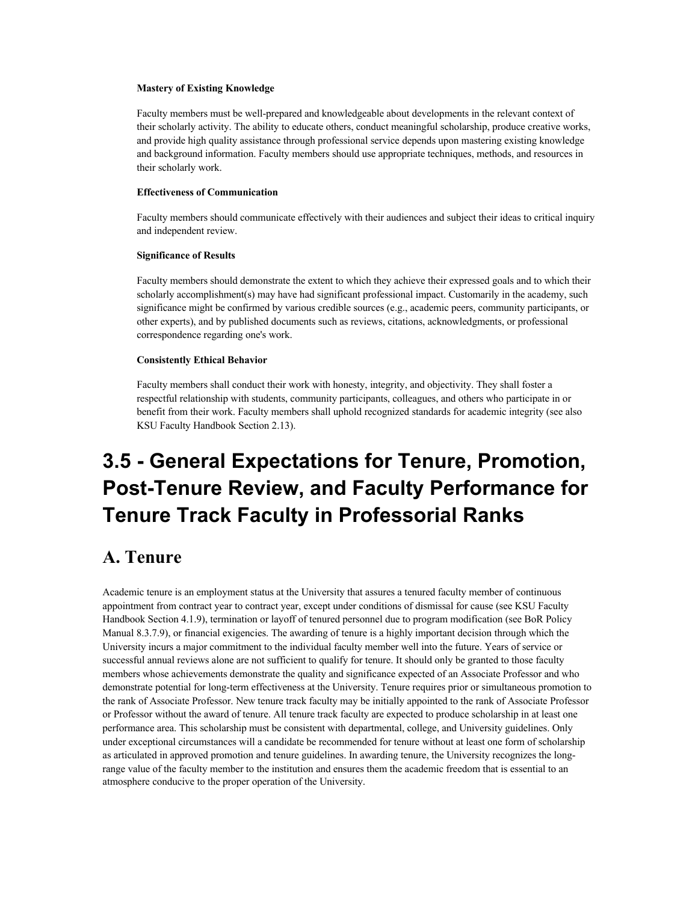#### **Mastery of Existing Knowledge**

Faculty members must be well-prepared and knowledgeable about developments in the relevant context of their scholarly activity. The ability to educate others, conduct meaningful scholarship, produce creative works, and provide high quality assistance through professional service depends upon mastering existing knowledge and background information. Faculty members should use appropriate techniques, methods, and resources in their scholarly work.

#### **Effectiveness of Communication**

Faculty members should communicate effectively with their audiences and subject their ideas to critical inquiry and independent review.

#### **Significance of Results**

Faculty members should demonstrate the extent to which they achieve their expressed goals and to which their scholarly accomplishment(s) may have had significant professional impact. Customarily in the academy, such significance might be confirmed by various credible sources (e.g., academic peers, community participants, or other experts), and by published documents such as reviews, citations, acknowledgments, or professional correspondence regarding one's work.

#### **Consistently Ethical Behavior**

Faculty members shall conduct their work with honesty, integrity, and objectivity. They shall foster a respectful relationship with students, community participants, colleagues, and others who participate in or benefit from their work. Faculty members shall uphold recognized standards for academic integrity (see also KSU Faculty Handbook Section 2.13).

# **3.5 - General Expectations for Tenure, Promotion, Post-Tenure Review, and Faculty Performance for Tenure Track Faculty in Professorial Ranks**

### **A. Tenure**

Academic tenure is an employment status at the University that assures a tenured faculty member of continuous appointment from contract year to contract year, except under conditions of dismissal for cause (see KSU Faculty Handbook Section 4.1.9), termination or layoff of tenured personnel due to program modification (see BoR Policy Manual 8.3.7.9), or financial exigencies. The awarding of tenure is a highly important decision through which the University incurs a major commitment to the individual faculty member well into the future. Years of service or successful annual reviews alone are not sufficient to qualify for tenure. It should only be granted to those faculty members whose achievements demonstrate the quality and significance expected of an Associate Professor and who demonstrate potential for long-term effectiveness at the University. Tenure requires prior or simultaneous promotion to the rank of Associate Professor. New tenure track faculty may be initially appointed to the rank of Associate Professor or Professor without the award of tenure. All tenure track faculty are expected to produce scholarship in at least one performance area. This scholarship must be consistent with departmental, college, and University guidelines. Only under exceptional circumstances will a candidate be recommended for tenure without at least one form of scholarship as articulated in approved promotion and tenure guidelines. In awarding tenure, the University recognizes the longrange value of the faculty member to the institution and ensures them the academic freedom that is essential to an atmosphere conducive to the proper operation of the University.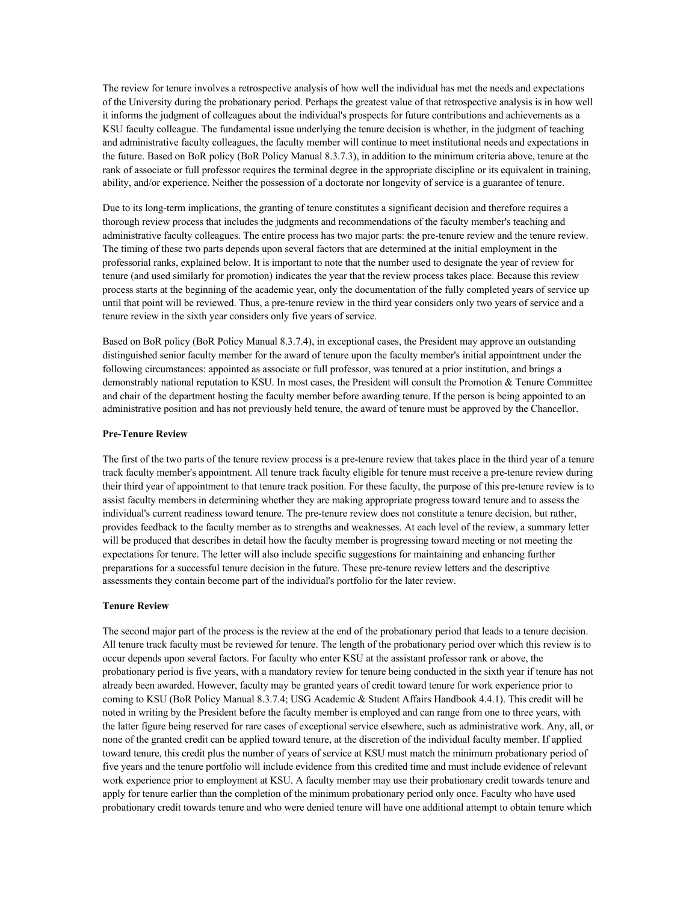The review for tenure involves a retrospective analysis of how well the individual has met the needs and expectations of the University during the probationary period. Perhaps the greatest value of that retrospective analysis is in how well it informs the judgment of colleagues about the individual's prospects for future contributions and achievements as a KSU faculty colleague. The fundamental issue underlying the tenure decision is whether, in the judgment of teaching and administrative faculty colleagues, the faculty member will continue to meet institutional needs and expectations in the future. Based on BoR policy (BoR Policy Manual 8.3.7.3), in addition to the minimum criteria above, tenure at the rank of associate or full professor requires the terminal degree in the appropriate discipline or its equivalent in training, ability, and/or experience. Neither the possession of a doctorate nor longevity of service is a guarantee of tenure.

Due to its long-term implications, the granting of tenure constitutes a significant decision and therefore requires a thorough review process that includes the judgments and recommendations of the faculty member's teaching and administrative faculty colleagues. The entire process has two major parts: the pre-tenure review and the tenure review. The timing of these two parts depends upon several factors that are determined at the initial employment in the professorial ranks, explained below. It is important to note that the number used to designate the year of review for tenure (and used similarly for promotion) indicates the year that the review process takes place. Because this review process starts at the beginning of the academic year, only the documentation of the fully completed years of service up until that point will be reviewed. Thus, a pre-tenure review in the third year considers only two years of service and a tenure review in the sixth year considers only five years of service.

Based on BoR policy (BoR Policy Manual 8.3.7.4), in exceptional cases, the President may approve an outstanding distinguished senior faculty member for the award of tenure upon the faculty member's initial appointment under the following circumstances: appointed as associate or full professor, was tenured at a prior institution, and brings a demonstrably national reputation to KSU. In most cases, the President will consult the Promotion & Tenure Committee and chair of the department hosting the faculty member before awarding tenure. If the person is being appointed to an administrative position and has not previously held tenure, the award of tenure must be approved by the Chancellor.

#### **Pre-Tenure Review**

The first of the two parts of the tenure review process is a pre-tenure review that takes place in the third year of a tenure track faculty member's appointment. All tenure track faculty eligible for tenure must receive a pre-tenure review during their third year of appointment to that tenure track position. For these faculty, the purpose of this pre-tenure review is to assist faculty members in determining whether they are making appropriate progress toward tenure and to assess the individual's current readiness toward tenure. The pre-tenure review does not constitute a tenure decision, but rather, provides feedback to the faculty member as to strengths and weaknesses. At each level of the review, a summary letter will be produced that describes in detail how the faculty member is progressing toward meeting or not meeting the expectations for tenure. The letter will also include specific suggestions for maintaining and enhancing further preparations for a successful tenure decision in the future. These pre-tenure review letters and the descriptive assessments they contain become part of the individual's portfolio for the later review.

#### **Tenure Review**

The second major part of the process is the review at the end of the probationary period that leads to a tenure decision. All tenure track faculty must be reviewed for tenure. The length of the probationary period over which this review is to occur depends upon several factors. For faculty who enter KSU at the assistant professor rank or above, the probationary period is five years, with a mandatory review for tenure being conducted in the sixth year if tenure has not already been awarded. However, faculty may be granted years of credit toward tenure for work experience prior to coming to KSU (BoR Policy Manual 8.3.7.4; USG Academic & Student Affairs Handbook 4.4.1). This credit will be noted in writing by the President before the faculty member is employed and can range from one to three years, with the latter figure being reserved for rare cases of exceptional service elsewhere, such as administrative work. Any, all, or none of the granted credit can be applied toward tenure, at the discretion of the individual faculty member. If applied toward tenure, this credit plus the number of years of service at KSU must match the minimum probationary period of five years and the tenure portfolio will include evidence from this credited time and must include evidence of relevant work experience prior to employment at KSU. A faculty member may use their probationary credit towards tenure and apply for tenure earlier than the completion of the minimum probationary period only once. Faculty who have used probationary credit towards tenure and who were denied tenure will have one additional attempt to obtain tenure which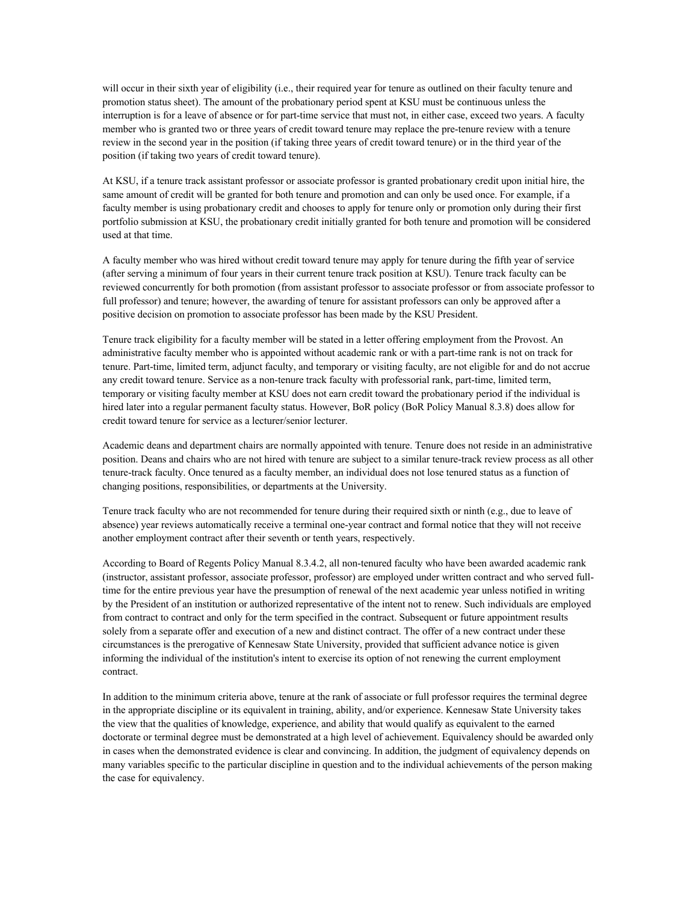will occur in their sixth year of eligibility (i.e., their required year for tenure as outlined on their faculty tenure and promotion status sheet). The amount of the probationary period spent at KSU must be continuous unless the interruption is for a leave of absence or for part-time service that must not, in either case, exceed two years. A faculty member who is granted two or three years of credit toward tenure may replace the pre-tenure review with a tenure review in the second year in the position (if taking three years of credit toward tenure) or in the third year of the position (if taking two years of credit toward tenure).

At KSU, if a tenure track assistant professor or associate professor is granted probationary credit upon initial hire, the same amount of credit will be granted for both tenure and promotion and can only be used once. For example, if a faculty member is using probationary credit and chooses to apply for tenure only or promotion only during their first portfolio submission at KSU, the probationary credit initially granted for both tenure and promotion will be considered used at that time.

A faculty member who was hired without credit toward tenure may apply for tenure during the fifth year of service (after serving a minimum of four years in their current tenure track position at KSU). Tenure track faculty can be reviewed concurrently for both promotion (from assistant professor to associate professor or from associate professor to full professor) and tenure; however, the awarding of tenure for assistant professors can only be approved after a positive decision on promotion to associate professor has been made by the KSU President.

Tenure track eligibility for a faculty member will be stated in a letter offering employment from the Provost. An administrative faculty member who is appointed without academic rank or with a part-time rank is not on track for tenure. Part-time, limited term, adjunct faculty, and temporary or visiting faculty, are not eligible for and do not accrue any credit toward tenure. Service as a non-tenure track faculty with professorial rank, part-time, limited term, temporary or visiting faculty member at KSU does not earn credit toward the probationary period if the individual is hired later into a regular permanent faculty status. However, BoR policy (BoR Policy Manual 8.3.8) does allow for credit toward tenure for service as a lecturer/senior lecturer.

Academic deans and department chairs are normally appointed with tenure. Tenure does not reside in an administrative position. Deans and chairs who are not hired with tenure are subject to a similar tenure-track review process as all other tenure-track faculty. Once tenured as a faculty member, an individual does not lose tenured status as a function of changing positions, responsibilities, or departments at the University.

Tenure track faculty who are not recommended for tenure during their required sixth or ninth (e.g., due to leave of absence) year reviews automatically receive a terminal one-year contract and formal notice that they will not receive another employment contract after their seventh or tenth years, respectively.

According to Board of Regents Policy Manual 8.3.4.2, all non-tenured faculty who have been awarded academic rank (instructor, assistant professor, associate professor, professor) are employed under written contract and who served fulltime for the entire previous year have the presumption of renewal of the next academic year unless notified in writing by the President of an institution or authorized representative of the intent not to renew. Such individuals are employed from contract to contract and only for the term specified in the contract. Subsequent or future appointment results solely from a separate offer and execution of a new and distinct contract. The offer of a new contract under these circumstances is the prerogative of Kennesaw State University, provided that sufficient advance notice is given informing the individual of the institution's intent to exercise its option of not renewing the current employment contract.

In addition to the minimum criteria above, tenure at the rank of associate or full professor requires the terminal degree in the appropriate discipline or its equivalent in training, ability, and/or experience. Kennesaw State University takes the view that the qualities of knowledge, experience, and ability that would qualify as equivalent to the earned doctorate or terminal degree must be demonstrated at a high level of achievement. Equivalency should be awarded only in cases when the demonstrated evidence is clear and convincing. In addition, the judgment of equivalency depends on many variables specific to the particular discipline in question and to the individual achievements of the person making the case for equivalency.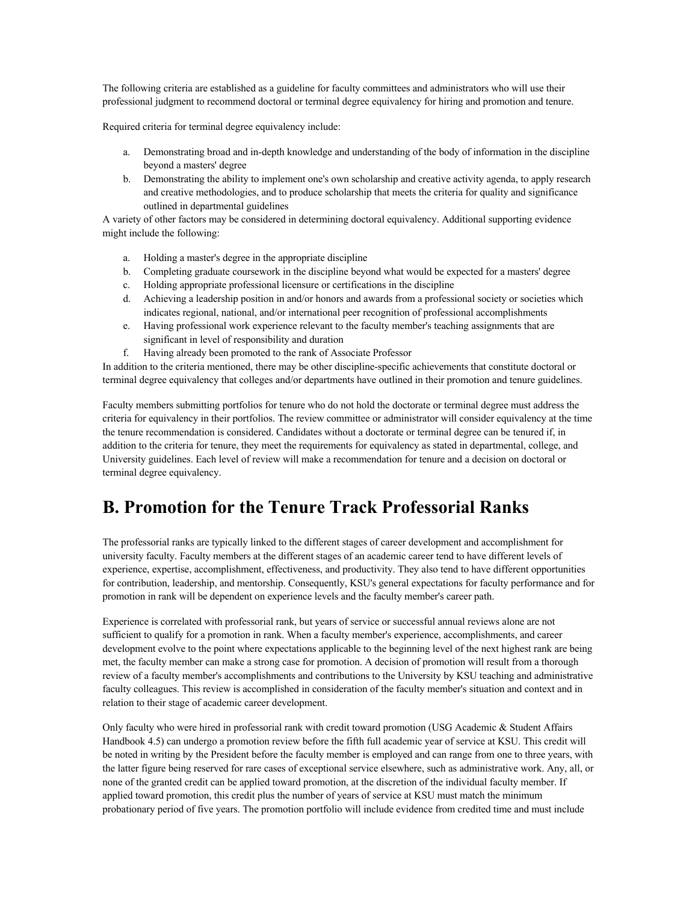The following criteria are established as a guideline for faculty committees and administrators who will use their professional judgment to recommend doctoral or terminal degree equivalency for hiring and promotion and tenure.

Required criteria for terminal degree equivalency include:

- a. Demonstrating broad and in-depth knowledge and understanding of the body of information in the discipline beyond a masters' degree
- b. Demonstrating the ability to implement one's own scholarship and creative activity agenda, to apply research and creative methodologies, and to produce scholarship that meets the criteria for quality and significance outlined in departmental guidelines

A variety of other factors may be considered in determining doctoral equivalency. Additional supporting evidence might include the following:

- a. Holding a master's degree in the appropriate discipline
- b. Completing graduate coursework in the discipline beyond what would be expected for a masters' degree
- c. Holding appropriate professional licensure or certifications in the discipline
- d. Achieving a leadership position in and/or honors and awards from a professional society or societies which indicates regional, national, and/or international peer recognition of professional accomplishments
- e. Having professional work experience relevant to the faculty member's teaching assignments that are significant in level of responsibility and duration
- f. Having already been promoted to the rank of Associate Professor

In addition to the criteria mentioned, there may be other discipline-specific achievements that constitute doctoral or terminal degree equivalency that colleges and/or departments have outlined in their promotion and tenure guidelines.

Faculty members submitting portfolios for tenure who do not hold the doctorate or terminal degree must address the criteria for equivalency in their portfolios. The review committee or administrator will consider equivalency at the time the tenure recommendation is considered. Candidates without a doctorate or terminal degree can be tenured if, in addition to the criteria for tenure, they meet the requirements for equivalency as stated in departmental, college, and University guidelines. Each level of review will make a recommendation for tenure and a decision on doctoral or terminal degree equivalency.

### **B. Promotion for the Tenure Track Professorial Ranks**

The professorial ranks are typically linked to the different stages of career development and accomplishment for university faculty. Faculty members at the different stages of an academic career tend to have different levels of experience, expertise, accomplishment, effectiveness, and productivity. They also tend to have different opportunities for contribution, leadership, and mentorship. Consequently, KSU's general expectations for faculty performance and for promotion in rank will be dependent on experience levels and the faculty member's career path.

Experience is correlated with professorial rank, but years of service or successful annual reviews alone are not sufficient to qualify for a promotion in rank. When a faculty member's experience, accomplishments, and career development evolve to the point where expectations applicable to the beginning level of the next highest rank are being met, the faculty member can make a strong case for promotion. A decision of promotion will result from a thorough review of a faculty member's accomplishments and contributions to the University by KSU teaching and administrative faculty colleagues. This review is accomplished in consideration of the faculty member's situation and context and in relation to their stage of academic career development.

Only faculty who were hired in professorial rank with credit toward promotion (USG Academic & Student Affairs Handbook 4.5) can undergo a promotion review before the fifth full academic year of service at KSU. This credit will be noted in writing by the President before the faculty member is employed and can range from one to three years, with the latter figure being reserved for rare cases of exceptional service elsewhere, such as administrative work. Any, all, or none of the granted credit can be applied toward promotion, at the discretion of the individual faculty member. If applied toward promotion, this credit plus the number of years of service at KSU must match the minimum probationary period of five years. The promotion portfolio will include evidence from credited time and must include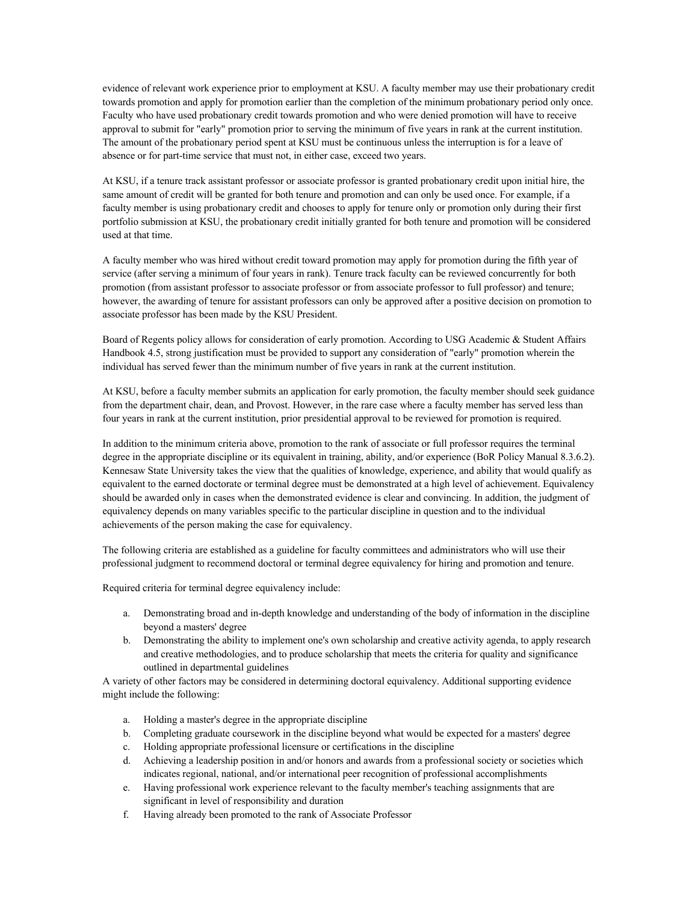evidence of relevant work experience prior to employment at KSU. A faculty member may use their probationary credit towards promotion and apply for promotion earlier than the completion of the minimum probationary period only once. Faculty who have used probationary credit towards promotion and who were denied promotion will have to receive approval to submit for "early" promotion prior to serving the minimum of five years in rank at the current institution. The amount of the probationary period spent at KSU must be continuous unless the interruption is for a leave of absence or for part-time service that must not, in either case, exceed two years.

At KSU, if a tenure track assistant professor or associate professor is granted probationary credit upon initial hire, the same amount of credit will be granted for both tenure and promotion and can only be used once. For example, if a faculty member is using probationary credit and chooses to apply for tenure only or promotion only during their first portfolio submission at KSU, the probationary credit initially granted for both tenure and promotion will be considered used at that time.

A faculty member who was hired without credit toward promotion may apply for promotion during the fifth year of service (after serving a minimum of four years in rank). Tenure track faculty can be reviewed concurrently for both promotion (from assistant professor to associate professor or from associate professor to full professor) and tenure; however, the awarding of tenure for assistant professors can only be approved after a positive decision on promotion to associate professor has been made by the KSU President.

Board of Regents policy allows for consideration of early promotion. According to USG Academic & Student Affairs Handbook 4.5, strong justification must be provided to support any consideration of "early" promotion wherein the individual has served fewer than the minimum number of five years in rank at the current institution.

At KSU, before a faculty member submits an application for early promotion, the faculty member should seek guidance from the department chair, dean, and Provost. However, in the rare case where a faculty member has served less than four years in rank at the current institution, prior presidential approval to be reviewed for promotion is required.

In addition to the minimum criteria above, promotion to the rank of associate or full professor requires the terminal degree in the appropriate discipline or its equivalent in training, ability, and/or experience (BoR Policy Manual 8.3.6.2). Kennesaw State University takes the view that the qualities of knowledge, experience, and ability that would qualify as equivalent to the earned doctorate or terminal degree must be demonstrated at a high level of achievement. Equivalency should be awarded only in cases when the demonstrated evidence is clear and convincing. In addition, the judgment of equivalency depends on many variables specific to the particular discipline in question and to the individual achievements of the person making the case for equivalency.

The following criteria are established as a guideline for faculty committees and administrators who will use their professional judgment to recommend doctoral or terminal degree equivalency for hiring and promotion and tenure.

Required criteria for terminal degree equivalency include:

- a. Demonstrating broad and in-depth knowledge and understanding of the body of information in the discipline beyond a masters' degree
- b. Demonstrating the ability to implement one's own scholarship and creative activity agenda, to apply research and creative methodologies, and to produce scholarship that meets the criteria for quality and significance outlined in departmental guidelines

A variety of other factors may be considered in determining doctoral equivalency. Additional supporting evidence might include the following:

- a. Holding a master's degree in the appropriate discipline
- b. Completing graduate coursework in the discipline beyond what would be expected for a masters' degree
- c. Holding appropriate professional licensure or certifications in the discipline
- d. Achieving a leadership position in and/or honors and awards from a professional society or societies which indicates regional, national, and/or international peer recognition of professional accomplishments
- e. Having professional work experience relevant to the faculty member's teaching assignments that are significant in level of responsibility and duration
- f. Having already been promoted to the rank of Associate Professor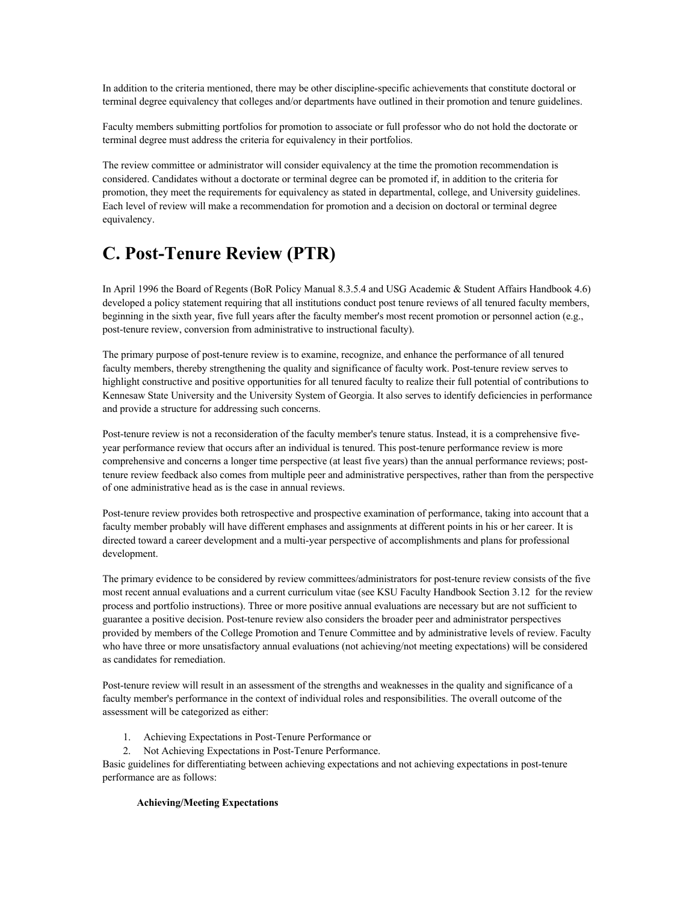In addition to the criteria mentioned, there may be other discipline-specific achievements that constitute doctoral or terminal degree equivalency that colleges and/or departments have outlined in their promotion and tenure guidelines.

Faculty members submitting portfolios for promotion to associate or full professor who do not hold the doctorate or terminal degree must address the criteria for equivalency in their portfolios.

The review committee or administrator will consider equivalency at the time the promotion recommendation is considered. Candidates without a doctorate or terminal degree can be promoted if, in addition to the criteria for promotion, they meet the requirements for equivalency as stated in departmental, college, and University guidelines. Each level of review will make a recommendation for promotion and a decision on doctoral or terminal degree equivalency.

## **C. Post-Tenure Review (PTR)**

In April 1996 the Board of Regents (BoR Policy Manual 8.3.5.4 and USG Academic & Student Affairs Handbook 4.6) developed a policy statement requiring that all institutions conduct post tenure reviews of all tenured faculty members, beginning in the sixth year, five full years after the faculty member's most recent promotion or personnel action (e.g., post-tenure review, conversion from administrative to instructional faculty).

The primary purpose of post-tenure review is to examine, recognize, and enhance the performance of all tenured faculty members, thereby strengthening the quality and significance of faculty work. Post-tenure review serves to highlight constructive and positive opportunities for all tenured faculty to realize their full potential of contributions to Kennesaw State University and the University System of Georgia. It also serves to identify deficiencies in performance and provide a structure for addressing such concerns.

Post-tenure review is not a reconsideration of the faculty member's tenure status. Instead, it is a comprehensive fiveyear performance review that occurs after an individual is tenured. This post-tenure performance review is more comprehensive and concerns a longer time perspective (at least five years) than the annual performance reviews; posttenure review feedback also comes from multiple peer and administrative perspectives, rather than from the perspective of one administrative head as is the case in annual reviews.

Post-tenure review provides both retrospective and prospective examination of performance, taking into account that a faculty member probably will have different emphases and assignments at different points in his or her career. It is directed toward a career development and a multi-year perspective of accomplishments and plans for professional development.

The primary evidence to be considered by review committees/administrators for post-tenure review consists of the five most recent annual evaluations and a current curriculum vitae (see KSU Faculty Handbook Section 3.12 for the review process and portfolio instructions). Three or more positive annual evaluations are necessary but are not sufficient to guarantee a positive decision. Post-tenure review also considers the broader peer and administrator perspectives provided by members of the College Promotion and Tenure Committee and by administrative levels of review. Faculty who have three or more unsatisfactory annual evaluations (not achieving/not meeting expectations) will be considered as candidates for remediation.

Post-tenure review will result in an assessment of the strengths and weaknesses in the quality and significance of a faculty member's performance in the context of individual roles and responsibilities. The overall outcome of the assessment will be categorized as either:

- 1. Achieving Expectations in Post-Tenure Performance or
- 2. Not Achieving Expectations in Post-Tenure Performance.

Basic guidelines for differentiating between achieving expectations and not achieving expectations in post-tenure performance are as follows:

### **Achieving/Meeting Expectations**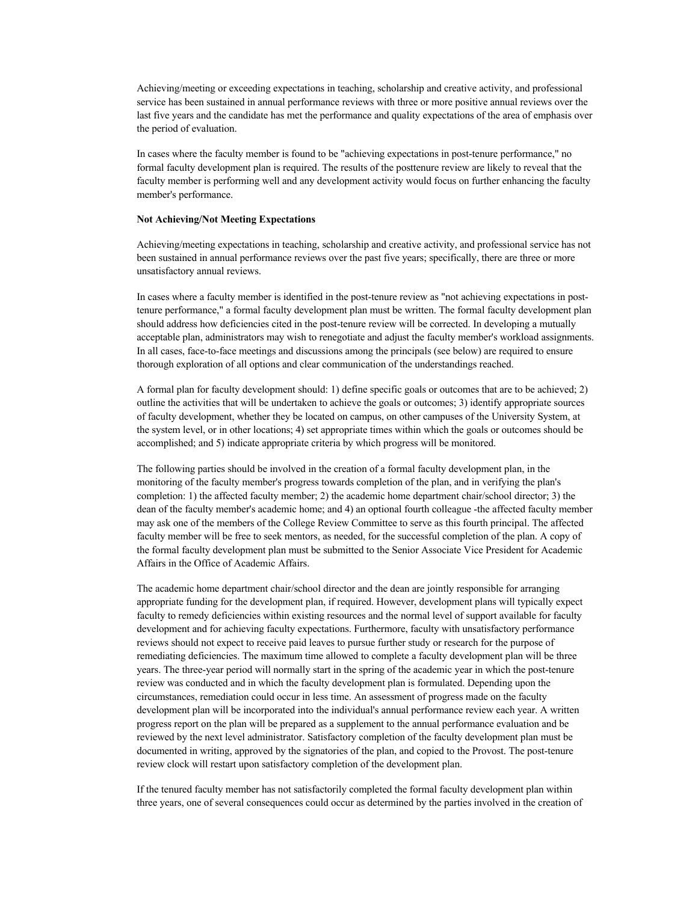Achieving/meeting or exceeding expectations in teaching, scholarship and creative activity, and professional service has been sustained in annual performance reviews with three or more positive annual reviews over the last five years and the candidate has met the performance and quality expectations of the area of emphasis over the period of evaluation.

In cases where the faculty member is found to be "achieving expectations in post-tenure performance," no formal faculty development plan is required. The results of the posttenure review are likely to reveal that the faculty member is performing well and any development activity would focus on further enhancing the faculty member's performance.

#### **Not Achieving/Not Meeting Expectations**

Achieving/meeting expectations in teaching, scholarship and creative activity, and professional service has not been sustained in annual performance reviews over the past five years; specifically, there are three or more unsatisfactory annual reviews.

In cases where a faculty member is identified in the post-tenure review as "not achieving expectations in posttenure performance," a formal faculty development plan must be written. The formal faculty development plan should address how deficiencies cited in the post-tenure review will be corrected. In developing a mutually acceptable plan, administrators may wish to renegotiate and adjust the faculty member's workload assignments. In all cases, face-to-face meetings and discussions among the principals (see below) are required to ensure thorough exploration of all options and clear communication of the understandings reached.

A formal plan for faculty development should: 1) define specific goals or outcomes that are to be achieved; 2) outline the activities that will be undertaken to achieve the goals or outcomes; 3) identify appropriate sources of faculty development, whether they be located on campus, on other campuses of the University System, at the system level, or in other locations; 4) set appropriate times within which the goals or outcomes should be accomplished; and 5) indicate appropriate criteria by which progress will be monitored.

The following parties should be involved in the creation of a formal faculty development plan, in the monitoring of the faculty member's progress towards completion of the plan, and in verifying the plan's completion: 1) the affected faculty member; 2) the academic home department chair/school director; 3) the dean of the faculty member's academic home; and 4) an optional fourth colleague -the affected faculty member may ask one of the members of the College Review Committee to serve as this fourth principal. The affected faculty member will be free to seek mentors, as needed, for the successful completion of the plan. A copy of the formal faculty development plan must be submitted to the Senior Associate Vice President for Academic Affairs in the Office of Academic Affairs.

The academic home department chair/school director and the dean are jointly responsible for arranging appropriate funding for the development plan, if required. However, development plans will typically expect faculty to remedy deficiencies within existing resources and the normal level of support available for faculty development and for achieving faculty expectations. Furthermore, faculty with unsatisfactory performance reviews should not expect to receive paid leaves to pursue further study or research for the purpose of remediating deficiencies. The maximum time allowed to complete a faculty development plan will be three years. The three-year period will normally start in the spring of the academic year in which the post-tenure review was conducted and in which the faculty development plan is formulated. Depending upon the circumstances, remediation could occur in less time. An assessment of progress made on the faculty development plan will be incorporated into the individual's annual performance review each year. A written progress report on the plan will be prepared as a supplement to the annual performance evaluation and be reviewed by the next level administrator. Satisfactory completion of the faculty development plan must be documented in writing, approved by the signatories of the plan, and copied to the Provost. The post-tenure review clock will restart upon satisfactory completion of the development plan.

If the tenured faculty member has not satisfactorily completed the formal faculty development plan within three years, one of several consequences could occur as determined by the parties involved in the creation of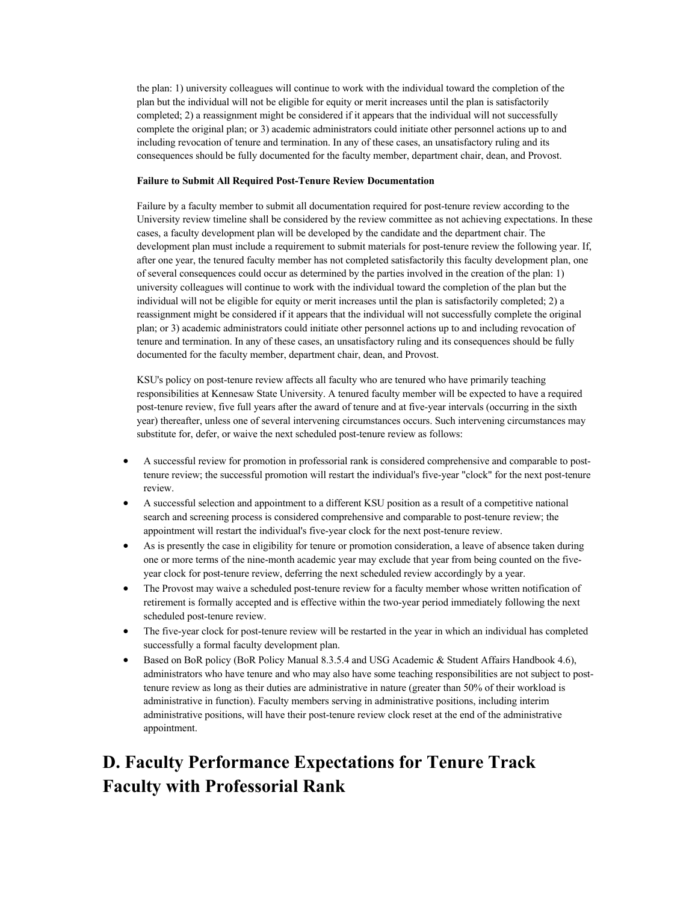the plan: 1) university colleagues will continue to work with the individual toward the completion of the plan but the individual will not be eligible for equity or merit increases until the plan is satisfactorily completed; 2) a reassignment might be considered if it appears that the individual will not successfully complete the original plan; or 3) academic administrators could initiate other personnel actions up to and including revocation of tenure and termination. In any of these cases, an unsatisfactory ruling and its consequences should be fully documented for the faculty member, department chair, dean, and Provost.

### **Failure to Submit All Required Post-Tenure Review Documentation**

Failure by a faculty member to submit all documentation required for post-tenure review according to the University review timeline shall be considered by the review committee as not achieving expectations. In these cases, a faculty development plan will be developed by the candidate and the department chair. The development plan must include a requirement to submit materials for post-tenure review the following year. If, after one year, the tenured faculty member has not completed satisfactorily this faculty development plan, one of several consequences could occur as determined by the parties involved in the creation of the plan: 1) university colleagues will continue to work with the individual toward the completion of the plan but the individual will not be eligible for equity or merit increases until the plan is satisfactorily completed; 2) a reassignment might be considered if it appears that the individual will not successfully complete the original plan; or 3) academic administrators could initiate other personnel actions up to and including revocation of tenure and termination. In any of these cases, an unsatisfactory ruling and its consequences should be fully documented for the faculty member, department chair, dean, and Provost.

KSU's policy on post-tenure review affects all faculty who are tenured who have primarily teaching responsibilities at Kennesaw State University. A tenured faculty member will be expected to have a required post-tenure review, five full years after the award of tenure and at five-year intervals (occurring in the sixth year) thereafter, unless one of several intervening circumstances occurs. Such intervening circumstances may substitute for, defer, or waive the next scheduled post-tenure review as follows:

- A successful review for promotion in professorial rank is considered comprehensive and comparable to posttenure review; the successful promotion will restart the individual's five-year "clock" for the next post-tenure review.
- A successful selection and appointment to a different KSU position as a result of a competitive national search and screening process is considered comprehensive and comparable to post-tenure review; the appointment will restart the individual's five-year clock for the next post-tenure review.
- As is presently the case in eligibility for tenure or promotion consideration, a leave of absence taken during one or more terms of the nine-month academic year may exclude that year from being counted on the fiveyear clock for post-tenure review, deferring the next scheduled review accordingly by a year.
- The Provost may waive a scheduled post-tenure review for a faculty member whose written notification of retirement is formally accepted and is effective within the two-year period immediately following the next scheduled post-tenure review.
- The five-year clock for post-tenure review will be restarted in the year in which an individual has completed successfully a formal faculty development plan.
- Based on BoR policy (BoR Policy Manual 8.3.5.4 and USG Academic & Student Affairs Handbook 4.6), administrators who have tenure and who may also have some teaching responsibilities are not subject to posttenure review as long as their duties are administrative in nature (greater than 50% of their workload is administrative in function). Faculty members serving in administrative positions, including interim administrative positions, will have their post-tenure review clock reset at the end of the administrative appointment.

### **D. Faculty Performance Expectations for Tenure Track Faculty with Professorial Rank**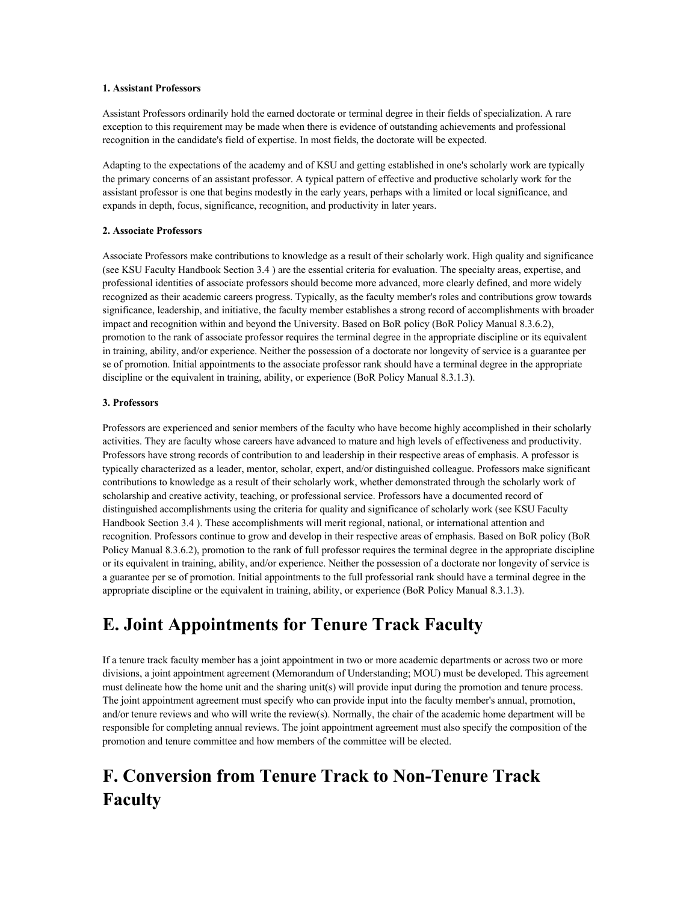### **1. Assistant Professors**

Assistant Professors ordinarily hold the earned doctorate or terminal degree in their fields of specialization. A rare exception to this requirement may be made when there is evidence of outstanding achievements and professional recognition in the candidate's field of expertise. In most fields, the doctorate will be expected.

Adapting to the expectations of the academy and of KSU and getting established in one's scholarly work are typically the primary concerns of an assistant professor. A typical pattern of effective and productive scholarly work for the assistant professor is one that begins modestly in the early years, perhaps with a limited or local significance, and expands in depth, focus, significance, recognition, and productivity in later years.

### **2. Associate Professors**

Associate Professors make contributions to knowledge as a result of their scholarly work. High quality and significance (see KSU Faculty Handbook Section 3.4 ) are the essential criteria for evaluation. The specialty areas, expertise, and professional identities of associate professors should become more advanced, more clearly defined, and more widely recognized as their academic careers progress. Typically, as the faculty member's roles and contributions grow towards significance, leadership, and initiative, the faculty member establishes a strong record of accomplishments with broader impact and recognition within and beyond the University. Based on BoR policy (BoR Policy Manual 8.3.6.2), promotion to the rank of associate professor requires the terminal degree in the appropriate discipline or its equivalent in training, ability, and/or experience. Neither the possession of a doctorate nor longevity of service is a guarantee per se of promotion. Initial appointments to the associate professor rank should have a terminal degree in the appropriate discipline or the equivalent in training, ability, or experience (BoR Policy Manual 8.3.1.3).

### **3. Professors**

Professors are experienced and senior members of the faculty who have become highly accomplished in their scholarly activities. They are faculty whose careers have advanced to mature and high levels of effectiveness and productivity. Professors have strong records of contribution to and leadership in their respective areas of emphasis. A professor is typically characterized as a leader, mentor, scholar, expert, and/or distinguished colleague. Professors make significant contributions to knowledge as a result of their scholarly work, whether demonstrated through the scholarly work of scholarship and creative activity, teaching, or professional service. Professors have a documented record of distinguished accomplishments using the criteria for quality and significance of scholarly work (see KSU Faculty Handbook Section 3.4 ). These accomplishments will merit regional, national, or international attention and recognition. Professors continue to grow and develop in their respective areas of emphasis. Based on BoR policy (BoR Policy Manual 8.3.6.2), promotion to the rank of full professor requires the terminal degree in the appropriate discipline or its equivalent in training, ability, and/or experience. Neither the possession of a doctorate nor longevity of service is a guarantee per se of promotion. Initial appointments to the full professorial rank should have a terminal degree in the appropriate discipline or the equivalent in training, ability, or experience (BoR Policy Manual 8.3.1.3).

### **E. Joint Appointments for Tenure Track Faculty**

If a tenure track faculty member has a joint appointment in two or more academic departments or across two or more divisions, a joint appointment agreement (Memorandum of Understanding; MOU) must be developed. This agreement must delineate how the home unit and the sharing unit(s) will provide input during the promotion and tenure process. The joint appointment agreement must specify who can provide input into the faculty member's annual, promotion, and/or tenure reviews and who will write the review(s). Normally, the chair of the academic home department will be responsible for completing annual reviews. The joint appointment agreement must also specify the composition of the promotion and tenure committee and how members of the committee will be elected.

## **F. Conversion from Tenure Track to Non-Tenure Track Faculty**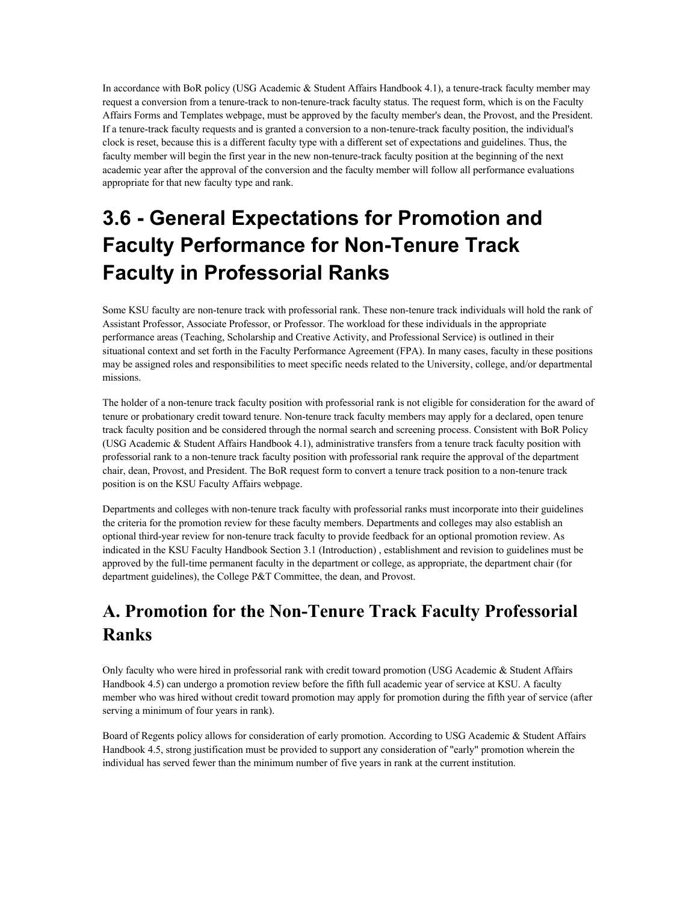In accordance with BoR policy (USG Academic & Student Affairs Handbook 4.1), a tenure-track faculty member may request a conversion from a tenure-track to non-tenure-track faculty status. The request form, which is on the Faculty Affairs Forms and Templates webpage, must be approved by the faculty member's dean, the Provost, and the President. If a tenure-track faculty requests and is granted a conversion to a non-tenure-track faculty position, the individual's clock is reset, because this is a different faculty type with a different set of expectations and guidelines. Thus, the faculty member will begin the first year in the new non-tenure-track faculty position at the beginning of the next academic year after the approval of the conversion and the faculty member will follow all performance evaluations appropriate for that new faculty type and rank.

# **3.6 - General Expectations for Promotion and Faculty Performance for Non-Tenure Track Faculty in Professorial Ranks**

Some KSU faculty are non-tenure track with professorial rank. These non-tenure track individuals will hold the rank of Assistant Professor, Associate Professor, or Professor. The workload for these individuals in the appropriate performance areas (Teaching, Scholarship and Creative Activity, and Professional Service) is outlined in their situational context and set forth in the Faculty Performance Agreement (FPA). In many cases, faculty in these positions may be assigned roles and responsibilities to meet specific needs related to the University, college, and/or departmental missions.

The holder of a non-tenure track faculty position with professorial rank is not eligible for consideration for the award of tenure or probationary credit toward tenure. Non-tenure track faculty members may apply for a declared, open tenure track faculty position and be considered through the normal search and screening process. Consistent with BoR Policy (USG Academic & Student Affairs Handbook 4.1), administrative transfers from a tenure track faculty position with professorial rank to a non-tenure track faculty position with professorial rank require the approval of the department chair, dean, Provost, and President. The BoR request form to convert a tenure track position to a non-tenure track position is on the KSU Faculty Affairs webpage.

Departments and colleges with non-tenure track faculty with professorial ranks must incorporate into their guidelines the criteria for the promotion review for these faculty members. Departments and colleges may also establish an optional third-year review for non-tenure track faculty to provide feedback for an optional promotion review. As indicated in the KSU Faculty Handbook Section 3.1 (Introduction) , establishment and revision to guidelines must be approved by the full-time permanent faculty in the department or college, as appropriate, the department chair (for department guidelines), the College P&T Committee, the dean, and Provost.

## **A. Promotion for the Non-Tenure Track Faculty Professorial Ranks**

Only faculty who were hired in professorial rank with credit toward promotion (USG Academic & Student Affairs Handbook 4.5) can undergo a promotion review before the fifth full academic year of service at KSU. A faculty member who was hired without credit toward promotion may apply for promotion during the fifth year of service (after serving a minimum of four years in rank).

Board of Regents policy allows for consideration of early promotion. According to USG Academic & Student Affairs Handbook 4.5, strong justification must be provided to support any consideration of "early" promotion wherein the individual has served fewer than the minimum number of five years in rank at the current institution.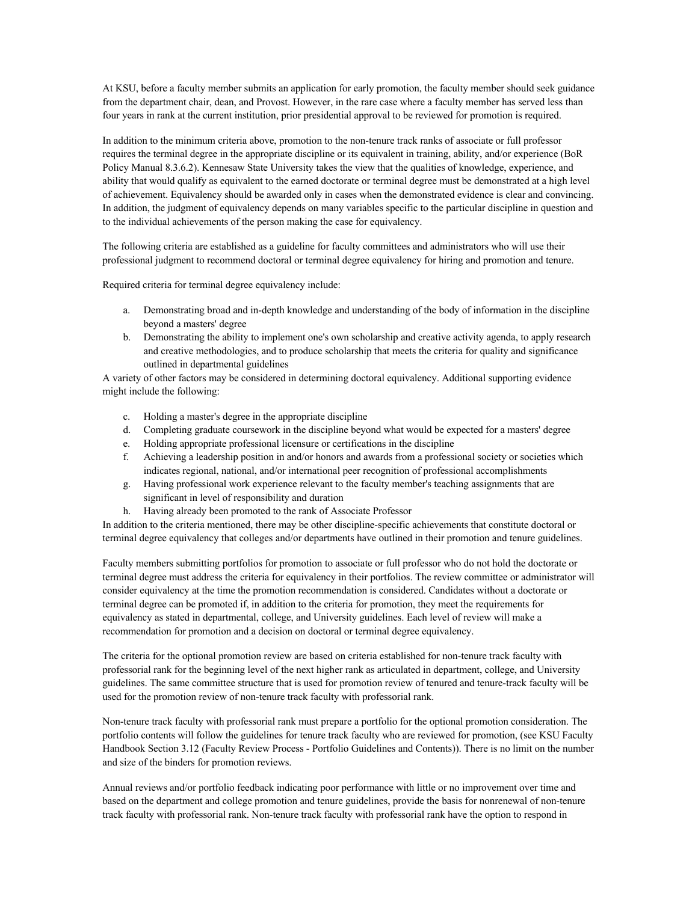At KSU, before a faculty member submits an application for early promotion, the faculty member should seek guidance from the department chair, dean, and Provost. However, in the rare case where a faculty member has served less than four years in rank at the current institution, prior presidential approval to be reviewed for promotion is required.

In addition to the minimum criteria above, promotion to the non-tenure track ranks of associate or full professor requires the terminal degree in the appropriate discipline or its equivalent in training, ability, and/or experience (BoR Policy Manual 8.3.6.2). Kennesaw State University takes the view that the qualities of knowledge, experience, and ability that would qualify as equivalent to the earned doctorate or terminal degree must be demonstrated at a high level of achievement. Equivalency should be awarded only in cases when the demonstrated evidence is clear and convincing. In addition, the judgment of equivalency depends on many variables specific to the particular discipline in question and to the individual achievements of the person making the case for equivalency.

The following criteria are established as a guideline for faculty committees and administrators who will use their professional judgment to recommend doctoral or terminal degree equivalency for hiring and promotion and tenure.

Required criteria for terminal degree equivalency include:

- a. Demonstrating broad and in-depth knowledge and understanding of the body of information in the discipline beyond a masters' degree
- b. Demonstrating the ability to implement one's own scholarship and creative activity agenda, to apply research and creative methodologies, and to produce scholarship that meets the criteria for quality and significance outlined in departmental guidelines

A variety of other factors may be considered in determining doctoral equivalency. Additional supporting evidence might include the following:

- c. Holding a master's degree in the appropriate discipline
- d. Completing graduate coursework in the discipline beyond what would be expected for a masters' degree
- e. Holding appropriate professional licensure or certifications in the discipline
- f. Achieving a leadership position in and/or honors and awards from a professional society or societies which indicates regional, national, and/or international peer recognition of professional accomplishments
- g. Having professional work experience relevant to the faculty member's teaching assignments that are significant in level of responsibility and duration
- h. Having already been promoted to the rank of Associate Professor

In addition to the criteria mentioned, there may be other discipline-specific achievements that constitute doctoral or terminal degree equivalency that colleges and/or departments have outlined in their promotion and tenure guidelines.

Faculty members submitting portfolios for promotion to associate or full professor who do not hold the doctorate or terminal degree must address the criteria for equivalency in their portfolios. The review committee or administrator will consider equivalency at the time the promotion recommendation is considered. Candidates without a doctorate or terminal degree can be promoted if, in addition to the criteria for promotion, they meet the requirements for equivalency as stated in departmental, college, and University guidelines. Each level of review will make a recommendation for promotion and a decision on doctoral or terminal degree equivalency.

The criteria for the optional promotion review are based on criteria established for non-tenure track faculty with professorial rank for the beginning level of the next higher rank as articulated in department, college, and University guidelines. The same committee structure that is used for promotion review of tenured and tenure-track faculty will be used for the promotion review of non-tenure track faculty with professorial rank.

Non-tenure track faculty with professorial rank must prepare a portfolio for the optional promotion consideration. The portfolio contents will follow the guidelines for tenure track faculty who are reviewed for promotion, (see KSU Faculty Handbook Section 3.12 (Faculty Review Process - Portfolio Guidelines and Contents)). There is no limit on the number and size of the binders for promotion reviews.

Annual reviews and/or portfolio feedback indicating poor performance with little or no improvement over time and based on the department and college promotion and tenure guidelines, provide the basis for nonrenewal of non-tenure track faculty with professorial rank. Non-tenure track faculty with professorial rank have the option to respond in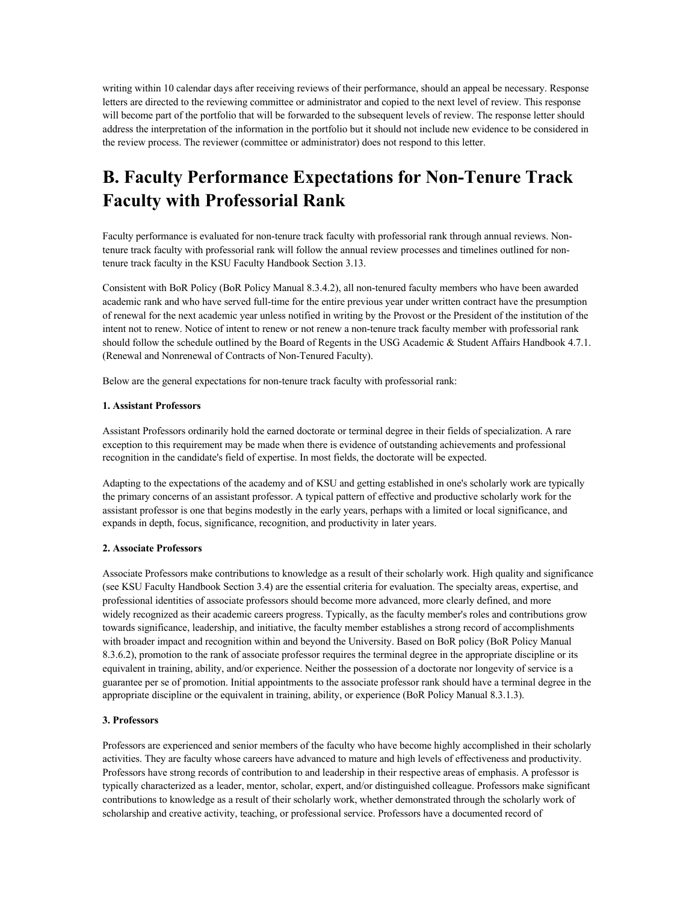writing within 10 calendar days after receiving reviews of their performance, should an appeal be necessary. Response letters are directed to the reviewing committee or administrator and copied to the next level of review. This response will become part of the portfolio that will be forwarded to the subsequent levels of review. The response letter should address the interpretation of the information in the portfolio but it should not include new evidence to be considered in the review process. The reviewer (committee or administrator) does not respond to this letter.

## **B. Faculty Performance Expectations for Non-Tenure Track Faculty with Professorial Rank**

Faculty performance is evaluated for non-tenure track faculty with professorial rank through annual reviews. Nontenure track faculty with professorial rank will follow the annual review processes and timelines outlined for nontenure track faculty in the KSU Faculty Handbook Section 3.13.

Consistent with BoR Policy (BoR Policy Manual 8.3.4.2), all non-tenured faculty members who have been awarded academic rank and who have served full-time for the entire previous year under written contract have the presumption of renewal for the next academic year unless notified in writing by the Provost or the President of the institution of the intent not to renew. Notice of intent to renew or not renew a non-tenure track faculty member with professorial rank should follow the schedule outlined by the Board of Regents in the USG Academic & Student Affairs Handbook 4.7.1. (Renewal and Nonrenewal of Contracts of Non-Tenured Faculty).

Below are the general expectations for non-tenure track faculty with professorial rank:

### **1. Assistant Professors**

Assistant Professors ordinarily hold the earned doctorate or terminal degree in their fields of specialization. A rare exception to this requirement may be made when there is evidence of outstanding achievements and professional recognition in the candidate's field of expertise. In most fields, the doctorate will be expected.

Adapting to the expectations of the academy and of KSU and getting established in one's scholarly work are typically the primary concerns of an assistant professor. A typical pattern of effective and productive scholarly work for the assistant professor is one that begins modestly in the early years, perhaps with a limited or local significance, and expands in depth, focus, significance, recognition, and productivity in later years.

#### **2. Associate Professors**

Associate Professors make contributions to knowledge as a result of their scholarly work. High quality and significance (see KSU Faculty Handbook Section 3.4) are the essential criteria for evaluation. The specialty areas, expertise, and professional identities of associate professors should become more advanced, more clearly defined, and more widely recognized as their academic careers progress. Typically, as the faculty member's roles and contributions grow towards significance, leadership, and initiative, the faculty member establishes a strong record of accomplishments with broader impact and recognition within and beyond the University. Based on BoR policy (BoR Policy Manual 8.3.6.2), promotion to the rank of associate professor requires the terminal degree in the appropriate discipline or its equivalent in training, ability, and/or experience. Neither the possession of a doctorate nor longevity of service is a guarantee per se of promotion. Initial appointments to the associate professor rank should have a terminal degree in the appropriate discipline or the equivalent in training, ability, or experience (BoR Policy Manual 8.3.1.3).

#### **3. Professors**

Professors are experienced and senior members of the faculty who have become highly accomplished in their scholarly activities. They are faculty whose careers have advanced to mature and high levels of effectiveness and productivity. Professors have strong records of contribution to and leadership in their respective areas of emphasis. A professor is typically characterized as a leader, mentor, scholar, expert, and/or distinguished colleague. Professors make significant contributions to knowledge as a result of their scholarly work, whether demonstrated through the scholarly work of scholarship and creative activity, teaching, or professional service. Professors have a documented record of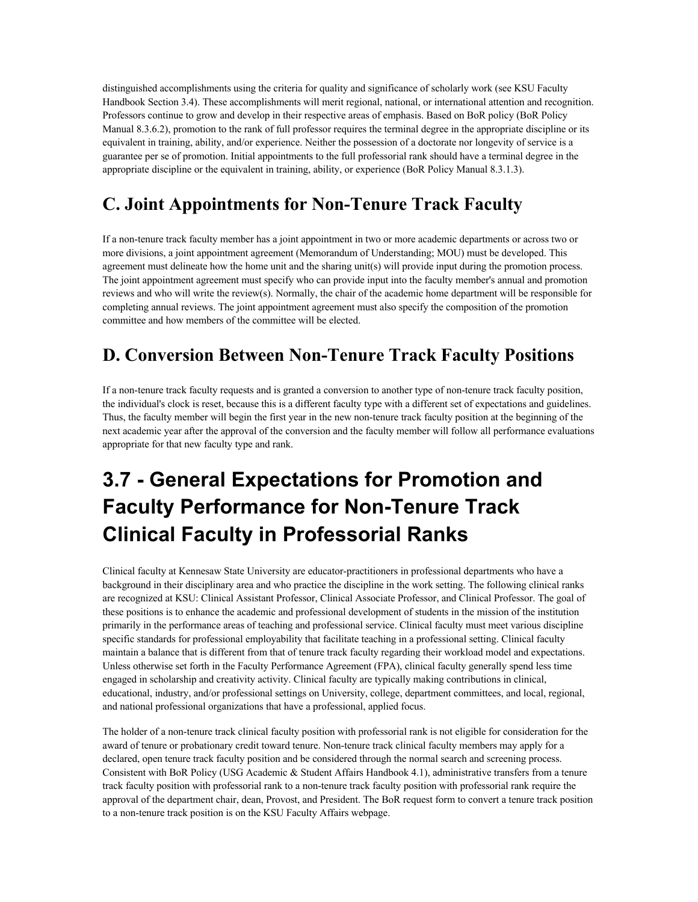distinguished accomplishments using the criteria for quality and significance of scholarly work (see KSU Faculty Handbook Section 3.4). These accomplishments will merit regional, national, or international attention and recognition. Professors continue to grow and develop in their respective areas of emphasis. Based on BoR policy (BoR Policy Manual 8.3.6.2), promotion to the rank of full professor requires the terminal degree in the appropriate discipline or its equivalent in training, ability, and/or experience. Neither the possession of a doctorate nor longevity of service is a guarantee per se of promotion. Initial appointments to the full professorial rank should have a terminal degree in the appropriate discipline or the equivalent in training, ability, or experience (BoR Policy Manual 8.3.1.3).

### **C. Joint Appointments for Non-Tenure Track Faculty**

If a non-tenure track faculty member has a joint appointment in two or more academic departments or across two or more divisions, a joint appointment agreement (Memorandum of Understanding; MOU) must be developed. This agreement must delineate how the home unit and the sharing unit(s) will provide input during the promotion process. The joint appointment agreement must specify who can provide input into the faculty member's annual and promotion reviews and who will write the review(s). Normally, the chair of the academic home department will be responsible for completing annual reviews. The joint appointment agreement must also specify the composition of the promotion committee and how members of the committee will be elected.

### **D. Conversion Between Non-Tenure Track Faculty Positions**

If a non-tenure track faculty requests and is granted a conversion to another type of non-tenure track faculty position, the individual's clock is reset, because this is a different faculty type with a different set of expectations and guidelines. Thus, the faculty member will begin the first year in the new non-tenure track faculty position at the beginning of the next academic year after the approval of the conversion and the faculty member will follow all performance evaluations appropriate for that new faculty type and rank.

# **3.7 - General Expectations for Promotion and Faculty Performance for Non-Tenure Track Clinical Faculty in Professorial Ranks**

Clinical faculty at Kennesaw State University are educator-practitioners in professional departments who have a background in their disciplinary area and who practice the discipline in the work setting. The following clinical ranks are recognized at KSU: Clinical Assistant Professor, Clinical Associate Professor, and Clinical Professor. The goal of these positions is to enhance the academic and professional development of students in the mission of the institution primarily in the performance areas of teaching and professional service. Clinical faculty must meet various discipline specific standards for professional employability that facilitate teaching in a professional setting. Clinical faculty maintain a balance that is different from that of tenure track faculty regarding their workload model and expectations. Unless otherwise set forth in the Faculty Performance Agreement (FPA), clinical faculty generally spend less time engaged in scholarship and creativity activity. Clinical faculty are typically making contributions in clinical, educational, industry, and/or professional settings on University, college, department committees, and local, regional, and national professional organizations that have a professional, applied focus.

The holder of a non-tenure track clinical faculty position with professorial rank is not eligible for consideration for the award of tenure or probationary credit toward tenure. Non-tenure track clinical faculty members may apply for a declared, open tenure track faculty position and be considered through the normal search and screening process. Consistent with BoR Policy (USG Academic & Student Affairs Handbook 4.1), administrative transfers from a tenure track faculty position with professorial rank to a non-tenure track faculty position with professorial rank require the approval of the department chair, dean, Provost, and President. The BoR request form to convert a tenure track position to a non-tenure track position is on the KSU Faculty Affairs webpage.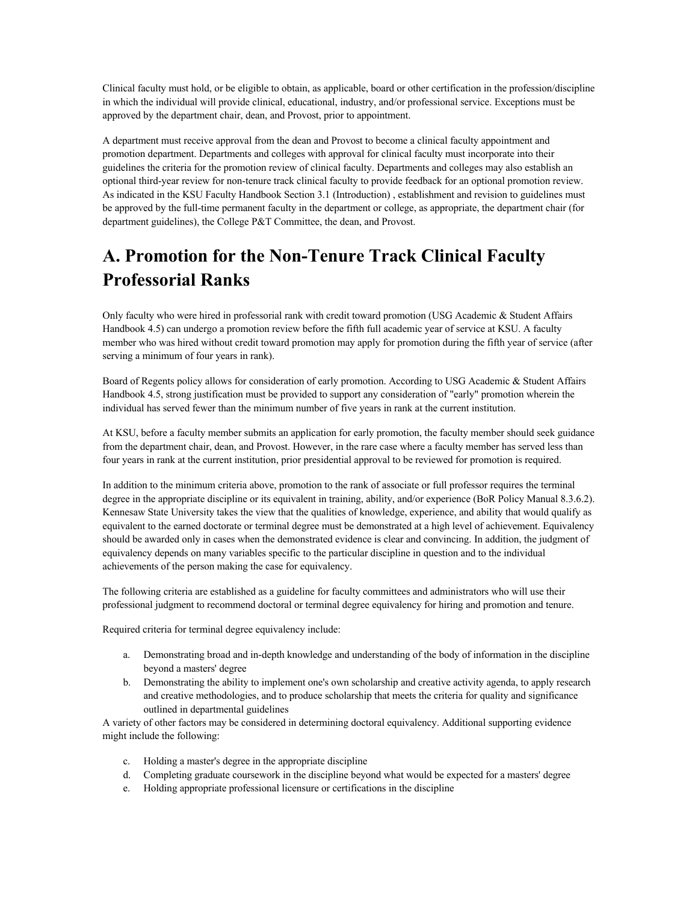Clinical faculty must hold, or be eligible to obtain, as applicable, board or other certification in the profession/discipline in which the individual will provide clinical, educational, industry, and/or professional service. Exceptions must be approved by the department chair, dean, and Provost, prior to appointment.

A department must receive approval from the dean and Provost to become a clinical faculty appointment and promotion department. Departments and colleges with approval for clinical faculty must incorporate into their guidelines the criteria for the promotion review of clinical faculty. Departments and colleges may also establish an optional third-year review for non-tenure track clinical faculty to provide feedback for an optional promotion review. As indicated in the KSU Faculty Handbook Section 3.1 (Introduction) , establishment and revision to guidelines must be approved by the full-time permanent faculty in the department or college, as appropriate, the department chair (for department guidelines), the College P&T Committee, the dean, and Provost.

## **A. Promotion for the Non-Tenure Track Clinical Faculty Professorial Ranks**

Only faculty who were hired in professorial rank with credit toward promotion (USG Academic & Student Affairs Handbook 4.5) can undergo a promotion review before the fifth full academic year of service at KSU. A faculty member who was hired without credit toward promotion may apply for promotion during the fifth year of service (after serving a minimum of four years in rank).

Board of Regents policy allows for consideration of early promotion. According to USG Academic & Student Affairs Handbook 4.5, strong justification must be provided to support any consideration of "early" promotion wherein the individual has served fewer than the minimum number of five years in rank at the current institution.

At KSU, before a faculty member submits an application for early promotion, the faculty member should seek guidance from the department chair, dean, and Provost. However, in the rare case where a faculty member has served less than four years in rank at the current institution, prior presidential approval to be reviewed for promotion is required.

In addition to the minimum criteria above, promotion to the rank of associate or full professor requires the terminal degree in the appropriate discipline or its equivalent in training, ability, and/or experience (BoR Policy Manual 8.3.6.2). Kennesaw State University takes the view that the qualities of knowledge, experience, and ability that would qualify as equivalent to the earned doctorate or terminal degree must be demonstrated at a high level of achievement. Equivalency should be awarded only in cases when the demonstrated evidence is clear and convincing. In addition, the judgment of equivalency depends on many variables specific to the particular discipline in question and to the individual achievements of the person making the case for equivalency.

The following criteria are established as a guideline for faculty committees and administrators who will use their professional judgment to recommend doctoral or terminal degree equivalency for hiring and promotion and tenure.

Required criteria for terminal degree equivalency include:

- a. Demonstrating broad and in-depth knowledge and understanding of the body of information in the discipline beyond a masters' degree
- b. Demonstrating the ability to implement one's own scholarship and creative activity agenda, to apply research and creative methodologies, and to produce scholarship that meets the criteria for quality and significance outlined in departmental guidelines

A variety of other factors may be considered in determining doctoral equivalency. Additional supporting evidence might include the following:

- c. Holding a master's degree in the appropriate discipline
- d. Completing graduate coursework in the discipline beyond what would be expected for a masters' degree
- e. Holding appropriate professional licensure or certifications in the discipline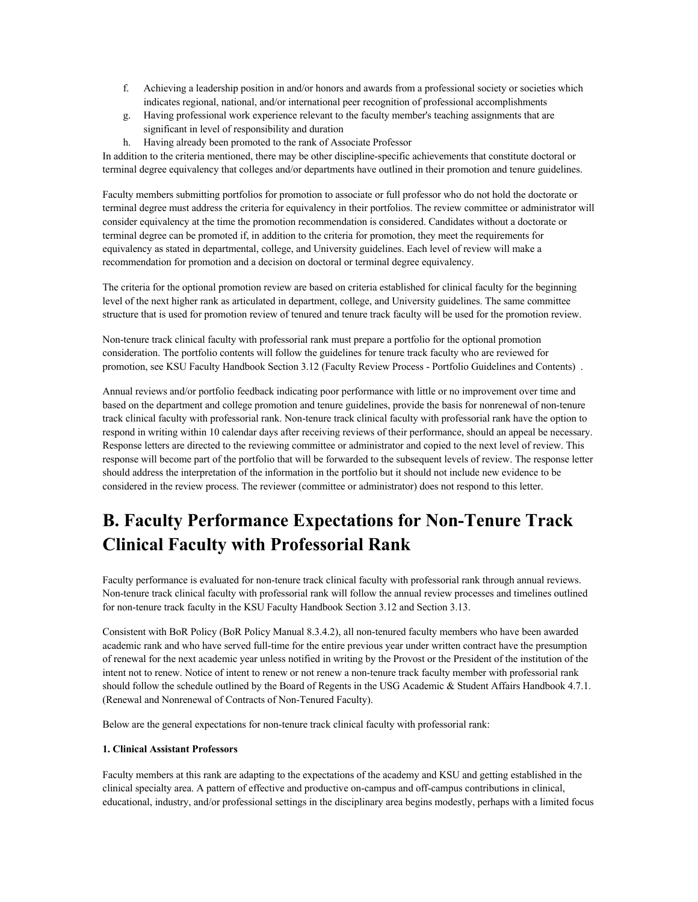- f. Achieving a leadership position in and/or honors and awards from a professional society or societies which indicates regional, national, and/or international peer recognition of professional accomplishments
- g. Having professional work experience relevant to the faculty member's teaching assignments that are significant in level of responsibility and duration
- h. Having already been promoted to the rank of Associate Professor

In addition to the criteria mentioned, there may be other discipline-specific achievements that constitute doctoral or terminal degree equivalency that colleges and/or departments have outlined in their promotion and tenure guidelines.

Faculty members submitting portfolios for promotion to associate or full professor who do not hold the doctorate or terminal degree must address the criteria for equivalency in their portfolios. The review committee or administrator will consider equivalency at the time the promotion recommendation is considered. Candidates without a doctorate or terminal degree can be promoted if, in addition to the criteria for promotion, they meet the requirements for equivalency as stated in departmental, college, and University guidelines. Each level of review will make a recommendation for promotion and a decision on doctoral or terminal degree equivalency.

The criteria for the optional promotion review are based on criteria established for clinical faculty for the beginning level of the next higher rank as articulated in department, college, and University guidelines. The same committee structure that is used for promotion review of tenured and tenure track faculty will be used for the promotion review.

Non-tenure track clinical faculty with professorial rank must prepare a portfolio for the optional promotion consideration. The portfolio contents will follow the guidelines for tenure track faculty who are reviewed for promotion, see KSU Faculty Handbook Section 3.12 (Faculty Review Process - Portfolio Guidelines and Contents) .

Annual reviews and/or portfolio feedback indicating poor performance with little or no improvement over time and based on the department and college promotion and tenure guidelines, provide the basis for nonrenewal of non-tenure track clinical faculty with professorial rank. Non-tenure track clinical faculty with professorial rank have the option to respond in writing within 10 calendar days after receiving reviews of their performance, should an appeal be necessary. Response letters are directed to the reviewing committee or administrator and copied to the next level of review. This response will become part of the portfolio that will be forwarded to the subsequent levels of review. The response letter should address the interpretation of the information in the portfolio but it should not include new evidence to be considered in the review process. The reviewer (committee or administrator) does not respond to this letter.

## **B. Faculty Performance Expectations for Non-Tenure Track Clinical Faculty with Professorial Rank**

Faculty performance is evaluated for non-tenure track clinical faculty with professorial rank through annual reviews. Non-tenure track clinical faculty with professorial rank will follow the annual review processes and timelines outlined for non-tenure track faculty in the KSU Faculty Handbook Section 3.12 and Section 3.13.

Consistent with BoR Policy (BoR Policy Manual 8.3.4.2), all non-tenured faculty members who have been awarded academic rank and who have served full-time for the entire previous year under written contract have the presumption of renewal for the next academic year unless notified in writing by the Provost or the President of the institution of the intent not to renew. Notice of intent to renew or not renew a non-tenure track faculty member with professorial rank should follow the schedule outlined by the Board of Regents in the USG Academic & Student Affairs Handbook 4.7.1. (Renewal and Nonrenewal of Contracts of Non-Tenured Faculty).

Below are the general expectations for non-tenure track clinical faculty with professorial rank:

### **1. Clinical Assistant Professors**

Faculty members at this rank are adapting to the expectations of the academy and KSU and getting established in the clinical specialty area. A pattern of effective and productive on-campus and off-campus contributions in clinical, educational, industry, and/or professional settings in the disciplinary area begins modestly, perhaps with a limited focus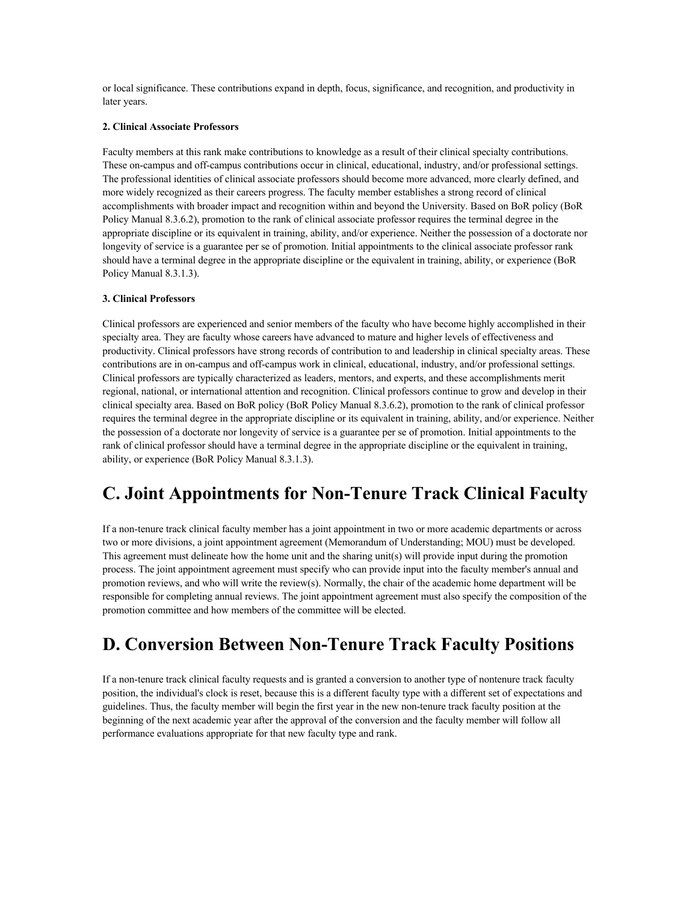or local significance. These contributions expand in depth, focus, significance, and recognition, and productivity in later years.

### **2. Clinical Associate Professors**

Faculty members at this rank make contributions to knowledge as a result of their clinical specialty contributions. These on-campus and off-campus contributions occur in clinical, educational, industry, and/or professional settings. The professional identities of clinical associate professors should become more advanced, more clearly defined, and more widely recognized as their careers progress. The faculty member establishes a strong record of clinical accomplishments with broader impact and recognition within and beyond the University. Based on BoR policy (BoR Policy Manual 8.3.6.2), promotion to the rank of clinical associate professor requires the terminal degree in the appropriate discipline or its equivalent in training, ability, and/or experience. Neither the possession of a doctorate nor longevity of service is a guarantee per se of promotion. Initial appointments to the clinical associate professor rank should have a terminal degree in the appropriate discipline or the equivalent in training, ability, or experience (BoR Policy Manual 8.3.1.3).

### **3. Clinical Professors**

Clinical professors are experienced and senior members of the faculty who have become highly accomplished in their specialty area. They are faculty whose careers have advanced to mature and higher levels of effectiveness and productivity. Clinical professors have strong records of contribution to and leadership in clinical specialty areas. These contributions are in on-campus and off-campus work in clinical, educational, industry, and/or professional settings. Clinical professors are typically characterized as leaders, mentors, and experts, and these accomplishments merit regional, national, or international attention and recognition. Clinical professors continue to grow and develop in their clinical specialty area. Based on BoR policy (BoR Policy Manual 8.3.6.2), promotion to the rank of clinical professor requires the terminal degree in the appropriate discipline or its equivalent in training, ability, and/or experience. Neither the possession of a doctorate nor longevity of service is a guarantee per se of promotion. Initial appointments to the rank of clinical professor should have a terminal degree in the appropriate discipline or the equivalent in training, ability, or experience (BoR Policy Manual 8.3.1.3).

### **C. Joint Appointments for Non-Tenure Track Clinical Faculty**

If a non-tenure track clinical faculty member has a joint appointment in two or more academic departments or across two or more divisions, a joint appointment agreement (Memorandum of Understanding; MOU) must be developed. This agreement must delineate how the home unit and the sharing unit(s) will provide input during the promotion process. The joint appointment agreement must specify who can provide input into the faculty member's annual and promotion reviews, and who will write the review(s). Normally, the chair of the academic home department will be responsible for completing annual reviews. The joint appointment agreement must also specify the composition of the promotion committee and how members of the committee will be elected.

### **D. Conversion Between Non-Tenure Track Faculty Positions**

If a non-tenure track clinical faculty requests and is granted a conversion to another type of nontenure track faculty position, the individual's clock is reset, because this is a different faculty type with a different set of expectations and guidelines. Thus, the faculty member will begin the first year in the new non-tenure track faculty position at the beginning of the next academic year after the approval of the conversion and the faculty member will follow all performance evaluations appropriate for that new faculty type and rank.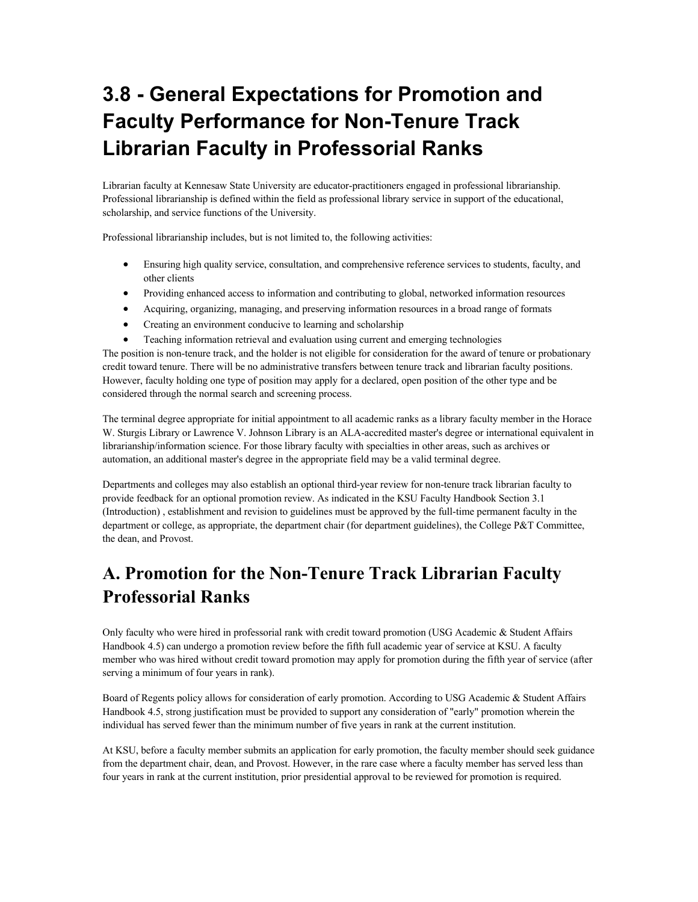# **3.8 - General Expectations for Promotion and Faculty Performance for Non-Tenure Track Librarian Faculty in Professorial Ranks**

Librarian faculty at Kennesaw State University are educator-practitioners engaged in professional librarianship. Professional librarianship is defined within the field as professional library service in support of the educational, scholarship, and service functions of the University.

Professional librarianship includes, but is not limited to, the following activities:

- Ensuring high quality service, consultation, and comprehensive reference services to students, faculty, and other clients
- Providing enhanced access to information and contributing to global, networked information resources
- Acquiring, organizing, managing, and preserving information resources in a broad range of formats
- Creating an environment conducive to learning and scholarship
- Teaching information retrieval and evaluation using current and emerging technologies

The position is non-tenure track, and the holder is not eligible for consideration for the award of tenure or probationary credit toward tenure. There will be no administrative transfers between tenure track and librarian faculty positions. However, faculty holding one type of position may apply for a declared, open position of the other type and be considered through the normal search and screening process.

The terminal degree appropriate for initial appointment to all academic ranks as a library faculty member in the Horace W. Sturgis Library or Lawrence V. Johnson Library is an ALA-accredited master's degree or international equivalent in librarianship/information science. For those library faculty with specialties in other areas, such as archives or automation, an additional master's degree in the appropriate field may be a valid terminal degree.

Departments and colleges may also establish an optional third-year review for non-tenure track librarian faculty to provide feedback for an optional promotion review. As indicated in the KSU Faculty Handbook Section 3.1 (Introduction) , establishment and revision to guidelines must be approved by the full-time permanent faculty in the department or college, as appropriate, the department chair (for department guidelines), the College P&T Committee, the dean, and Provost.

## **A. Promotion for the Non-Tenure Track Librarian Faculty Professorial Ranks**

Only faculty who were hired in professorial rank with credit toward promotion (USG Academic & Student Affairs Handbook 4.5) can undergo a promotion review before the fifth full academic year of service at KSU. A faculty member who was hired without credit toward promotion may apply for promotion during the fifth year of service (after serving a minimum of four years in rank).

Board of Regents policy allows for consideration of early promotion. According to USG Academic & Student Affairs Handbook 4.5, strong justification must be provided to support any consideration of "early" promotion wherein the individual has served fewer than the minimum number of five years in rank at the current institution.

At KSU, before a faculty member submits an application for early promotion, the faculty member should seek guidance from the department chair, dean, and Provost. However, in the rare case where a faculty member has served less than four years in rank at the current institution, prior presidential approval to be reviewed for promotion is required.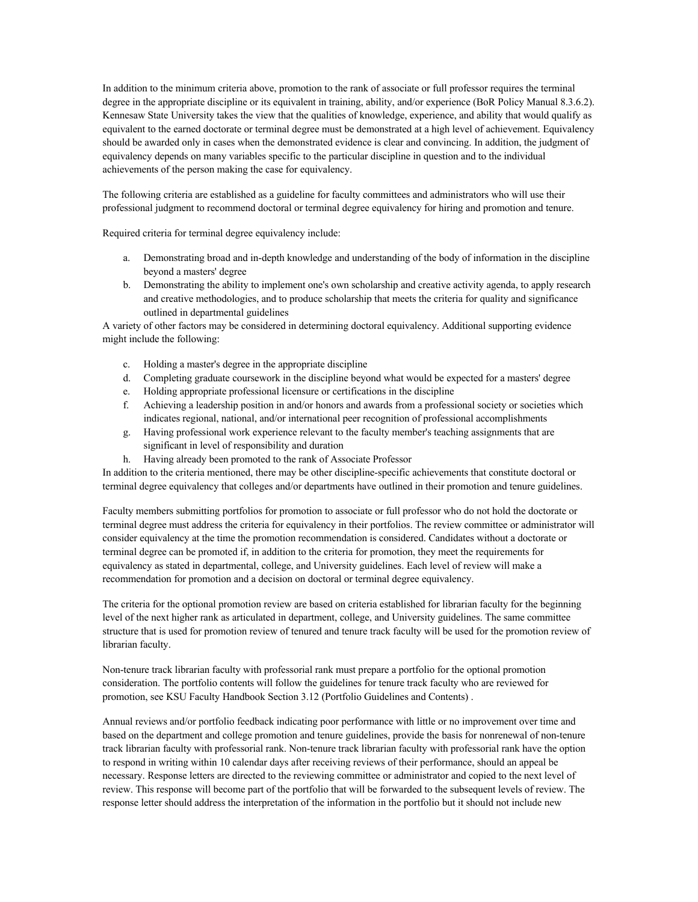In addition to the minimum criteria above, promotion to the rank of associate or full professor requires the terminal degree in the appropriate discipline or its equivalent in training, ability, and/or experience (BoR Policy Manual 8.3.6.2). Kennesaw State University takes the view that the qualities of knowledge, experience, and ability that would qualify as equivalent to the earned doctorate or terminal degree must be demonstrated at a high level of achievement. Equivalency should be awarded only in cases when the demonstrated evidence is clear and convincing. In addition, the judgment of equivalency depends on many variables specific to the particular discipline in question and to the individual achievements of the person making the case for equivalency.

The following criteria are established as a guideline for faculty committees and administrators who will use their professional judgment to recommend doctoral or terminal degree equivalency for hiring and promotion and tenure.

Required criteria for terminal degree equivalency include:

- a. Demonstrating broad and in-depth knowledge and understanding of the body of information in the discipline beyond a masters' degree
- b. Demonstrating the ability to implement one's own scholarship and creative activity agenda, to apply research and creative methodologies, and to produce scholarship that meets the criteria for quality and significance outlined in departmental guidelines

A variety of other factors may be considered in determining doctoral equivalency. Additional supporting evidence might include the following:

- c. Holding a master's degree in the appropriate discipline
- d. Completing graduate coursework in the discipline beyond what would be expected for a masters' degree
- e. Holding appropriate professional licensure or certifications in the discipline
- f. Achieving a leadership position in and/or honors and awards from a professional society or societies which indicates regional, national, and/or international peer recognition of professional accomplishments
- g. Having professional work experience relevant to the faculty member's teaching assignments that are significant in level of responsibility and duration
- h. Having already been promoted to the rank of Associate Professor

In addition to the criteria mentioned, there may be other discipline-specific achievements that constitute doctoral or terminal degree equivalency that colleges and/or departments have outlined in their promotion and tenure guidelines.

Faculty members submitting portfolios for promotion to associate or full professor who do not hold the doctorate or terminal degree must address the criteria for equivalency in their portfolios. The review committee or administrator will consider equivalency at the time the promotion recommendation is considered. Candidates without a doctorate or terminal degree can be promoted if, in addition to the criteria for promotion, they meet the requirements for equivalency as stated in departmental, college, and University guidelines. Each level of review will make a recommendation for promotion and a decision on doctoral or terminal degree equivalency.

The criteria for the optional promotion review are based on criteria established for librarian faculty for the beginning level of the next higher rank as articulated in department, college, and University guidelines. The same committee structure that is used for promotion review of tenured and tenure track faculty will be used for the promotion review of librarian faculty.

Non-tenure track librarian faculty with professorial rank must prepare a portfolio for the optional promotion consideration. The portfolio contents will follow the guidelines for tenure track faculty who are reviewed for promotion, see KSU Faculty Handbook Section 3.12 (Portfolio Guidelines and Contents) .

Annual reviews and/or portfolio feedback indicating poor performance with little or no improvement over time and based on the department and college promotion and tenure guidelines, provide the basis for nonrenewal of non-tenure track librarian faculty with professorial rank. Non-tenure track librarian faculty with professorial rank have the option to respond in writing within 10 calendar days after receiving reviews of their performance, should an appeal be necessary. Response letters are directed to the reviewing committee or administrator and copied to the next level of review. This response will become part of the portfolio that will be forwarded to the subsequent levels of review. The response letter should address the interpretation of the information in the portfolio but it should not include new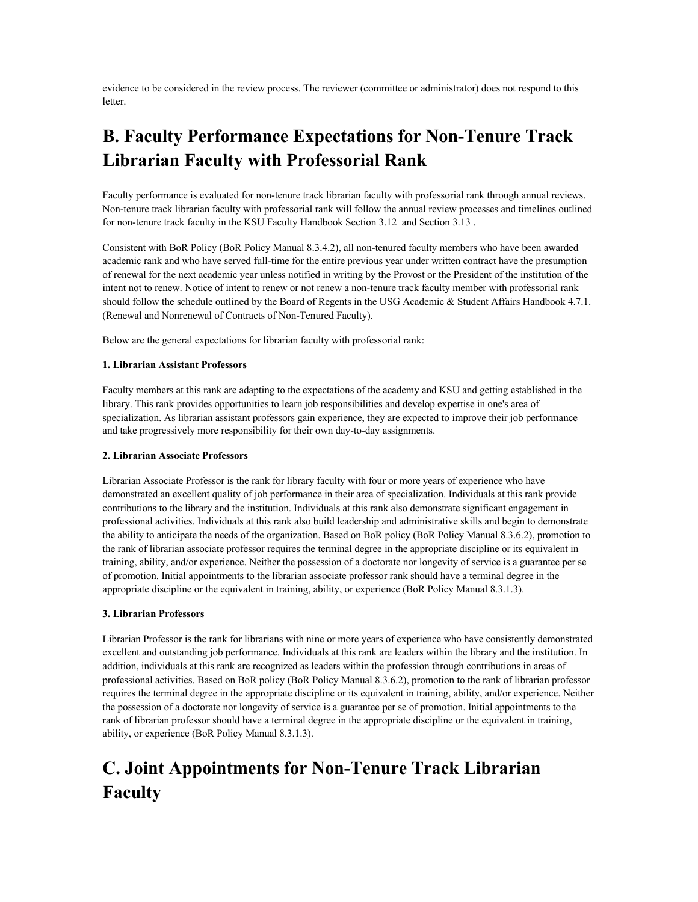evidence to be considered in the review process. The reviewer (committee or administrator) does not respond to this letter.

## **B. Faculty Performance Expectations for Non-Tenure Track Librarian Faculty with Professorial Rank**

Faculty performance is evaluated for non-tenure track librarian faculty with professorial rank through annual reviews. Non-tenure track librarian faculty with professorial rank will follow the annual review processes and timelines outlined for non-tenure track faculty in the KSU Faculty Handbook Section 3.12 and Section 3.13 .

Consistent with BoR Policy (BoR Policy Manual 8.3.4.2), all non-tenured faculty members who have been awarded academic rank and who have served full-time for the entire previous year under written contract have the presumption of renewal for the next academic year unless notified in writing by the Provost or the President of the institution of the intent not to renew. Notice of intent to renew or not renew a non-tenure track faculty member with professorial rank should follow the schedule outlined by the Board of Regents in the USG Academic & Student Affairs Handbook 4.7.1. (Renewal and Nonrenewal of Contracts of Non-Tenured Faculty).

Below are the general expectations for librarian faculty with professorial rank:

### **1. Librarian Assistant Professors**

Faculty members at this rank are adapting to the expectations of the academy and KSU and getting established in the library. This rank provides opportunities to learn job responsibilities and develop expertise in one's area of specialization. As librarian assistant professors gain experience, they are expected to improve their job performance and take progressively more responsibility for their own day-to-day assignments.

#### **2. Librarian Associate Professors**

Librarian Associate Professor is the rank for library faculty with four or more years of experience who have demonstrated an excellent quality of job performance in their area of specialization. Individuals at this rank provide contributions to the library and the institution. Individuals at this rank also demonstrate significant engagement in professional activities. Individuals at this rank also build leadership and administrative skills and begin to demonstrate the ability to anticipate the needs of the organization. Based on BoR policy (BoR Policy Manual 8.3.6.2), promotion to the rank of librarian associate professor requires the terminal degree in the appropriate discipline or its equivalent in training, ability, and/or experience. Neither the possession of a doctorate nor longevity of service is a guarantee per se of promotion. Initial appointments to the librarian associate professor rank should have a terminal degree in the appropriate discipline or the equivalent in training, ability, or experience (BoR Policy Manual 8.3.1.3).

#### **3. Librarian Professors**

Librarian Professor is the rank for librarians with nine or more years of experience who have consistently demonstrated excellent and outstanding job performance. Individuals at this rank are leaders within the library and the institution. In addition, individuals at this rank are recognized as leaders within the profession through contributions in areas of professional activities. Based on BoR policy (BoR Policy Manual 8.3.6.2), promotion to the rank of librarian professor requires the terminal degree in the appropriate discipline or its equivalent in training, ability, and/or experience. Neither the possession of a doctorate nor longevity of service is a guarantee per se of promotion. Initial appointments to the rank of librarian professor should have a terminal degree in the appropriate discipline or the equivalent in training, ability, or experience (BoR Policy Manual 8.3.1.3).

### **C. Joint Appointments for Non-Tenure Track Librarian Faculty**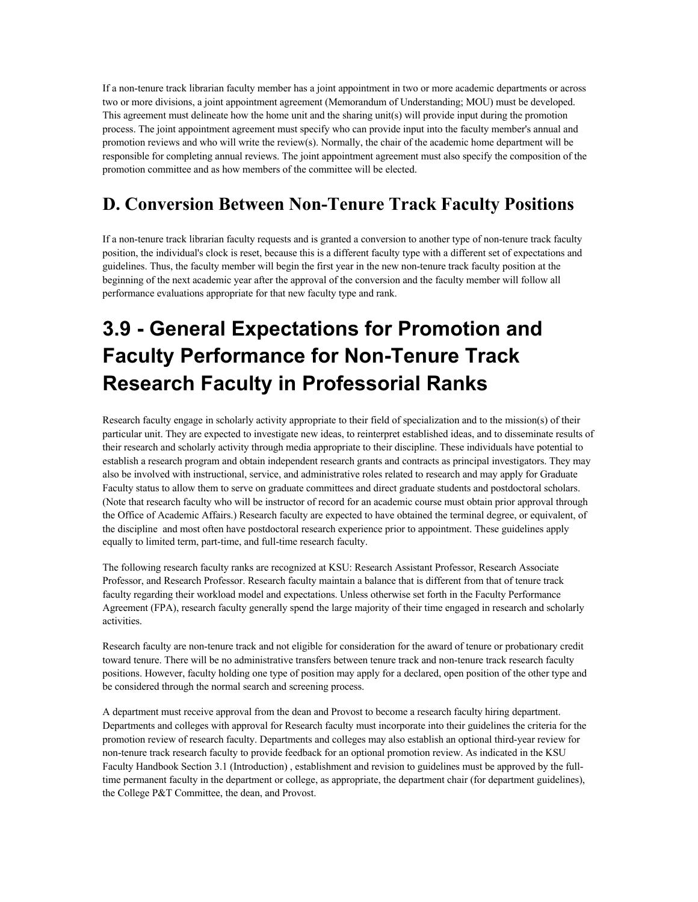If a non-tenure track librarian faculty member has a joint appointment in two or more academic departments or across two or more divisions, a joint appointment agreement (Memorandum of Understanding; MOU) must be developed. This agreement must delineate how the home unit and the sharing unit(s) will provide input during the promotion process. The joint appointment agreement must specify who can provide input into the faculty member's annual and promotion reviews and who will write the review(s). Normally, the chair of the academic home department will be responsible for completing annual reviews. The joint appointment agreement must also specify the composition of the promotion committee and as how members of the committee will be elected.

### **D. Conversion Between Non-Tenure Track Faculty Positions**

If a non-tenure track librarian faculty requests and is granted a conversion to another type of non-tenure track faculty position, the individual's clock is reset, because this is a different faculty type with a different set of expectations and guidelines. Thus, the faculty member will begin the first year in the new non-tenure track faculty position at the beginning of the next academic year after the approval of the conversion and the faculty member will follow all performance evaluations appropriate for that new faculty type and rank.

# **3.9 - General Expectations for Promotion and Faculty Performance for Non-Tenure Track Research Faculty in Professorial Ranks**

Research faculty engage in scholarly activity appropriate to their field of specialization and to the mission(s) of their particular unit. They are expected to investigate new ideas, to reinterpret established ideas, and to disseminate results of their research and scholarly activity through media appropriate to their discipline. These individuals have potential to establish a research program and obtain independent research grants and contracts as principal investigators. They may also be involved with instructional, service, and administrative roles related to research and may apply for Graduate Faculty status to allow them to serve on graduate committees and direct graduate students and postdoctoral scholars. (Note that research faculty who will be instructor of record for an academic course must obtain prior approval through the Office of Academic Affairs.) Research faculty are expected to have obtained the terminal degree, or equivalent, of the discipline and most often have postdoctoral research experience prior to appointment. These guidelines apply equally to limited term, part-time, and full-time research faculty.

The following research faculty ranks are recognized at KSU: Research Assistant Professor, Research Associate Professor, and Research Professor. Research faculty maintain a balance that is different from that of tenure track faculty regarding their workload model and expectations. Unless otherwise set forth in the Faculty Performance Agreement (FPA), research faculty generally spend the large majority of their time engaged in research and scholarly activities.

Research faculty are non-tenure track and not eligible for consideration for the award of tenure or probationary credit toward tenure. There will be no administrative transfers between tenure track and non-tenure track research faculty positions. However, faculty holding one type of position may apply for a declared, open position of the other type and be considered through the normal search and screening process.

A department must receive approval from the dean and Provost to become a research faculty hiring department. Departments and colleges with approval for Research faculty must incorporate into their guidelines the criteria for the promotion review of research faculty. Departments and colleges may also establish an optional third-year review for non-tenure track research faculty to provide feedback for an optional promotion review. As indicated in the KSU Faculty Handbook Section 3.1 (Introduction) , establishment and revision to guidelines must be approved by the fulltime permanent faculty in the department or college, as appropriate, the department chair (for department guidelines), the College P&T Committee, the dean, and Provost.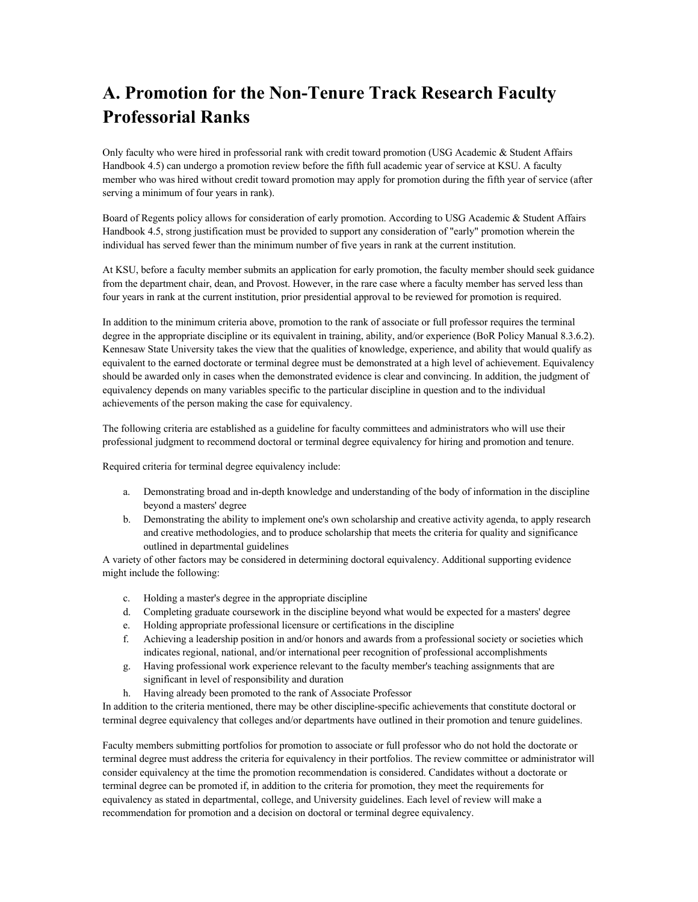## **A. Promotion for the Non-Tenure Track Research Faculty Professorial Ranks**

Only faculty who were hired in professorial rank with credit toward promotion (USG Academic & Student Affairs Handbook 4.5) can undergo a promotion review before the fifth full academic year of service at KSU. A faculty member who was hired without credit toward promotion may apply for promotion during the fifth year of service (after serving a minimum of four years in rank).

Board of Regents policy allows for consideration of early promotion. According to USG Academic & Student Affairs Handbook 4.5, strong justification must be provided to support any consideration of "early" promotion wherein the individual has served fewer than the minimum number of five years in rank at the current institution.

At KSU, before a faculty member submits an application for early promotion, the faculty member should seek guidance from the department chair, dean, and Provost. However, in the rare case where a faculty member has served less than four years in rank at the current institution, prior presidential approval to be reviewed for promotion is required.

In addition to the minimum criteria above, promotion to the rank of associate or full professor requires the terminal degree in the appropriate discipline or its equivalent in training, ability, and/or experience (BoR Policy Manual 8.3.6.2). Kennesaw State University takes the view that the qualities of knowledge, experience, and ability that would qualify as equivalent to the earned doctorate or terminal degree must be demonstrated at a high level of achievement. Equivalency should be awarded only in cases when the demonstrated evidence is clear and convincing. In addition, the judgment of equivalency depends on many variables specific to the particular discipline in question and to the individual achievements of the person making the case for equivalency.

The following criteria are established as a guideline for faculty committees and administrators who will use their professional judgment to recommend doctoral or terminal degree equivalency for hiring and promotion and tenure.

Required criteria for terminal degree equivalency include:

- a. Demonstrating broad and in-depth knowledge and understanding of the body of information in the discipline beyond a masters' degree
- b. Demonstrating the ability to implement one's own scholarship and creative activity agenda, to apply research and creative methodologies, and to produce scholarship that meets the criteria for quality and significance outlined in departmental guidelines

A variety of other factors may be considered in determining doctoral equivalency. Additional supporting evidence might include the following:

- c. Holding a master's degree in the appropriate discipline
- d. Completing graduate coursework in the discipline beyond what would be expected for a masters' degree
- e. Holding appropriate professional licensure or certifications in the discipline
- f. Achieving a leadership position in and/or honors and awards from a professional society or societies which indicates regional, national, and/or international peer recognition of professional accomplishments
- g. Having professional work experience relevant to the faculty member's teaching assignments that are significant in level of responsibility and duration
- h. Having already been promoted to the rank of Associate Professor

In addition to the criteria mentioned, there may be other discipline-specific achievements that constitute doctoral or terminal degree equivalency that colleges and/or departments have outlined in their promotion and tenure guidelines.

Faculty members submitting portfolios for promotion to associate or full professor who do not hold the doctorate or terminal degree must address the criteria for equivalency in their portfolios. The review committee or administrator will consider equivalency at the time the promotion recommendation is considered. Candidates without a doctorate or terminal degree can be promoted if, in addition to the criteria for promotion, they meet the requirements for equivalency as stated in departmental, college, and University guidelines. Each level of review will make a recommendation for promotion and a decision on doctoral or terminal degree equivalency.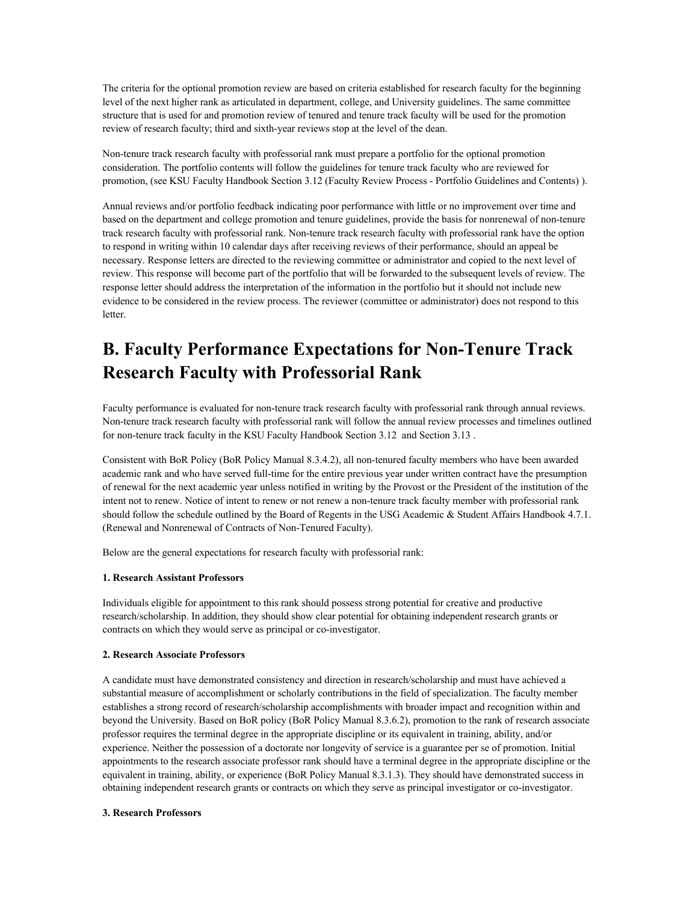The criteria for the optional promotion review are based on criteria established for research faculty for the beginning level of the next higher rank as articulated in department, college, and University guidelines. The same committee structure that is used for and promotion review of tenured and tenure track faculty will be used for the promotion review of research faculty; third and sixth-year reviews stop at the level of the dean.

Non-tenure track research faculty with professorial rank must prepare a portfolio for the optional promotion consideration. The portfolio contents will follow the guidelines for tenure track faculty who are reviewed for promotion, (see KSU Faculty Handbook Section 3.12 (Faculty Review Process - Portfolio Guidelines and Contents) ).

Annual reviews and/or portfolio feedback indicating poor performance with little or no improvement over time and based on the department and college promotion and tenure guidelines, provide the basis for nonrenewal of non-tenure track research faculty with professorial rank. Non-tenure track research faculty with professorial rank have the option to respond in writing within 10 calendar days after receiving reviews of their performance, should an appeal be necessary. Response letters are directed to the reviewing committee or administrator and copied to the next level of review. This response will become part of the portfolio that will be forwarded to the subsequent levels of review. The response letter should address the interpretation of the information in the portfolio but it should not include new evidence to be considered in the review process. The reviewer (committee or administrator) does not respond to this letter.

## **B. Faculty Performance Expectations for Non-Tenure Track Research Faculty with Professorial Rank**

Faculty performance is evaluated for non-tenure track research faculty with professorial rank through annual reviews. Non-tenure track research faculty with professorial rank will follow the annual review processes and timelines outlined for non-tenure track faculty in the KSU Faculty Handbook Section 3.12 and Section 3.13 .

Consistent with BoR Policy (BoR Policy Manual 8.3.4.2), all non-tenured faculty members who have been awarded academic rank and who have served full-time for the entire previous year under written contract have the presumption of renewal for the next academic year unless notified in writing by the Provost or the President of the institution of the intent not to renew. Notice of intent to renew or not renew a non-tenure track faculty member with professorial rank should follow the schedule outlined by the Board of Regents in the USG Academic & Student Affairs Handbook 4.7.1. (Renewal and Nonrenewal of Contracts of Non-Tenured Faculty).

Below are the general expectations for research faculty with professorial rank:

#### **1. Research Assistant Professors**

Individuals eligible for appointment to this rank should possess strong potential for creative and productive research/scholarship. In addition, they should show clear potential for obtaining independent research grants or contracts on which they would serve as principal or co-investigator.

#### **2. Research Associate Professors**

A candidate must have demonstrated consistency and direction in research/scholarship and must have achieved a substantial measure of accomplishment or scholarly contributions in the field of specialization. The faculty member establishes a strong record of research/scholarship accomplishments with broader impact and recognition within and beyond the University. Based on BoR policy (BoR Policy Manual 8.3.6.2), promotion to the rank of research associate professor requires the terminal degree in the appropriate discipline or its equivalent in training, ability, and/or experience. Neither the possession of a doctorate nor longevity of service is a guarantee per se of promotion. Initial appointments to the research associate professor rank should have a terminal degree in the appropriate discipline or the equivalent in training, ability, or experience (BoR Policy Manual 8.3.1.3). They should have demonstrated success in obtaining independent research grants or contracts on which they serve as principal investigator or co-investigator.

#### **3. Research Professors**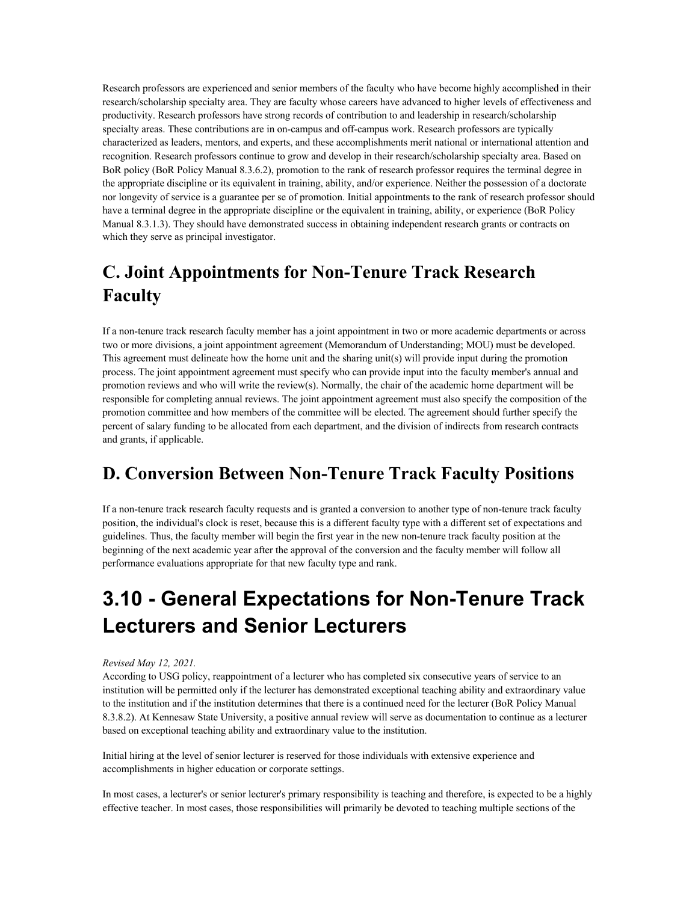Research professors are experienced and senior members of the faculty who have become highly accomplished in their research/scholarship specialty area. They are faculty whose careers have advanced to higher levels of effectiveness and productivity. Research professors have strong records of contribution to and leadership in research/scholarship specialty areas. These contributions are in on-campus and off-campus work. Research professors are typically characterized as leaders, mentors, and experts, and these accomplishments merit national or international attention and recognition. Research professors continue to grow and develop in their research/scholarship specialty area. Based on BoR policy (BoR Policy Manual 8.3.6.2), promotion to the rank of research professor requires the terminal degree in the appropriate discipline or its equivalent in training, ability, and/or experience. Neither the possession of a doctorate nor longevity of service is a guarantee per se of promotion. Initial appointments to the rank of research professor should have a terminal degree in the appropriate discipline or the equivalent in training, ability, or experience (BoR Policy Manual 8.3.1.3). They should have demonstrated success in obtaining independent research grants or contracts on which they serve as principal investigator.

## **C. Joint Appointments for Non-Tenure Track Research Faculty**

If a non-tenure track research faculty member has a joint appointment in two or more academic departments or across two or more divisions, a joint appointment agreement (Memorandum of Understanding; MOU) must be developed. This agreement must delineate how the home unit and the sharing unit(s) will provide input during the promotion process. The joint appointment agreement must specify who can provide input into the faculty member's annual and promotion reviews and who will write the review(s). Normally, the chair of the academic home department will be responsible for completing annual reviews. The joint appointment agreement must also specify the composition of the promotion committee and how members of the committee will be elected. The agreement should further specify the percent of salary funding to be allocated from each department, and the division of indirects from research contracts and grants, if applicable.

### **D. Conversion Between Non-Tenure Track Faculty Positions**

If a non-tenure track research faculty requests and is granted a conversion to another type of non-tenure track faculty position, the individual's clock is reset, because this is a different faculty type with a different set of expectations and guidelines. Thus, the faculty member will begin the first year in the new non-tenure track faculty position at the beginning of the next academic year after the approval of the conversion and the faculty member will follow all performance evaluations appropriate for that new faculty type and rank.

# **3.10 - General Expectations for Non-Tenure Track Lecturers and Senior Lecturers**

### *Revised May 12, 2021.*

According to USG policy, reappointment of a lecturer who has completed six consecutive years of service to an institution will be permitted only if the lecturer has demonstrated exceptional teaching ability and extraordinary value to the institution and if the institution determines that there is a continued need for the lecturer (BoR Policy Manual 8.3.8.2). At Kennesaw State University, a positive annual review will serve as documentation to continue as a lecturer based on exceptional teaching ability and extraordinary value to the institution.

Initial hiring at the level of senior lecturer is reserved for those individuals with extensive experience and accomplishments in higher education or corporate settings.

In most cases, a lecturer's or senior lecturer's primary responsibility is teaching and therefore, is expected to be a highly effective teacher. In most cases, those responsibilities will primarily be devoted to teaching multiple sections of the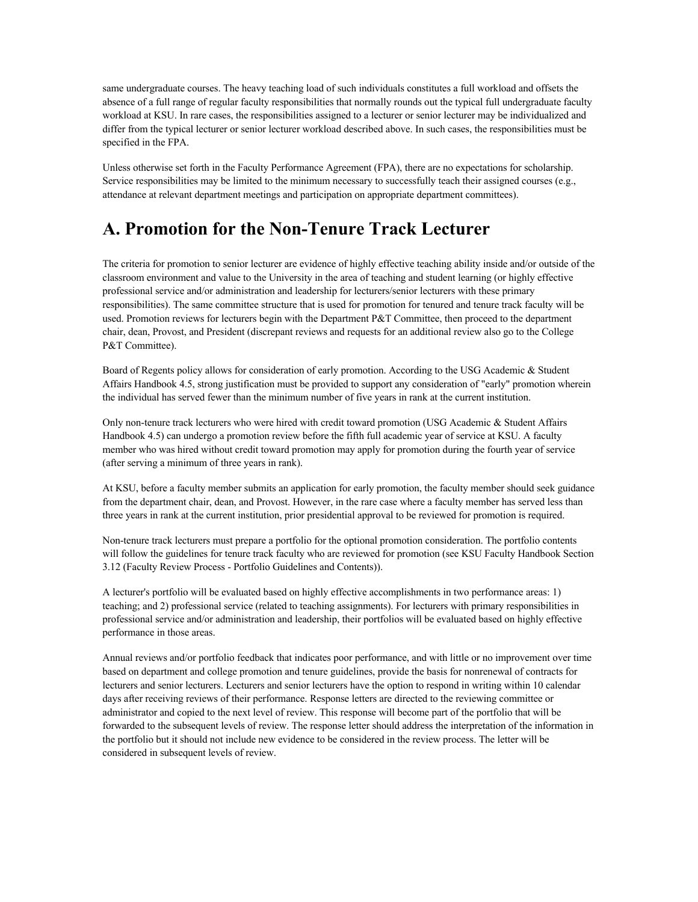same undergraduate courses. The heavy teaching load of such individuals constitutes a full workload and offsets the absence of a full range of regular faculty responsibilities that normally rounds out the typical full undergraduate faculty workload at KSU. In rare cases, the responsibilities assigned to a lecturer or senior lecturer may be individualized and differ from the typical lecturer or senior lecturer workload described above. In such cases, the responsibilities must be specified in the FPA.

Unless otherwise set forth in the Faculty Performance Agreement (FPA), there are no expectations for scholarship. Service responsibilities may be limited to the minimum necessary to successfully teach their assigned courses (e.g., attendance at relevant department meetings and participation on appropriate department committees).

### **A. Promotion for the Non-Tenure Track Lecturer**

The criteria for promotion to senior lecturer are evidence of highly effective teaching ability inside and/or outside of the classroom environment and value to the University in the area of teaching and student learning (or highly effective professional service and/or administration and leadership for lecturers/senior lecturers with these primary responsibilities). The same committee structure that is used for promotion for tenured and tenure track faculty will be used. Promotion reviews for lecturers begin with the Department P&T Committee, then proceed to the department chair, dean, Provost, and President (discrepant reviews and requests for an additional review also go to the College P&T Committee).

Board of Regents policy allows for consideration of early promotion. According to the USG Academic & Student Affairs Handbook 4.5, strong justification must be provided to support any consideration of "early" promotion wherein the individual has served fewer than the minimum number of five years in rank at the current institution.

Only non-tenure track lecturers who were hired with credit toward promotion (USG Academic & Student Affairs Handbook 4.5) can undergo a promotion review before the fifth full academic year of service at KSU. A faculty member who was hired without credit toward promotion may apply for promotion during the fourth year of service (after serving a minimum of three years in rank).

At KSU, before a faculty member submits an application for early promotion, the faculty member should seek guidance from the department chair, dean, and Provost. However, in the rare case where a faculty member has served less than three years in rank at the current institution, prior presidential approval to be reviewed for promotion is required.

Non-tenure track lecturers must prepare a portfolio for the optional promotion consideration. The portfolio contents will follow the guidelines for tenure track faculty who are reviewed for promotion (see KSU Faculty Handbook Section 3.12 (Faculty Review Process - Portfolio Guidelines and Contents)).

A lecturer's portfolio will be evaluated based on highly effective accomplishments in two performance areas: 1) teaching; and 2) professional service (related to teaching assignments). For lecturers with primary responsibilities in professional service and/or administration and leadership, their portfolios will be evaluated based on highly effective performance in those areas.

Annual reviews and/or portfolio feedback that indicates poor performance, and with little or no improvement over time based on department and college promotion and tenure guidelines, provide the basis for nonrenewal of contracts for lecturers and senior lecturers. Lecturers and senior lecturers have the option to respond in writing within 10 calendar days after receiving reviews of their performance. Response letters are directed to the reviewing committee or administrator and copied to the next level of review. This response will become part of the portfolio that will be forwarded to the subsequent levels of review. The response letter should address the interpretation of the information in the portfolio but it should not include new evidence to be considered in the review process. The letter will be considered in subsequent levels of review.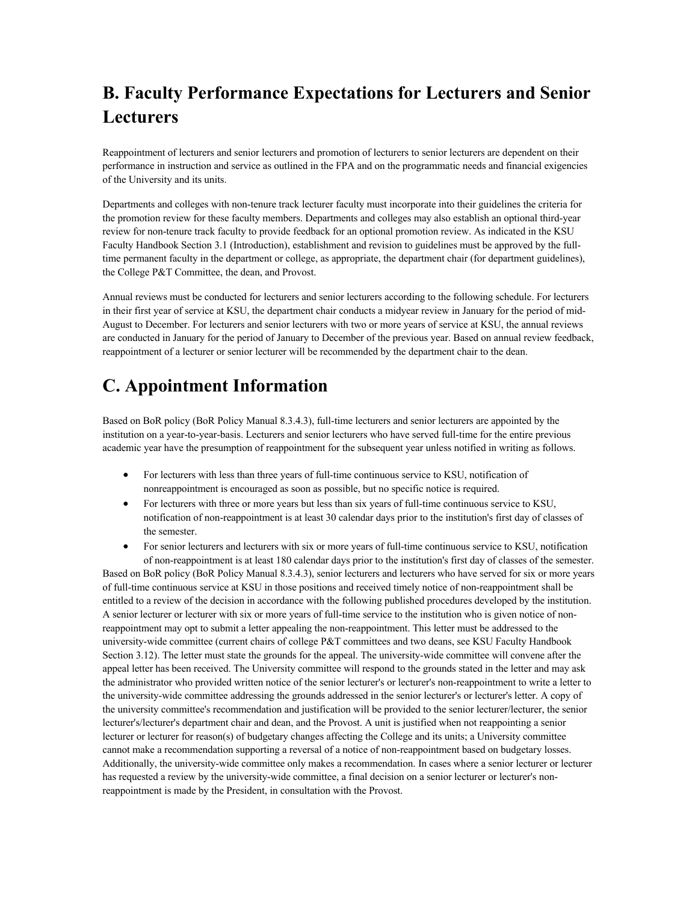## **B. Faculty Performance Expectations for Lecturers and Senior Lecturers**

Reappointment of lecturers and senior lecturers and promotion of lecturers to senior lecturers are dependent on their performance in instruction and service as outlined in the FPA and on the programmatic needs and financial exigencies of the University and its units.

Departments and colleges with non-tenure track lecturer faculty must incorporate into their guidelines the criteria for the promotion review for these faculty members. Departments and colleges may also establish an optional third-year review for non-tenure track faculty to provide feedback for an optional promotion review. As indicated in the KSU Faculty Handbook Section 3.1 (Introduction), establishment and revision to guidelines must be approved by the fulltime permanent faculty in the department or college, as appropriate, the department chair (for department guidelines), the College P&T Committee, the dean, and Provost.

Annual reviews must be conducted for lecturers and senior lecturers according to the following schedule. For lecturers in their first year of service at KSU, the department chair conducts a midyear review in January for the period of mid-August to December. For lecturers and senior lecturers with two or more years of service at KSU, the annual reviews are conducted in January for the period of January to December of the previous year. Based on annual review feedback, reappointment of a lecturer or senior lecturer will be recommended by the department chair to the dean.

### **C. Appointment Information**

Based on BoR policy (BoR Policy Manual 8.3.4.3), full-time lecturers and senior lecturers are appointed by the institution on a year-to-year-basis. Lecturers and senior lecturers who have served full-time for the entire previous academic year have the presumption of reappointment for the subsequent year unless notified in writing as follows.

- For lecturers with less than three years of full-time continuous service to KSU, notification of nonreappointment is encouraged as soon as possible, but no specific notice is required.
- For lecturers with three or more years but less than six years of full-time continuous service to KSU, notification of non-reappointment is at least 30 calendar days prior to the institution's first day of classes of the semester.
- For senior lecturers and lecturers with six or more years of full-time continuous service to KSU, notification of non-reappointment is at least 180 calendar days prior to the institution's first day of classes of the semester.

Based on BoR policy (BoR Policy Manual 8.3.4.3), senior lecturers and lecturers who have served for six or more years of full-time continuous service at KSU in those positions and received timely notice of non-reappointment shall be entitled to a review of the decision in accordance with the following published procedures developed by the institution. A senior lecturer or lecturer with six or more years of full-time service to the institution who is given notice of nonreappointment may opt to submit a letter appealing the non-reappointment. This letter must be addressed to the university-wide committee (current chairs of college P&T committees and two deans, see KSU Faculty Handbook Section 3.12). The letter must state the grounds for the appeal. The university-wide committee will convene after the appeal letter has been received. The University committee will respond to the grounds stated in the letter and may ask the administrator who provided written notice of the senior lecturer's or lecturer's non-reappointment to write a letter to the university-wide committee addressing the grounds addressed in the senior lecturer's or lecturer's letter. A copy of the university committee's recommendation and justification will be provided to the senior lecturer/lecturer, the senior lecturer's/lecturer's department chair and dean, and the Provost. A unit is justified when not reappointing a senior lecturer or lecturer for reason(s) of budgetary changes affecting the College and its units; a University committee cannot make a recommendation supporting a reversal of a notice of non-reappointment based on budgetary losses. Additionally, the university-wide committee only makes a recommendation. In cases where a senior lecturer or lecturer has requested a review by the university-wide committee, a final decision on a senior lecturer or lecturer's nonreappointment is made by the President, in consultation with the Provost.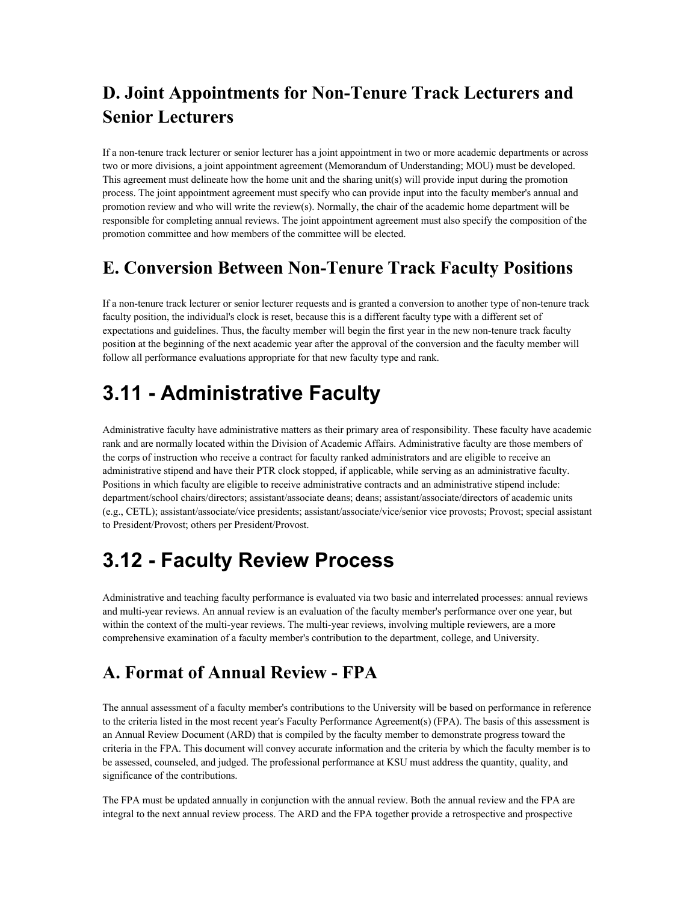## **D. Joint Appointments for Non-Tenure Track Lecturers and Senior Lecturers**

If a non-tenure track lecturer or senior lecturer has a joint appointment in two or more academic departments or across two or more divisions, a joint appointment agreement (Memorandum of Understanding; MOU) must be developed. This agreement must delineate how the home unit and the sharing unit(s) will provide input during the promotion process. The joint appointment agreement must specify who can provide input into the faculty member's annual and promotion review and who will write the review(s). Normally, the chair of the academic home department will be responsible for completing annual reviews. The joint appointment agreement must also specify the composition of the promotion committee and how members of the committee will be elected.

### **E. Conversion Between Non-Tenure Track Faculty Positions**

If a non-tenure track lecturer or senior lecturer requests and is granted a conversion to another type of non-tenure track faculty position, the individual's clock is reset, because this is a different faculty type with a different set of expectations and guidelines. Thus, the faculty member will begin the first year in the new non-tenure track faculty position at the beginning of the next academic year after the approval of the conversion and the faculty member will follow all performance evaluations appropriate for that new faculty type and rank.

# **3.11 - Administrative Faculty**

Administrative faculty have administrative matters as their primary area of responsibility. These faculty have academic rank and are normally located within the Division of Academic Affairs. Administrative faculty are those members of the corps of instruction who receive a contract for faculty ranked administrators and are eligible to receive an administrative stipend and have their PTR clock stopped, if applicable, while serving as an administrative faculty. Positions in which faculty are eligible to receive administrative contracts and an administrative stipend include: department/school chairs/directors; assistant/associate deans; deans; assistant/associate/directors of academic units (e.g., CETL); assistant/associate/vice presidents; assistant/associate/vice/senior vice provosts; Provost; special assistant to President/Provost; others per President/Provost.

# **3.12 - Faculty Review Process**

Administrative and teaching faculty performance is evaluated via two basic and interrelated processes: annual reviews and multi-year reviews. An annual review is an evaluation of the faculty member's performance over one year, but within the context of the multi-year reviews. The multi-year reviews, involving multiple reviewers, are a more comprehensive examination of a faculty member's contribution to the department, college, and University.

## **A. Format of Annual Review - FPA**

The annual assessment of a faculty member's contributions to the University will be based on performance in reference to the criteria listed in the most recent year's Faculty Performance Agreement(s) (FPA). The basis of this assessment is an Annual Review Document (ARD) that is compiled by the faculty member to demonstrate progress toward the criteria in the FPA. This document will convey accurate information and the criteria by which the faculty member is to be assessed, counseled, and judged. The professional performance at KSU must address the quantity, quality, and significance of the contributions.

The FPA must be updated annually in conjunction with the annual review. Both the annual review and the FPA are integral to the next annual review process. The ARD and the FPA together provide a retrospective and prospective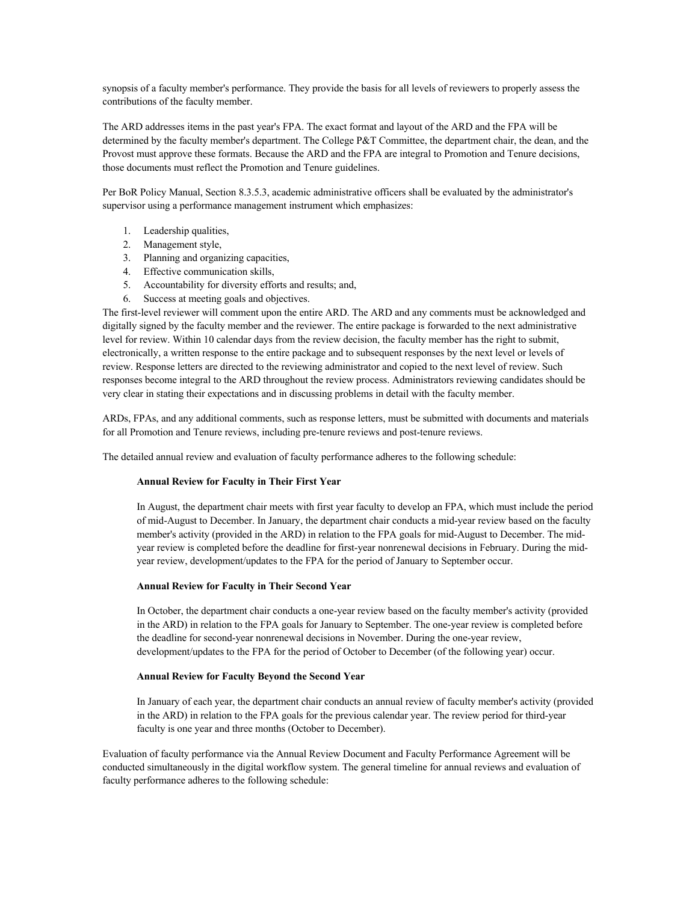synopsis of a faculty member's performance. They provide the basis for all levels of reviewers to properly assess the contributions of the faculty member.

The ARD addresses items in the past year's FPA. The exact format and layout of the ARD and the FPA will be determined by the faculty member's department. The College P&T Committee, the department chair, the dean, and the Provost must approve these formats. Because the ARD and the FPA are integral to Promotion and Tenure decisions, those documents must reflect the Promotion and Tenure guidelines.

Per BoR Policy Manual, Section 8.3.5.3, academic administrative officers shall be evaluated by the administrator's supervisor using a performance management instrument which emphasizes:

- 1. Leadership qualities,
- 2. Management style,
- 3. Planning and organizing capacities,
- 4. Effective communication skills,
- 5. Accountability for diversity efforts and results; and,
- 6. Success at meeting goals and objectives.

The first-level reviewer will comment upon the entire ARD. The ARD and any comments must be acknowledged and digitally signed by the faculty member and the reviewer. The entire package is forwarded to the next administrative level for review. Within 10 calendar days from the review decision, the faculty member has the right to submit, electronically, a written response to the entire package and to subsequent responses by the next level or levels of review. Response letters are directed to the reviewing administrator and copied to the next level of review. Such responses become integral to the ARD throughout the review process. Administrators reviewing candidates should be very clear in stating their expectations and in discussing problems in detail with the faculty member.

ARDs, FPAs, and any additional comments, such as response letters, must be submitted with documents and materials for all Promotion and Tenure reviews, including pre-tenure reviews and post-tenure reviews.

The detailed annual review and evaluation of faculty performance adheres to the following schedule:

#### **Annual Review for Faculty in Their First Year**

In August, the department chair meets with first year faculty to develop an FPA, which must include the period of mid-August to December. In January, the department chair conducts a mid-year review based on the faculty member's activity (provided in the ARD) in relation to the FPA goals for mid-August to December. The midyear review is completed before the deadline for first-year nonrenewal decisions in February. During the midyear review, development/updates to the FPA for the period of January to September occur.

#### **Annual Review for Faculty in Their Second Year**

In October, the department chair conducts a one-year review based on the faculty member's activity (provided in the ARD) in relation to the FPA goals for January to September. The one-year review is completed before the deadline for second-year nonrenewal decisions in November. During the one-year review, development/updates to the FPA for the period of October to December (of the following year) occur.

#### **Annual Review for Faculty Beyond the Second Year**

In January of each year, the department chair conducts an annual review of faculty member's activity (provided in the ARD) in relation to the FPA goals for the previous calendar year. The review period for third-year faculty is one year and three months (October to December).

Evaluation of faculty performance via the Annual Review Document and Faculty Performance Agreement will be conducted simultaneously in the digital workflow system. The general timeline for annual reviews and evaluation of faculty performance adheres to the following schedule: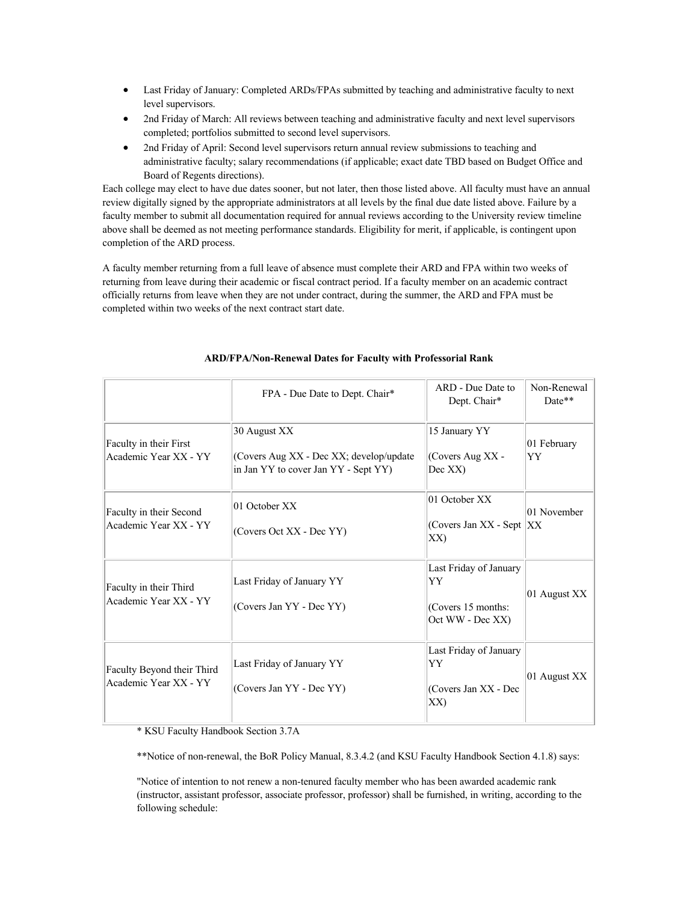- Last Friday of January: Completed ARDs/FPAs submitted by teaching and administrative faculty to next level supervisors.
- 2nd Friday of March: All reviews between teaching and administrative faculty and next level supervisors completed; portfolios submitted to second level supervisors.
- 2nd Friday of April: Second level supervisors return annual review submissions to teaching and administrative faculty; salary recommendations (if applicable; exact date TBD based on Budget Office and Board of Regents directions).

Each college may elect to have due dates sooner, but not later, then those listed above. All faculty must have an annual review digitally signed by the appropriate administrators at all levels by the final due date listed above. Failure by a faculty member to submit all documentation required for annual reviews according to the University review timeline above shall be deemed as not meeting performance standards. Eligibility for merit, if applicable, is contingent upon completion of the ARD process.

A faculty member returning from a full leave of absence must complete their ARD and FPA within two weeks of returning from leave during their academic or fiscal contract period. If a faculty member on an academic contract officially returns from leave when they are not under contract, during the summer, the ARD and FPA must be completed within two weeks of the next contract start date.

|                                                     | FPA - Due Date to Dept. Chair*                                                                   | $ARD$ - Due Date to<br>Dept. Chair*                                                            | Non-Renewal<br>Date** |
|-----------------------------------------------------|--------------------------------------------------------------------------------------------------|------------------------------------------------------------------------------------------------|-----------------------|
| Faculty in their First<br>Academic Year XX - YY     | 30 August XX<br>(Covers Aug XX - Dec XX; develop/update)<br>in Jan YY to cover Jan YY - Sept YY) | 15 January YY<br>(Covers Aug XX -<br>Dec XX                                                    | 01 February<br>YY     |
| Faculty in their Second<br>Academic Year XX - YY    | 01 October XX<br>(Covers Oct XX - Dec YY)                                                        | 01 October XX<br>(Covers Jan XX - Sept $ XX $<br>XX)                                           | 01 November           |
| Faculty in their Third<br>Academic Year XX - YY     | Last Friday of January YY<br>(Covers Jan YY - Dec YY)                                            | Last Friday of January<br>YY<br>$\sqrt{\text{Covers}} 15 \text{ months}$ :<br>Oct WW - Dec XX) | 01 August XX          |
| Faculty Beyond their Third<br>Academic Year XX - YY | Last Friday of January YY<br>(Covers Jan YY - Dec YY)                                            | Last Friday of January<br>YY<br>Covers Jan XX - Dec<br>XX)                                     | 01 August XX          |

### **ARD/FPA/Non-Renewal Dates for Faculty with Professorial Rank**

\* KSU Faculty Handbook Section 3.7A

\*\*Notice of non-renewal, the BoR Policy Manual, 8.3.4.2 (and KSU Faculty Handbook Section 4.1.8) says:

"Notice of intention to not renew a non-tenured faculty member who has been awarded academic rank (instructor, assistant professor, associate professor, professor) shall be furnished, in writing, according to the following schedule: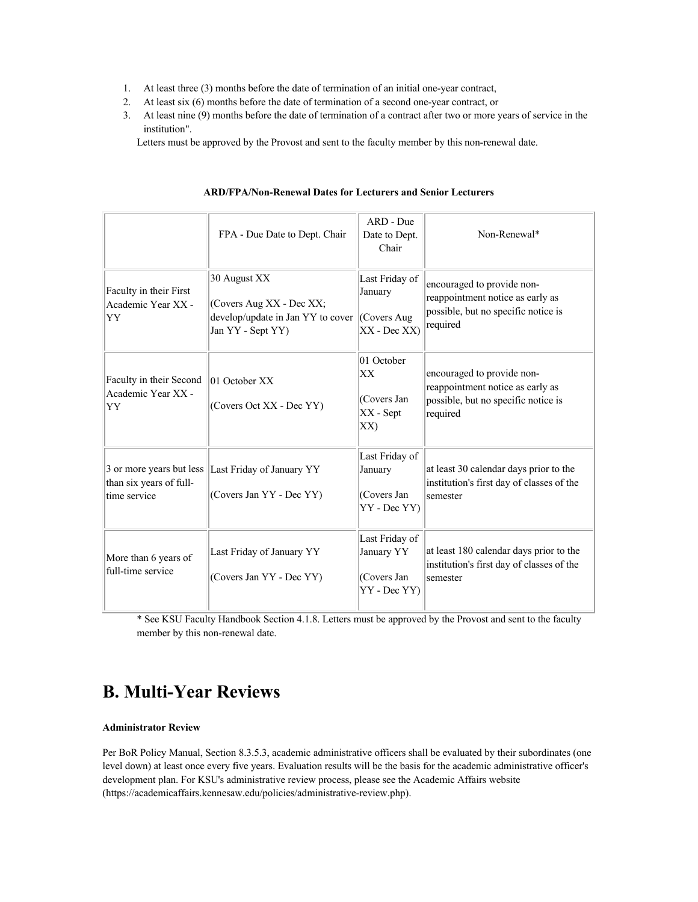- 1. At least three (3) months before the date of termination of an initial one-year contract,
- 2. At least six (6) months before the date of termination of a second one-year contract, or
- 3. At least nine (9) months before the date of termination of a contract after two or more years of service in the institution".

Letters must be approved by the Provost and sent to the faculty member by this non-renewal date.

|                                                     | FPA - Due Date to Dept. Chair                                                                      | $ARD$ - Due<br>Date to Dept.<br>Chair                        | Non-Renewal*                                                                                                      |
|-----------------------------------------------------|----------------------------------------------------------------------------------------------------|--------------------------------------------------------------|-------------------------------------------------------------------------------------------------------------------|
| Faculty in their First<br>Academic Year XX -<br>YY  | 30 August XX<br>(Covers Aug XX - Dec XX;<br>develop/update in Jan YY to cover<br>Jan YY - Sept YY) | Last Friday of<br>January<br>$ $ (Covers Aug<br>XX - Dec XX) | encouraged to provide non-<br>reappointment notice as early as<br>possible, but no specific notice is<br>required |
| Faculty in their Second<br>Academic Year XX -<br>YY | $ 01$ October $XX$<br>(Covers Oct XX - Dec YY)                                                     | 01 October<br><b>XX</b><br>(Covers Jan<br>XX - Sept<br>XX)   | encouraged to provide non-<br>reappointment notice as early as<br>possible, but no specific notice is<br>required |
| than six years of full-<br>time service             | 3 or more years but less Last Friday of January YY<br>(Covers Jan YY - Dec YY)                     | Last Friday of<br>January<br>(Covers Jan<br>YY - Dec YY)     | at least 30 calendar days prior to the<br>institution's first day of classes of the<br>semester                   |
| More than 6 years of<br>full-time service           | Last Friday of January YY<br>(Covers Jan YY - Dec YY)                                              | Last Friday of<br>January YY<br>(Covers Jan<br>YY - Dec YY)  | at least 180 calendar days prior to the<br>institution's first day of classes of the<br>semester                  |

### **ARD/FPA/Non-Renewal Dates for Lecturers and Senior Lecturers**

\* See KSU Faculty Handbook Section 4.1.8. Letters must be approved by the Provost and sent to the faculty member by this non-renewal date.

### **B. Multi-Year Reviews**

### **Administrator Review**

Per BoR Policy Manual, Section 8.3.5.3, academic administrative officers shall be evaluated by their subordinates (one level down) at least once every five years. Evaluation results will be the basis for the academic administrative officer's development plan. For KSU's administrative review process, please see the Academic Affairs website (https://academicaffairs.kennesaw.edu/policies/administrative-review.php).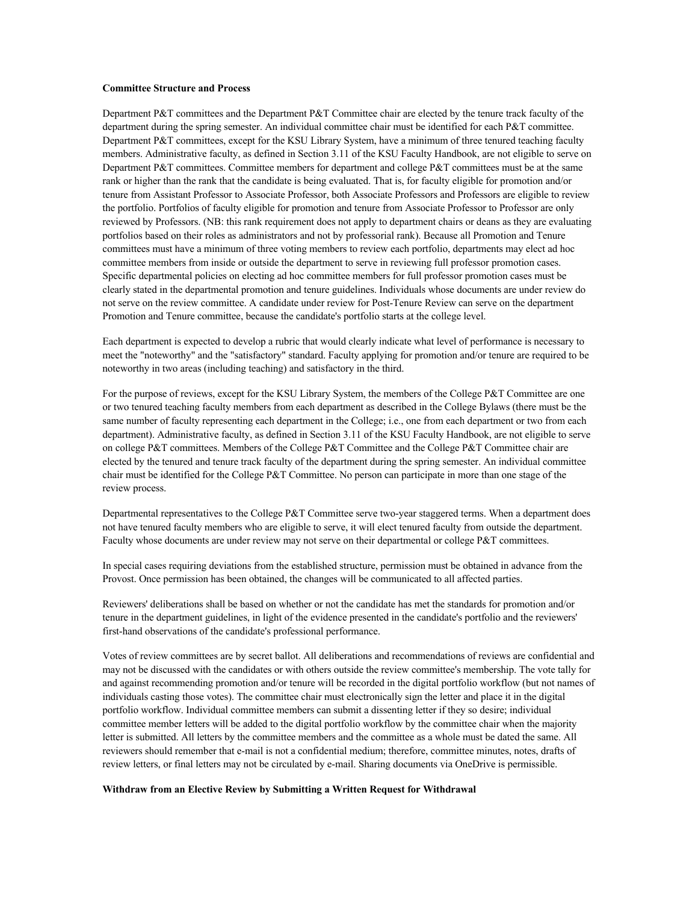#### **Committee Structure and Process**

Department P&T committees and the Department P&T Committee chair are elected by the tenure track faculty of the department during the spring semester. An individual committee chair must be identified for each P&T committee. Department P&T committees, except for the KSU Library System, have a minimum of three tenured teaching faculty members. Administrative faculty, as defined in Section 3.11 of the KSU Faculty Handbook, are not eligible to serve on Department P&T committees. Committee members for department and college P&T committees must be at the same rank or higher than the rank that the candidate is being evaluated. That is, for faculty eligible for promotion and/or tenure from Assistant Professor to Associate Professor, both Associate Professors and Professors are eligible to review the portfolio. Portfolios of faculty eligible for promotion and tenure from Associate Professor to Professor are only reviewed by Professors. (NB: this rank requirement does not apply to department chairs or deans as they are evaluating portfolios based on their roles as administrators and not by professorial rank). Because all Promotion and Tenure committees must have a minimum of three voting members to review each portfolio, departments may elect ad hoc committee members from inside or outside the department to serve in reviewing full professor promotion cases. Specific departmental policies on electing ad hoc committee members for full professor promotion cases must be clearly stated in the departmental promotion and tenure guidelines. Individuals whose documents are under review do not serve on the review committee. A candidate under review for Post-Tenure Review can serve on the department Promotion and Tenure committee, because the candidate's portfolio starts at the college level.

Each department is expected to develop a rubric that would clearly indicate what level of performance is necessary to meet the "noteworthy" and the "satisfactory" standard. Faculty applying for promotion and/or tenure are required to be noteworthy in two areas (including teaching) and satisfactory in the third.

For the purpose of reviews, except for the KSU Library System, the members of the College P&T Committee are one or two tenured teaching faculty members from each department as described in the College Bylaws (there must be the same number of faculty representing each department in the College; i.e., one from each department or two from each department). Administrative faculty, as defined in Section 3.11 of the KSU Faculty Handbook, are not eligible to serve on college P&T committees. Members of the College P&T Committee and the College P&T Committee chair are elected by the tenured and tenure track faculty of the department during the spring semester. An individual committee chair must be identified for the College P&T Committee. No person can participate in more than one stage of the review process.

Departmental representatives to the College P&T Committee serve two-year staggered terms. When a department does not have tenured faculty members who are eligible to serve, it will elect tenured faculty from outside the department. Faculty whose documents are under review may not serve on their departmental or college P&T committees.

In special cases requiring deviations from the established structure, permission must be obtained in advance from the Provost. Once permission has been obtained, the changes will be communicated to all affected parties.

Reviewers' deliberations shall be based on whether or not the candidate has met the standards for promotion and/or tenure in the department guidelines, in light of the evidence presented in the candidate's portfolio and the reviewers' first-hand observations of the candidate's professional performance.

Votes of review committees are by secret ballot. All deliberations and recommendations of reviews are confidential and may not be discussed with the candidates or with others outside the review committee's membership. The vote tally for and against recommending promotion and/or tenure will be recorded in the digital portfolio workflow (but not names of individuals casting those votes). The committee chair must electronically sign the letter and place it in the digital portfolio workflow. Individual committee members can submit a dissenting letter if they so desire; individual committee member letters will be added to the digital portfolio workflow by the committee chair when the majority letter is submitted. All letters by the committee members and the committee as a whole must be dated the same. All reviewers should remember that e-mail is not a confidential medium; therefore, committee minutes, notes, drafts of review letters, or final letters may not be circulated by e-mail. Sharing documents via OneDrive is permissible.

#### **Withdraw from an Elective Review by Submitting a Written Request for Withdrawal**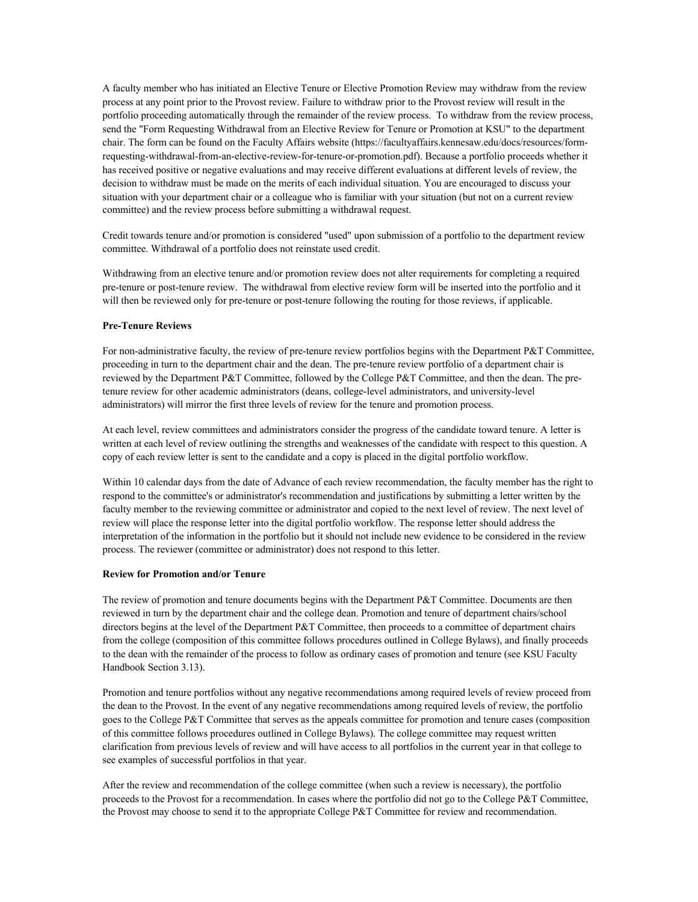A faculty member who has initiated an Elective Tenure or Elective Promotion Review may withdraw from the review process at any point prior to the Provost review. Failure to withdraw prior to the Provost review will result in the portfolio proceeding automatically through the remainder of the review process. To withdraw from the review process, send the "Form Requesting Withdrawal from an Elective Review for Tenure or Promotion at KSU" to the department chair. The form can be found on the Faculty Affairs website (https://facultyaffairs.kennesaw.edu/docs/resources/formrequesting-withdrawal-from-an-elective-review-for-tenure-or-promotion.pdf). Because a portfolio proceeds whether it has received positive or negative evaluations and may receive different evaluations at different levels of review, the decision to withdraw must be made on the merits of each individual situation. You are encouraged to discuss your situation with your department chair or a colleague who is familiar with your situation (but not on a current review committee) and the review process before submitting a withdrawal request.

Credit towards tenure and/or promotion is considered "used" upon submission of a portfolio to the department review committee. Withdrawal of a portfolio does not reinstate used credit.

Withdrawing from an elective tenure and/or promotion review does not alter requirements for completing a required pre-tenure or post-tenure review. The withdrawal from elective review form will be inserted into the portfolio and it will then be reviewed only for pre-tenure or post-tenure following the routing for those reviews, if applicable.

#### **Pre-Tenure Reviews**

For non-administrative faculty, the review of pre-tenure review portfolios begins with the Department P&T Committee, proceeding in turn to the department chair and the dean. The pre-tenure review portfolio of a department chair is reviewed by the Department P&T Committee, followed by the College P&T Committee, and then the dean. The pretenure review for other academic administrators (deans, college-level administrators, and university-level administrators) will mirror the first three levels of review for the tenure and promotion process.

At each level, review committees and administrators consider the progress of the candidate toward tenure. A letter is written at each level of review outlining the strengths and weaknesses of the candidate with respect to this question. A copy of each review letter is sent to the candidate and a copy is placed in the digital portfolio workflow.

Within 10 calendar days from the date of Advance of each review recommendation, the faculty member has the right to respond to the committee's or administrator's recommendation and justifications by submitting a letter written by the faculty member to the reviewing committee or administrator and copied to the next level of review. The next level of review will place the response letter into the digital portfolio workflow. The response letter should address the interpretation of the information in the portfolio but it should not include new evidence to be considered in the review process. The reviewer (committee or administrator) does not respond to this letter.

#### **Review for Promotion and/or Tenure**

The review of promotion and tenure documents begins with the Department P&T Committee. Documents are then reviewed in turn by the department chair and the college dean. Promotion and tenure of department chairs/school directors begins at the level of the Department P&T Committee, then proceeds to a committee of department chairs from the college (composition of this committee follows procedures outlined in College Bylaws), and finally proceeds to the dean with the remainder of the process to follow as ordinary cases of promotion and tenure (see KSU Faculty Handbook Section 3.13).

Promotion and tenure portfolios without any negative recommendations among required levels of review proceed from the dean to the Provost. In the event of any negative recommendations among required levels of review, the portfolio goes to the College P&T Committee that serves as the appeals committee for promotion and tenure cases (composition of this committee follows procedures outlined in College Bylaws). The college committee may request written clarification from previous levels of review and will have access to all portfolios in the current year in that college to see examples of successful portfolios in that year.

After the review and recommendation of the college committee (when such a review is necessary), the portfolio proceeds to the Provost for a recommendation. In cases where the portfolio did not go to the College P&T Committee, the Provost may choose to send it to the appropriate College P&T Committee for review and recommendation.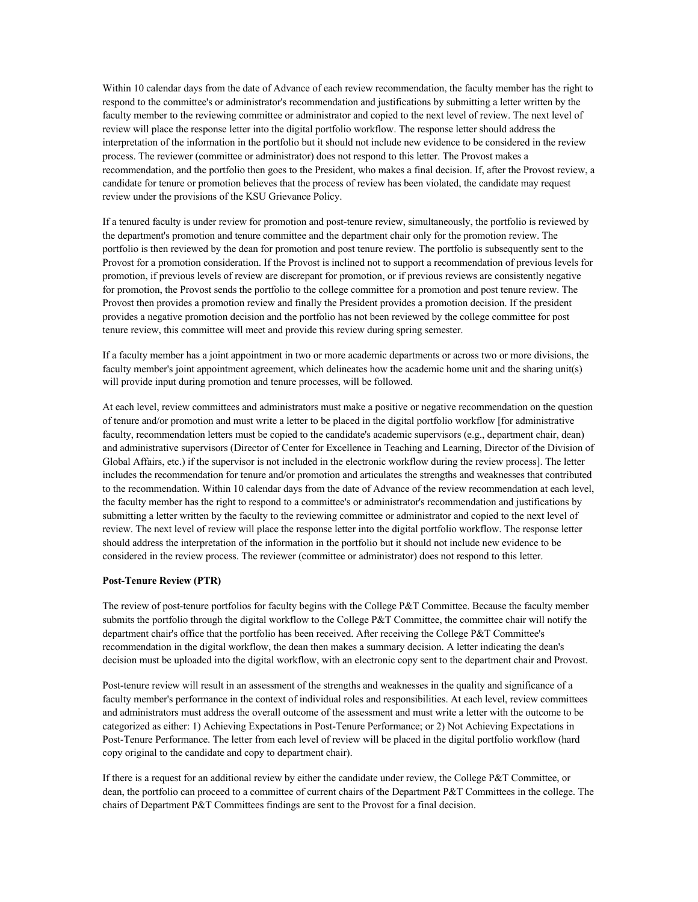Within 10 calendar days from the date of Advance of each review recommendation, the faculty member has the right to respond to the committee's or administrator's recommendation and justifications by submitting a letter written by the faculty member to the reviewing committee or administrator and copied to the next level of review. The next level of review will place the response letter into the digital portfolio workflow. The response letter should address the interpretation of the information in the portfolio but it should not include new evidence to be considered in the review process. The reviewer (committee or administrator) does not respond to this letter. The Provost makes a recommendation, and the portfolio then goes to the President, who makes a final decision. If, after the Provost review, a candidate for tenure or promotion believes that the process of review has been violated, the candidate may request review under the provisions of the KSU Grievance Policy.

If a tenured faculty is under review for promotion and post-tenure review, simultaneously, the portfolio is reviewed by the department's promotion and tenure committee and the department chair only for the promotion review. The portfolio is then reviewed by the dean for promotion and post tenure review. The portfolio is subsequently sent to the Provost for a promotion consideration. If the Provost is inclined not to support a recommendation of previous levels for promotion, if previous levels of review are discrepant for promotion, or if previous reviews are consistently negative for promotion, the Provost sends the portfolio to the college committee for a promotion and post tenure review. The Provost then provides a promotion review and finally the President provides a promotion decision. If the president provides a negative promotion decision and the portfolio has not been reviewed by the college committee for post tenure review, this committee will meet and provide this review during spring semester.

If a faculty member has a joint appointment in two or more academic departments or across two or more divisions, the faculty member's joint appointment agreement, which delineates how the academic home unit and the sharing unit(s) will provide input during promotion and tenure processes, will be followed.

At each level, review committees and administrators must make a positive or negative recommendation on the question of tenure and/or promotion and must write a letter to be placed in the digital portfolio workflow [for administrative faculty, recommendation letters must be copied to the candidate's academic supervisors (e.g., department chair, dean) and administrative supervisors (Director of Center for Excellence in Teaching and Learning, Director of the Division of Global Affairs, etc.) if the supervisor is not included in the electronic workflow during the review process]. The letter includes the recommendation for tenure and/or promotion and articulates the strengths and weaknesses that contributed to the recommendation. Within 10 calendar days from the date of Advance of the review recommendation at each level, the faculty member has the right to respond to a committee's or administrator's recommendation and justifications by submitting a letter written by the faculty to the reviewing committee or administrator and copied to the next level of review. The next level of review will place the response letter into the digital portfolio workflow. The response letter should address the interpretation of the information in the portfolio but it should not include new evidence to be considered in the review process. The reviewer (committee or administrator) does not respond to this letter.

### **Post-Tenure Review (PTR)**

The review of post-tenure portfolios for faculty begins with the College P&T Committee. Because the faculty member submits the portfolio through the digital workflow to the College P&T Committee, the committee chair will notify the department chair's office that the portfolio has been received. After receiving the College P&T Committee's recommendation in the digital workflow, the dean then makes a summary decision. A letter indicating the dean's decision must be uploaded into the digital workflow, with an electronic copy sent to the department chair and Provost.

Post-tenure review will result in an assessment of the strengths and weaknesses in the quality and significance of a faculty member's performance in the context of individual roles and responsibilities. At each level, review committees and administrators must address the overall outcome of the assessment and must write a letter with the outcome to be categorized as either: 1) Achieving Expectations in Post-Tenure Performance; or 2) Not Achieving Expectations in Post-Tenure Performance. The letter from each level of review will be placed in the digital portfolio workflow (hard copy original to the candidate and copy to department chair).

If there is a request for an additional review by either the candidate under review, the College P&T Committee, or dean, the portfolio can proceed to a committee of current chairs of the Department P&T Committees in the college. The chairs of Department P&T Committees findings are sent to the Provost for a final decision.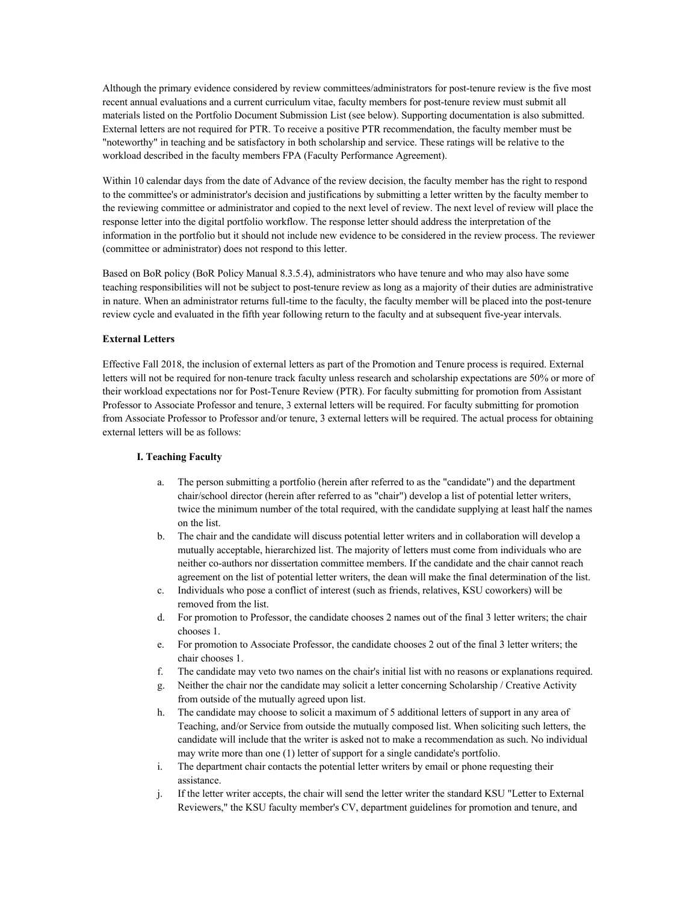Although the primary evidence considered by review committees/administrators for post-tenure review is the five most recent annual evaluations and a current curriculum vitae, faculty members for post-tenure review must submit all materials listed on the Portfolio Document Submission List (see below). Supporting documentation is also submitted. External letters are not required for PTR. To receive a positive PTR recommendation, the faculty member must be "noteworthy" in teaching and be satisfactory in both scholarship and service. These ratings will be relative to the workload described in the faculty members FPA (Faculty Performance Agreement).

Within 10 calendar days from the date of Advance of the review decision, the faculty member has the right to respond to the committee's or administrator's decision and justifications by submitting a letter written by the faculty member to the reviewing committee or administrator and copied to the next level of review. The next level of review will place the response letter into the digital portfolio workflow. The response letter should address the interpretation of the information in the portfolio but it should not include new evidence to be considered in the review process. The reviewer (committee or administrator) does not respond to this letter.

Based on BoR policy (BoR Policy Manual 8.3.5.4), administrators who have tenure and who may also have some teaching responsibilities will not be subject to post-tenure review as long as a majority of their duties are administrative in nature. When an administrator returns full-time to the faculty, the faculty member will be placed into the post-tenure review cycle and evaluated in the fifth year following return to the faculty and at subsequent five-year intervals.

### **External Letters**

Effective Fall 2018, the inclusion of external letters as part of the Promotion and Tenure process is required. External letters will not be required for non-tenure track faculty unless research and scholarship expectations are 50% or more of their workload expectations nor for Post-Tenure Review (PTR). For faculty submitting for promotion from Assistant Professor to Associate Professor and tenure, 3 external letters will be required. For faculty submitting for promotion from Associate Professor to Professor and/or tenure, 3 external letters will be required. The actual process for obtaining external letters will be as follows:

### **I. Teaching Faculty**

- a. The person submitting a portfolio (herein after referred to as the "candidate") and the department chair/school director (herein after referred to as "chair") develop a list of potential letter writers, twice the minimum number of the total required, with the candidate supplying at least half the names on the list.
- b. The chair and the candidate will discuss potential letter writers and in collaboration will develop a mutually acceptable, hierarchized list. The majority of letters must come from individuals who are neither co-authors nor dissertation committee members. If the candidate and the chair cannot reach agreement on the list of potential letter writers, the dean will make the final determination of the list.
- c. Individuals who pose a conflict of interest (such as friends, relatives, KSU coworkers) will be removed from the list.
- d. For promotion to Professor, the candidate chooses 2 names out of the final 3 letter writers; the chair chooses 1.
- e. For promotion to Associate Professor, the candidate chooses 2 out of the final 3 letter writers; the chair chooses 1.
- f. The candidate may veto two names on the chair's initial list with no reasons or explanations required.
- g. Neither the chair nor the candidate may solicit a letter concerning Scholarship / Creative Activity from outside of the mutually agreed upon list.
- h. The candidate may choose to solicit a maximum of 5 additional letters of support in any area of Teaching, and/or Service from outside the mutually composed list. When soliciting such letters, the candidate will include that the writer is asked not to make a recommendation as such. No individual may write more than one (1) letter of support for a single candidate's portfolio.
- i. The department chair contacts the potential letter writers by email or phone requesting their assistance.
- j. If the letter writer accepts, the chair will send the letter writer the standard KSU "Letter to External Reviewers," the KSU faculty member's CV, department guidelines for promotion and tenure, and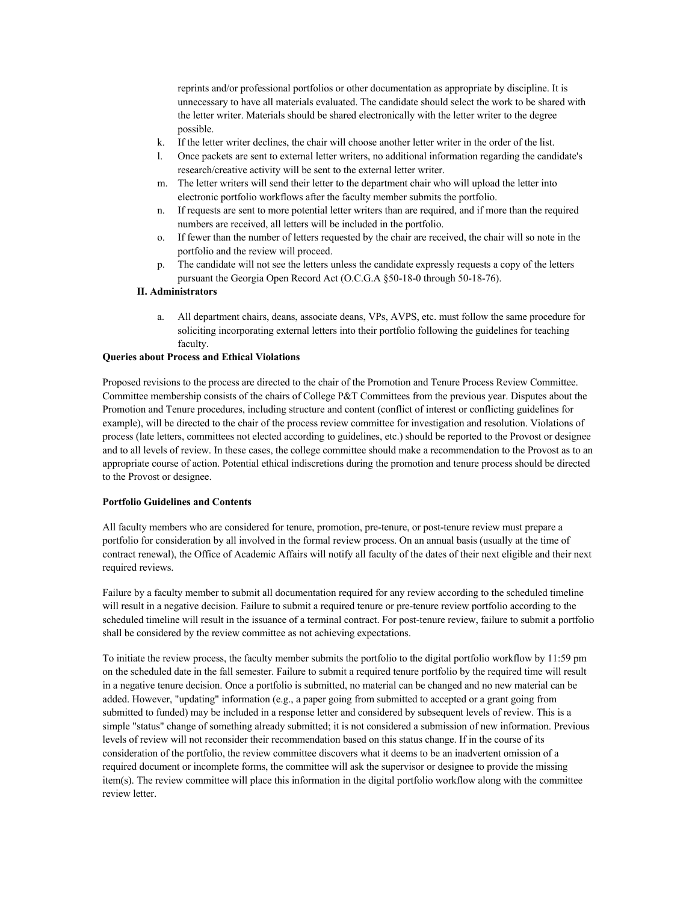reprints and/or professional portfolios or other documentation as appropriate by discipline. It is unnecessary to have all materials evaluated. The candidate should select the work to be shared with the letter writer. Materials should be shared electronically with the letter writer to the degree possible.

- k. If the letter writer declines, the chair will choose another letter writer in the order of the list.
- l. Once packets are sent to external letter writers, no additional information regarding the candidate's research/creative activity will be sent to the external letter writer.
- m. The letter writers will send their letter to the department chair who will upload the letter into electronic portfolio workflows after the faculty member submits the portfolio.
- n. If requests are sent to more potential letter writers than are required, and if more than the required numbers are received, all letters will be included in the portfolio.
- o. If fewer than the number of letters requested by the chair are received, the chair will so note in the portfolio and the review will proceed.
- p. The candidate will not see the letters unless the candidate expressly requests a copy of the letters pursuant the Georgia Open Record Act (O.C.G.A §50-18-0 through 50-18-76).

#### **II. Administrators**

a. All department chairs, deans, associate deans, VPs, AVPS, etc. must follow the same procedure for soliciting incorporating external letters into their portfolio following the guidelines for teaching faculty.

### **Queries about Process and Ethical Violations**

Proposed revisions to the process are directed to the chair of the Promotion and Tenure Process Review Committee. Committee membership consists of the chairs of College P&T Committees from the previous year. Disputes about the Promotion and Tenure procedures, including structure and content (conflict of interest or conflicting guidelines for example), will be directed to the chair of the process review committee for investigation and resolution. Violations of process (late letters, committees not elected according to guidelines, etc.) should be reported to the Provost or designee and to all levels of review. In these cases, the college committee should make a recommendation to the Provost as to an appropriate course of action. Potential ethical indiscretions during the promotion and tenure process should be directed to the Provost or designee.

#### **Portfolio Guidelines and Contents**

All faculty members who are considered for tenure, promotion, pre-tenure, or post-tenure review must prepare a portfolio for consideration by all involved in the formal review process. On an annual basis (usually at the time of contract renewal), the Office of Academic Affairs will notify all faculty of the dates of their next eligible and their next required reviews.

Failure by a faculty member to submit all documentation required for any review according to the scheduled timeline will result in a negative decision. Failure to submit a required tenure or pre-tenure review portfolio according to the scheduled timeline will result in the issuance of a terminal contract. For post-tenure review, failure to submit a portfolio shall be considered by the review committee as not achieving expectations.

To initiate the review process, the faculty member submits the portfolio to the digital portfolio workflow by 11:59 pm on the scheduled date in the fall semester. Failure to submit a required tenure portfolio by the required time will result in a negative tenure decision. Once a portfolio is submitted, no material can be changed and no new material can be added. However, "updating" information (e.g., a paper going from submitted to accepted or a grant going from submitted to funded) may be included in a response letter and considered by subsequent levels of review. This is a simple "status" change of something already submitted; it is not considered a submission of new information. Previous levels of review will not reconsider their recommendation based on this status change. If in the course of its consideration of the portfolio, the review committee discovers what it deems to be an inadvertent omission of a required document or incomplete forms, the committee will ask the supervisor or designee to provide the missing item(s). The review committee will place this information in the digital portfolio workflow along with the committee review letter.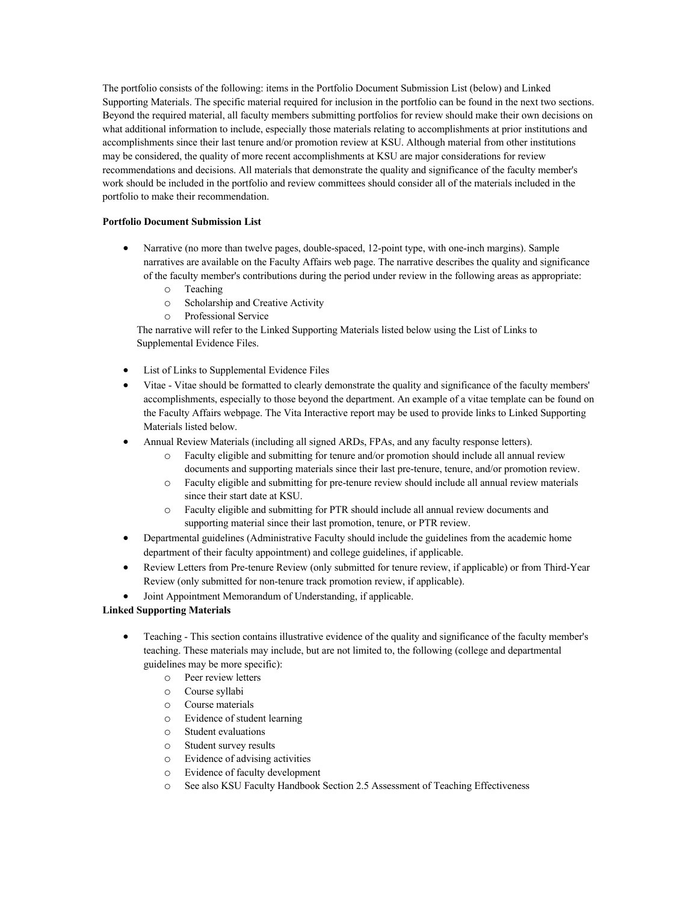The portfolio consists of the following: items in the Portfolio Document Submission List (below) and Linked Supporting Materials. The specific material required for inclusion in the portfolio can be found in the next two sections. Beyond the required material, all faculty members submitting portfolios for review should make their own decisions on what additional information to include, especially those materials relating to accomplishments at prior institutions and accomplishments since their last tenure and/or promotion review at KSU. Although material from other institutions may be considered, the quality of more recent accomplishments at KSU are major considerations for review recommendations and decisions. All materials that demonstrate the quality and significance of the faculty member's work should be included in the portfolio and review committees should consider all of the materials included in the portfolio to make their recommendation.

### **Portfolio Document Submission List**

- Narrative (no more than twelve pages, double-spaced, 12-point type, with one-inch margins). Sample narratives are available on the Faculty Affairs web page. The narrative describes the quality and significance of the faculty member's contributions during the period under review in the following areas as appropriate:
	- o Teaching
	- o Scholarship and Creative Activity
	- o Professional Service

The narrative will refer to the Linked Supporting Materials listed below using the List of Links to Supplemental Evidence Files.

- List of Links to Supplemental Evidence Files
- Vitae Vitae should be formatted to clearly demonstrate the quality and significance of the faculty members' accomplishments, especially to those beyond the department. An example of a vitae template can be found on the Faculty Affairs webpage. The Vita Interactive report may be used to provide links to Linked Supporting Materials listed below.
- Annual Review Materials (including all signed ARDs, FPAs, and any faculty response letters).
	- o Faculty eligible and submitting for tenure and/or promotion should include all annual review documents and supporting materials since their last pre-tenure, tenure, and/or promotion review.
	- o Faculty eligible and submitting for pre-tenure review should include all annual review materials since their start date at KSU.
	- o Faculty eligible and submitting for PTR should include all annual review documents and supporting material since their last promotion, tenure, or PTR review.
- Departmental guidelines (Administrative Faculty should include the guidelines from the academic home department of their faculty appointment) and college guidelines, if applicable.
- Review Letters from Pre-tenure Review (only submitted for tenure review, if applicable) or from Third-Year Review (only submitted for non-tenure track promotion review, if applicable).
- Joint Appointment Memorandum of Understanding, if applicable.

### **Linked Supporting Materials**

- Teaching This section contains illustrative evidence of the quality and significance of the faculty member's teaching. These materials may include, but are not limited to, the following (college and departmental guidelines may be more specific):
	- o Peer review letters
	- o Course syllabi
	- o Course materials
	- o Evidence of student learning
	- o Student evaluations
	- o Student survey results
	- o Evidence of advising activities
	- o Evidence of faculty development
	- o See also KSU Faculty Handbook Section 2.5 Assessment of Teaching Effectiveness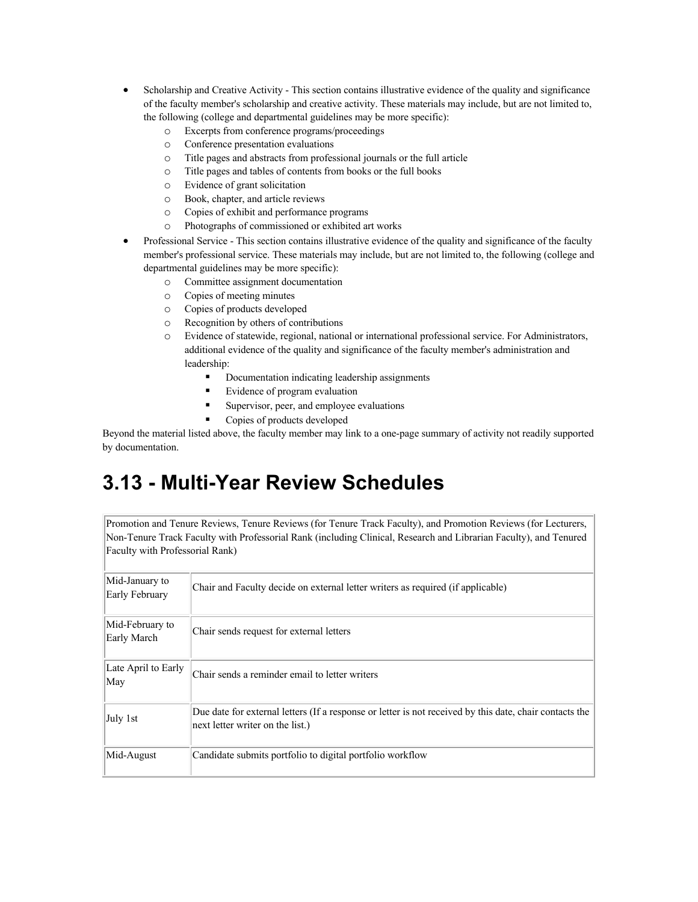- Scholarship and Creative Activity This section contains illustrative evidence of the quality and significance of the faculty member's scholarship and creative activity. These materials may include, but are not limited to, the following (college and departmental guidelines may be more specific):
	- o Excerpts from conference programs/proceedings
	- o Conference presentation evaluations
	- o Title pages and abstracts from professional journals or the full article
	- o Title pages and tables of contents from books or the full books
	- o Evidence of grant solicitation
	- o Book, chapter, and article reviews
	- o Copies of exhibit and performance programs
	- o Photographs of commissioned or exhibited art works
- Professional Service This section contains illustrative evidence of the quality and significance of the faculty member's professional service. These materials may include, but are not limited to, the following (college and departmental guidelines may be more specific):
	- o Committee assignment documentation
	- o Copies of meeting minutes
	- o Copies of products developed
	- o Recognition by others of contributions
	- o Evidence of statewide, regional, national or international professional service. For Administrators, additional evidence of the quality and significance of the faculty member's administration and leadership:
		- Documentation indicating leadership assignments
		- Evidence of program evaluation
		- Supervisor, peer, and employee evaluations
		- Copies of products developed

Beyond the material listed above, the faculty member may link to a one-page summary of activity not readily supported by documentation.

# **3.13 - Multi-Year Review Schedules**

Promotion and Tenure Reviews, Tenure Reviews (for Tenure Track Faculty), and Promotion Reviews (for Lecturers, Non-Tenure Track Faculty with Professorial Rank (including Clinical, Research and Librarian Faculty), and Tenured Faculty with Professorial Rank)

| Mid-January to<br>Early February | Chair and Faculty decide on external letter writers as required (if applicable)                                                             |
|----------------------------------|---------------------------------------------------------------------------------------------------------------------------------------------|
| Mid-February to<br>Early March   | Chair sends request for external letters                                                                                                    |
| Late April to Early<br>May       | Chair sends a reminder email to letter writers                                                                                              |
| July 1st                         | Due date for external letters (If a response or letter is not received by this date, chair contacts the<br>next letter writer on the list.) |
| Mid-August                       | Candidate submits portfolio to digital portfolio workflow                                                                                   |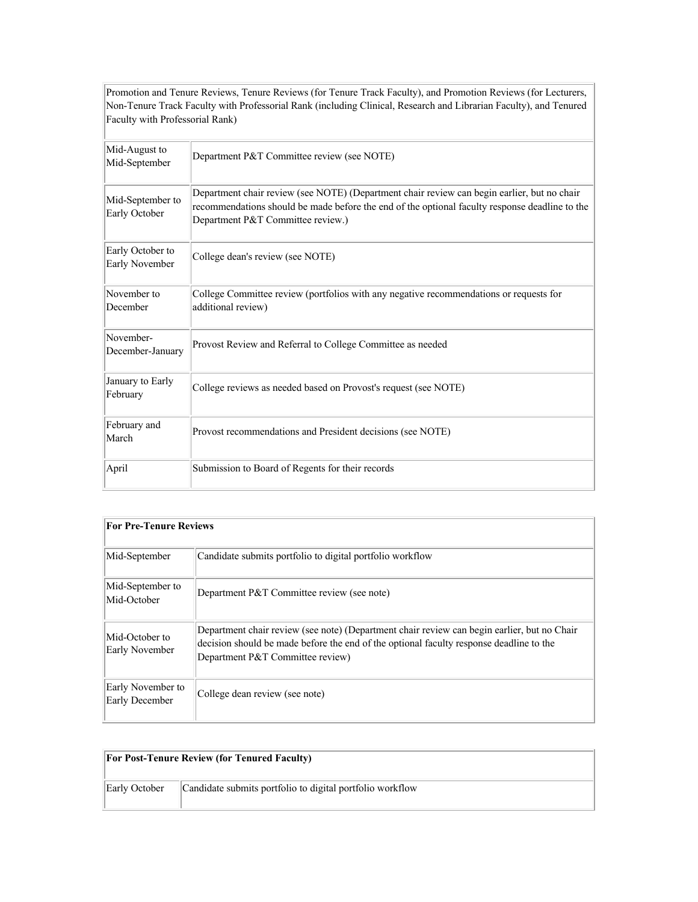Promotion and Tenure Reviews, Tenure Reviews (for Tenure Track Faculty), and Promotion Reviews (for Lecturers, Non-Tenure Track Faculty with Professorial Rank (including Clinical, Research and Librarian Faculty), and Tenured Faculty with Professorial Rank)

| Mid-August to<br>Mid-September     | Department P&T Committee review (see NOTE)                                                                                                                                                                                         |
|------------------------------------|------------------------------------------------------------------------------------------------------------------------------------------------------------------------------------------------------------------------------------|
| Mid-September to<br>Early October  | Department chair review (see NOTE) (Department chair review can begin earlier, but no chair<br>recommendations should be made before the end of the optional faculty response deadline to the<br>Department P&T Committee review.) |
| Early October to<br>Early November | College dean's review (see NOTE)                                                                                                                                                                                                   |
| November to<br>December            | College Committee review (portfolios with any negative recommendations or requests for<br>additional review)                                                                                                                       |
| November-<br>December-January      | Provost Review and Referral to College Committee as needed                                                                                                                                                                         |
| January to Early<br>February       | College reviews as needed based on Provost's request (see NOTE)                                                                                                                                                                    |
| February and<br>March              | Provost recommendations and President decisions (see NOTE)                                                                                                                                                                         |
| April                              | Submission to Board of Regents for their records                                                                                                                                                                                   |

| <b>For Pre-Tenure Reviews</b>       |                                                                                                                                                                                                                            |
|-------------------------------------|----------------------------------------------------------------------------------------------------------------------------------------------------------------------------------------------------------------------------|
| Mid-September                       | Candidate submits portfolio to digital portfolio workflow                                                                                                                                                                  |
| Mid-September to<br>Mid-October     | Department P&T Committee review (see note)                                                                                                                                                                                 |
| Mid-October to<br>Early November    | Department chair review (see note) (Department chair review can begin earlier, but no Chair<br>decision should be made before the end of the optional faculty response deadline to the<br>Department P&T Committee review) |
| Early November to<br>Early December | College dean review (see note)                                                                                                                                                                                             |

| <b>For Post-Tenure Review (for Tenured Faculty)</b> |                                                           |
|-----------------------------------------------------|-----------------------------------------------------------|
| Early October                                       | Candidate submits portfolio to digital portfolio workflow |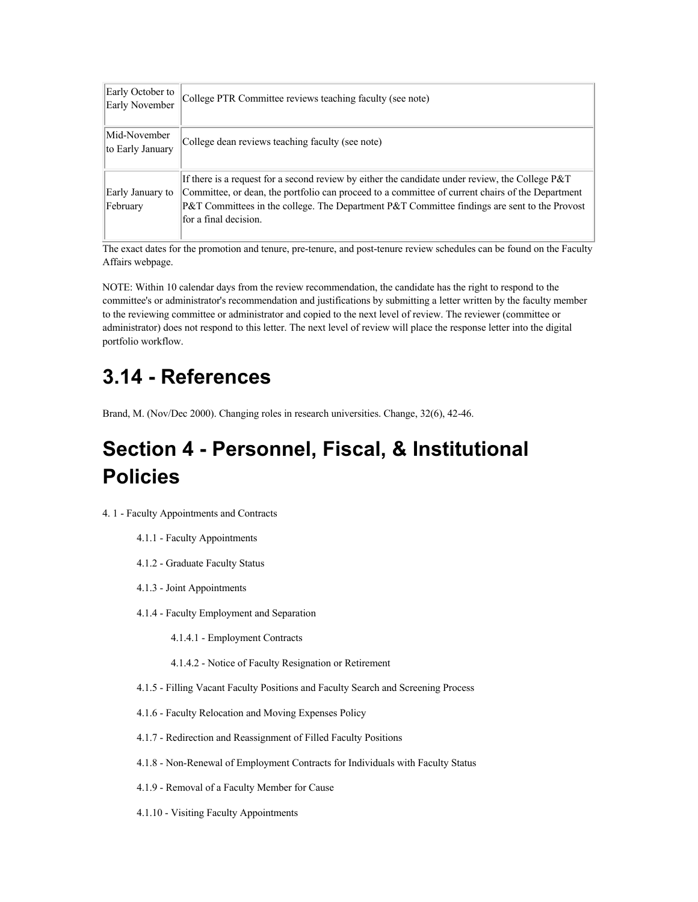| Early October to<br>Early November | College PTR Committee reviews teaching faculty (see note)                                                                                                                                                                                                                                                                                  |
|------------------------------------|--------------------------------------------------------------------------------------------------------------------------------------------------------------------------------------------------------------------------------------------------------------------------------------------------------------------------------------------|
| Mid-November<br>to Early January   | College dean reviews teaching faculty (see note)                                                                                                                                                                                                                                                                                           |
| Early January to<br>February       | If there is a request for a second review by either the candidate under review, the College $P\&T$<br>Committee, or dean, the portfolio can proceed to a committee of current chairs of the Department<br><b>P&amp;T</b> Committees in the college. The Department P&T Committee findings are sent to the Provost<br>for a final decision. |

The exact dates for the promotion and tenure, pre-tenure, and post-tenure review schedules can be found on the Faculty Affairs webpage.

NOTE: Within 10 calendar days from the review recommendation, the candidate has the right to respond to the committee's or administrator's recommendation and justifications by submitting a letter written by the faculty member to the reviewing committee or administrator and copied to the next level of review. The reviewer (committee or administrator) does not respond to this letter. The next level of review will place the response letter into the digital portfolio workflow.

# **3.14 - References**

Brand, M. (Nov/Dec 2000). Changing roles in research universities. Change, 32(6), 42-46.

# **Section 4 - Personnel, Fiscal, & Institutional Policies**

- 4. 1 Faculty Appointments and Contracts
	- 4.1.1 Faculty Appointments
	- 4.1.2 Graduate Faculty Status
	- 4.1.3 Joint Appointments
	- 4.1.4 Faculty Employment and Separation
		- 4.1.4.1 Employment Contracts
		- 4.1.4.2 Notice of Faculty Resignation or Retirement
	- 4.1.5 Filling Vacant Faculty Positions and Faculty Search and Screening Process
	- 4.1.6 Faculty Relocation and Moving Expenses Policy
	- 4.1.7 Redirection and Reassignment of Filled Faculty Positions
	- 4.1.8 Non-Renewal of Employment Contracts for Individuals with Faculty Status
	- 4.1.9 Removal of a Faculty Member for Cause
	- 4.1.10 Visiting Faculty Appointments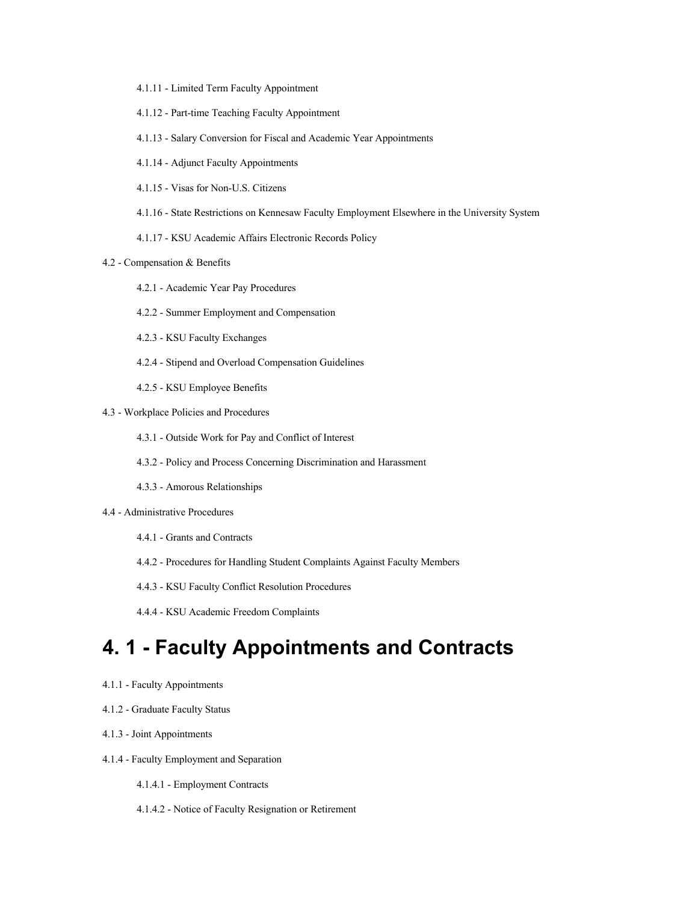- 4.1.11 Limited Term Faculty Appointment
- 4.1.12 Part-time Teaching Faculty Appointment
- 4.1.13 Salary Conversion for Fiscal and Academic Year Appointments
- 4.1.14 Adjunct Faculty Appointments
- 4.1.15 Visas for Non-U.S. Citizens
- 4.1.16 State Restrictions on Kennesaw Faculty Employment Elsewhere in the University System
- 4.1.17 KSU Academic Affairs Electronic Records Policy

### 4.2 - Compensation & Benefits

- 4.2.1 Academic Year Pay Procedures
- 4.2.2 Summer Employment and Compensation
- 4.2.3 KSU Faculty Exchanges
- 4.2.4 Stipend and Overload Compensation Guidelines
- 4.2.5 KSU Employee Benefits
- 4.3 Workplace Policies and Procedures
	- 4.3.1 Outside Work for Pay and Conflict of Interest
	- 4.3.2 Policy and Process Concerning Discrimination and Harassment
	- 4.3.3 Amorous Relationships
- 4.4 Administrative Procedures
	- 4.4.1 Grants and Contracts
	- 4.4.2 Procedures for Handling Student Complaints Against Faculty Members
	- 4.4.3 KSU Faculty Conflict Resolution Procedures
	- 4.4.4 KSU Academic Freedom Complaints

## **4. 1 - Faculty Appointments and Contracts**

- 4.1.1 Faculty Appointments
- 4.1.2 Graduate Faculty Status
- 4.1.3 Joint Appointments
- 4.1.4 Faculty Employment and Separation
	- 4.1.4.1 Employment Contracts
	- 4.1.4.2 Notice of Faculty Resignation or Retirement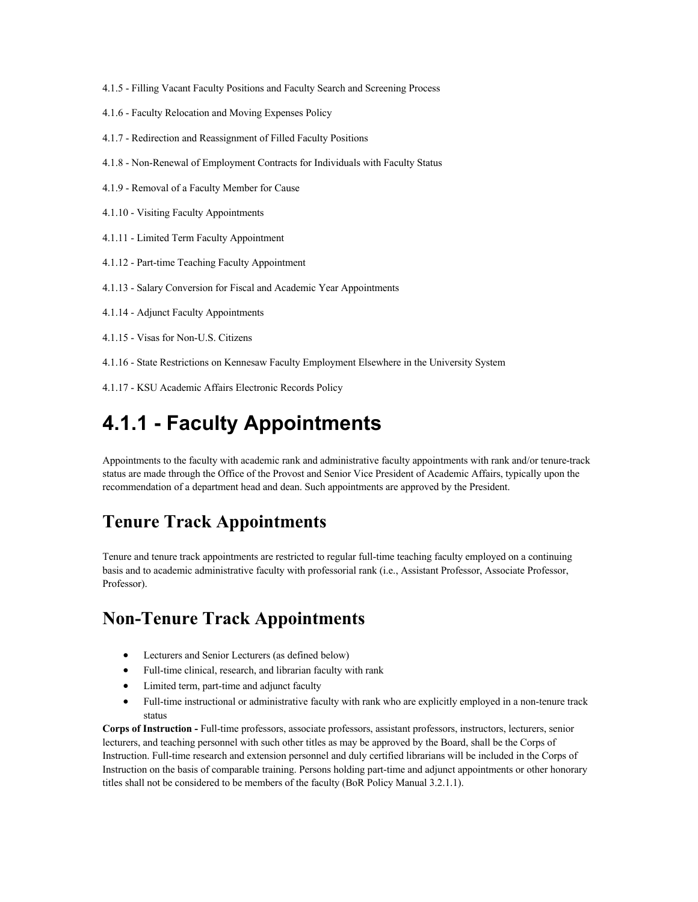- 4.1.5 Filling Vacant Faculty Positions and Faculty Search and Screening Process
- 4.1.6 Faculty Relocation and Moving Expenses Policy
- 4.1.7 Redirection and Reassignment of Filled Faculty Positions
- 4.1.8 Non-Renewal of Employment Contracts for Individuals with Faculty Status
- 4.1.9 Removal of a Faculty Member for Cause
- 4.1.10 Visiting Faculty Appointments
- 4.1.11 Limited Term Faculty Appointment
- 4.1.12 Part-time Teaching Faculty Appointment
- 4.1.13 Salary Conversion for Fiscal and Academic Year Appointments
- 4.1.14 Adjunct Faculty Appointments
- 4.1.15 Visas for Non-U.S. Citizens
- 4.1.16 State Restrictions on Kennesaw Faculty Employment Elsewhere in the University System
- 4.1.17 KSU Academic Affairs Electronic Records Policy

# **4.1.1 - Faculty Appointments**

Appointments to the faculty with academic rank and administrative faculty appointments with rank and/or tenure-track status are made through the Office of the Provost and Senior Vice President of Academic Affairs, typically upon the recommendation of a department head and dean. Such appointments are approved by the President.

### **Tenure Track Appointments**

Tenure and tenure track appointments are restricted to regular full-time teaching faculty employed on a continuing basis and to academic administrative faculty with professorial rank (i.e., Assistant Professor, Associate Professor, Professor).

### **Non-Tenure Track Appointments**

- Lecturers and Senior Lecturers (as defined below)
- Full-time clinical, research, and librarian faculty with rank
- Limited term, part-time and adjunct faculty
- Full-time instructional or administrative faculty with rank who are explicitly employed in a non-tenure track status

**Corps of Instruction -** Full-time professors, associate professors, assistant professors, instructors, lecturers, senior lecturers, and teaching personnel with such other titles as may be approved by the Board, shall be the Corps of Instruction. Full-time research and extension personnel and duly certified librarians will be included in the Corps of Instruction on the basis of comparable training. Persons holding part-time and adjunct appointments or other honorary titles shall not be considered to be members of the faculty (BoR Policy Manual 3.2.1.1).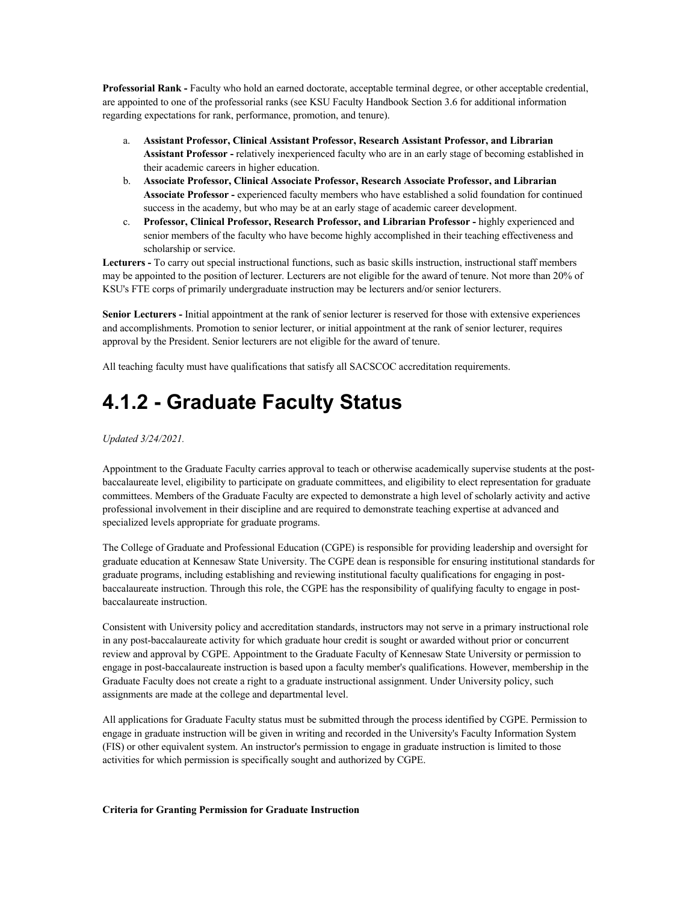**Professorial Rank -** Faculty who hold an earned doctorate, acceptable terminal degree, or other acceptable credential, are appointed to one of the professorial ranks (see KSU Faculty Handbook Section 3.6 for additional information regarding expectations for rank, performance, promotion, and tenure).

- a. **Assistant Professor, Clinical Assistant Professor, Research Assistant Professor, and Librarian Assistant Professor -** relatively inexperienced faculty who are in an early stage of becoming established in their academic careers in higher education.
- b. **Associate Professor, Clinical Associate Professor, Research Associate Professor, and Librarian Associate Professor -** experienced faculty members who have established a solid foundation for continued success in the academy, but who may be at an early stage of academic career development.
- c. **Professor, Clinical Professor, Research Professor, and Librarian Professor -** highly experienced and senior members of the faculty who have become highly accomplished in their teaching effectiveness and scholarship or service.

**Lecturers -** To carry out special instructional functions, such as basic skills instruction, instructional staff members may be appointed to the position of lecturer. Lecturers are not eligible for the award of tenure. Not more than 20% of KSU's FTE corps of primarily undergraduate instruction may be lecturers and/or senior lecturers.

**Senior Lecturers -** Initial appointment at the rank of senior lecturer is reserved for those with extensive experiences and accomplishments. Promotion to senior lecturer, or initial appointment at the rank of senior lecturer, requires approval by the President. Senior lecturers are not eligible for the award of tenure.

All teaching faculty must have qualifications that satisfy all SACSCOC accreditation requirements.

# **4.1.2 - Graduate Faculty Status**

### *Updated 3/24/2021.*

Appointment to the Graduate Faculty carries approval to teach or otherwise academically supervise students at the postbaccalaureate level, eligibility to participate on graduate committees, and eligibility to elect representation for graduate committees. Members of the Graduate Faculty are expected to demonstrate a high level of scholarly activity and active professional involvement in their discipline and are required to demonstrate teaching expertise at advanced and specialized levels appropriate for graduate programs.

The College of Graduate and Professional Education (CGPE) is responsible for providing leadership and oversight for graduate education at Kennesaw State University. The CGPE dean is responsible for ensuring institutional standards for graduate programs, including establishing and reviewing institutional faculty qualifications for engaging in postbaccalaureate instruction. Through this role, the CGPE has the responsibility of qualifying faculty to engage in postbaccalaureate instruction.

Consistent with University policy and accreditation standards, instructors may not serve in a primary instructional role in any post-baccalaureate activity for which graduate hour credit is sought or awarded without prior or concurrent review and approval by CGPE. Appointment to the Graduate Faculty of Kennesaw State University or permission to engage in post-baccalaureate instruction is based upon a faculty member's qualifications. However, membership in the Graduate Faculty does not create a right to a graduate instructional assignment. Under University policy, such assignments are made at the college and departmental level.

All applications for Graduate Faculty status must be submitted through the process identified by CGPE. Permission to engage in graduate instruction will be given in writing and recorded in the University's Faculty Information System (FIS) or other equivalent system. An instructor's permission to engage in graduate instruction is limited to those activities for which permission is specifically sought and authorized by CGPE.

#### **Criteria for Granting Permission for Graduate Instruction**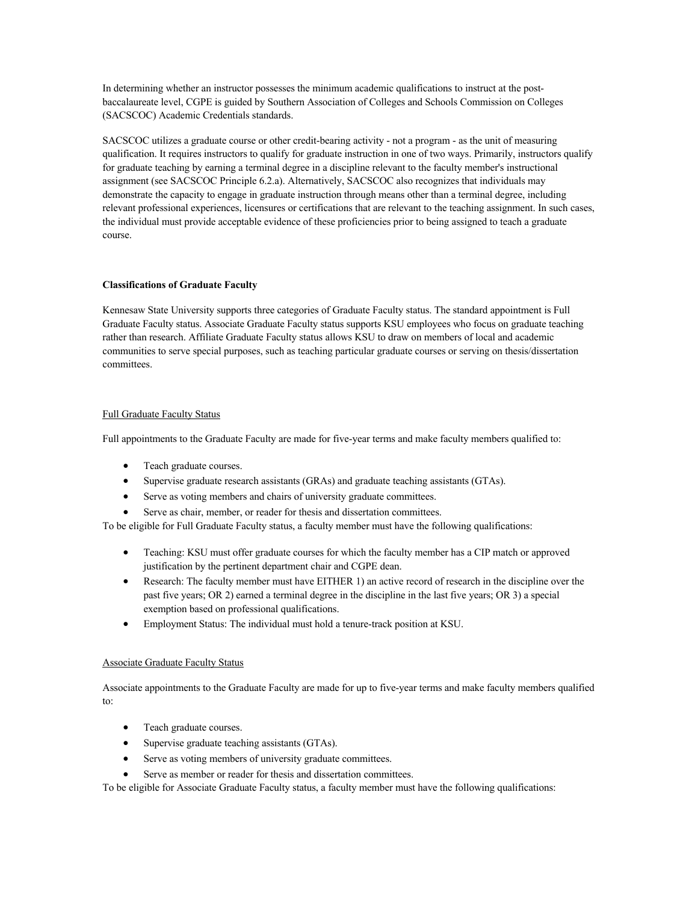In determining whether an instructor possesses the minimum academic qualifications to instruct at the postbaccalaureate level, CGPE is guided by Southern Association of Colleges and Schools Commission on Colleges (SACSCOC) Academic Credentials standards.

SACSCOC utilizes a graduate course or other credit-bearing activity - not a program - as the unit of measuring qualification. It requires instructors to qualify for graduate instruction in one of two ways. Primarily, instructors qualify for graduate teaching by earning a terminal degree in a discipline relevant to the faculty member's instructional assignment (see SACSCOC Principle 6.2.a). Alternatively, SACSCOC also recognizes that individuals may demonstrate the capacity to engage in graduate instruction through means other than a terminal degree, including relevant professional experiences, licensures or certifications that are relevant to the teaching assignment. In such cases, the individual must provide acceptable evidence of these proficiencies prior to being assigned to teach a graduate course.

### **Classifications of Graduate Faculty**

Kennesaw State University supports three categories of Graduate Faculty status. The standard appointment is Full Graduate Faculty status. Associate Graduate Faculty status supports KSU employees who focus on graduate teaching rather than research. Affiliate Graduate Faculty status allows KSU to draw on members of local and academic communities to serve special purposes, such as teaching particular graduate courses or serving on thesis/dissertation committees.

### Full Graduate Faculty Status

Full appointments to the Graduate Faculty are made for five-year terms and make faculty members qualified to:

- Teach graduate courses.
- Supervise graduate research assistants (GRAs) and graduate teaching assistants (GTAs).
- Serve as voting members and chairs of university graduate committees.
- Serve as chair, member, or reader for thesis and dissertation committees.

To be eligible for Full Graduate Faculty status, a faculty member must have the following qualifications:

- Teaching: KSU must offer graduate courses for which the faculty member has a CIP match or approved justification by the pertinent department chair and CGPE dean.
- Research: The faculty member must have EITHER 1) an active record of research in the discipline over the past five years; OR 2) earned a terminal degree in the discipline in the last five years; OR 3) a special exemption based on professional qualifications.
- Employment Status: The individual must hold a tenure-track position at KSU.

### Associate Graduate Faculty Status

Associate appointments to the Graduate Faculty are made for up to five-year terms and make faculty members qualified to:

- Teach graduate courses.
- Supervise graduate teaching assistants (GTAs).
- Serve as voting members of university graduate committees.
- Serve as member or reader for thesis and dissertation committees.

To be eligible for Associate Graduate Faculty status, a faculty member must have the following qualifications: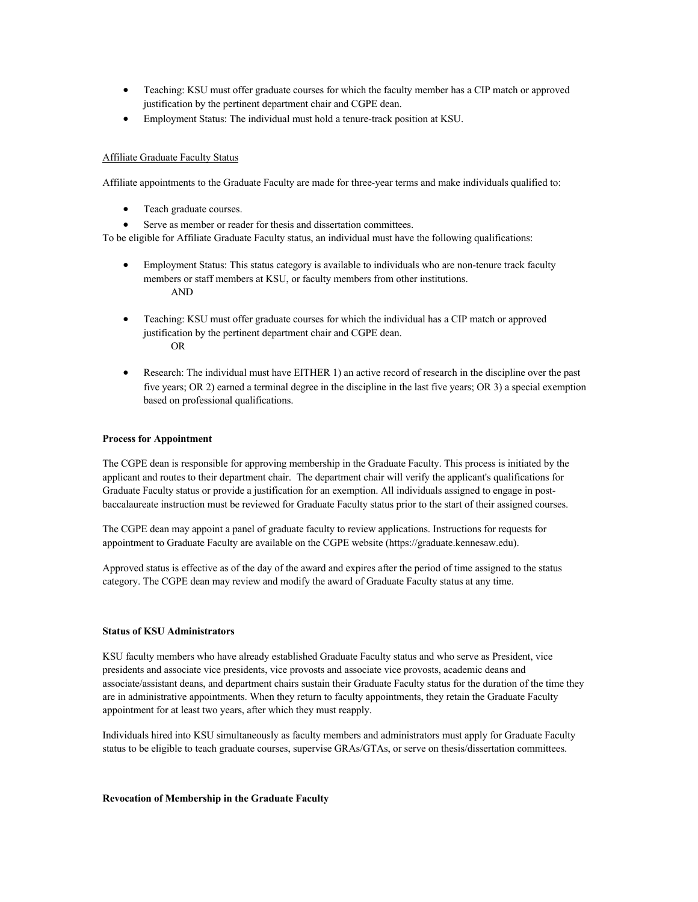- Teaching: KSU must offer graduate courses for which the faculty member has a CIP match or approved justification by the pertinent department chair and CGPE dean.
- Employment Status: The individual must hold a tenure-track position at KSU.

#### Affiliate Graduate Faculty Status

Affiliate appointments to the Graduate Faculty are made for three-year terms and make individuals qualified to:

- Teach graduate courses.
- Serve as member or reader for thesis and dissertation committees.

To be eligible for Affiliate Graduate Faculty status, an individual must have the following qualifications:

- Employment Status: This status category is available to individuals who are non-tenure track faculty members or staff members at KSU, or faculty members from other institutions. AND
- Teaching: KSU must offer graduate courses for which the individual has a CIP match or approved justification by the pertinent department chair and CGPE dean. OR
- Research: The individual must have EITHER 1) an active record of research in the discipline over the past five years; OR 2) earned a terminal degree in the discipline in the last five years; OR 3) a special exemption based on professional qualifications.

#### **Process for Appointment**

The CGPE dean is responsible for approving membership in the Graduate Faculty. This process is initiated by the applicant and routes to their department chair. The department chair will verify the applicant's qualifications for Graduate Faculty status or provide a justification for an exemption. All individuals assigned to engage in postbaccalaureate instruction must be reviewed for Graduate Faculty status prior to the start of their assigned courses.

The CGPE dean may appoint a panel of graduate faculty to review applications. Instructions for requests for appointment to Graduate Faculty are available on the CGPE website (https://graduate.kennesaw.edu).

Approved status is effective as of the day of the award and expires after the period of time assigned to the status category. The CGPE dean may review and modify the award of Graduate Faculty status at any time.

#### **Status of KSU Administrators**

KSU faculty members who have already established Graduate Faculty status and who serve as President, vice presidents and associate vice presidents, vice provosts and associate vice provosts, academic deans and associate/assistant deans, and department chairs sustain their Graduate Faculty status for the duration of the time they are in administrative appointments. When they return to faculty appointments, they retain the Graduate Faculty appointment for at least two years, after which they must reapply.

Individuals hired into KSU simultaneously as faculty members and administrators must apply for Graduate Faculty status to be eligible to teach graduate courses, supervise GRAs/GTAs, or serve on thesis/dissertation committees.

#### **Revocation of Membership in the Graduate Faculty**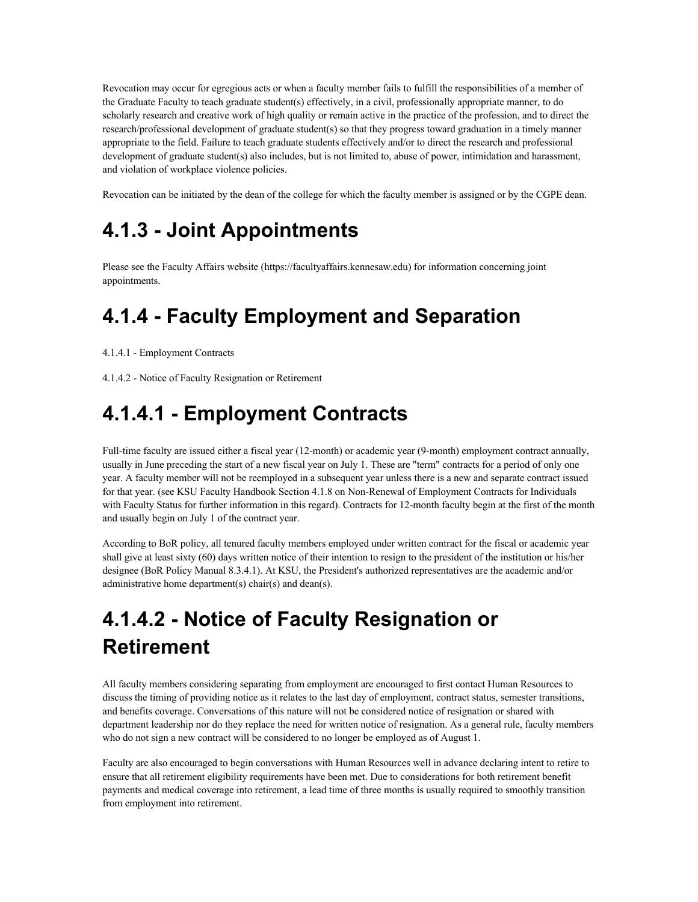Revocation may occur for egregious acts or when a faculty member fails to fulfill the responsibilities of a member of the Graduate Faculty to teach graduate student(s) effectively, in a civil, professionally appropriate manner, to do scholarly research and creative work of high quality or remain active in the practice of the profession, and to direct the research/professional development of graduate student(s) so that they progress toward graduation in a timely manner appropriate to the field. Failure to teach graduate students effectively and/or to direct the research and professional development of graduate student(s) also includes, but is not limited to, abuse of power, intimidation and harassment, and violation of workplace violence policies.

Revocation can be initiated by the dean of the college for which the faculty member is assigned or by the CGPE dean.

## **4.1.3 - Joint Appointments**

Please see the Faculty Affairs website (https://facultyaffairs.kennesaw.edu) for information concerning joint appointments.

# **4.1.4 - Faculty Employment and Separation**

4.1.4.1 - Employment Contracts

4.1.4.2 - Notice of Faculty Resignation or Retirement

# **4.1.4.1 - Employment Contracts**

Full-time faculty are issued either a fiscal year (12-month) or academic year (9-month) employment contract annually, usually in June preceding the start of a new fiscal year on July 1. These are "term" contracts for a period of only one year. A faculty member will not be reemployed in a subsequent year unless there is a new and separate contract issued for that year. (see KSU Faculty Handbook Section 4.1.8 on Non-Renewal of Employment Contracts for Individuals with Faculty Status for further information in this regard). Contracts for 12-month faculty begin at the first of the month and usually begin on July 1 of the contract year.

According to BoR policy, all tenured faculty members employed under written contract for the fiscal or academic year shall give at least sixty (60) days written notice of their intention to resign to the president of the institution or his/her designee (BoR Policy Manual 8.3.4.1). At KSU, the President's authorized representatives are the academic and/or administrative home department(s) chair(s) and dean(s).

# **4.1.4.2 - Notice of Faculty Resignation or Retirement**

All faculty members considering separating from employment are encouraged to first contact Human Resources to discuss the timing of providing notice as it relates to the last day of employment, contract status, semester transitions, and benefits coverage. Conversations of this nature will not be considered notice of resignation or shared with department leadership nor do they replace the need for written notice of resignation. As a general rule, faculty members who do not sign a new contract will be considered to no longer be employed as of August 1.

Faculty are also encouraged to begin conversations with Human Resources well in advance declaring intent to retire to ensure that all retirement eligibility requirements have been met. Due to considerations for both retirement benefit payments and medical coverage into retirement, a lead time of three months is usually required to smoothly transition from employment into retirement.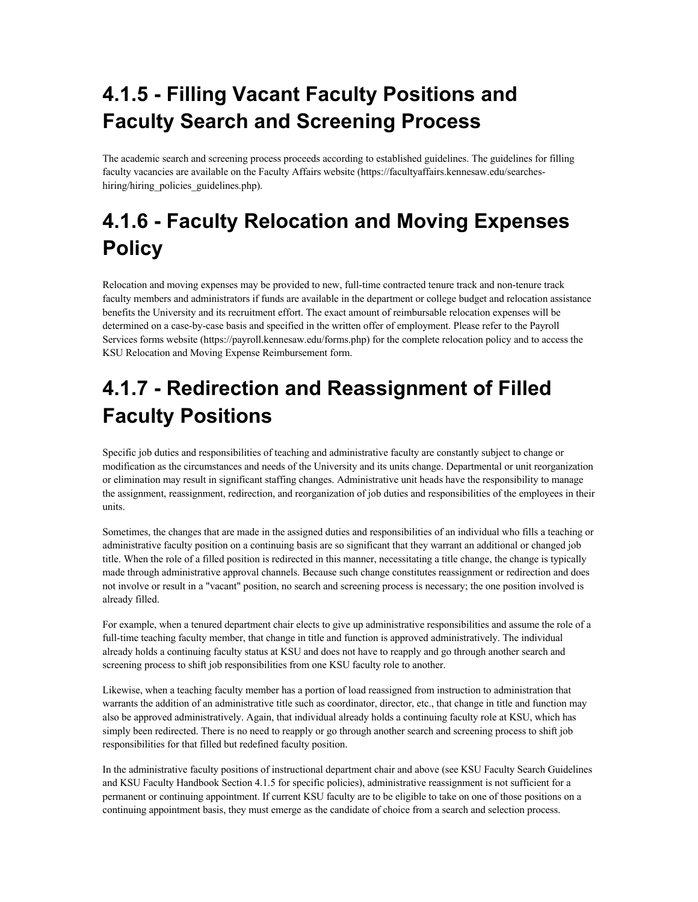# **4.1.5 - Filling Vacant Faculty Positions and Faculty Search and Screening Process**

The academic search and screening process proceeds according to established guidelines. The guidelines for filling faculty vacancies are available on the Faculty Affairs website (https://facultyaffairs.kennesaw.edu/searcheshiring/hiring\_policies\_guidelines.php).

# **4.1.6 - Faculty Relocation and Moving Expenses Policy**

Relocation and moving expenses may be provided to new, full-time contracted tenure track and non-tenure track faculty members and administrators if funds are available in the department or college budget and relocation assistance benefits the University and its recruitment effort. The exact amount of reimbursable relocation expenses will be determined on a case-by-case basis and specified in the written offer of employment. Please refer to the Payroll Services forms website (https://payroll.kennesaw.edu/forms.php) for the complete relocation policy and to access the KSU Relocation and Moving Expense Reimbursement form.

# **4.1.7 - Redirection and Reassignment of Filled Faculty Positions**

Specific job duties and responsibilities of teaching and administrative faculty are constantly subject to change or modification as the circumstances and needs of the University and its units change. Departmental or unit reorganization or elimination may result in significant staffing changes. Administrative unit heads have the responsibility to manage the assignment, reassignment, redirection, and reorganization of job duties and responsibilities of the employees in their units.

Sometimes, the changes that are made in the assigned duties and responsibilities of an individual who fills a teaching or administrative faculty position on a continuing basis are so significant that they warrant an additional or changed job title. When the role of a filled position is redirected in this manner, necessitating a title change, the change is typically made through administrative approval channels. Because such change constitutes reassignment or redirection and does not involve or result in a "vacant" position, no search and screening process is necessary; the one position involved is already filled.

For example, when a tenured department chair elects to give up administrative responsibilities and assume the role of a full-time teaching faculty member, that change in title and function is approved administratively. The individual already holds a continuing faculty status at KSU and does not have to reapply and go through another search and screening process to shift job responsibilities from one KSU faculty role to another.

Likewise, when a teaching faculty member has a portion of load reassigned from instruction to administration that warrants the addition of an administrative title such as coordinator, director, etc., that change in title and function may also be approved administratively. Again, that individual already holds a continuing faculty role at KSU, which has simply been redirected. There is no need to reapply or go through another search and screening process to shift job responsibilities for that filled but redefined faculty position.

In the administrative faculty positions of instructional department chair and above (see KSU Faculty Search Guidelines and KSU Faculty Handbook Section 4.1.5 for specific policies), administrative reassignment is not sufficient for a permanent or continuing appointment. If current KSU faculty are to be eligible to take on one of those positions on a continuing appointment basis, they must emerge as the candidate of choice from a search and selection process.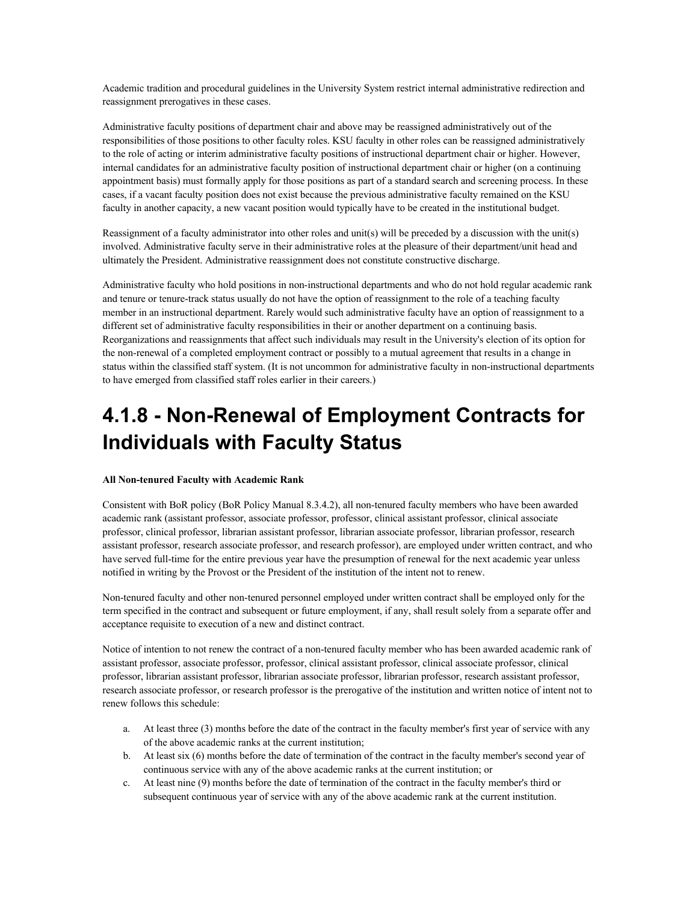Academic tradition and procedural guidelines in the University System restrict internal administrative redirection and reassignment prerogatives in these cases.

Administrative faculty positions of department chair and above may be reassigned administratively out of the responsibilities of those positions to other faculty roles. KSU faculty in other roles can be reassigned administratively to the role of acting or interim administrative faculty positions of instructional department chair or higher. However, internal candidates for an administrative faculty position of instructional department chair or higher (on a continuing appointment basis) must formally apply for those positions as part of a standard search and screening process. In these cases, if a vacant faculty position does not exist because the previous administrative faculty remained on the KSU faculty in another capacity, a new vacant position would typically have to be created in the institutional budget.

Reassignment of a faculty administrator into other roles and unit(s) will be preceded by a discussion with the unit(s) involved. Administrative faculty serve in their administrative roles at the pleasure of their department/unit head and ultimately the President. Administrative reassignment does not constitute constructive discharge.

Administrative faculty who hold positions in non-instructional departments and who do not hold regular academic rank and tenure or tenure-track status usually do not have the option of reassignment to the role of a teaching faculty member in an instructional department. Rarely would such administrative faculty have an option of reassignment to a different set of administrative faculty responsibilities in their or another department on a continuing basis. Reorganizations and reassignments that affect such individuals may result in the University's election of its option for the non-renewal of a completed employment contract or possibly to a mutual agreement that results in a change in status within the classified staff system. (It is not uncommon for administrative faculty in non-instructional departments to have emerged from classified staff roles earlier in their careers.)

# **4.1.8 - Non-Renewal of Employment Contracts for Individuals with Faculty Status**

#### **All Non-tenured Faculty with Academic Rank**

Consistent with BoR policy (BoR Policy Manual 8.3.4.2), all non-tenured faculty members who have been awarded academic rank (assistant professor, associate professor, professor, clinical assistant professor, clinical associate professor, clinical professor, librarian assistant professor, librarian associate professor, librarian professor, research assistant professor, research associate professor, and research professor), are employed under written contract, and who have served full-time for the entire previous year have the presumption of renewal for the next academic year unless notified in writing by the Provost or the President of the institution of the intent not to renew.

Non-tenured faculty and other non-tenured personnel employed under written contract shall be employed only for the term specified in the contract and subsequent or future employment, if any, shall result solely from a separate offer and acceptance requisite to execution of a new and distinct contract.

Notice of intention to not renew the contract of a non-tenured faculty member who has been awarded academic rank of assistant professor, associate professor, professor, clinical assistant professor, clinical associate professor, clinical professor, librarian assistant professor, librarian associate professor, librarian professor, research assistant professor, research associate professor, or research professor is the prerogative of the institution and written notice of intent not to renew follows this schedule:

- a. At least three (3) months before the date of the contract in the faculty member's first year of service with any of the above academic ranks at the current institution;
- b. At least six (6) months before the date of termination of the contract in the faculty member's second year of continuous service with any of the above academic ranks at the current institution; or
- c. At least nine (9) months before the date of termination of the contract in the faculty member's third or subsequent continuous year of service with any of the above academic rank at the current institution.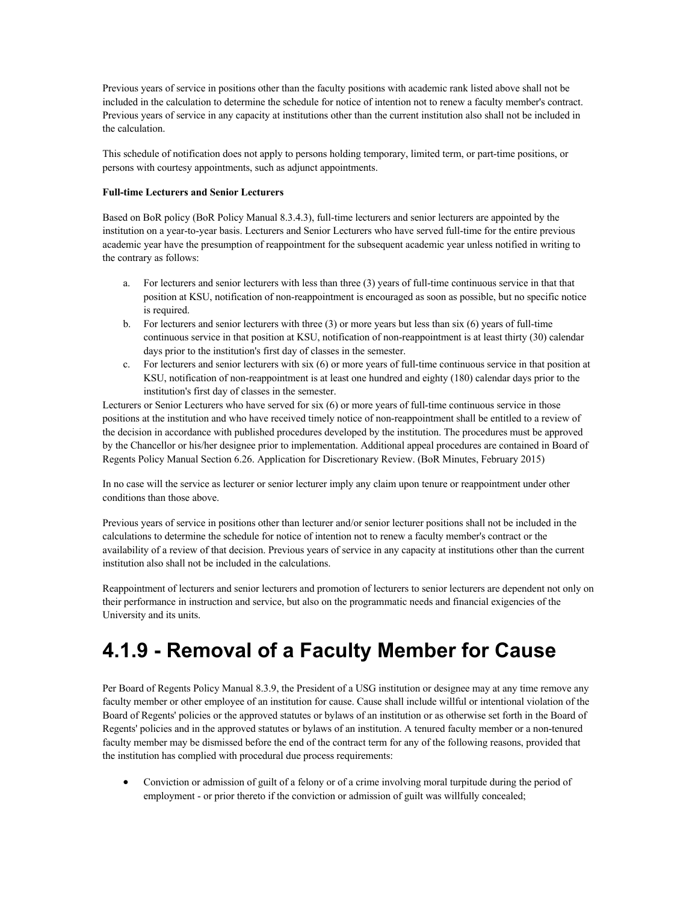Previous years of service in positions other than the faculty positions with academic rank listed above shall not be included in the calculation to determine the schedule for notice of intention not to renew a faculty member's contract. Previous years of service in any capacity at institutions other than the current institution also shall not be included in the calculation.

This schedule of notification does not apply to persons holding temporary, limited term, or part-time positions, or persons with courtesy appointments, such as adjunct appointments.

#### **Full-time Lecturers and Senior Lecturers**

Based on BoR policy (BoR Policy Manual 8.3.4.3), full-time lecturers and senior lecturers are appointed by the institution on a year-to-year basis. Lecturers and Senior Lecturers who have served full-time for the entire previous academic year have the presumption of reappointment for the subsequent academic year unless notified in writing to the contrary as follows:

- a. For lecturers and senior lecturers with less than three (3) years of full-time continuous service in that that position at KSU, notification of non-reappointment is encouraged as soon as possible, but no specific notice is required.
- b. For lecturers and senior lecturers with three (3) or more years but less than six (6) years of full-time continuous service in that position at KSU, notification of non-reappointment is at least thirty (30) calendar days prior to the institution's first day of classes in the semester.
- c. For lecturers and senior lecturers with six (6) or more years of full-time continuous service in that position at KSU, notification of non-reappointment is at least one hundred and eighty (180) calendar days prior to the institution's first day of classes in the semester.

Lecturers or Senior Lecturers who have served for six (6) or more years of full-time continuous service in those positions at the institution and who have received timely notice of non-reappointment shall be entitled to a review of the decision in accordance with published procedures developed by the institution. The procedures must be approved by the Chancellor or his/her designee prior to implementation. Additional appeal procedures are contained in Board of Regents Policy Manual Section 6.26. Application for Discretionary Review. (BoR Minutes, February 2015)

In no case will the service as lecturer or senior lecturer imply any claim upon tenure or reappointment under other conditions than those above.

Previous years of service in positions other than lecturer and/or senior lecturer positions shall not be included in the calculations to determine the schedule for notice of intention not to renew a faculty member's contract or the availability of a review of that decision. Previous years of service in any capacity at institutions other than the current institution also shall not be included in the calculations.

Reappointment of lecturers and senior lecturers and promotion of lecturers to senior lecturers are dependent not only on their performance in instruction and service, but also on the programmatic needs and financial exigencies of the University and its units.

## **4.1.9 - Removal of a Faculty Member for Cause**

Per Board of Regents Policy Manual 8.3.9, the President of a USG institution or designee may at any time remove any faculty member or other employee of an institution for cause. Cause shall include willful or intentional violation of the Board of Regents' policies or the approved statutes or bylaws of an institution or as otherwise set forth in the Board of Regents' policies and in the approved statutes or bylaws of an institution. A tenured faculty member or a non-tenured faculty member may be dismissed before the end of the contract term for any of the following reasons, provided that the institution has complied with procedural due process requirements:

• Conviction or admission of guilt of a felony or of a crime involving moral turpitude during the period of employment - or prior thereto if the conviction or admission of guilt was willfully concealed;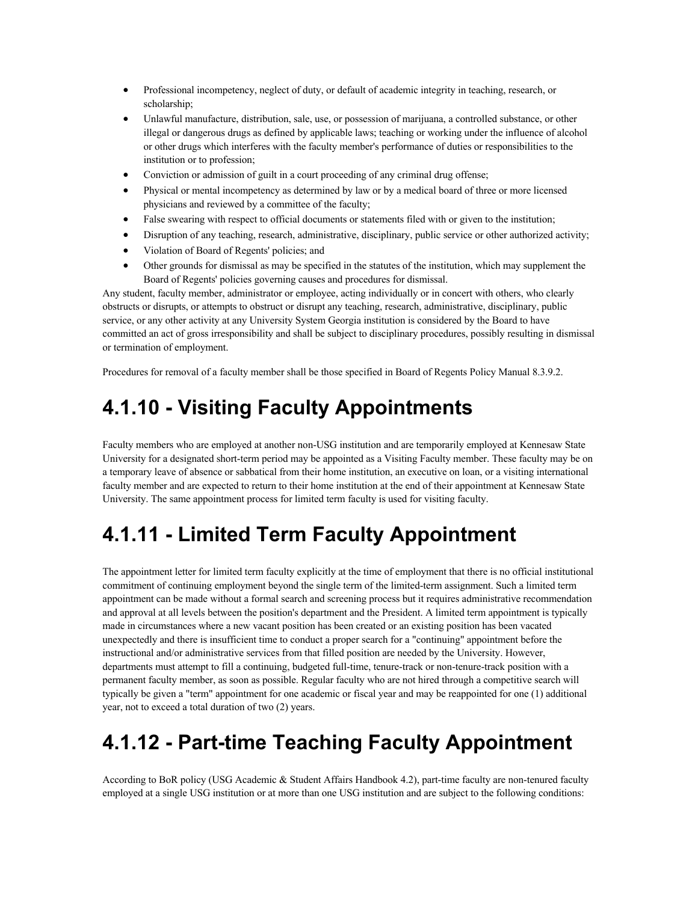- Professional incompetency, neglect of duty, or default of academic integrity in teaching, research, or scholarship;
- Unlawful manufacture, distribution, sale, use, or possession of marijuana, a controlled substance, or other illegal or dangerous drugs as defined by applicable laws; teaching or working under the influence of alcohol or other drugs which interferes with the faculty member's performance of duties or responsibilities to the institution or to profession;
- Conviction or admission of guilt in a court proceeding of any criminal drug offense;
- Physical or mental incompetency as determined by law or by a medical board of three or more licensed physicians and reviewed by a committee of the faculty;
- False swearing with respect to official documents or statements filed with or given to the institution;
- Disruption of any teaching, research, administrative, disciplinary, public service or other authorized activity;
- Violation of Board of Regents' policies; and
- Other grounds for dismissal as may be specified in the statutes of the institution, which may supplement the Board of Regents' policies governing causes and procedures for dismissal.

Any student, faculty member, administrator or employee, acting individually or in concert with others, who clearly obstructs or disrupts, or attempts to obstruct or disrupt any teaching, research, administrative, disciplinary, public service, or any other activity at any University System Georgia institution is considered by the Board to have committed an act of gross irresponsibility and shall be subject to disciplinary procedures, possibly resulting in dismissal or termination of employment.

Procedures for removal of a faculty member shall be those specified in Board of Regents Policy Manual 8.3.9.2.

# **4.1.10 - Visiting Faculty Appointments**

Faculty members who are employed at another non-USG institution and are temporarily employed at Kennesaw State University for a designated short-term period may be appointed as a Visiting Faculty member. These faculty may be on a temporary leave of absence or sabbatical from their home institution, an executive on loan, or a visiting international faculty member and are expected to return to their home institution at the end of their appointment at Kennesaw State University. The same appointment process for limited term faculty is used for visiting faculty.

## **4.1.11 - Limited Term Faculty Appointment**

The appointment letter for limited term faculty explicitly at the time of employment that there is no official institutional commitment of continuing employment beyond the single term of the limited-term assignment. Such a limited term appointment can be made without a formal search and screening process but it requires administrative recommendation and approval at all levels between the position's department and the President. A limited term appointment is typically made in circumstances where a new vacant position has been created or an existing position has been vacated unexpectedly and there is insufficient time to conduct a proper search for a "continuing" appointment before the instructional and/or administrative services from that filled position are needed by the University. However, departments must attempt to fill a continuing, budgeted full-time, tenure-track or non-tenure-track position with a permanent faculty member, as soon as possible. Regular faculty who are not hired through a competitive search will typically be given a "term" appointment for one academic or fiscal year and may be reappointed for one (1) additional year, not to exceed a total duration of two (2) years.

## **4.1.12 - Part-time Teaching Faculty Appointment**

According to BoR policy (USG Academic & Student Affairs Handbook 4.2), part-time faculty are non-tenured faculty employed at a single USG institution or at more than one USG institution and are subject to the following conditions: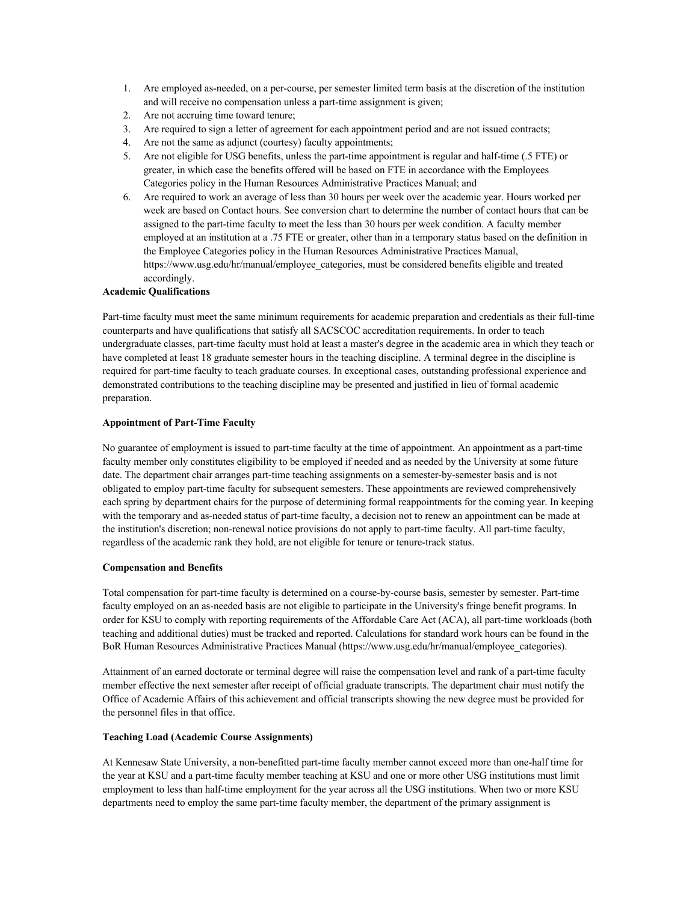- 1. Are employed as-needed, on a per-course, per semester limited term basis at the discretion of the institution and will receive no compensation unless a part-time assignment is given;
- 2. Are not accruing time toward tenure;
- 3. Are required to sign a letter of agreement for each appointment period and are not issued contracts;
- 4. Are not the same as adjunct (courtesy) faculty appointments;
- 5. Are not eligible for USG benefits, unless the part-time appointment is regular and half-time (.5 FTE) or greater, in which case the benefits offered will be based on FTE in accordance with the Employees Categories policy in the Human Resources Administrative Practices Manual; and
- 6. Are required to work an average of less than 30 hours per week over the academic year. Hours worked per week are based on Contact hours. See conversion chart to determine the number of contact hours that can be assigned to the part-time faculty to meet the less than 30 hours per week condition. A faculty member employed at an institution at a .75 FTE or greater, other than in a temporary status based on the definition in the Employee Categories policy in the Human Resources Administrative Practices Manual, https://www.usg.edu/hr/manual/employee\_categories, must be considered benefits eligible and treated accordingly.

#### **Academic Qualifications**

Part-time faculty must meet the same minimum requirements for academic preparation and credentials as their full-time counterparts and have qualifications that satisfy all SACSCOC accreditation requirements. In order to teach undergraduate classes, part-time faculty must hold at least a master's degree in the academic area in which they teach or have completed at least 18 graduate semester hours in the teaching discipline. A terminal degree in the discipline is required for part-time faculty to teach graduate courses. In exceptional cases, outstanding professional experience and demonstrated contributions to the teaching discipline may be presented and justified in lieu of formal academic preparation.

#### **Appointment of Part-Time Faculty**

No guarantee of employment is issued to part-time faculty at the time of appointment. An appointment as a part-time faculty member only constitutes eligibility to be employed if needed and as needed by the University at some future date. The department chair arranges part-time teaching assignments on a semester-by-semester basis and is not obligated to employ part-time faculty for subsequent semesters. These appointments are reviewed comprehensively each spring by department chairs for the purpose of determining formal reappointments for the coming year. In keeping with the temporary and as-needed status of part-time faculty, a decision not to renew an appointment can be made at the institution's discretion; non-renewal notice provisions do not apply to part-time faculty. All part-time faculty, regardless of the academic rank they hold, are not eligible for tenure or tenure-track status.

#### **Compensation and Benefits**

Total compensation for part-time faculty is determined on a course-by-course basis, semester by semester. Part-time faculty employed on an as-needed basis are not eligible to participate in the University's fringe benefit programs. In order for KSU to comply with reporting requirements of the Affordable Care Act (ACA), all part-time workloads (both teaching and additional duties) must be tracked and reported. Calculations for standard work hours can be found in the BoR Human Resources Administrative Practices Manual (https://www.usg.edu/hr/manual/employee\_categories).

Attainment of an earned doctorate or terminal degree will raise the compensation level and rank of a part-time faculty member effective the next semester after receipt of official graduate transcripts. The department chair must notify the Office of Academic Affairs of this achievement and official transcripts showing the new degree must be provided for the personnel files in that office.

#### **Teaching Load (Academic Course Assignments)**

At Kennesaw State University, a non-benefitted part-time faculty member cannot exceed more than one-half time for the year at KSU and a part-time faculty member teaching at KSU and one or more other USG institutions must limit employment to less than half-time employment for the year across all the USG institutions. When two or more KSU departments need to employ the same part-time faculty member, the department of the primary assignment is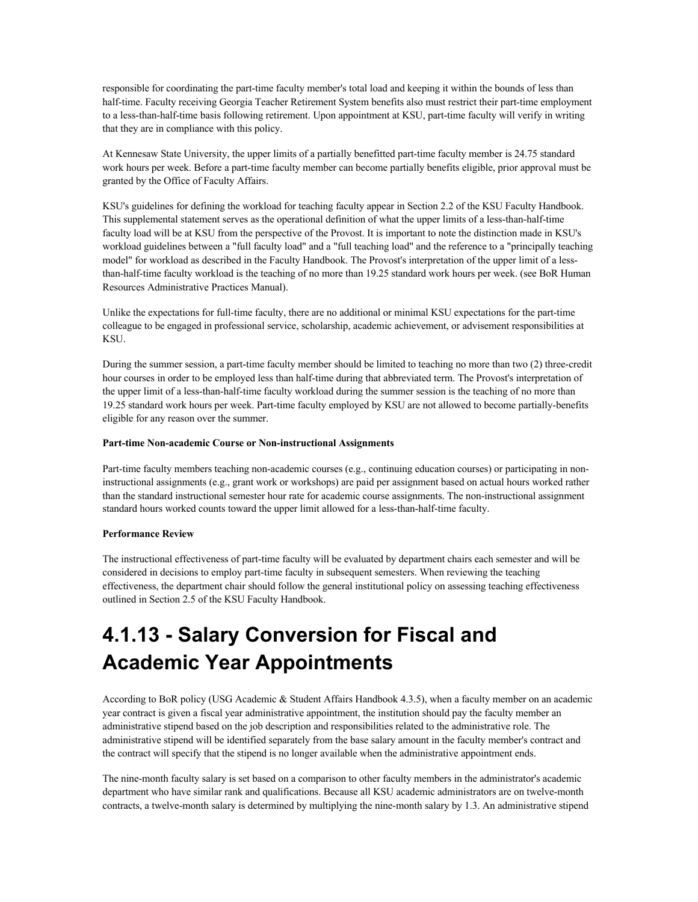responsible for coordinating the part-time faculty member's total load and keeping it within the bounds of less than half-time. Faculty receiving Georgia Teacher Retirement System benefits also must restrict their part-time employment to a less-than-half-time basis following retirement. Upon appointment at KSU, part-time faculty will verify in writing that they are in compliance with this policy.

At Kennesaw State University, the upper limits of a partially benefitted part-time faculty member is 24.75 standard work hours per week. Before a part-time faculty member can become partially benefits eligible, prior approval must be granted by the Office of Faculty Affairs.

KSU's guidelines for defining the workload for teaching faculty appear in Section 2.2 of the KSU Faculty Handbook. This supplemental statement serves as the operational definition of what the upper limits of a less-than-half-time faculty load will be at KSU from the perspective of the Provost. It is important to note the distinction made in KSU's workload guidelines between a "full faculty load" and a "full teaching load" and the reference to a "principally teaching model" for workload as described in the Faculty Handbook. The Provost's interpretation of the upper limit of a lessthan-half-time faculty workload is the teaching of no more than 19.25 standard work hours per week. (see BoR Human Resources Administrative Practices Manual).

Unlike the expectations for full-time faculty, there are no additional or minimal KSU expectations for the part-time colleague to be engaged in professional service, scholarship, academic achievement, or advisement responsibilities at KSU.

During the summer session, a part-time faculty member should be limited to teaching no more than two (2) three-credit hour courses in order to be employed less than half-time during that abbreviated term. The Provost's interpretation of the upper limit of a less-than-half-time faculty workload during the summer session is the teaching of no more than 19.25 standard work hours per week. Part-time faculty employed by KSU are not allowed to become partially-benefits eligible for any reason over the summer.

#### **Part-time Non-academic Course or Non-instructional Assignments**

Part-time faculty members teaching non-academic courses (e.g., continuing education courses) or participating in noninstructional assignments (e.g., grant work or workshops) are paid per assignment based on actual hours worked rather than the standard instructional semester hour rate for academic course assignments. The non-instructional assignment standard hours worked counts toward the upper limit allowed for a less-than-half-time faculty.

#### **Performance Review**

The instructional effectiveness of part-time faculty will be evaluated by department chairs each semester and will be considered in decisions to employ part-time faculty in subsequent semesters. When reviewing the teaching effectiveness, the department chair should follow the general institutional policy on assessing teaching effectiveness outlined in Section 2.5 of the KSU Faculty Handbook.

# **4.1.13 - Salary Conversion for Fiscal and Academic Year Appointments**

According to BoR policy (USG Academic & Student Affairs Handbook 4.3.5), when a faculty member on an academic year contract is given a fiscal year administrative appointment, the institution should pay the faculty member an administrative stipend based on the job description and responsibilities related to the administrative role. The administrative stipend will be identified separately from the base salary amount in the faculty member's contract and the contract will specify that the stipend is no longer available when the administrative appointment ends.

The nine-month faculty salary is set based on a comparison to other faculty members in the administrator's academic department who have similar rank and qualifications. Because all KSU academic administrators are on twelve-month contracts, a twelve-month salary is determined by multiplying the nine-month salary by 1.3. An administrative stipend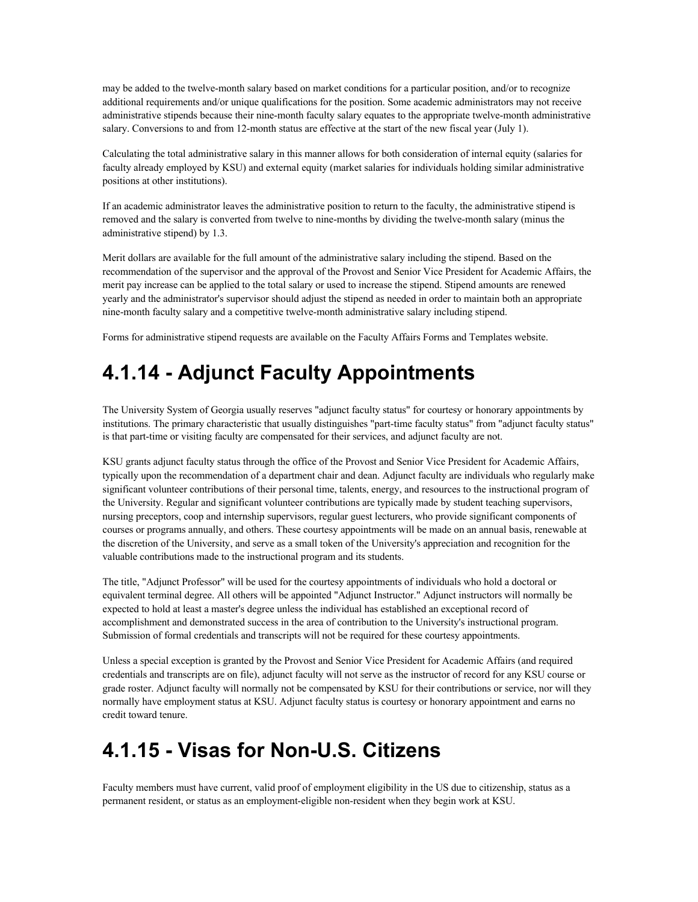may be added to the twelve-month salary based on market conditions for a particular position, and/or to recognize additional requirements and/or unique qualifications for the position. Some academic administrators may not receive administrative stipends because their nine-month faculty salary equates to the appropriate twelve-month administrative salary. Conversions to and from 12-month status are effective at the start of the new fiscal year (July 1).

Calculating the total administrative salary in this manner allows for both consideration of internal equity (salaries for faculty already employed by KSU) and external equity (market salaries for individuals holding similar administrative positions at other institutions).

If an academic administrator leaves the administrative position to return to the faculty, the administrative stipend is removed and the salary is converted from twelve to nine-months by dividing the twelve-month salary (minus the administrative stipend) by 1.3.

Merit dollars are available for the full amount of the administrative salary including the stipend. Based on the recommendation of the supervisor and the approval of the Provost and Senior Vice President for Academic Affairs, the merit pay increase can be applied to the total salary or used to increase the stipend. Stipend amounts are renewed yearly and the administrator's supervisor should adjust the stipend as needed in order to maintain both an appropriate nine-month faculty salary and a competitive twelve-month administrative salary including stipend.

Forms for administrative stipend requests are available on the Faculty Affairs Forms and Templates website.

# **4.1.14 - Adjunct Faculty Appointments**

The University System of Georgia usually reserves "adjunct faculty status" for courtesy or honorary appointments by institutions. The primary characteristic that usually distinguishes "part-time faculty status" from "adjunct faculty status" is that part-time or visiting faculty are compensated for their services, and adjunct faculty are not.

KSU grants adjunct faculty status through the office of the Provost and Senior Vice President for Academic Affairs, typically upon the recommendation of a department chair and dean. Adjunct faculty are individuals who regularly make significant volunteer contributions of their personal time, talents, energy, and resources to the instructional program of the University. Regular and significant volunteer contributions are typically made by student teaching supervisors, nursing preceptors, coop and internship supervisors, regular guest lecturers, who provide significant components of courses or programs annually, and others. These courtesy appointments will be made on an annual basis, renewable at the discretion of the University, and serve as a small token of the University's appreciation and recognition for the valuable contributions made to the instructional program and its students.

The title, "Adjunct Professor" will be used for the courtesy appointments of individuals who hold a doctoral or equivalent terminal degree. All others will be appointed "Adjunct Instructor." Adjunct instructors will normally be expected to hold at least a master's degree unless the individual has established an exceptional record of accomplishment and demonstrated success in the area of contribution to the University's instructional program. Submission of formal credentials and transcripts will not be required for these courtesy appointments.

Unless a special exception is granted by the Provost and Senior Vice President for Academic Affairs (and required credentials and transcripts are on file), adjunct faculty will not serve as the instructor of record for any KSU course or grade roster. Adjunct faculty will normally not be compensated by KSU for their contributions or service, nor will they normally have employment status at KSU. Adjunct faculty status is courtesy or honorary appointment and earns no credit toward tenure.

## **4.1.15 - Visas for Non-U.S. Citizens**

Faculty members must have current, valid proof of employment eligibility in the US due to citizenship, status as a permanent resident, or status as an employment-eligible non-resident when they begin work at KSU.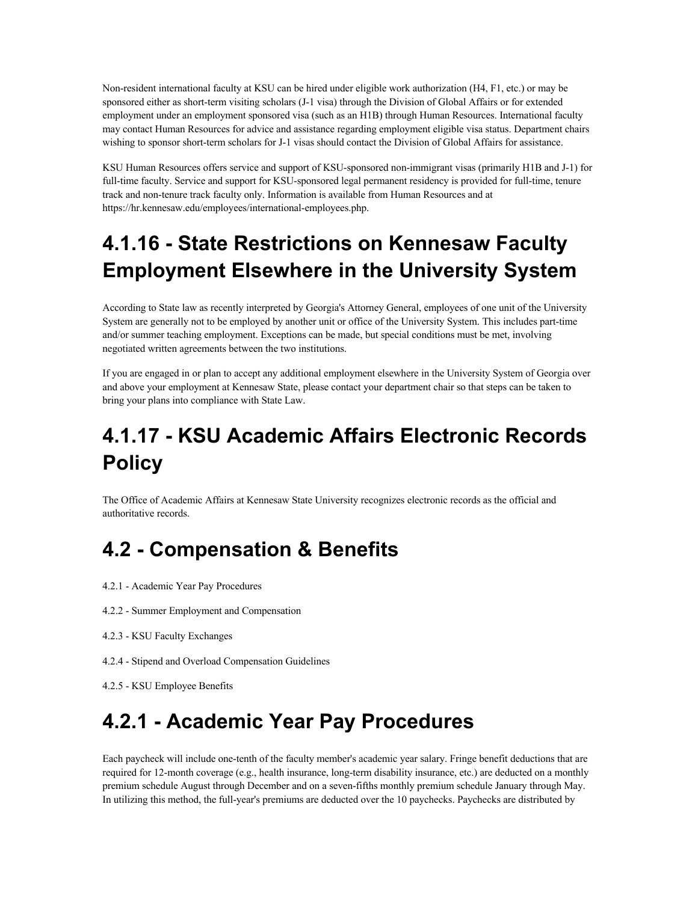Non-resident international faculty at KSU can be hired under eligible work authorization (H4, F1, etc.) or may be sponsored either as short-term visiting scholars (J-1 visa) through the Division of Global Affairs or for extended employment under an employment sponsored visa (such as an H1B) through Human Resources. International faculty may contact Human Resources for advice and assistance regarding employment eligible visa status. Department chairs wishing to sponsor short-term scholars for J-1 visas should contact the Division of Global Affairs for assistance.

KSU Human Resources offers service and support of KSU-sponsored non-immigrant visas (primarily H1B and J-1) for full-time faculty. Service and support for KSU-sponsored legal permanent residency is provided for full-time, tenure track and non-tenure track faculty only. Information is available from Human Resources and at https://hr.kennesaw.edu/employees/international-employees.php.

# **4.1.16 - State Restrictions on Kennesaw Faculty Employment Elsewhere in the University System**

According to State law as recently interpreted by Georgia's Attorney General, employees of one unit of the University System are generally not to be employed by another unit or office of the University System. This includes part-time and/or summer teaching employment. Exceptions can be made, but special conditions must be met, involving negotiated written agreements between the two institutions.

If you are engaged in or plan to accept any additional employment elsewhere in the University System of Georgia over and above your employment at Kennesaw State, please contact your department chair so that steps can be taken to bring your plans into compliance with State Law.

# **4.1.17 - KSU Academic Affairs Electronic Records Policy**

The Office of Academic Affairs at Kennesaw State University recognizes electronic records as the official and authoritative records.

# **4.2 - Compensation & Benefits**

- 4.2.1 Academic Year Pay Procedures
- 4.2.2 Summer Employment and Compensation
- 4.2.3 KSU Faculty Exchanges
- 4.2.4 Stipend and Overload Compensation Guidelines
- 4.2.5 KSU Employee Benefits

# **4.2.1 - Academic Year Pay Procedures**

Each paycheck will include one-tenth of the faculty member's academic year salary. Fringe benefit deductions that are required for 12-month coverage (e.g., health insurance, long-term disability insurance, etc.) are deducted on a monthly premium schedule August through December and on a seven-fifths monthly premium schedule January through May. In utilizing this method, the full-year's premiums are deducted over the 10 paychecks. Paychecks are distributed by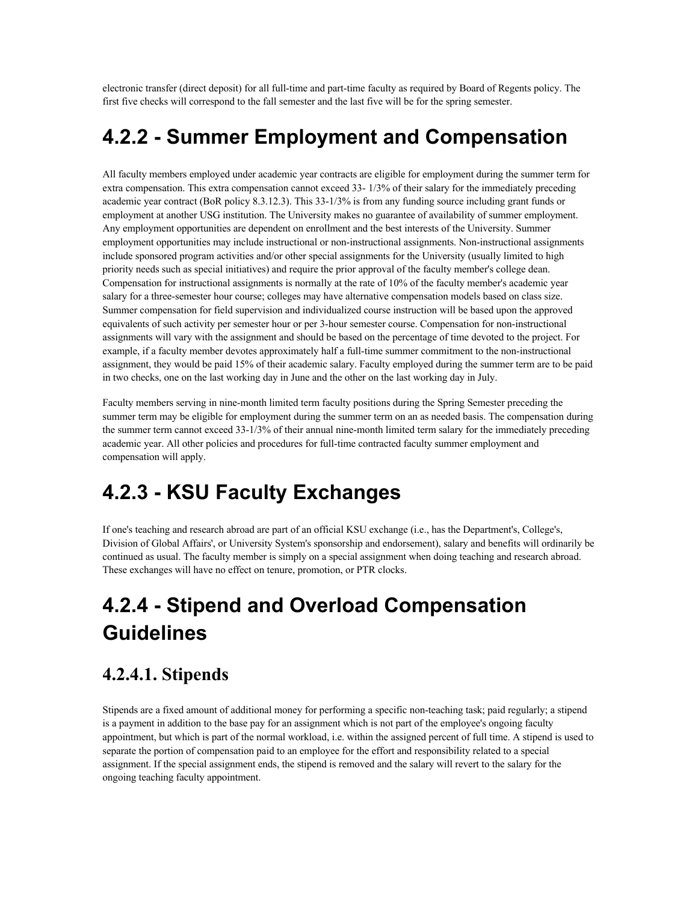electronic transfer (direct deposit) for all full-time and part-time faculty as required by Board of Regents policy. The first five checks will correspond to the fall semester and the last five will be for the spring semester.

## **4.2.2 - Summer Employment and Compensation**

All faculty members employed under academic year contracts are eligible for employment during the summer term for extra compensation. This extra compensation cannot exceed 33- 1/3% of their salary for the immediately preceding academic year contract (BoR policy 8.3.12.3). This 33-1/3% is from any funding source including grant funds or employment at another USG institution. The University makes no guarantee of availability of summer employment. Any employment opportunities are dependent on enrollment and the best interests of the University. Summer employment opportunities may include instructional or non-instructional assignments. Non-instructional assignments include sponsored program activities and/or other special assignments for the University (usually limited to high priority needs such as special initiatives) and require the prior approval of the faculty member's college dean. Compensation for instructional assignments is normally at the rate of 10% of the faculty member's academic year salary for a three-semester hour course; colleges may have alternative compensation models based on class size. Summer compensation for field supervision and individualized course instruction will be based upon the approved equivalents of such activity per semester hour or per 3-hour semester course. Compensation for non-instructional assignments will vary with the assignment and should be based on the percentage of time devoted to the project. For example, if a faculty member devotes approximately half a full-time summer commitment to the non-instructional assignment, they would be paid 15% of their academic salary. Faculty employed during the summer term are to be paid in two checks, one on the last working day in June and the other on the last working day in July.

Faculty members serving in nine-month limited term faculty positions during the Spring Semester preceding the summer term may be eligible for employment during the summer term on an as needed basis. The compensation during the summer term cannot exceed 33-1/3% of their annual nine-month limited term salary for the immediately preceding academic year. All other policies and procedures for full-time contracted faculty summer employment and compensation will apply.

## **4.2.3 - KSU Faculty Exchanges**

If one's teaching and research abroad are part of an official KSU exchange (i.e., has the Department's, College's, Division of Global Affairs', or University System's sponsorship and endorsement), salary and benefits will ordinarily be continued as usual. The faculty member is simply on a special assignment when doing teaching and research abroad. These exchanges will have no effect on tenure, promotion, or PTR clocks.

# **4.2.4 - Stipend and Overload Compensation Guidelines**

### **4.2.4.1. Stipends**

Stipends are a fixed amount of additional money for performing a specific non-teaching task; paid regularly; a stipend is a payment in addition to the base pay for an assignment which is not part of the employee's ongoing faculty appointment, but which is part of the normal workload, i.e. within the assigned percent of full time. A stipend is used to separate the portion of compensation paid to an employee for the effort and responsibility related to a special assignment. If the special assignment ends, the stipend is removed and the salary will revert to the salary for the ongoing teaching faculty appointment.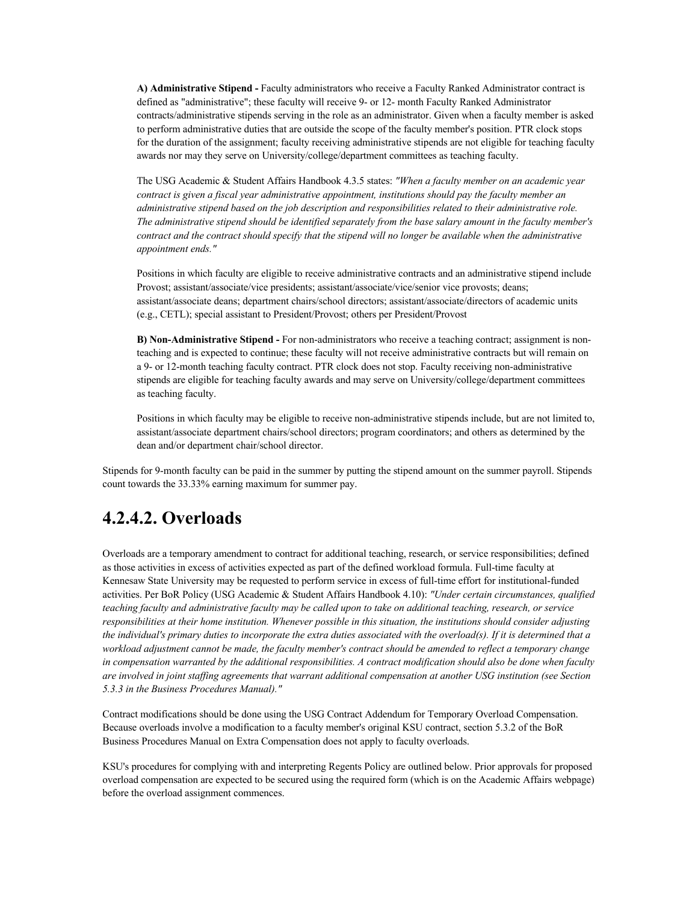**A) Administrative Stipend -** Faculty administrators who receive a Faculty Ranked Administrator contract is defined as "administrative"; these faculty will receive 9- or 12- month Faculty Ranked Administrator contracts/administrative stipends serving in the role as an administrator. Given when a faculty member is asked to perform administrative duties that are outside the scope of the faculty member's position. PTR clock stops for the duration of the assignment; faculty receiving administrative stipends are not eligible for teaching faculty awards nor may they serve on University/college/department committees as teaching faculty.

The USG Academic & Student Affairs Handbook 4.3.5 states: *"When a faculty member on an academic year contract is given a fiscal year administrative appointment, institutions should pay the faculty member an administrative stipend based on the job description and responsibilities related to their administrative role. The administrative stipend should be identified separately from the base salary amount in the faculty member's contract and the contract should specify that the stipend will no longer be available when the administrative appointment ends."*

Positions in which faculty are eligible to receive administrative contracts and an administrative stipend include Provost; assistant/associate/vice presidents; assistant/associate/vice/senior vice provosts; deans; assistant/associate deans; department chairs/school directors; assistant/associate/directors of academic units (e.g., CETL); special assistant to President/Provost; others per President/Provost

**B) Non-Administrative Stipend -** For non-administrators who receive a teaching contract; assignment is nonteaching and is expected to continue; these faculty will not receive administrative contracts but will remain on a 9- or 12-month teaching faculty contract. PTR clock does not stop. Faculty receiving non-administrative stipends are eligible for teaching faculty awards and may serve on University/college/department committees as teaching faculty.

Positions in which faculty may be eligible to receive non-administrative stipends include, but are not limited to, assistant/associate department chairs/school directors; program coordinators; and others as determined by the dean and/or department chair/school director.

Stipends for 9-month faculty can be paid in the summer by putting the stipend amount on the summer payroll. Stipends count towards the 33.33% earning maximum for summer pay.

### **4.2.4.2. Overloads**

Overloads are a temporary amendment to contract for additional teaching, research, or service responsibilities; defined as those activities in excess of activities expected as part of the defined workload formula. Full-time faculty at Kennesaw State University may be requested to perform service in excess of full-time effort for institutional-funded activities. Per BoR Policy (USG Academic & Student Affairs Handbook 4.10): *"Under certain circumstances, qualified teaching faculty and administrative faculty may be called upon to take on additional teaching, research, or service responsibilities at their home institution. Whenever possible in this situation, the institutions should consider adjusting the individual's primary duties to incorporate the extra duties associated with the overload(s). If it is determined that a workload adjustment cannot be made, the faculty member's contract should be amended to reflect a temporary change in compensation warranted by the additional responsibilities. A contract modification should also be done when faculty are involved in joint staffing agreements that warrant additional compensation at another USG institution (see Section 5.3.3 in the Business Procedures Manual)."*

Contract modifications should be done using the USG Contract Addendum for Temporary Overload Compensation. Because overloads involve a modification to a faculty member's original KSU contract, section 5.3.2 of the BoR Business Procedures Manual on Extra Compensation does not apply to faculty overloads.

KSU's procedures for complying with and interpreting Regents Policy are outlined below. Prior approvals for proposed overload compensation are expected to be secured using the required form (which is on the Academic Affairs webpage) before the overload assignment commences.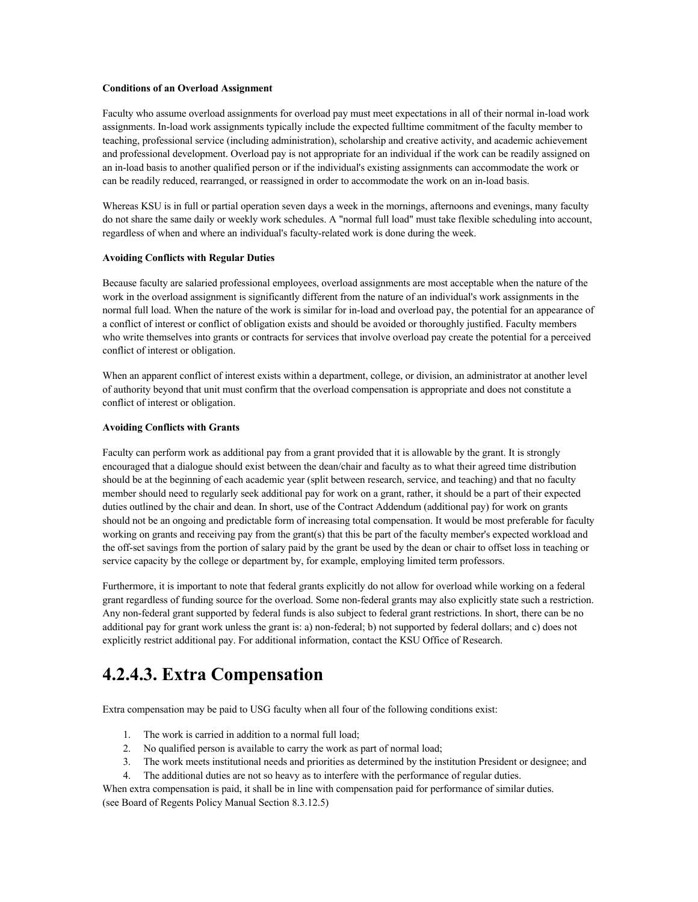#### **Conditions of an Overload Assignment**

Faculty who assume overload assignments for overload pay must meet expectations in all of their normal in-load work assignments. In-load work assignments typically include the expected fulltime commitment of the faculty member to teaching, professional service (including administration), scholarship and creative activity, and academic achievement and professional development. Overload pay is not appropriate for an individual if the work can be readily assigned on an in-load basis to another qualified person or if the individual's existing assignments can accommodate the work or can be readily reduced, rearranged, or reassigned in order to accommodate the work on an in-load basis.

Whereas KSU is in full or partial operation seven days a week in the mornings, afternoons and evenings, many faculty do not share the same daily or weekly work schedules. A "normal full load" must take flexible scheduling into account, regardless of when and where an individual's faculty-related work is done during the week.

#### **Avoiding Conflicts with Regular Duties**

Because faculty are salaried professional employees, overload assignments are most acceptable when the nature of the work in the overload assignment is significantly different from the nature of an individual's work assignments in the normal full load. When the nature of the work is similar for in-load and overload pay, the potential for an appearance of a conflict of interest or conflict of obligation exists and should be avoided or thoroughly justified. Faculty members who write themselves into grants or contracts for services that involve overload pay create the potential for a perceived conflict of interest or obligation.

When an apparent conflict of interest exists within a department, college, or division, an administrator at another level of authority beyond that unit must confirm that the overload compensation is appropriate and does not constitute a conflict of interest or obligation.

#### **Avoiding Conflicts with Grants**

Faculty can perform work as additional pay from a grant provided that it is allowable by the grant. It is strongly encouraged that a dialogue should exist between the dean/chair and faculty as to what their agreed time distribution should be at the beginning of each academic year (split between research, service, and teaching) and that no faculty member should need to regularly seek additional pay for work on a grant, rather, it should be a part of their expected duties outlined by the chair and dean. In short, use of the Contract Addendum (additional pay) for work on grants should not be an ongoing and predictable form of increasing total compensation. It would be most preferable for faculty working on grants and receiving pay from the grant(s) that this be part of the faculty member's expected workload and the off-set savings from the portion of salary paid by the grant be used by the dean or chair to offset loss in teaching or service capacity by the college or department by, for example, employing limited term professors.

Furthermore, it is important to note that federal grants explicitly do not allow for overload while working on a federal grant regardless of funding source for the overload. Some non-federal grants may also explicitly state such a restriction. Any non-federal grant supported by federal funds is also subject to federal grant restrictions. In short, there can be no additional pay for grant work unless the grant is: a) non-federal; b) not supported by federal dollars; and c) does not explicitly restrict additional pay. For additional information, contact the KSU Office of Research.

### **4.2.4.3. Extra Compensation**

Extra compensation may be paid to USG faculty when all four of the following conditions exist:

- 1. The work is carried in addition to a normal full load;
- 2. No qualified person is available to carry the work as part of normal load;
- 3. The work meets institutional needs and priorities as determined by the institution President or designee; and
- 4. The additional duties are not so heavy as to interfere with the performance of regular duties.

When extra compensation is paid, it shall be in line with compensation paid for performance of similar duties. (see Board of Regents Policy Manual Section 8.3.12.5)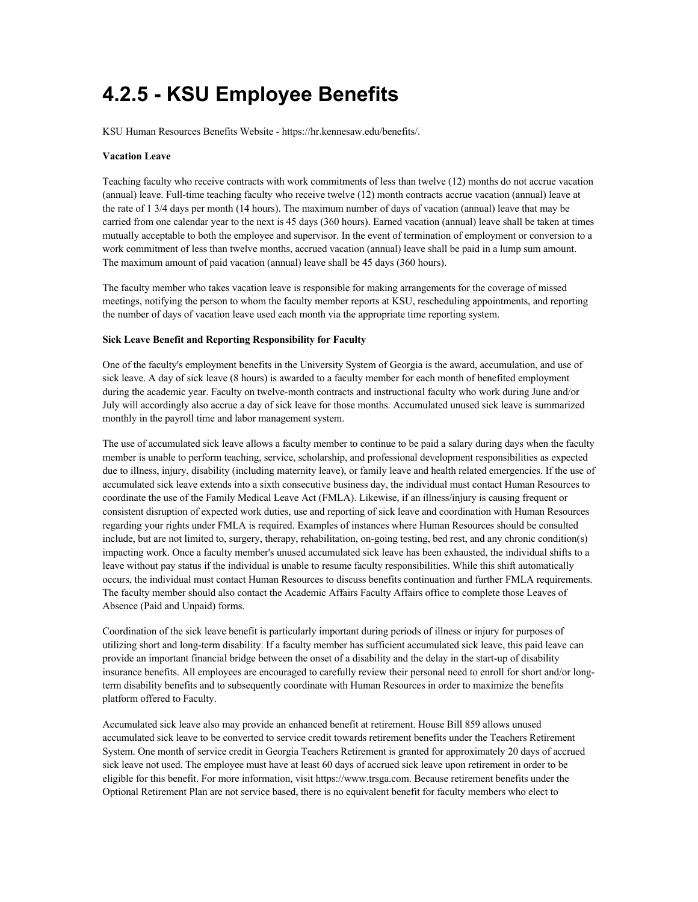# **4.2.5 - KSU Employee Benefits**

KSU Human Resources Benefits Website - https://hr.kennesaw.edu/benefits/.

#### **Vacation Leave**

Teaching faculty who receive contracts with work commitments of less than twelve (12) months do not accrue vacation (annual) leave. Full-time teaching faculty who receive twelve (12) month contracts accrue vacation (annual) leave at the rate of 1 3/4 days per month (14 hours). The maximum number of days of vacation (annual) leave that may be carried from one calendar year to the next is 45 days (360 hours). Earned vacation (annual) leave shall be taken at times mutually acceptable to both the employee and supervisor. In the event of termination of employment or conversion to a work commitment of less than twelve months, accrued vacation (annual) leave shall be paid in a lump sum amount. The maximum amount of paid vacation (annual) leave shall be 45 days (360 hours).

The faculty member who takes vacation leave is responsible for making arrangements for the coverage of missed meetings, notifying the person to whom the faculty member reports at KSU, rescheduling appointments, and reporting the number of days of vacation leave used each month via the appropriate time reporting system.

#### **Sick Leave Benefit and Reporting Responsibility for Faculty**

One of the faculty's employment benefits in the University System of Georgia is the award, accumulation, and use of sick leave. A day of sick leave (8 hours) is awarded to a faculty member for each month of benefited employment during the academic year. Faculty on twelve-month contracts and instructional faculty who work during June and/or July will accordingly also accrue a day of sick leave for those months. Accumulated unused sick leave is summarized monthly in the payroll time and labor management system.

The use of accumulated sick leave allows a faculty member to continue to be paid a salary during days when the faculty member is unable to perform teaching, service, scholarship, and professional development responsibilities as expected due to illness, injury, disability (including maternity leave), or family leave and health related emergencies. If the use of accumulated sick leave extends into a sixth consecutive business day, the individual must contact Human Resources to coordinate the use of the Family Medical Leave Act (FMLA). Likewise, if an illness/injury is causing frequent or consistent disruption of expected work duties, use and reporting of sick leave and coordination with Human Resources regarding your rights under FMLA is required. Examples of instances where Human Resources should be consulted include, but are not limited to, surgery, therapy, rehabilitation, on-going testing, bed rest, and any chronic condition(s) impacting work. Once a faculty member's unused accumulated sick leave has been exhausted, the individual shifts to a leave without pay status if the individual is unable to resume faculty responsibilities. While this shift automatically occurs, the individual must contact Human Resources to discuss benefits continuation and further FMLA requirements. The faculty member should also contact the Academic Affairs Faculty Affairs office to complete those Leaves of Absence (Paid and Unpaid) forms.

Coordination of the sick leave benefit is particularly important during periods of illness or injury for purposes of utilizing short and long-term disability. If a faculty member has sufficient accumulated sick leave, this paid leave can provide an important financial bridge between the onset of a disability and the delay in the start-up of disability insurance benefits. All employees are encouraged to carefully review their personal need to enroll for short and/or longterm disability benefits and to subsequently coordinate with Human Resources in order to maximize the benefits platform offered to Faculty.

Accumulated sick leave also may provide an enhanced benefit at retirement. House Bill 859 allows unused accumulated sick leave to be converted to service credit towards retirement benefits under the Teachers Retirement System. One month of service credit in Georgia Teachers Retirement is granted for approximately 20 days of accrued sick leave not used. The employee must have at least 60 days of accrued sick leave upon retirement in order to be eligible for this benefit. For more information, visit https://www.trsga.com. Because retirement benefits under the Optional Retirement Plan are not service based, there is no equivalent benefit for faculty members who elect to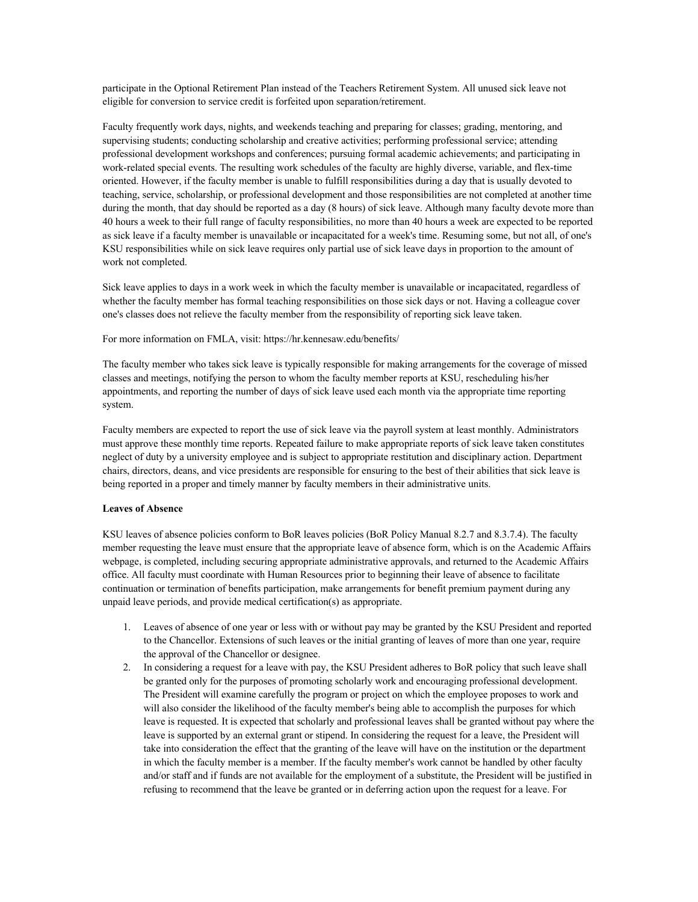participate in the Optional Retirement Plan instead of the Teachers Retirement System. All unused sick leave not eligible for conversion to service credit is forfeited upon separation/retirement.

Faculty frequently work days, nights, and weekends teaching and preparing for classes; grading, mentoring, and supervising students; conducting scholarship and creative activities; performing professional service; attending professional development workshops and conferences; pursuing formal academic achievements; and participating in work-related special events. The resulting work schedules of the faculty are highly diverse, variable, and flex-time oriented. However, if the faculty member is unable to fulfill responsibilities during a day that is usually devoted to teaching, service, scholarship, or professional development and those responsibilities are not completed at another time during the month, that day should be reported as a day (8 hours) of sick leave. Although many faculty devote more than 40 hours a week to their full range of faculty responsibilities, no more than 40 hours a week are expected to be reported as sick leave if a faculty member is unavailable or incapacitated for a week's time. Resuming some, but not all, of one's KSU responsibilities while on sick leave requires only partial use of sick leave days in proportion to the amount of work not completed.

Sick leave applies to days in a work week in which the faculty member is unavailable or incapacitated, regardless of whether the faculty member has formal teaching responsibilities on those sick days or not. Having a colleague cover one's classes does not relieve the faculty member from the responsibility of reporting sick leave taken.

For more information on FMLA, visit: https://hr.kennesaw.edu/benefits/

The faculty member who takes sick leave is typically responsible for making arrangements for the coverage of missed classes and meetings, notifying the person to whom the faculty member reports at KSU, rescheduling his/her appointments, and reporting the number of days of sick leave used each month via the appropriate time reporting system.

Faculty members are expected to report the use of sick leave via the payroll system at least monthly. Administrators must approve these monthly time reports. Repeated failure to make appropriate reports of sick leave taken constitutes neglect of duty by a university employee and is subject to appropriate restitution and disciplinary action. Department chairs, directors, deans, and vice presidents are responsible for ensuring to the best of their abilities that sick leave is being reported in a proper and timely manner by faculty members in their administrative units.

#### **Leaves of Absence**

KSU leaves of absence policies conform to BoR leaves policies (BoR Policy Manual 8.2.7 and 8.3.7.4). The faculty member requesting the leave must ensure that the appropriate leave of absence form, which is on the Academic Affairs webpage, is completed, including securing appropriate administrative approvals, and returned to the Academic Affairs office. All faculty must coordinate with Human Resources prior to beginning their leave of absence to facilitate continuation or termination of benefits participation, make arrangements for benefit premium payment during any unpaid leave periods, and provide medical certification(s) as appropriate.

- 1. Leaves of absence of one year or less with or without pay may be granted by the KSU President and reported to the Chancellor. Extensions of such leaves or the initial granting of leaves of more than one year, require the approval of the Chancellor or designee.
- 2. In considering a request for a leave with pay, the KSU President adheres to BoR policy that such leave shall be granted only for the purposes of promoting scholarly work and encouraging professional development. The President will examine carefully the program or project on which the employee proposes to work and will also consider the likelihood of the faculty member's being able to accomplish the purposes for which leave is requested. It is expected that scholarly and professional leaves shall be granted without pay where the leave is supported by an external grant or stipend. In considering the request for a leave, the President will take into consideration the effect that the granting of the leave will have on the institution or the department in which the faculty member is a member. If the faculty member's work cannot be handled by other faculty and/or staff and if funds are not available for the employment of a substitute, the President will be justified in refusing to recommend that the leave be granted or in deferring action upon the request for a leave. For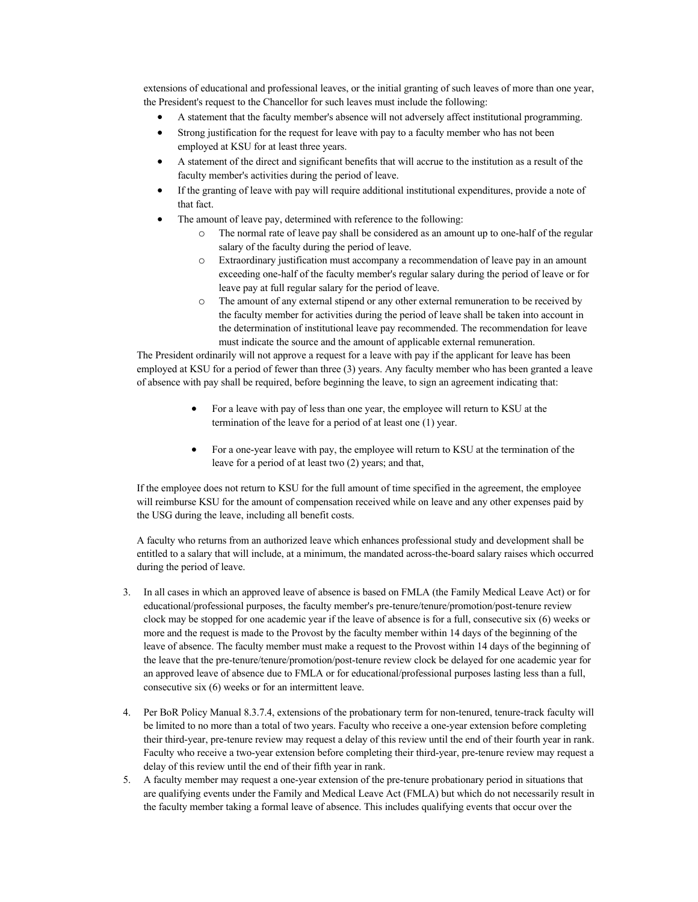extensions of educational and professional leaves, or the initial granting of such leaves of more than one year, the President's request to the Chancellor for such leaves must include the following:

- A statement that the faculty member's absence will not adversely affect institutional programming.
- Strong justification for the request for leave with pay to a faculty member who has not been employed at KSU for at least three years.
- A statement of the direct and significant benefits that will accrue to the institution as a result of the faculty member's activities during the period of leave.
- If the granting of leave with pay will require additional institutional expenditures, provide a note of that fact.
- The amount of leave pay, determined with reference to the following:
	- o The normal rate of leave pay shall be considered as an amount up to one-half of the regular salary of the faculty during the period of leave.
	- o Extraordinary justification must accompany a recommendation of leave pay in an amount exceeding one-half of the faculty member's regular salary during the period of leave or for leave pay at full regular salary for the period of leave.
	- o The amount of any external stipend or any other external remuneration to be received by the faculty member for activities during the period of leave shall be taken into account in the determination of institutional leave pay recommended. The recommendation for leave must indicate the source and the amount of applicable external remuneration.

The President ordinarily will not approve a request for a leave with pay if the applicant for leave has been employed at KSU for a period of fewer than three (3) years. Any faculty member who has been granted a leave of absence with pay shall be required, before beginning the leave, to sign an agreement indicating that:

- For a leave with pay of less than one year, the employee will return to KSU at the termination of the leave for a period of at least one (1) year.
- For a one-year leave with pay, the employee will return to KSU at the termination of the leave for a period of at least two (2) years; and that,

If the employee does not return to KSU for the full amount of time specified in the agreement, the employee will reimburse KSU for the amount of compensation received while on leave and any other expenses paid by the USG during the leave, including all benefit costs.

A faculty who returns from an authorized leave which enhances professional study and development shall be entitled to a salary that will include, at a minimum, the mandated across-the-board salary raises which occurred during the period of leave.

- 3. In all cases in which an approved leave of absence is based on FMLA (the Family Medical Leave Act) or for educational/professional purposes, the faculty member's pre-tenure/tenure/promotion/post-tenure review clock may be stopped for one academic year if the leave of absence is for a full, consecutive six (6) weeks or more and the request is made to the Provost by the faculty member within 14 days of the beginning of the leave of absence. The faculty member must make a request to the Provost within 14 days of the beginning of the leave that the pre-tenure/tenure/promotion/post-tenure review clock be delayed for one academic year for an approved leave of absence due to FMLA or for educational/professional purposes lasting less than a full, consecutive six (6) weeks or for an intermittent leave.
- 4. Per BoR Policy Manual 8.3.7.4, extensions of the probationary term for non-tenured, tenure-track faculty will be limited to no more than a total of two years. Faculty who receive a one-year extension before completing their third-year, pre-tenure review may request a delay of this review until the end of their fourth year in rank. Faculty who receive a two-year extension before completing their third-year, pre-tenure review may request a delay of this review until the end of their fifth year in rank.
- 5. A faculty member may request a one-year extension of the pre-tenure probationary period in situations that are qualifying events under the Family and Medical Leave Act (FMLA) but which do not necessarily result in the faculty member taking a formal leave of absence. This includes qualifying events that occur over the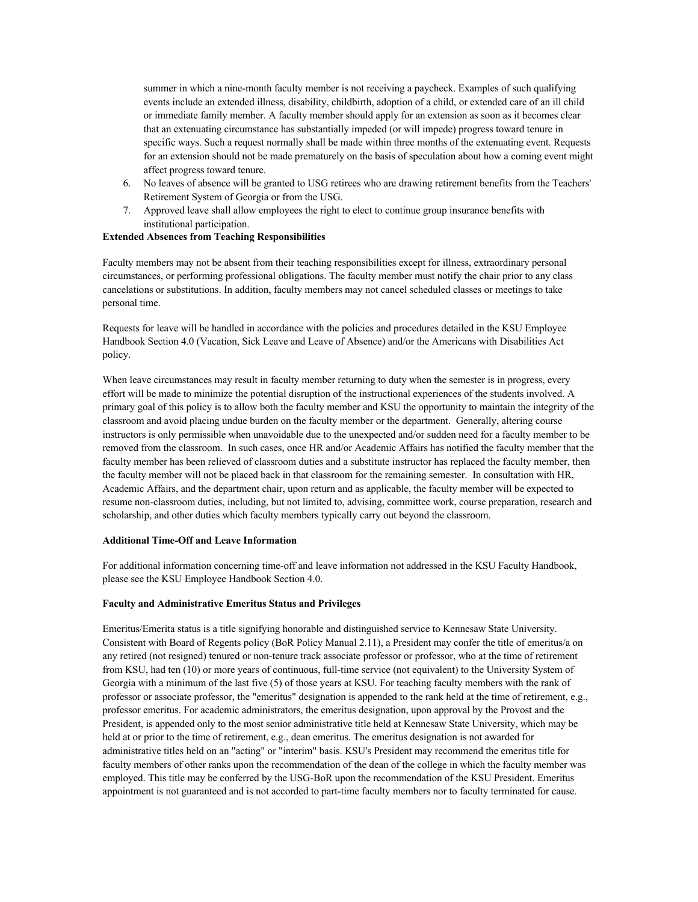summer in which a nine-month faculty member is not receiving a paycheck. Examples of such qualifying events include an extended illness, disability, childbirth, adoption of a child, or extended care of an ill child or immediate family member. A faculty member should apply for an extension as soon as it becomes clear that an extenuating circumstance has substantially impeded (or will impede) progress toward tenure in specific ways. Such a request normally shall be made within three months of the extenuating event. Requests for an extension should not be made prematurely on the basis of speculation about how a coming event might affect progress toward tenure.

- 6. No leaves of absence will be granted to USG retirees who are drawing retirement benefits from the Teachers' Retirement System of Georgia or from the USG.
- 7. Approved leave shall allow employees the right to elect to continue group insurance benefits with institutional participation.

#### **Extended Absences from Teaching Responsibilities**

Faculty members may not be absent from their teaching responsibilities except for illness, extraordinary personal circumstances, or performing professional obligations. The faculty member must notify the chair prior to any class cancelations or substitutions. In addition, faculty members may not cancel scheduled classes or meetings to take personal time.

Requests for leave will be handled in accordance with the policies and procedures detailed in the KSU Employee Handbook Section 4.0 (Vacation, Sick Leave and Leave of Absence) and/or the Americans with Disabilities Act policy.

When leave circumstances may result in faculty member returning to duty when the semester is in progress, every effort will be made to minimize the potential disruption of the instructional experiences of the students involved. A primary goal of this policy is to allow both the faculty member and KSU the opportunity to maintain the integrity of the classroom and avoid placing undue burden on the faculty member or the department. Generally, altering course instructors is only permissible when unavoidable due to the unexpected and/or sudden need for a faculty member to be removed from the classroom. In such cases, once HR and/or Academic Affairs has notified the faculty member that the faculty member has been relieved of classroom duties and a substitute instructor has replaced the faculty member, then the faculty member will not be placed back in that classroom for the remaining semester. In consultation with HR, Academic Affairs, and the department chair, upon return and as applicable, the faculty member will be expected to resume non-classroom duties, including, but not limited to, advising, committee work, course preparation, research and scholarship, and other duties which faculty members typically carry out beyond the classroom.

#### **Additional Time-Off and Leave Information**

For additional information concerning time-off and leave information not addressed in the KSU Faculty Handbook, please see the KSU Employee Handbook Section 4.0.

#### **Faculty and Administrative Emeritus Status and Privileges**

Emeritus/Emerita status is a title signifying honorable and distinguished service to Kennesaw State University. Consistent with Board of Regents policy (BoR Policy Manual 2.11), a President may confer the title of emeritus/a on any retired (not resigned) tenured or non-tenure track associate professor or professor, who at the time of retirement from KSU, had ten (10) or more years of continuous, full-time service (not equivalent) to the University System of Georgia with a minimum of the last five (5) of those years at KSU. For teaching faculty members with the rank of professor or associate professor, the "emeritus" designation is appended to the rank held at the time of retirement, e.g., professor emeritus. For academic administrators, the emeritus designation, upon approval by the Provost and the President, is appended only to the most senior administrative title held at Kennesaw State University, which may be held at or prior to the time of retirement, e.g., dean emeritus. The emeritus designation is not awarded for administrative titles held on an "acting" or "interim" basis. KSU's President may recommend the emeritus title for faculty members of other ranks upon the recommendation of the dean of the college in which the faculty member was employed. This title may be conferred by the USG-BoR upon the recommendation of the KSU President. Emeritus appointment is not guaranteed and is not accorded to part-time faculty members nor to faculty terminated for cause.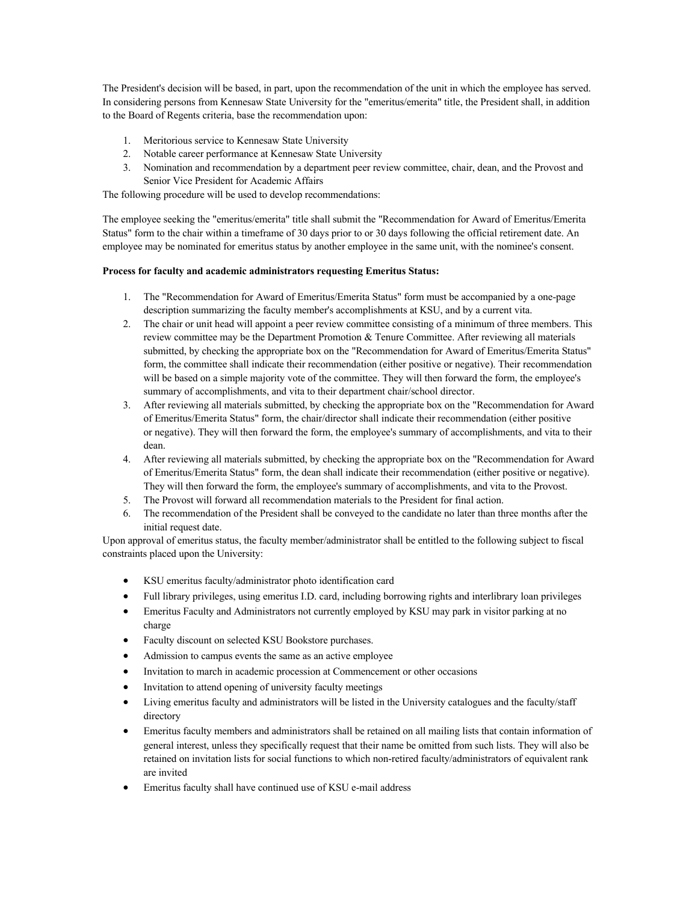The President's decision will be based, in part, upon the recommendation of the unit in which the employee has served. In considering persons from Kennesaw State University for the "emeritus/emerita" title, the President shall, in addition to the Board of Regents criteria, base the recommendation upon:

- 1. Meritorious service to Kennesaw State University
- 2. Notable career performance at Kennesaw State University
- 3. Nomination and recommendation by a department peer review committee, chair, dean, and the Provost and Senior Vice President for Academic Affairs

The following procedure will be used to develop recommendations:

The employee seeking the "emeritus/emerita" title shall submit the "Recommendation for Award of Emeritus/Emerita Status" form to the chair within a timeframe of 30 days prior to or 30 days following the official retirement date. An employee may be nominated for emeritus status by another employee in the same unit, with the nominee's consent.

#### **Process for faculty and academic administrators requesting Emeritus Status:**

- 1. The "Recommendation for Award of Emeritus/Emerita Status" form must be accompanied by a one-page description summarizing the faculty member's accomplishments at KSU, and by a current vita.
- 2. The chair or unit head will appoint a peer review committee consisting of a minimum of three members. This review committee may be the Department Promotion & Tenure Committee. After reviewing all materials submitted, by checking the appropriate box on the "Recommendation for Award of Emeritus/Emerita Status" form, the committee shall indicate their recommendation (either positive or negative). Their recommendation will be based on a simple majority vote of the committee. They will then forward the form, the employee's summary of accomplishments, and vita to their department chair/school director.
- 3. After reviewing all materials submitted, by checking the appropriate box on the "Recommendation for Award of Emeritus/Emerita Status" form, the chair/director shall indicate their recommendation (either positive or negative). They will then forward the form, the employee's summary of accomplishments, and vita to their dean.
- 4. After reviewing all materials submitted, by checking the appropriate box on the "Recommendation for Award of Emeritus/Emerita Status" form, the dean shall indicate their recommendation (either positive or negative). They will then forward the form, the employee's summary of accomplishments, and vita to the Provost.
- 5. The Provost will forward all recommendation materials to the President for final action.
- 6. The recommendation of the President shall be conveyed to the candidate no later than three months after the initial request date.

Upon approval of emeritus status, the faculty member/administrator shall be entitled to the following subject to fiscal constraints placed upon the University:

- KSU emeritus faculty/administrator photo identification card
- Full library privileges, using emeritus I.D. card, including borrowing rights and interlibrary loan privileges
- Emeritus Faculty and Administrators not currently employed by KSU may park in visitor parking at no charge
- Faculty discount on selected KSU Bookstore purchases.
- Admission to campus events the same as an active employee
- Invitation to march in academic procession at Commencement or other occasions
- Invitation to attend opening of university faculty meetings
- Living emeritus faculty and administrators will be listed in the University catalogues and the faculty/staff directory
- Emeritus faculty members and administrators shall be retained on all mailing lists that contain information of general interest, unless they specifically request that their name be omitted from such lists. They will also be retained on invitation lists for social functions to which non-retired faculty/administrators of equivalent rank are invited
- Emeritus faculty shall have continued use of KSU e-mail address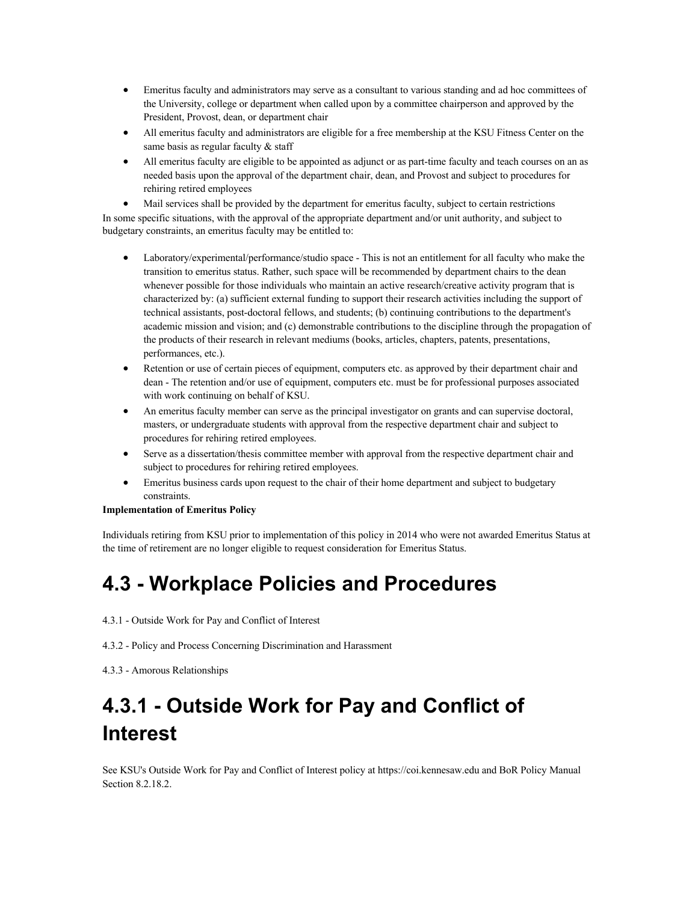- Emeritus faculty and administrators may serve as a consultant to various standing and ad hoc committees of the University, college or department when called upon by a committee chairperson and approved by the President, Provost, dean, or department chair
- All emeritus faculty and administrators are eligible for a free membership at the KSU Fitness Center on the same basis as regular faculty & staff
- All emeritus faculty are eligible to be appointed as adjunct or as part-time faculty and teach courses on an as needed basis upon the approval of the department chair, dean, and Provost and subject to procedures for rehiring retired employees

• Mail services shall be provided by the department for emeritus faculty, subject to certain restrictions In some specific situations, with the approval of the appropriate department and/or unit authority, and subject to budgetary constraints, an emeritus faculty may be entitled to:

- Laboratory/experimental/performance/studio space This is not an entitlement for all faculty who make the transition to emeritus status. Rather, such space will be recommended by department chairs to the dean whenever possible for those individuals who maintain an active research/creative activity program that is characterized by: (a) sufficient external funding to support their research activities including the support of technical assistants, post-doctoral fellows, and students; (b) continuing contributions to the department's academic mission and vision; and (c) demonstrable contributions to the discipline through the propagation of the products of their research in relevant mediums (books, articles, chapters, patents, presentations, performances, etc.).
- Retention or use of certain pieces of equipment, computers etc. as approved by their department chair and dean - The retention and/or use of equipment, computers etc. must be for professional purposes associated with work continuing on behalf of KSU.
- An emeritus faculty member can serve as the principal investigator on grants and can supervise doctoral, masters, or undergraduate students with approval from the respective department chair and subject to procedures for rehiring retired employees.
- Serve as a dissertation/thesis committee member with approval from the respective department chair and subject to procedures for rehiring retired employees.
- Emeritus business cards upon request to the chair of their home department and subject to budgetary constraints.

#### **Implementation of Emeritus Policy**

Individuals retiring from KSU prior to implementation of this policy in 2014 who were not awarded Emeritus Status at the time of retirement are no longer eligible to request consideration for Emeritus Status.

## **4.3 - Workplace Policies and Procedures**

- 4.3.1 Outside Work for Pay and Conflict of Interest
- 4.3.2 Policy and Process Concerning Discrimination and Harassment
- 4.3.3 Amorous Relationships

# **4.3.1 - Outside Work for Pay and Conflict of Interest**

See KSU's Outside Work for Pay and Conflict of Interest policy at https://coi.kennesaw.edu and BoR Policy Manual Section 8.2.18.2.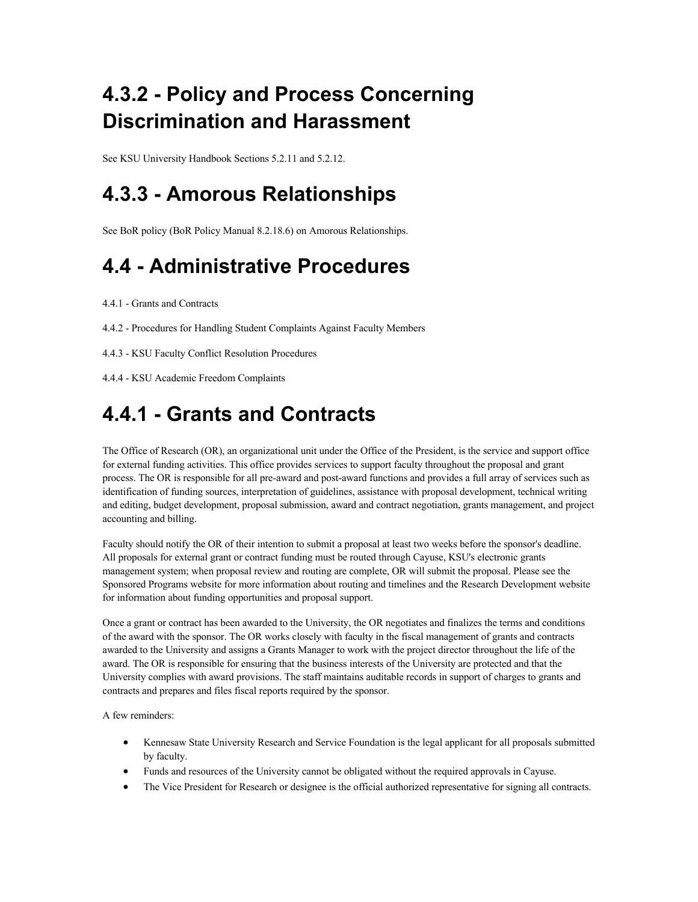# **4.3.2 - Policy and Process Concerning Discrimination and Harassment**

See KSU University Handbook Sections 5.2.11 and 5.2.12.

# **4.3.3 - Amorous Relationships**

See BoR policy (BoR Policy Manual 8.2.18.6) on Amorous Relationships.

# **4.4 - Administrative Procedures**

4.4.1 - Grants and Contracts

4.4.2 - Procedures for Handling Student Complaints Against Faculty Members

4.4.3 - KSU Faculty Conflict Resolution Procedures

4.4.4 - KSU Academic Freedom Complaints

# **4.4.1 - Grants and Contracts**

The Office of Research (OR), an organizational unit under the Office of the President, is the service and support office for external funding activities. This office provides services to support faculty throughout the proposal and grant process. The OR is responsible for all pre-award and post-award functions and provides a full array of services such as identification of funding sources, interpretation of guidelines, assistance with proposal development, technical writing and editing, budget development, proposal submission, award and contract negotiation, grants management, and project accounting and billing.

Faculty should notify the OR of their intention to submit a proposal at least two weeks before the sponsor's deadline. All proposals for external grant or contract funding must be routed through Cayuse, KSU's electronic grants management system; when proposal review and routing are complete, OR will submit the proposal. Please see the Sponsored Programs website for more information about routing and timelines and the Research Development website for information about funding opportunities and proposal support.

Once a grant or contract has been awarded to the University, the OR negotiates and finalizes the terms and conditions of the award with the sponsor. The OR works closely with faculty in the fiscal management of grants and contracts awarded to the University and assigns a Grants Manager to work with the project director throughout the life of the award. The OR is responsible for ensuring that the business interests of the University are protected and that the University complies with award provisions. The staff maintains auditable records in support of charges to grants and contracts and prepares and files fiscal reports required by the sponsor.

A few reminders:

- Kennesaw State University Research and Service Foundation is the legal applicant for all proposals submitted by faculty.
- Funds and resources of the University cannot be obligated without the required approvals in Cayuse.
- The Vice President for Research or designee is the official authorized representative for signing all contracts.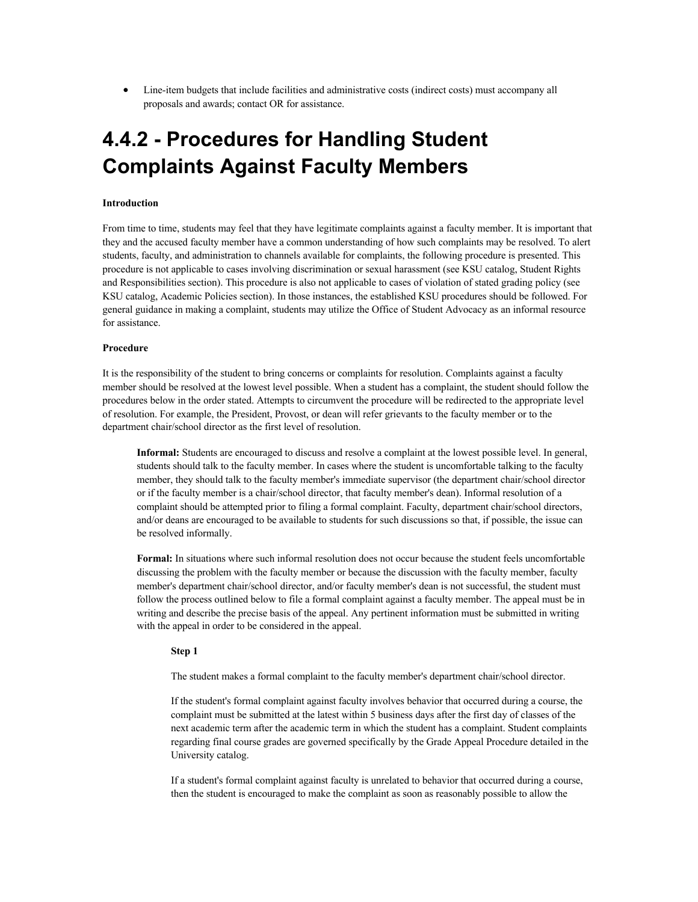• Line-item budgets that include facilities and administrative costs (indirect costs) must accompany all proposals and awards; contact OR for assistance.

# **4.4.2 - Procedures for Handling Student Complaints Against Faculty Members**

#### **Introduction**

From time to time, students may feel that they have legitimate complaints against a faculty member. It is important that they and the accused faculty member have a common understanding of how such complaints may be resolved. To alert students, faculty, and administration to channels available for complaints, the following procedure is presented. This procedure is not applicable to cases involving discrimination or sexual harassment (see KSU catalog, Student Rights and Responsibilities section). This procedure is also not applicable to cases of violation of stated grading policy (see KSU catalog, Academic Policies section). In those instances, the established KSU procedures should be followed. For general guidance in making a complaint, students may utilize the Office of Student Advocacy as an informal resource for assistance.

#### **Procedure**

It is the responsibility of the student to bring concerns or complaints for resolution. Complaints against a faculty member should be resolved at the lowest level possible. When a student has a complaint, the student should follow the procedures below in the order stated. Attempts to circumvent the procedure will be redirected to the appropriate level of resolution. For example, the President, Provost, or dean will refer grievants to the faculty member or to the department chair/school director as the first level of resolution.

**Informal:** Students are encouraged to discuss and resolve a complaint at the lowest possible level. In general, students should talk to the faculty member. In cases where the student is uncomfortable talking to the faculty member, they should talk to the faculty member's immediate supervisor (the department chair/school director or if the faculty member is a chair/school director, that faculty member's dean). Informal resolution of a complaint should be attempted prior to filing a formal complaint. Faculty, department chair/school directors, and/or deans are encouraged to be available to students for such discussions so that, if possible, the issue can be resolved informally.

**Formal:** In situations where such informal resolution does not occur because the student feels uncomfortable discussing the problem with the faculty member or because the discussion with the faculty member, faculty member's department chair/school director, and/or faculty member's dean is not successful, the student must follow the process outlined below to file a formal complaint against a faculty member. The appeal must be in writing and describe the precise basis of the appeal. Any pertinent information must be submitted in writing with the appeal in order to be considered in the appeal.

#### **Step 1**

The student makes a formal complaint to the faculty member's department chair/school director.

If the student's formal complaint against faculty involves behavior that occurred during a course, the complaint must be submitted at the latest within 5 business days after the first day of classes of the next academic term after the academic term in which the student has a complaint. Student complaints regarding final course grades are governed specifically by the Grade Appeal Procedure detailed in the University catalog.

If a student's formal complaint against faculty is unrelated to behavior that occurred during a course, then the student is encouraged to make the complaint as soon as reasonably possible to allow the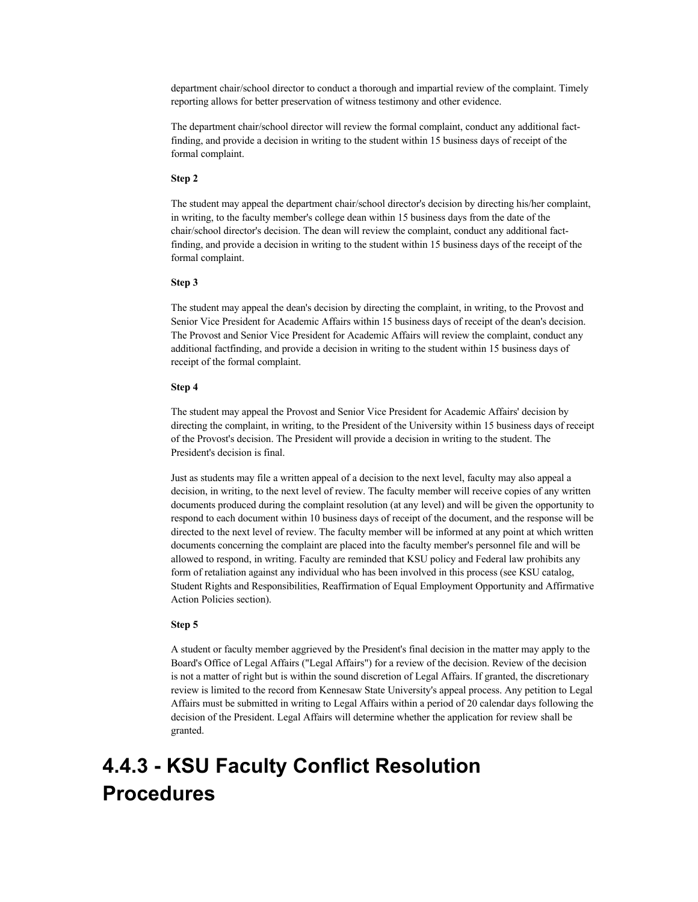department chair/school director to conduct a thorough and impartial review of the complaint. Timely reporting allows for better preservation of witness testimony and other evidence.

The department chair/school director will review the formal complaint, conduct any additional factfinding, and provide a decision in writing to the student within 15 business days of receipt of the formal complaint.

#### **Step 2**

The student may appeal the department chair/school director's decision by directing his/her complaint, in writing, to the faculty member's college dean within 15 business days from the date of the chair/school director's decision. The dean will review the complaint, conduct any additional factfinding, and provide a decision in writing to the student within 15 business days of the receipt of the formal complaint.

#### **Step 3**

The student may appeal the dean's decision by directing the complaint, in writing, to the Provost and Senior Vice President for Academic Affairs within 15 business days of receipt of the dean's decision. The Provost and Senior Vice President for Academic Affairs will review the complaint, conduct any additional factfinding, and provide a decision in writing to the student within 15 business days of receipt of the formal complaint.

#### **Step 4**

The student may appeal the Provost and Senior Vice President for Academic Affairs' decision by directing the complaint, in writing, to the President of the University within 15 business days of receipt of the Provost's decision. The President will provide a decision in writing to the student. The President's decision is final.

Just as students may file a written appeal of a decision to the next level, faculty may also appeal a decision, in writing, to the next level of review. The faculty member will receive copies of any written documents produced during the complaint resolution (at any level) and will be given the opportunity to respond to each document within 10 business days of receipt of the document, and the response will be directed to the next level of review. The faculty member will be informed at any point at which written documents concerning the complaint are placed into the faculty member's personnel file and will be allowed to respond, in writing. Faculty are reminded that KSU policy and Federal law prohibits any form of retaliation against any individual who has been involved in this process (see KSU catalog, Student Rights and Responsibilities, Reaffirmation of Equal Employment Opportunity and Affirmative Action Policies section).

#### **Step 5**

A student or faculty member aggrieved by the President's final decision in the matter may apply to the Board's Office of Legal Affairs ("Legal Affairs") for a review of the decision. Review of the decision is not a matter of right but is within the sound discretion of Legal Affairs. If granted, the discretionary review is limited to the record from Kennesaw State University's appeal process. Any petition to Legal Affairs must be submitted in writing to Legal Affairs within a period of 20 calendar days following the decision of the President. Legal Affairs will determine whether the application for review shall be granted.

# **4.4.3 - KSU Faculty Conflict Resolution Procedures**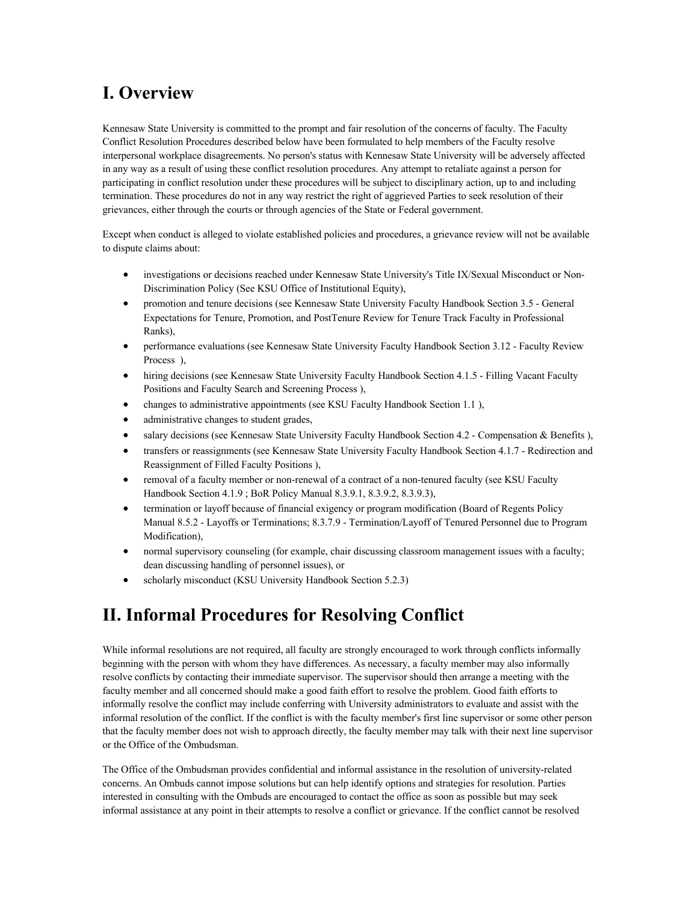## **I. Overview**

Kennesaw State University is committed to the prompt and fair resolution of the concerns of faculty. The Faculty Conflict Resolution Procedures described below have been formulated to help members of the Faculty resolve interpersonal workplace disagreements. No person's status with Kennesaw State University will be adversely affected in any way as a result of using these conflict resolution procedures. Any attempt to retaliate against a person for participating in conflict resolution under these procedures will be subject to disciplinary action, up to and including termination. These procedures do not in any way restrict the right of aggrieved Parties to seek resolution of their grievances, either through the courts or through agencies of the State or Federal government.

Except when conduct is alleged to violate established policies and procedures, a grievance review will not be available to dispute claims about:

- investigations or decisions reached under Kennesaw State University's Title IX/Sexual Misconduct or Non-Discrimination Policy (See KSU Office of Institutional Equity),
- promotion and tenure decisions (see Kennesaw State University Faculty Handbook Section 3.5 General Expectations for Tenure, Promotion, and PostTenure Review for Tenure Track Faculty in Professional Ranks),
- performance evaluations (see Kennesaw State University Faculty Handbook Section 3.12 Faculty Review Process ),
- hiring decisions (see Kennesaw State University Faculty Handbook Section 4.1.5 Filling Vacant Faculty Positions and Faculty Search and Screening Process ),
- changes to administrative appointments (see KSU Faculty Handbook Section 1.1),
- administrative changes to student grades,
- salary decisions (see Kennesaw State University Faculty Handbook Section 4.2 Compensation & Benefits ),
- transfers or reassignments (see Kennesaw State University Faculty Handbook Section 4.1.7 Redirection and Reassignment of Filled Faculty Positions ),
- removal of a faculty member or non-renewal of a contract of a non-tenured faculty (see KSU Faculty Handbook Section 4.1.9 ; BoR Policy Manual 8.3.9.1, 8.3.9.2, 8.3.9.3),
- termination or layoff because of financial exigency or program modification (Board of Regents Policy Manual 8.5.2 - Layoffs or Terminations; 8.3.7.9 - Termination/Layoff of Tenured Personnel due to Program Modification),
- normal supervisory counseling (for example, chair discussing classroom management issues with a faculty; dean discussing handling of personnel issues), or
- scholarly misconduct (KSU University Handbook Section 5.2.3)

### **II. Informal Procedures for Resolving Conflict**

While informal resolutions are not required, all faculty are strongly encouraged to work through conflicts informally beginning with the person with whom they have differences. As necessary, a faculty member may also informally resolve conflicts by contacting their immediate supervisor. The supervisor should then arrange a meeting with the faculty member and all concerned should make a good faith effort to resolve the problem. Good faith efforts to informally resolve the conflict may include conferring with University administrators to evaluate and assist with the informal resolution of the conflict. If the conflict is with the faculty member's first line supervisor or some other person that the faculty member does not wish to approach directly, the faculty member may talk with their next line supervisor or the Office of the Ombudsman.

The Office of the Ombudsman provides confidential and informal assistance in the resolution of university-related concerns. An Ombuds cannot impose solutions but can help identify options and strategies for resolution. Parties interested in consulting with the Ombuds are encouraged to contact the office as soon as possible but may seek informal assistance at any point in their attempts to resolve a conflict or grievance. If the conflict cannot be resolved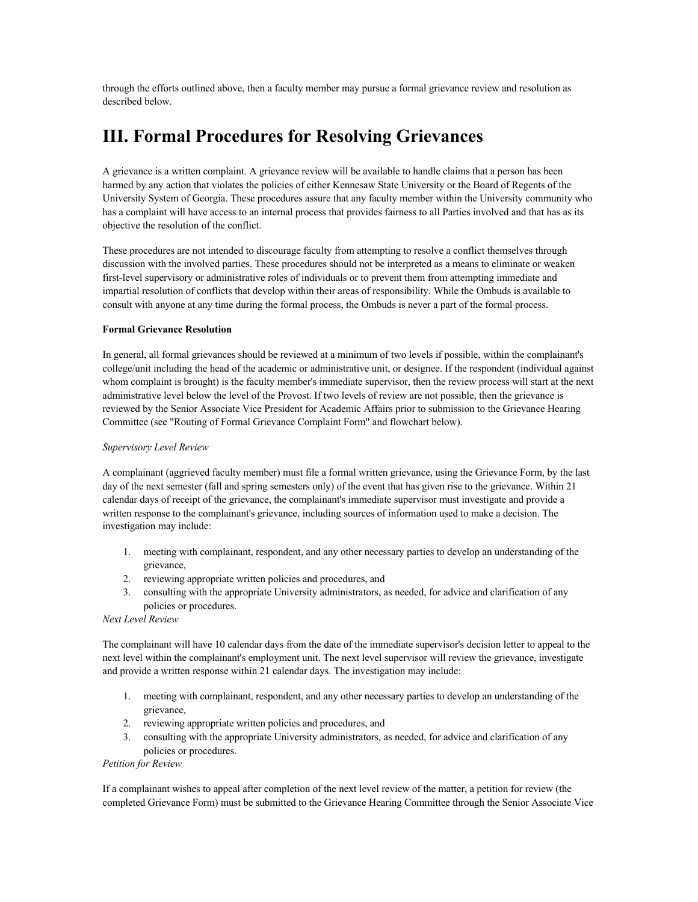through the efforts outlined above, then a faculty member may pursue a formal grievance review and resolution as described below.

### **III. Formal Procedures for Resolving Grievances**

A grievance is a written complaint. A grievance review will be available to handle claims that a person has been harmed by any action that violates the policies of either Kennesaw State University or the Board of Regents of the University System of Georgia. These procedures assure that any faculty member within the University community who has a complaint will have access to an internal process that provides fairness to all Parties involved and that has as its objective the resolution of the conflict.

These procedures are not intended to discourage faculty from attempting to resolve a conflict themselves through discussion with the involved parties. These procedures should not be interpreted as a means to eliminate or weaken first-level supervisory or administrative roles of individuals or to prevent them from attempting immediate and impartial resolution of conflicts that develop within their areas of responsibility. While the Ombuds is available to consult with anyone at any time during the formal process, the Ombuds is never a part of the formal process.

#### **Formal Grievance Resolution**

In general, all formal grievances should be reviewed at a minimum of two levels if possible, within the complainant's college/unit including the head of the academic or administrative unit, or designee. If the respondent (individual against whom complaint is brought) is the faculty member's immediate supervisor, then the review process will start at the next administrative level below the level of the Provost. If two levels of review are not possible, then the grievance is reviewed by the Senior Associate Vice President for Academic Affairs prior to submission to the Grievance Hearing Committee (see "Routing of Formal Grievance Complaint Form" and flowchart below).

#### *Supervisory Level Review*

A complainant (aggrieved faculty member) must file a formal written grievance, using the Grievance Form, by the last day of the next semester (fall and spring semesters only) of the event that has given rise to the grievance. Within 21 calendar days of receipt of the grievance, the complainant's immediate supervisor must investigate and provide a written response to the complainant's grievance, including sources of information used to make a decision. The investigation may include:

- 1. meeting with complainant, respondent, and any other necessary parties to develop an understanding of the grievance,
- 2. reviewing appropriate written policies and procedures, and
- 3. consulting with the appropriate University administrators, as needed, for advice and clarification of any policies or procedures.

#### *Next Level Review*

The complainant will have 10 calendar days from the date of the immediate supervisor's decision letter to appeal to the next level within the complainant's employment unit. The next level supervisor will review the grievance, investigate and provide a written response within 21 calendar days. The investigation may include:

- 1. meeting with complainant, respondent, and any other necessary parties to develop an understanding of the grievance,
- 2. reviewing appropriate written policies and procedures, and
- 3. consulting with the appropriate University administrators, as needed, for advice and clarification of any policies or procedures.

#### *Petition for Review*

If a complainant wishes to appeal after completion of the next level review of the matter, a petition for review (the completed Grievance Form) must be submitted to the Grievance Hearing Committee through the Senior Associate Vice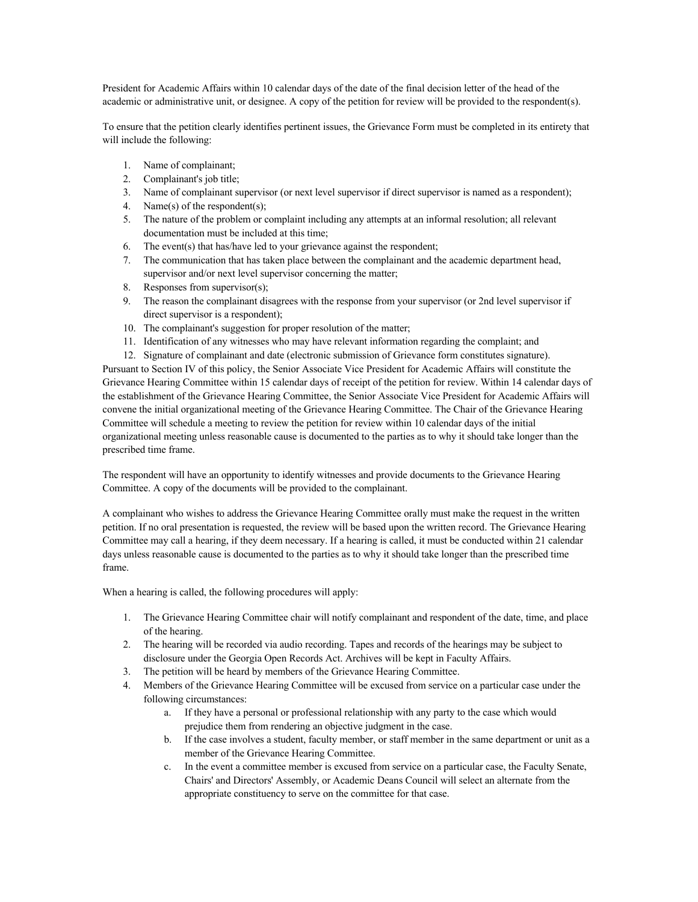President for Academic Affairs within 10 calendar days of the date of the final decision letter of the head of the academic or administrative unit, or designee. A copy of the petition for review will be provided to the respondent(s).

To ensure that the petition clearly identifies pertinent issues, the Grievance Form must be completed in its entirety that will include the following:

- 1. Name of complainant;
- 2. Complainant's job title;
- 3. Name of complainant supervisor (or next level supervisor if direct supervisor is named as a respondent);
- 4. Name(s) of the respondent(s);
- 5. The nature of the problem or complaint including any attempts at an informal resolution; all relevant documentation must be included at this time;
- 6. The event(s) that has/have led to your grievance against the respondent;
- 7. The communication that has taken place between the complainant and the academic department head, supervisor and/or next level supervisor concerning the matter;
- 8. Responses from supervisor(s);
- 9. The reason the complainant disagrees with the response from your supervisor (or 2nd level supervisor if direct supervisor is a respondent);
- 10. The complainant's suggestion for proper resolution of the matter;
- 11. Identification of any witnesses who may have relevant information regarding the complaint; and
- 12. Signature of complainant and date (electronic submission of Grievance form constitutes signature).

Pursuant to Section IV of this policy, the Senior Associate Vice President for Academic Affairs will constitute the Grievance Hearing Committee within 15 calendar days of receipt of the petition for review. Within 14 calendar days of the establishment of the Grievance Hearing Committee, the Senior Associate Vice President for Academic Affairs will convene the initial organizational meeting of the Grievance Hearing Committee. The Chair of the Grievance Hearing Committee will schedule a meeting to review the petition for review within 10 calendar days of the initial organizational meeting unless reasonable cause is documented to the parties as to why it should take longer than the prescribed time frame.

The respondent will have an opportunity to identify witnesses and provide documents to the Grievance Hearing Committee. A copy of the documents will be provided to the complainant.

A complainant who wishes to address the Grievance Hearing Committee orally must make the request in the written petition. If no oral presentation is requested, the review will be based upon the written record. The Grievance Hearing Committee may call a hearing, if they deem necessary. If a hearing is called, it must be conducted within 21 calendar days unless reasonable cause is documented to the parties as to why it should take longer than the prescribed time frame.

When a hearing is called, the following procedures will apply:

- 1. The Grievance Hearing Committee chair will notify complainant and respondent of the date, time, and place of the hearing.
- 2. The hearing will be recorded via audio recording. Tapes and records of the hearings may be subject to disclosure under the Georgia Open Records Act. Archives will be kept in Faculty Affairs.
- 3. The petition will be heard by members of the Grievance Hearing Committee.
- 4. Members of the Grievance Hearing Committee will be excused from service on a particular case under the following circumstances:
	- a. If they have a personal or professional relationship with any party to the case which would prejudice them from rendering an objective judgment in the case.
	- b. If the case involves a student, faculty member, or staff member in the same department or unit as a member of the Grievance Hearing Committee.
	- c. In the event a committee member is excused from service on a particular case, the Faculty Senate, Chairs' and Directors' Assembly, or Academic Deans Council will select an alternate from the appropriate constituency to serve on the committee for that case.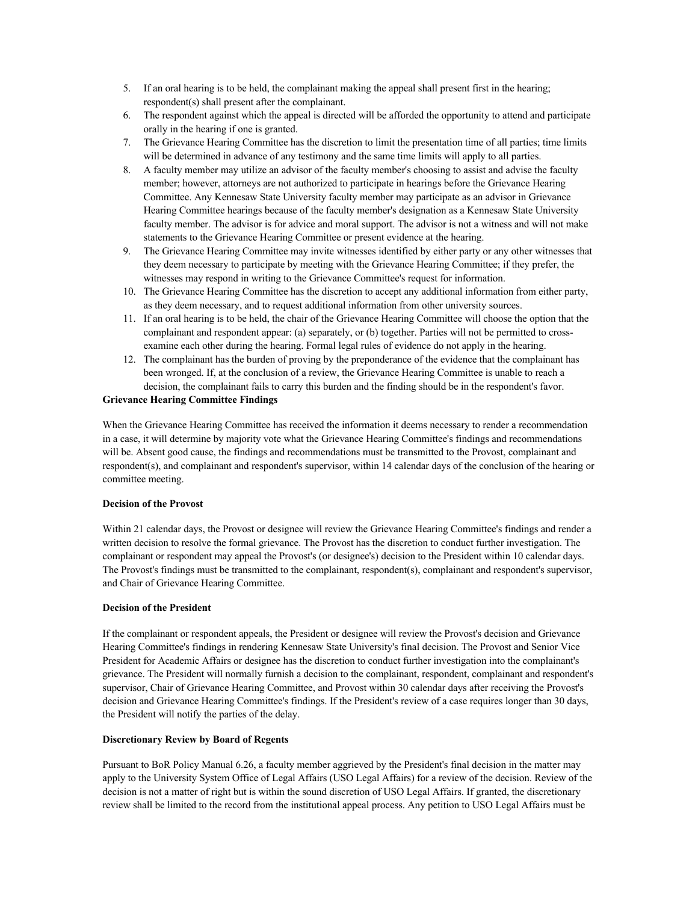- 5. If an oral hearing is to be held, the complainant making the appeal shall present first in the hearing; respondent(s) shall present after the complainant.
- 6. The respondent against which the appeal is directed will be afforded the opportunity to attend and participate orally in the hearing if one is granted.
- 7. The Grievance Hearing Committee has the discretion to limit the presentation time of all parties; time limits will be determined in advance of any testimony and the same time limits will apply to all parties.
- 8. A faculty member may utilize an advisor of the faculty member's choosing to assist and advise the faculty member; however, attorneys are not authorized to participate in hearings before the Grievance Hearing Committee. Any Kennesaw State University faculty member may participate as an advisor in Grievance Hearing Committee hearings because of the faculty member's designation as a Kennesaw State University faculty member. The advisor is for advice and moral support. The advisor is not a witness and will not make statements to the Grievance Hearing Committee or present evidence at the hearing.
- 9. The Grievance Hearing Committee may invite witnesses identified by either party or any other witnesses that they deem necessary to participate by meeting with the Grievance Hearing Committee; if they prefer, the witnesses may respond in writing to the Grievance Committee's request for information.
- 10. The Grievance Hearing Committee has the discretion to accept any additional information from either party, as they deem necessary, and to request additional information from other university sources.
- 11. If an oral hearing is to be held, the chair of the Grievance Hearing Committee will choose the option that the complainant and respondent appear: (a) separately, or (b) together. Parties will not be permitted to crossexamine each other during the hearing. Formal legal rules of evidence do not apply in the hearing.
- 12. The complainant has the burden of proving by the preponderance of the evidence that the complainant has been wronged. If, at the conclusion of a review, the Grievance Hearing Committee is unable to reach a decision, the complainant fails to carry this burden and the finding should be in the respondent's favor.

#### **Grievance Hearing Committee Findings**

When the Grievance Hearing Committee has received the information it deems necessary to render a recommendation in a case, it will determine by majority vote what the Grievance Hearing Committee's findings and recommendations will be. Absent good cause, the findings and recommendations must be transmitted to the Provost, complainant and respondent(s), and complainant and respondent's supervisor, within 14 calendar days of the conclusion of the hearing or committee meeting.

#### **Decision of the Provost**

Within 21 calendar days, the Provost or designee will review the Grievance Hearing Committee's findings and render a written decision to resolve the formal grievance. The Provost has the discretion to conduct further investigation. The complainant or respondent may appeal the Provost's (or designee's) decision to the President within 10 calendar days. The Provost's findings must be transmitted to the complainant, respondent(s), complainant and respondent's supervisor, and Chair of Grievance Hearing Committee.

#### **Decision of the President**

If the complainant or respondent appeals, the President or designee will review the Provost's decision and Grievance Hearing Committee's findings in rendering Kennesaw State University's final decision. The Provost and Senior Vice President for Academic Affairs or designee has the discretion to conduct further investigation into the complainant's grievance. The President will normally furnish a decision to the complainant, respondent, complainant and respondent's supervisor, Chair of Grievance Hearing Committee, and Provost within 30 calendar days after receiving the Provost's decision and Grievance Hearing Committee's findings. If the President's review of a case requires longer than 30 days, the President will notify the parties of the delay.

#### **Discretionary Review by Board of Regents**

Pursuant to BoR Policy Manual 6.26, a faculty member aggrieved by the President's final decision in the matter may apply to the University System Office of Legal Affairs (USO Legal Affairs) for a review of the decision. Review of the decision is not a matter of right but is within the sound discretion of USO Legal Affairs. If granted, the discretionary review shall be limited to the record from the institutional appeal process. Any petition to USO Legal Affairs must be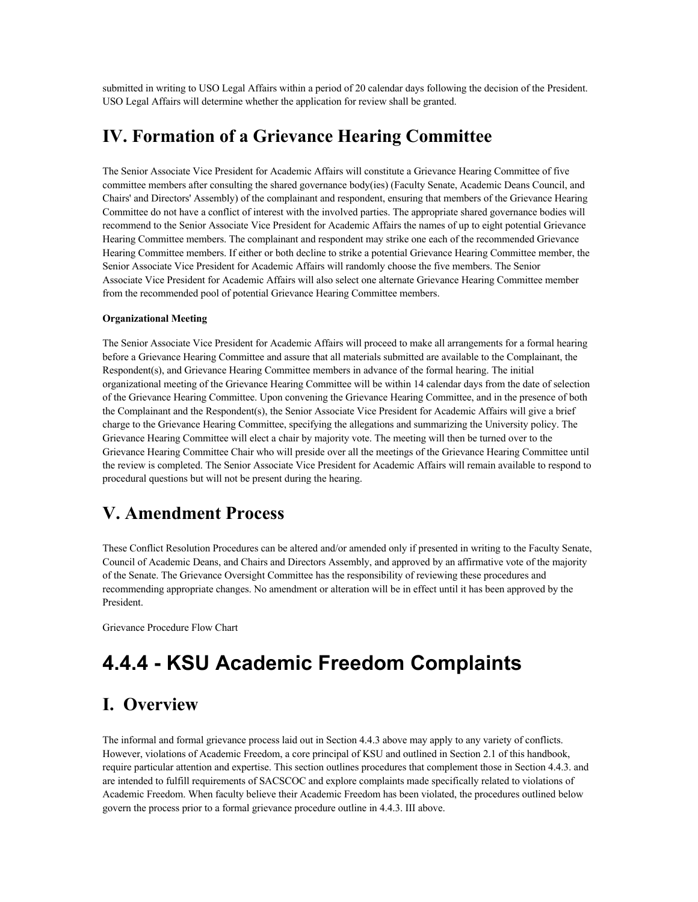submitted in writing to USO Legal Affairs within a period of 20 calendar days following the decision of the President. USO Legal Affairs will determine whether the application for review shall be granted.

### **IV. Formation of a Grievance Hearing Committee**

The Senior Associate Vice President for Academic Affairs will constitute a Grievance Hearing Committee of five committee members after consulting the shared governance body(ies) (Faculty Senate, Academic Deans Council, and Chairs' and Directors' Assembly) of the complainant and respondent, ensuring that members of the Grievance Hearing Committee do not have a conflict of interest with the involved parties. The appropriate shared governance bodies will recommend to the Senior Associate Vice President for Academic Affairs the names of up to eight potential Grievance Hearing Committee members. The complainant and respondent may strike one each of the recommended Grievance Hearing Committee members. If either or both decline to strike a potential Grievance Hearing Committee member, the Senior Associate Vice President for Academic Affairs will randomly choose the five members. The Senior Associate Vice President for Academic Affairs will also select one alternate Grievance Hearing Committee member from the recommended pool of potential Grievance Hearing Committee members.

#### **Organizational Meeting**

The Senior Associate Vice President for Academic Affairs will proceed to make all arrangements for a formal hearing before a Grievance Hearing Committee and assure that all materials submitted are available to the Complainant, the Respondent(s), and Grievance Hearing Committee members in advance of the formal hearing. The initial organizational meeting of the Grievance Hearing Committee will be within 14 calendar days from the date of selection of the Grievance Hearing Committee. Upon convening the Grievance Hearing Committee, and in the presence of both the Complainant and the Respondent(s), the Senior Associate Vice President for Academic Affairs will give a brief charge to the Grievance Hearing Committee, specifying the allegations and summarizing the University policy. The Grievance Hearing Committee will elect a chair by majority vote. The meeting will then be turned over to the Grievance Hearing Committee Chair who will preside over all the meetings of the Grievance Hearing Committee until the review is completed. The Senior Associate Vice President for Academic Affairs will remain available to respond to procedural questions but will not be present during the hearing.

### **V. Amendment Process**

These Conflict Resolution Procedures can be altered and/or amended only if presented in writing to the Faculty Senate, Council of Academic Deans, and Chairs and Directors Assembly, and approved by an affirmative vote of the majority of the Senate. The Grievance Oversight Committee has the responsibility of reviewing these procedures and recommending appropriate changes. No amendment or alteration will be in effect until it has been approved by the President.

Grievance Procedure Flow Chart

## **4.4.4 - KSU Academic Freedom Complaints**

### **I. Overview**

The informal and formal grievance process laid out in Section 4.4.3 above may apply to any variety of conflicts. However, violations of Academic Freedom, a core principal of KSU and outlined in Section 2.1 of this handbook, require particular attention and expertise. This section outlines procedures that complement those in Section 4.4.3. and are intended to fulfill requirements of SACSCOC and explore complaints made specifically related to violations of Academic Freedom. When faculty believe their Academic Freedom has been violated, the procedures outlined below govern the process prior to a formal grievance procedure outline in 4.4.3. III above.